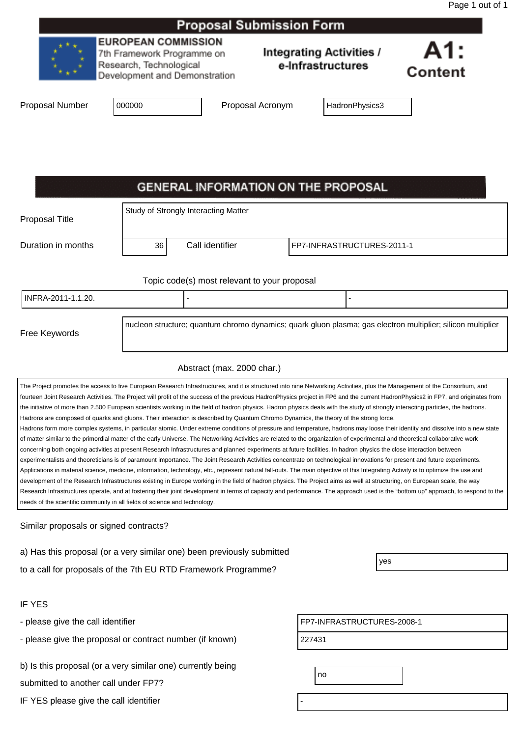|                 |                                                                                                                      | <b>Proposal Submission Form</b> |                                                      |                |
|-----------------|----------------------------------------------------------------------------------------------------------------------|---------------------------------|------------------------------------------------------|----------------|
|                 | <b>EUROPEAN COMMISSION</b><br>7th Framework Programme on<br>Research, Technological<br>Development and Demonstration |                                 | <b>Integrating Activities /</b><br>e-Infrastructures | A1:<br>Content |
| Proposal Number | 000000                                                                                                               | Proposal Acronym                | HadronPhysics3                                       |                |

|                    |    | <b>GENERAL INFORMATION ON THE PROPOSAL</b>                                                                                                                                                                                                                                                                                         |                                                                                                             |
|--------------------|----|------------------------------------------------------------------------------------------------------------------------------------------------------------------------------------------------------------------------------------------------------------------------------------------------------------------------------------|-------------------------------------------------------------------------------------------------------------|
| Proposal Title     |    | Study of Strongly Interacting Matter                                                                                                                                                                                                                                                                                               |                                                                                                             |
| Duration in months | 36 | Call identifier                                                                                                                                                                                                                                                                                                                    | FP7-INFRASTRUCTURES-2011-1                                                                                  |
|                    |    | Topic code(s) most relevant to your proposal                                                                                                                                                                                                                                                                                       |                                                                                                             |
| INFRA-2011-1.1.20. |    |                                                                                                                                                                                                                                                                                                                                    |                                                                                                             |
| Free Keywords      |    |                                                                                                                                                                                                                                                                                                                                    | nucleon structure; quantum chromo dynamics; quark gluon plasma; gas electron multiplier; silicon multiplier |
|                    |    | $\mathbf{A}$ $\mathbf{A}$ $\mathbf{A}$ $\mathbf{A}$ $\mathbf{A}$ $\mathbf{A}$ $\mathbf{A}$ $\mathbf{A}$ $\mathbf{A}$ $\mathbf{A}$ $\mathbf{A}$ $\mathbf{A}$ $\mathbf{A}$ $\mathbf{A}$ $\mathbf{A}$ $\mathbf{A}$ $\mathbf{A}$ $\mathbf{A}$ $\mathbf{A}$ $\mathbf{A}$ $\mathbf{A}$ $\mathbf{A}$ $\mathbf{A}$ $\mathbf{A}$ $\mathbf{$ |                                                                                                             |

| Abstract (max. 2000 char.) |  |  |
|----------------------------|--|--|
|----------------------------|--|--|

The Project promotes the access to five European Research Infrastructures, and it is structured into nine Networking Activities, plus the Management of the Consortium, and fourteen Joint Research Activities. The Project will profit of the success of the previous HadronPhysics project in FP6 and the current HadronPhysics2 in FP7, and originates from the initiative of more than 2.500 European scientists working in the field of hadron physics. Hadron physics deals with the study of strongly interacting particles, the hadrons. Hadrons are composed of quarks and gluons. Their interaction is described by Quantum Chromo Dynamics, the theory of the strong force. Hadrons form more complex systems, in particular atomic. Under extreme conditions of pressure and temperature, hadrons may loose their identity and dissolve into a new state of matter similar to the primordial matter of the early Universe. The Networking Activities are related to the organization of experimental and theoretical collaborative work concerning both ongoing activities at present Research Infrastructures and planned experiments at future facilities. In hadron physics the close interaction between experimentalists and theoreticians is of paramount importance. The Joint Research Activities concentrate on technological innovations for present and future experiments. experimentalists and theoreticians is of paramount importance. The Joint Research Activities concentrate on technological innovations for present and future experiments.<br>Applications in material science, medicine, informat development of the Research Infrastructures existing in Europe working in the field of hadron physics. The Project aims as well at structuring, on European scale, the way Research Infrastructures operate, and at fostering their joint development in terms of capacity and performance. The approach used is the "bottom up" approach, to respond to the<br>needs of the scientific community in all fie needs of the scientific community in all fields of science and technology.

#### Similar proposals or signed contracts?

a) Has this proposal (or a very similar one) been previously submitted

to a call for proposals of the 7th EU RTD Framework Programme?

#### IF YES

- please give the call identifier

- please give the proposal or contract number (if known) 227431

b) Is this proposal (or a very similar one) currently being

submitted to another call under FP7?

IF YES please give the call identifier

| FP7-INFRASTRUCTURES-2008-1 |  |
|----------------------------|--|
|----------------------------|--|

no

yes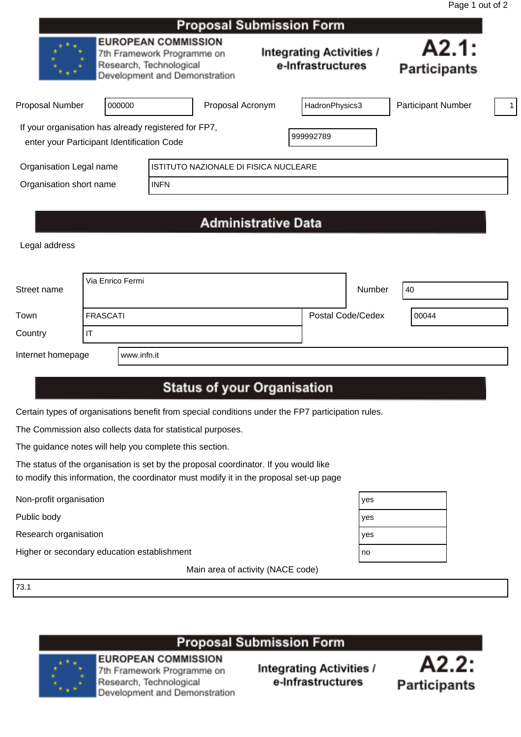|                                                                                                    |        |                                                                                                                      | <b>Proposal Submission Form</b>              |                                                      |                              |  |
|----------------------------------------------------------------------------------------------------|--------|----------------------------------------------------------------------------------------------------------------------|----------------------------------------------|------------------------------------------------------|------------------------------|--|
|                                                                                                    |        | <b>EUROPEAN COMMISSION</b><br>7th Framework Programme on<br>Research, Technological<br>Development and Demonstration |                                              | <b>Integrating Activities /</b><br>e-Infrastructures | A2.1:<br><b>Participants</b> |  |
| Proposal Number                                                                                    | 000000 |                                                                                                                      | Proposal Acronym                             | HadronPhysics3                                       | <b>Participant Number</b>    |  |
| If your organisation has already registered for FP7,<br>enter your Participant Identification Code |        |                                                                                                                      |                                              | 999992789                                            |                              |  |
| Organisation Legal name                                                                            |        |                                                                                                                      | <b>ISTITUTO NAZIONALE DI FISICA NUCLEARE</b> |                                                      |                              |  |
| Organisation short name<br><b>INFN</b>                                                             |        |                                                                                                                      |                                              |                                                      |                              |  |
|                                                                                                    |        |                                                                                                                      |                                              |                                                      |                              |  |

# **Administrative Data**

Legal address

| Street name       | l Via Enrico Fermi |             | Number            | 40    |
|-------------------|--------------------|-------------|-------------------|-------|
| Town              | <b>FRASCATI</b>    |             | Postal Code/Cedex | 00044 |
| Country           | H                  |             |                   |       |
| Internet homepage |                    | www.infn.it |                   |       |

# **Status of your Organisation**

Certain types of organisations benefit from special conditions under the FP7 participation rules.

The Commission also collects data for statistical purposes.

The guidance notes will help you complete this section.

The status of the organisation is set by the proposal coordinator. If you would like to modify this information, the coordinator must modify it in the proposal set-up page

Public body

Research organisation

Non-profit organisation<br>
Public body<br>
Research organisation<br>
Higher or secondary education establishment Higher or secondary education establishment

Main area of activity (NACE code)

73.1

# **Proposal Submission Form**



**EUROPEAN COMMISSION** 7th Framework Programme on Research, Technological Development and Demonstration



| es |  |
|----|--|
| es |  |
| es |  |
| 0  |  |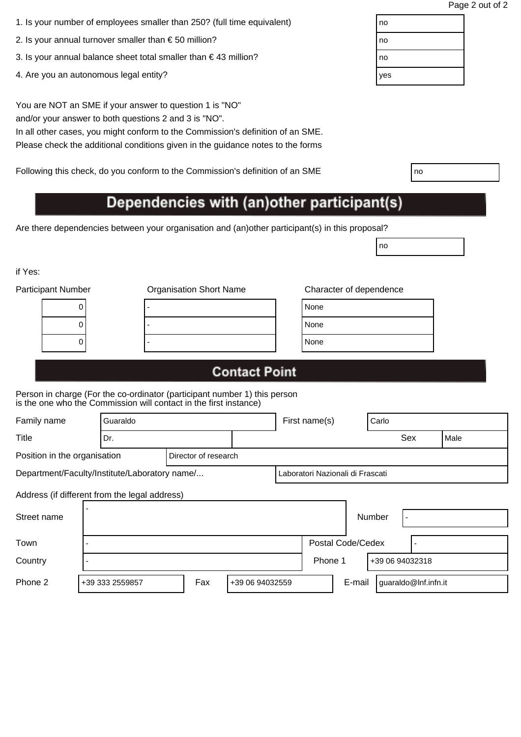| 1. Is your number of employees smaller than 250? (full time equivalent) | no |
|-------------------------------------------------------------------------|----|
|                                                                         |    |

- 2. Is your annual turnover smaller than € 50 million?  $\vert$  no
- 3. Is your annual balance sheet total smaller than € 43 million?  $\vert$  no
- 4. Are you an autonomous legal entity? yes will be a set of the set of the set of the set of the set of the set of the set of the set of the set of the set of the set of the set of the set of the set of the set of the set

In all other cases, you might conform to the Commission's definition of an SME. Please check the additional conditions given in the guidance notes to the forms

Following this check, do you conform to the Commission's definition of an SME

# Dependencies with (an)other participant(s)

Are there dependencies between your organisation and (an)other participant(s) in this proposal?

if Yes:

| <b>Participant Number</b> | <b>Organisation Short Name</b> | Character of dependence |
|---------------------------|--------------------------------|-------------------------|
| U                         |                                | None                    |
| U                         |                                | None                    |
|                           |                                | None                    |
|                           |                                |                         |

no

## **Contact Point**

Person in charge (For the co-ordinator (participant number 1) this person is the one who the Commission will contact in the first instance)

| Family name<br>Guaraldo                       |     |  |                      |         | First name(s)<br>Carlo |                                  |  |  |     |      |
|-----------------------------------------------|-----|--|----------------------|---------|------------------------|----------------------------------|--|--|-----|------|
| Title                                         | Dr. |  |                      |         |                        |                                  |  |  | Sex | Male |
| Position in the organisation                  |     |  | Director of research |         |                        |                                  |  |  |     |      |
| Department/Faculty/Institute/Laboratory name/ |     |  |                      |         |                        | Laboratori Nazionali di Frascati |  |  |     |      |
| Address (if different from the legal address) |     |  |                      |         |                        |                                  |  |  |     |      |
| Street name                                   |     |  |                      |         |                        | Number                           |  |  |     |      |
| Town                                          |     |  |                      |         | Postal Code/Cedex      |                                  |  |  |     |      |
| Country                                       |     |  |                      | Phone 1 |                        | +39 06 94032318                  |  |  |     |      |

Phone 2 +39 333 2559857 Fax +39 06 94032559 E-mail guaraldo@lnf.infn.it

| ٠<br>I<br>- 3<br>۰. |  |
|---------------------|--|
|---------------------|--|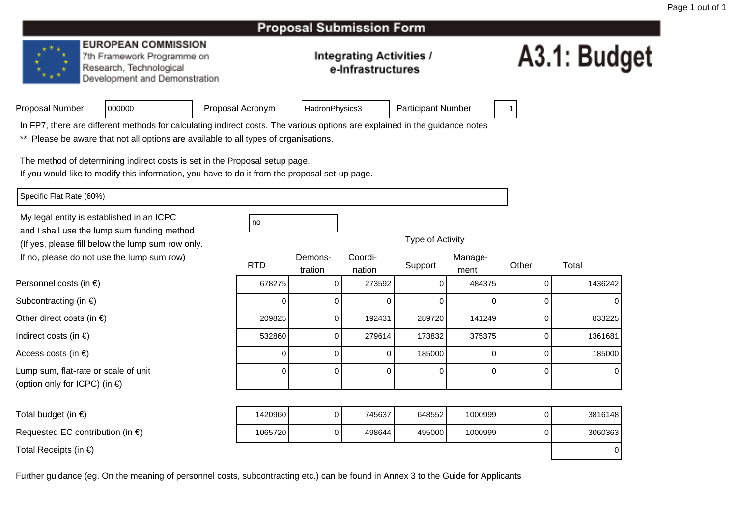#### **EUROPEAN COMMISSION**

<sup>000000</sup>

7th Framework Programme on Research, Technological Development and Demonstration

#### **Integrating Activities /** e-Infrastructures

# A3.1: Budget

| Proposal Number |  |  |  |  |
|-----------------|--|--|--|--|
|-----------------|--|--|--|--|

Proposal Acronym

HadronPhysics3 | Participant Number | 1

In FP7, there are different methods for calculating indirect costs. The various options are explained in the guidance notes

\*\*. Please be aware that not all options are available to all types of organisations.

The method of determining indirect costs is set in the Proposal setup page.

If you would like to modify this information, you have to do it from the proposal set-up page.

Specific Flat Rate (60%)

Personnel costs (in €)

Subcontracting (in €)

Indirect costs (in  $\epsilon$ )

Access costs (in €)

Other direct costs (in  $\epsilon$ )

Lump sum, flat-rate or scale of unit

(option only for ICPC) (in €)

My legal entity is established in an ICPCand I shall use the lump sum funding method (If yes, please fill below the lump sum row only.If no, please do not use the lump sum row)

no all'altra di una proprietà di una proprietà di una di una di una di una di una di una di una di una di una

Type of Activity

| ot use the lump sum row)         | <b>RTD</b> | Demons-<br>tration | Coordi-<br>nation | Support | Manage-<br>ment | Other | Total   |
|----------------------------------|------------|--------------------|-------------------|---------|-----------------|-------|---------|
| ) €)                             | 678275     |                    | 273592            |         | 484375          |       | 1436242 |
| $\in)$                           |            |                    |                   |         |                 |       |         |
| $(in \in)$                       | 209825     |                    | 192431            | 289720  | 141249          |       | 833225  |
|                                  | 532860     |                    | 279614            | 173832  | 375375          |       | 1361681 |
|                                  |            |                    | 0                 | 185000  |                 |       | 185000  |
| e or scale of unit<br>PC) (in €) |            |                    | $\Omega$          | 0       | 0               |       | 0       |

Total budget (in  $\epsilon$ ) Requested EC contribution (in  $\epsilon$ )

Total Receipts (in €)

 <sup>1420960</sup>0 | 745637 | 648552 | 1000999 | 0 | 3816148 <sup>1065720</sup> <sup>0</sup> <sup>498644</sup> <sup>495000</sup> <sup>1000999</sup> <sup>0</sup> <sup>3060363</sup> ) and the contract of the contract of  $\sim$  0.000  $\mu$  . The contract of  $\sim$  0.000  $\mu$   $\sim$  0.000  $\mu$   $\sim$  0.000  $\mu$   $\sim$  0.000  $\mu$   $\sim$  0.000  $\mu$   $\sim$  0.000  $\mu$   $\sim$  0.000  $\mu$   $\sim$  0.000  $\mu$   $\sim$  0.000  $\mu$   $\sim$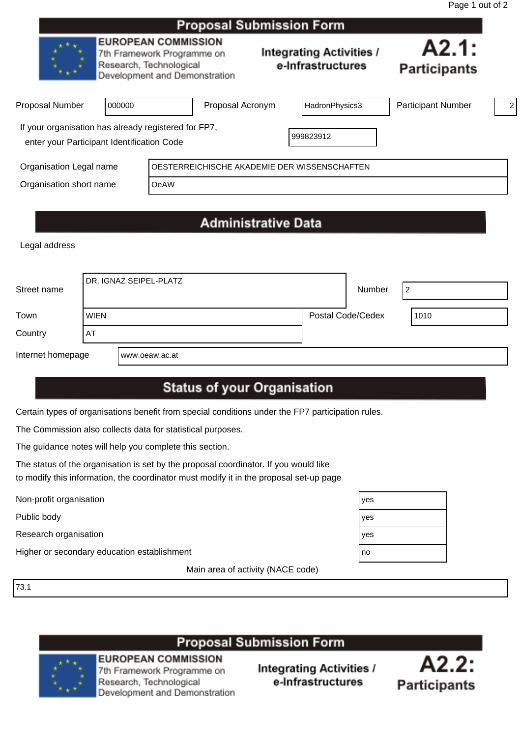|                                                                                                    |                                                                                                                      |             | <b>Proposal Submission Form</b> |  |                                                      |                              |                |  |
|----------------------------------------------------------------------------------------------------|----------------------------------------------------------------------------------------------------------------------|-------------|---------------------------------|--|------------------------------------------------------|------------------------------|----------------|--|
|                                                                                                    | <b>EUROPEAN COMMISSION</b><br>7th Framework Programme on<br>Research, Technological<br>Development and Demonstration |             |                                 |  | <b>Integrating Activities /</b><br>e-Infrastructures | A2.1:<br><b>Participants</b> |                |  |
| <b>Proposal Number</b>                                                                             | 000000                                                                                                               |             | Proposal Acronym                |  | HadronPhysics3                                       | <b>Participant Number</b>    | $\overline{2}$ |  |
| If your organisation has already registered for FP7,<br>enter your Participant Identification Code |                                                                                                                      |             |                                 |  | 999823912                                            |                              |                |  |
| Organisation Legal name                                                                            |                                                                                                                      |             |                                 |  | OESTERREICHISCHE AKADEMIE DER WISSENSCHAFTEN         |                              |                |  |
| Organisation short name                                                                            |                                                                                                                      | <b>OeAW</b> |                                 |  |                                                      |                              |                |  |
|                                                                                                    |                                                                                                                      |             |                                 |  |                                                      |                              |                |  |

# **Administrative Data**

Legal address

| Street name       |             | I DR. IGNAZ SEIPEL-PLATZ |                   | Number | ∼    |
|-------------------|-------------|--------------------------|-------------------|--------|------|
| Town              | <b>WIEN</b> |                          | Postal Code/Cedex |        | 1010 |
| Country           | AT          |                          |                   |        |      |
| Internet homepage |             | www.oeaw.ac.at           |                   |        |      |

# **Status of your Organisation**

Certain types of organisations benefit from special conditions under the FP7 participation rules.

The Commission also collects data for statistical purposes.

The guidance notes will help you complete this section.

The status of the organisation is set by the proposal coordinator. If you would like to modify this information, the coordinator must modify it in the proposal set-up page

Non-profit organisation yes<br>Public body<br>Research organisation yes

Public body

Research organisation

Higher or secondary education establishment notice and the control of the control of the control of the control of the control of the control of the control of the control of the control of the control of the control of th

Main area of activity (NACE code)

73.1

**Proposal Submission Form** 

**EUROPEAN COMMISSION** 7th Framework Programme on Research, Technological Development and Demonstration



| es |  |
|----|--|
| es |  |
| es |  |
| о  |  |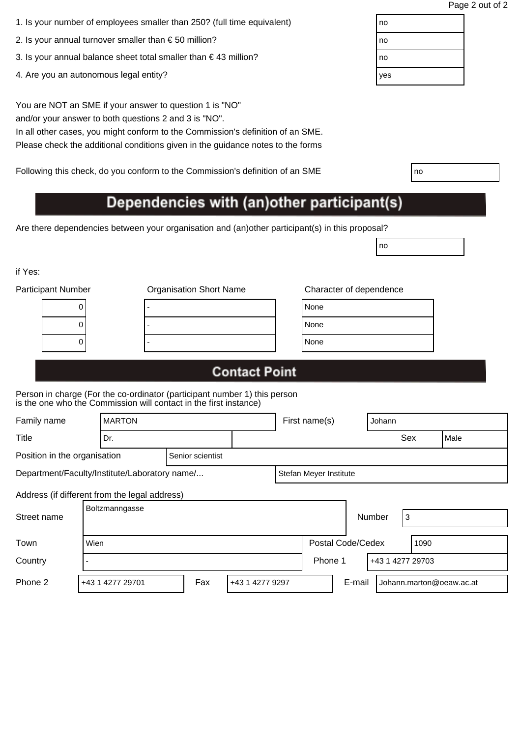| 1. Is your number of employees smaller than 250? (full time equivalent) | no |
|-------------------------------------------------------------------------|----|
|                                                                         |    |

- 2. Is your annual turnover smaller than  $\epsilon$  50 million?
- 3. Is your annual balance sheet total smaller than  $\epsilon$  43 million?
- 4. Are you an autonomous legal entity?

You are NOT an SME if your answer to question 1 is "NO" and/or your answer to both questions 2 and 3 is "NO".

In all other cases, you might conform to the Commission's definition of an SME. Please check the additional conditions given in the guidance notes to the forms

Following this check, do you conform to the Commission's definition of an SME

# Dependencies with (an) other participant(s)

Are there dependencies between your organisation and (an)other participant(s) in this proposal?

if Yes:

| <b>Participant Number</b> | <b>Organisation Short Name</b> | Character of dependence |
|---------------------------|--------------------------------|-------------------------|
| U                         |                                | None                    |
|                           |                                | None                    |
|                           |                                | None                    |
|                           |                                |                         |

| lone |  |
|------|--|
| lone |  |
| lone |  |

no

# **Contact Point**

Person in charge (For the co-ordinator (participant number 1) this person is the one who the Commission will contact in the first instance)

| Family name                                   | <b>MARTON</b> |                  |  |                        |                   | First name(s) | Johann           |      |     |      |
|-----------------------------------------------|---------------|------------------|--|------------------------|-------------------|---------------|------------------|------|-----|------|
| <b>Title</b>                                  |               | Dr.              |  |                        |                   |               |                  |      | Sex | Male |
| Position in the organisation                  |               | Senior scientist |  |                        |                   |               |                  |      |     |      |
| Department/Faculty/Institute/Laboratory name/ |               |                  |  | Stefan Meyer Institute |                   |               |                  |      |     |      |
| Address (if different from the legal address) |               |                  |  |                        |                   |               |                  |      |     |      |
| Boltzmanngasse<br>Street name                 |               |                  |  |                        |                   |               | Number           | 3    |     |      |
| Town                                          | Wien          |                  |  |                        | Postal Code/Cedex |               |                  | 1090 |     |      |
| Country                                       |               |                  |  |                        | Phone 1           |               | +43 1 4277 29703 |      |     |      |

Phone 2 +43 1 4277 29701 Fax +43 1 4277 9297 E-mail Johann.marton@oeaw.ac.at

| no  |  |  |
|-----|--|--|
| no  |  |  |
| no  |  |  |
| yes |  |  |
|     |  |  |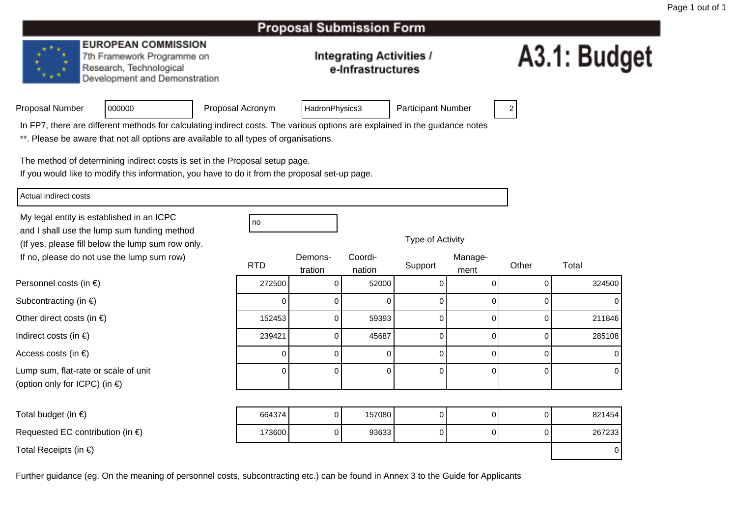#### **EUROPEAN COMMISSION**

<sup>000000</sup>

7th Framework Programme on Research, Technological Development and Demonstration

#### **Integrating Activities /** e-Infrastructures

# A3.1: Budget

|  | Proposal Number |  |
|--|-----------------|--|
|  |                 |  |

Proposal Acronym

HadronPhysics3 | Participant Number | 2

In FP7, there are different methods for calculating indirect costs. The various options are explained in the guidance notes

\*\*. Please be aware that not all options are available to all types of organisations.

The method of determining indirect costs is set in the Proposal setup page.

If you would like to modify this information, you have to do it from the proposal set-up page.

Actual indirect costs

Personnel costs (in €)

Subcontracting (in €)

Indirect costs (in  $\epsilon$ )

Access costs (in €)

Other direct costs (in  $\epsilon$ )

My legal entity is established in an ICPCno all'altra di una proprietà di una proprietà di una di una di una di una di una di una di una di una di una and I shall use the lump sum funding method (If yes, please fill below the lump sum row only.If no, please do not use the lump sum row)

| Type of Activity |  |  |  |
|------------------|--|--|--|
|------------------|--|--|--|

| ot use the lump sum row)            | <b>RTD</b> | Demons- | Coordi-  | Support | Manage- | Other | Total  |
|-------------------------------------|------------|---------|----------|---------|---------|-------|--------|
|                                     |            | tration | nation   |         | ment    |       |        |
| າ €)                                | 272500     |         | 52000    |         |         |       | 324500 |
| $\in)$                              |            |         |          |         |         |       |        |
| $(in \in)$                          | 152453     |         | 59393    |         |         |       | 211846 |
|                                     | 239421     |         | 45687    | 0       |         |       | 285108 |
|                                     |            |         | 0        |         |         |       |        |
| e or scale of unit<br>$P$ C) (in €) |            |         | $\Omega$ |         | 0       |       | 0      |

Total budget (in  $\epsilon$ )

Requested EC contribution (in  $\epsilon$ )

Lump sum, flat-rate or scale of unit

(option only for ICPC) (in €)

Total Receipts (in €)

 <sup>664374</sup>4 0 157080 0 0 0 821454 <sup>173600</sup>0 || 93633 || 0 0 0 0 267233 ) and the contract of the contract of  $\sim$  0.000  $\mu$  . The contract of  $\sim$  0.000  $\mu$   $\sim$  0.000  $\mu$   $\sim$  0.000  $\mu$   $\sim$  0.000  $\mu$   $\sim$  0.000  $\mu$   $\sim$  0.000  $\mu$   $\sim$  0.000  $\mu$   $\sim$  0.000  $\mu$   $\sim$  0.000  $\mu$   $\sim$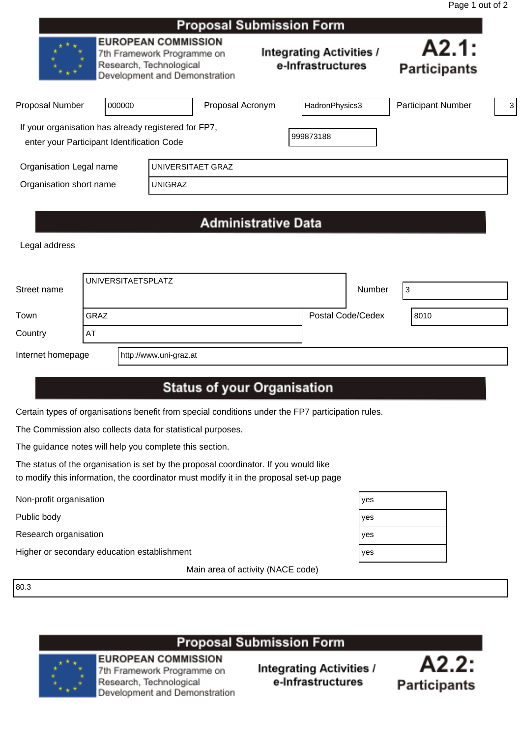|                                                                                                    |        |                                                                                                                      | Proposal Submission Form |  |                                                      |                              |   |
|----------------------------------------------------------------------------------------------------|--------|----------------------------------------------------------------------------------------------------------------------|--------------------------|--|------------------------------------------------------|------------------------------|---|
|                                                                                                    |        | <b>EUROPEAN COMMISSION</b><br>7th Framework Programme on<br>Research, Technological<br>Development and Demonstration |                          |  | <b>Integrating Activities /</b><br>e-Infrastructures | A2.1:<br><b>Participants</b> |   |
| Proposal Number                                                                                    | 000000 |                                                                                                                      | Proposal Acronym         |  | HadronPhysics3                                       | <b>Participant Number</b>    | 3 |
| If your organisation has already registered for FP7,<br>enter your Participant Identification Code |        |                                                                                                                      |                          |  | 999873188                                            |                              |   |
| Organisation Legal name                                                                            |        | UNIVERSITAET GRAZ                                                                                                    |                          |  |                                                      |                              |   |
| Organisation short name                                                                            |        | <b>UNIGRAZ</b>                                                                                                       |                          |  |                                                      |                              |   |
|                                                                                                    |        |                                                                                                                      |                          |  |                                                      |                              |   |

# **Administrative Data**

Legal address

| Street name       | UNIVERSITAETSPLATZ |                        |                   | Number | Ι3   |  |
|-------------------|--------------------|------------------------|-------------------|--------|------|--|
| Town              | <b>GRAZ</b>        |                        | Postal Code/Cedex |        | 8010 |  |
| Country           | AT                 |                        |                   |        |      |  |
| Internet homepage |                    | http://www.uni-graz.at |                   |        |      |  |

# **Status of your Organisation**

Certain types of organisations benefit from special conditions under the FP7 participation rules.

The Commission also collects data for statistical purposes.

The guidance notes will help you complete this section.

The status of the organisation is set by the proposal coordinator. If you would like to modify this information, the coordinator must modify it in the proposal set-up page

Non-profit organisation yes

Public body yes

Research organisation yes

Higher or secondary education establishment yes

Main area of activity (NACE code)

80.3





**EUROPEAN COMMISSION** 7th Framework Programme on Research, Technological Development and Demonstration

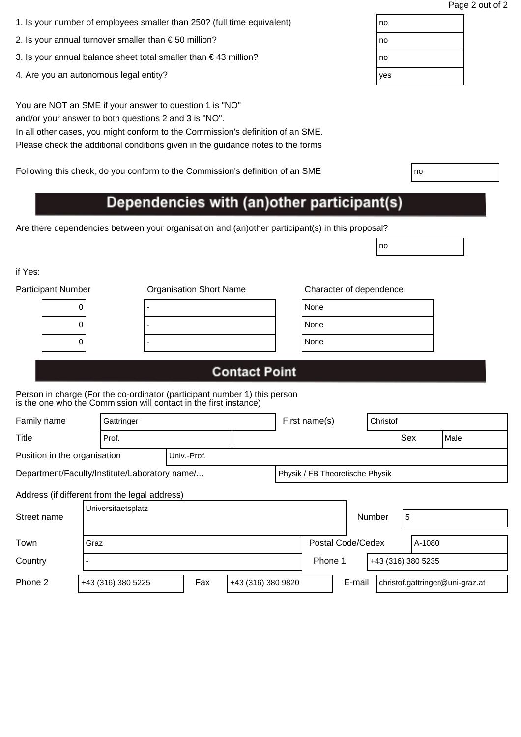| 1. Is your number of employees smaller than 250? (full time equivalent) | no |
|-------------------------------------------------------------------------|----|
|                                                                         |    |

- 2. Is your annual turnover smaller than  $\epsilon$  50 million?
- 3. Is your annual balance sheet total smaller than  $\epsilon$  43 million?
- 4. Are you an autonomous legal entity?

In all other cases, you might conform to the Commission's definition of an SME. Please check the additional conditions given in the guidance notes to the forms

Following this check, do you conform to the Commission's definition of an SME

# Dependencies with (an)other participant(s)

Are there dependencies between your organisation and (an)other participant(s) in this proposal?

if Yes:

| <b>Participant Number</b> | <b>Organisation Short Name</b> | Character of dependence |
|---------------------------|--------------------------------|-------------------------|
| υ                         |                                | None                    |
| υ                         |                                | None                    |
| υ                         |                                | None                    |
|                           |                                |                         |

| lone |  |
|------|--|
| lone |  |
| lone |  |
|      |  |

no

## **Contact Point**

Person in charge (For the co-ordinator (participant number 1) this person is the one who the Commission will contact in the first instance)

| Family name                                                                      | Gattringer                                    |  |  |  | First name(s)     |  | Christof |        |      |
|----------------------------------------------------------------------------------|-----------------------------------------------|--|--|--|-------------------|--|----------|--------|------|
| Title                                                                            | Prof.                                         |  |  |  |                   |  | Sex      |        | Male |
| Position in the organisation<br>Univ.-Prof.                                      |                                               |  |  |  |                   |  |          |        |      |
| Department/Faculty/Institute/Laboratory name/<br>Physik / FB Theoretische Physik |                                               |  |  |  |                   |  |          |        |      |
|                                                                                  | Address (if different from the legal address) |  |  |  |                   |  |          |        |      |
| Universitaetsplatz<br>Street name                                                |                                               |  |  |  |                   |  | Number   | 5      |      |
| Town                                                                             | Graz                                          |  |  |  | Postal Code/Cedex |  |          | A-1080 |      |

Country 2.1 - Phone 1 +43 (316) 380 5235 Phone 2 +43 (316) 380 5225 Fax +43 (316) 380 9820 E-mail christof.gattringer@uni-graz.at

| no  |  |
|-----|--|
| no  |  |
| no  |  |
| yes |  |
|     |  |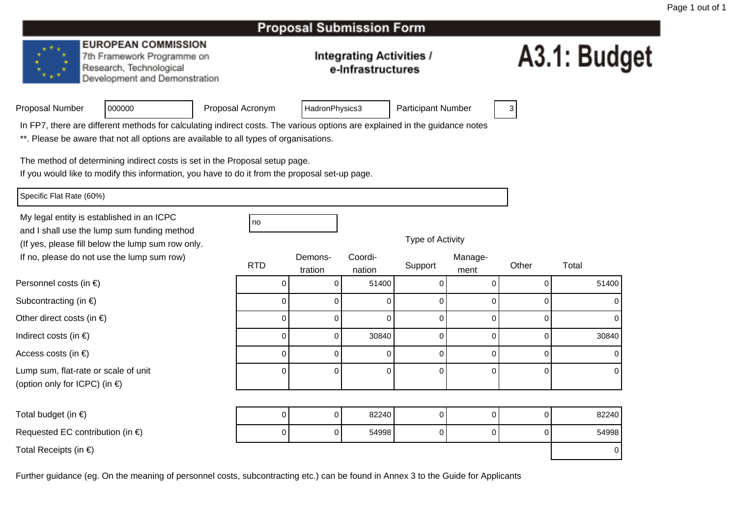#### **EUROPEAN COMMISSION**

7th Framework Programme on Research, Technological Development and Demonstration

#### **Integrating Activities /** e-Infrastructures

# A3.1: Budget

|  | Proposal Number |
|--|-----------------|
|  |                 |

Proposal Acronym

HadronPhysics3 | Participant Number | 3

In FP7, there are different methods for calculating indirect costs. The various options are explained in the guidance notes

\*\*. Please be aware that not all options are available to all types of organisations.

The method of determining indirect costs is set in the Proposal setup page.

If you would like to modify this information, you have to do it from the proposal set-up page.

Specific Flat Rate (60%)

Personnel costs (in €)

Subcontracting (in €)

Indirect costs (in  $\epsilon$ )

Access costs (in €)

Other direct costs (in  $\epsilon$ )

Lump sum, flat-rate or scale of unit

(option only for ICPC) (in €)

My legal entity is established in an ICPCno all'altra di una proprietà di una proprietà di una di una di una di una di una di una di una di una di una and I shall use the lump sum funding method (If yes, please fill below the lump sum row only.If no, please do not use the lump sum row)

<sup>000000</sup>

| ot use the lump sum row)         | <b>RTD</b> | Demons-<br>tration | Coordi-<br>nation | Support  | Manage-<br>ment | Other | Total |
|----------------------------------|------------|--------------------|-------------------|----------|-----------------|-------|-------|
| າ €)                             |            |                    | 51400             |          |                 |       | 51400 |
| $\in)$                           |            |                    | 0                 | $\Omega$ |                 |       | 0     |
| $(in \in)$                       |            |                    | $\mathbf 0$       |          |                 |       | 0     |
|                                  |            |                    | 30840             | 0        |                 |       | 30840 |
|                                  |            |                    | $\overline{0}$    | 0        |                 |       | 0     |
| e or scale of unit<br>PC) (in €) |            |                    | $\overline{0}$    | 0        |                 | 0     | 0     |

Total budget (in  $\epsilon$ )  $\begin{array}{ccc} \n\end{array}$ 0 | 82240 | 0 0 0 82240 Requested EC contribution (in  $\epsilon$ ) <sup>0</sup>0 | 54998 | 0 | 0 | 54998 Total Receipts (in €)) and the contract of the contract of  $\sim$  0.000  $\mu$  . The contract of  $\sim$  0.000  $\mu$   $\sim$  0.000  $\mu$   $\sim$  0.000  $\mu$   $\sim$  0.000  $\mu$   $\sim$  0.000  $\mu$   $\sim$  0.000  $\mu$   $\sim$  0.000  $\mu$   $\sim$  0.000  $\mu$   $\sim$  0.000  $\mu$   $\sim$ 

|  |  | Type of Activity |
|--|--|------------------|
|--|--|------------------|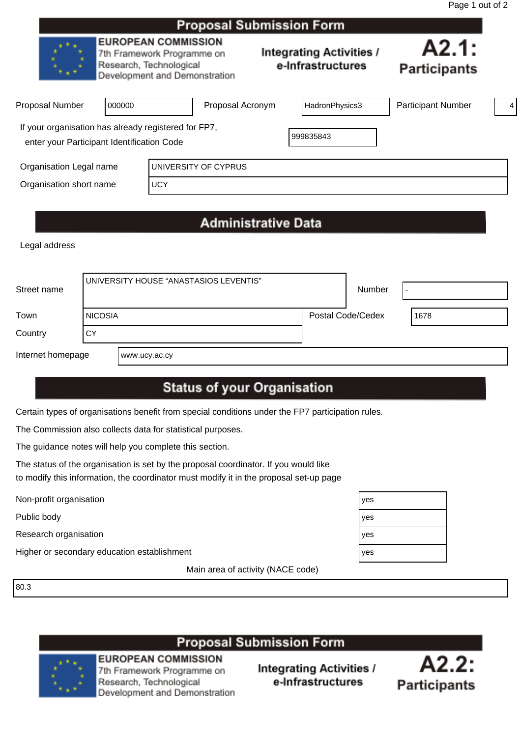|                                                                                                    |            |                                                                                                                      | Proposal Suprilission Form |                                                      |                              |   |
|----------------------------------------------------------------------------------------------------|------------|----------------------------------------------------------------------------------------------------------------------|----------------------------|------------------------------------------------------|------------------------------|---|
|                                                                                                    |            | <b>EUROPEAN COMMISSION</b><br>7th Framework Programme on<br>Research, Technological<br>Development and Demonstration |                            | <b>Integrating Activities /</b><br>e-Infrastructures | A2.1:<br><b>Participants</b> |   |
| <b>Proposal Number</b>                                                                             | 000000     |                                                                                                                      | Proposal Acronym           | HadronPhysics3                                       | <b>Participant Number</b>    | 4 |
| If your organisation has already registered for FP7,<br>enter your Participant Identification Code |            |                                                                                                                      |                            | 999835843                                            |                              |   |
| Organisation Legal name                                                                            |            |                                                                                                                      | UNIVERSITY OF CYPRUS       |                                                      |                              |   |
| Organisation short name                                                                            | <b>UCY</b> |                                                                                                                      |                            |                                                      |                              |   |
|                                                                                                    |            |                                                                                                                      |                            |                                                      |                              |   |

# **Administrative Data**

Legal address

| Street name       |                | UNIVERSITY HOUSE "ANASTASIOS LEVENTIS" |                   | Number |      |
|-------------------|----------------|----------------------------------------|-------------------|--------|------|
| Town              | <b>NICOSIA</b> |                                        | Postal Code/Cedex |        | 1678 |
| Country           | CY             |                                        |                   |        |      |
| Internet homepage |                | www.ucy.ac.cy                          |                   |        |      |

# **Status of your Organisation**

Certain types of organisations benefit from special conditions under the FP7 participation rules.

The Commission also collects data for statistical purposes.

The guidance notes will help you complete this section.

The status of the organisation is set by the proposal coordinator. If you would like to modify this information, the coordinator must modify it in the proposal set-up page

Public body

Research organisation

Non-profit organisation<br>
Public body<br>
Research organisation<br>
Higher or secondary education establishment Higher or secondary education establishment

Main area of activity (NACE code)

80.3

# **Proposal Submission Form**



**EUROPEAN COMMISSION** 7th Framework Programme on Research, Technological Development and Demonstration



| es |  |
|----|--|
| es |  |
| es |  |
| es |  |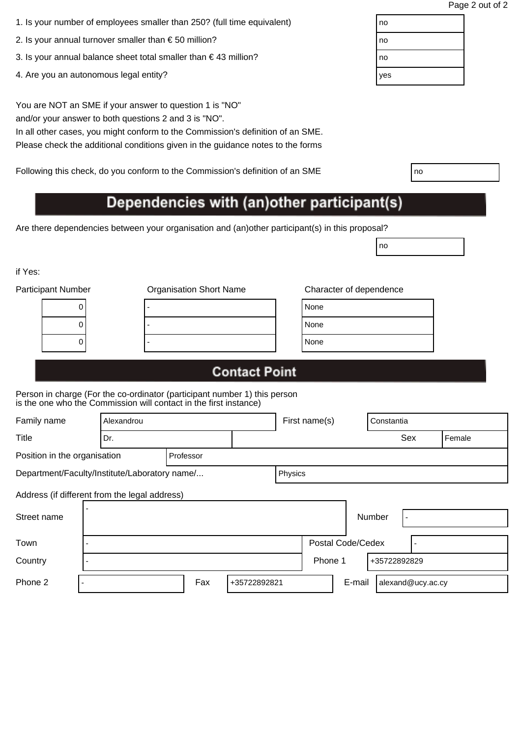| 1. Is your number of employees smaller than 250? (full time equivalent) | no |
|-------------------------------------------------------------------------|----|
|                                                                         |    |

- 2. Is your annual turnover smaller than  $\epsilon$  50 million?
- 3. Is your annual balance sheet total smaller than  $\epsilon$  43 million?
- 4. Are you an autonomous legal entity?

In all other cases, you might conform to the Commission's definition of an SME. Please check the additional conditions given in the guidance notes to the forms

Following this check, do you conform to the Commission's definition of an SME

# Dependencies with (an)other participant(s)

Are there dependencies between your organisation and (an)other participant(s) in this proposal?

if Yes:

| <b>Participant Number</b> |   | <b>Organisation Short Name</b> | Character of dependence |
|---------------------------|---|--------------------------------|-------------------------|
|                           | U |                                | None                    |
|                           | υ |                                | None                    |
|                           |   |                                | None                    |
|                           |   |                                |                         |

| lone |  |  |
|------|--|--|
| lone |  |  |
| lone |  |  |

no

## **Contact Point**

| Family name<br>Alexandrou                                |  |           |     | First name(s) |              | Constantia |         |                   |  |              |                   |        |
|----------------------------------------------------------|--|-----------|-----|---------------|--------------|------------|---------|-------------------|--|--------------|-------------------|--------|
| <b>Title</b>                                             |  | Dr.       |     |               |              |            |         |                   |  |              | Sex               | Female |
| Position in the organisation                             |  | Professor |     |               |              |            |         |                   |  |              |                   |        |
| Department/Faculty/Institute/Laboratory name/<br>Physics |  |           |     |               |              |            |         |                   |  |              |                   |        |
| Address (if different from the legal address)            |  |           |     |               |              |            |         |                   |  |              |                   |        |
| Street name                                              |  |           |     |               |              |            |         |                   |  | Number       |                   |        |
| Town                                                     |  |           |     |               |              |            |         | Postal Code/Cedex |  |              |                   |        |
| Country                                                  |  |           |     |               |              |            | Phone 1 |                   |  | +35722892829 |                   |        |
| Phone 2                                                  |  |           | Fax |               | +35722892821 |            |         | E-mail            |  |              | alexand@ucy.ac.cy |        |

| ገ0  |  |  |
|-----|--|--|
| ነ0  |  |  |
| ገ0  |  |  |
| /es |  |  |
|     |  |  |

| ٧                 |  |
|-------------------|--|
| I<br>$\sim$<br>۰. |  |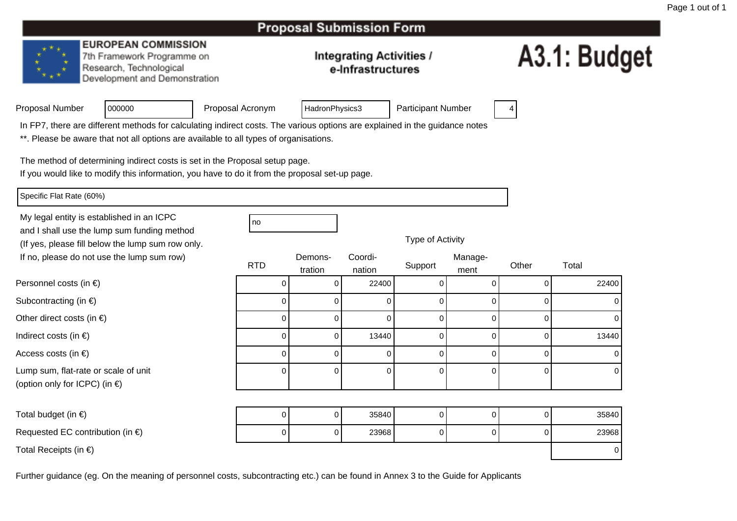#### **EUROPEAN COMMISSION**

7th Framework Programme on Research, Technological Development and Demonstration

#### **Integrating Activities /** e-Infrastructures

# A3.1: Budget

|  | Proposal Number |
|--|-----------------|
|  |                 |

Proposal Acronym

HadronPhysics3 | Participant Number

In FP7, there are different methods for calculating indirect costs. The various options are explained in the guidance notes

no

\*\*. Please be aware that not all options are available to all types of organisations.

The method of determining indirect costs is set in the Proposal setup page.

If you would like to modify this information, you have to do it from the proposal set-up page.

Specific Flat Rate (60%)

Personnel costs (in €)

Subcontracting (in €)

Indirect costs (in  $\epsilon$ )

Access costs (in €)

Other direct costs (in  $\epsilon$ )

Lump sum, flat-rate or scale of unit

(option only for ICPC) (in €)

My legal entity is established in an ICPCand I shall use the lump sum funding method (If yes, please fill below the lump sum row only.If no, please do not use the lump sum row)

<sup>000000</sup>

|     | Demons- | Coord |
|-----|---------|-------|
| RTD | tration | natio |

| ot use the lump sum row)         | <b>RTD</b> | Demons-<br>tration | Coordi-<br>nation | Support | Manage-<br>ment | Other | Total |
|----------------------------------|------------|--------------------|-------------------|---------|-----------------|-------|-------|
| າ €)                             |            |                    | 22400             |         |                 |       | 22400 |
| $\in)$                           |            |                    |                   |         |                 |       |       |
| $(in \in)$                       |            |                    | 0                 |         |                 |       |       |
|                                  |            |                    | 13440             |         |                 |       | 13440 |
|                                  |            |                    | 0                 |         |                 |       |       |
| e or scale of unit<br>PC) (in €) |            |                    | $\Omega$          |         | $\Omega$        |       | 0     |

Type of Activity

| Total budget (in $\epsilon$ )              |  | ΟI | 35840 |  |  |  | 35840 |
|--------------------------------------------|--|----|-------|--|--|--|-------|
| Requested EC contribution (in $\epsilon$ ) |  |    | 23968 |  |  |  | 23968 |
| Total Receipts (in $\epsilon$ )            |  |    |       |  |  |  |       |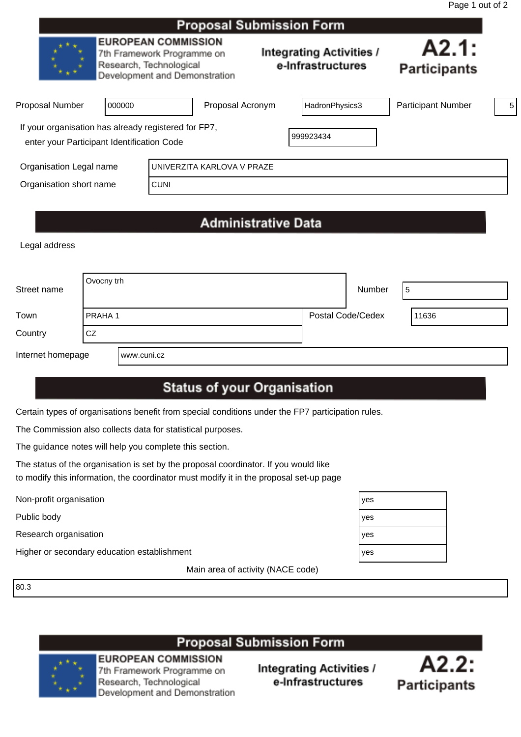|                                                                                                    |        |                                                                                                                      | Proposal Submission Form |                                                      |                              |   |
|----------------------------------------------------------------------------------------------------|--------|----------------------------------------------------------------------------------------------------------------------|--------------------------|------------------------------------------------------|------------------------------|---|
|                                                                                                    |        | <b>EUROPEAN COMMISSION</b><br>7th Framework Programme on<br>Research, Technological<br>Development and Demonstration |                          | <b>Integrating Activities /</b><br>e-Infrastructures | A2.1:<br><b>Participants</b> |   |
| <b>Proposal Number</b>                                                                             | 000000 |                                                                                                                      | Proposal Acronym         | HadronPhysics3                                       | <b>Participant Number</b>    | 5 |
| If your organisation has already registered for FP7,<br>enter your Participant Identification Code |        |                                                                                                                      |                          | 999923434                                            |                              |   |
| Organisation Legal name<br>UNIVERZITA KARLOVA V PRAZE                                              |        |                                                                                                                      |                          |                                                      |                              |   |
| Organisation short name                                                                            |        | <b>CUNI</b>                                                                                                          |                          |                                                      |                              |   |
|                                                                                                    |        |                                                                                                                      |                          |                                                      |                              |   |

# **Administrative Data**

Legal address

| Street name       | Ovocny trh    |             |  | Number            | 5     |
|-------------------|---------------|-------------|--|-------------------|-------|
| Town              | <b>PRAHA1</b> |             |  | Postal Code/Cedex | 11636 |
| Country           | CZ            |             |  |                   |       |
| Internet homepage |               | www.cuni.cz |  |                   |       |

# **Status of your Organisation**

Certain types of organisations benefit from special conditions under the FP7 participation rules.

The Commission also collects data for statistical purposes.

The guidance notes will help you complete this section.

The status of the organisation is set by the proposal coordinator. If you would like to modify this information, the coordinator must modify it in the proposal set-up page

Non-profit organisation yes

Research organisation

Public body<br>
Research organisation<br>
Higher or secondary education establishment<br>
yesterday<br>
yesterday<br>
yesterday<br>
yesterday<br>
yesterday<br>
yesterday<br>
yesterday<br>
yesterday<br>
yesterday<br>
yesterday<br>
yesterday<br>
yesterday<br>
yesterday Higher or secondary education establishment

Main area of activity (NACE code)

80.3



7th Framework Programme on Research, Technological Development and Demonstration



| es |  |
|----|--|
| es |  |
| es |  |
| es |  |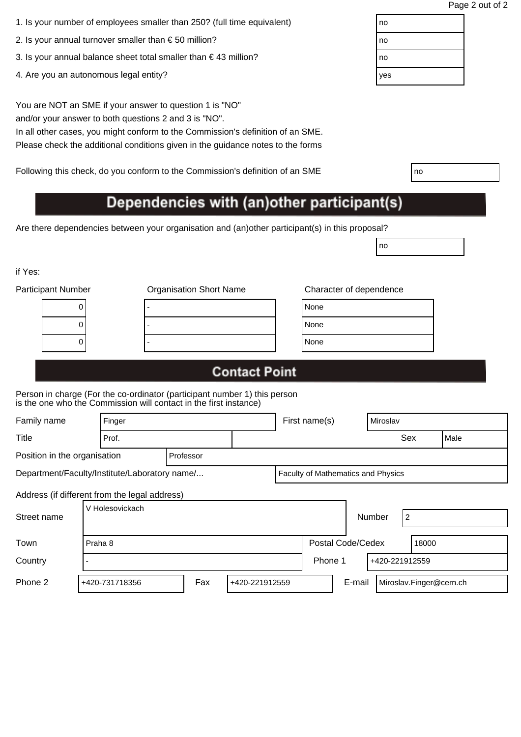| 1. Is your number of employees smaller than 250? (full time equivalent) | no |
|-------------------------------------------------------------------------|----|
|                                                                         |    |

- 2. Is your annual turnover smaller than  $\epsilon$  50 million?
- 3. Is your annual balance sheet total smaller than  $\epsilon$  43 million?
- 4. Are you an autonomous legal entity?

You are NOT an SME if your answer to question 1 is "NO" and/or your answer to both questions 2 and 3 is "NO".

In all other cases, you might conform to the Commission's definition of an SME. Please check the additional conditions given in the guidance notes to the forms

Following this check, do you conform to the Commission's definition of an SME

# Dependencies with (an)other participant(s)

Are there dependencies between your organisation and (an)other participant(s) in this proposal?

if Yes:

| <b>Participant Number</b> | <b>Organisation Short Name</b> | Character of dependence |
|---------------------------|--------------------------------|-------------------------|
| υ                         |                                | None                    |
| U                         |                                | None                    |
| U                         |                                | None                    |
|                           |                                |                         |

| lone |  |
|------|--|
| lone |  |
| lone |  |
|      |  |

no

# **Contact Point**

| Family name                                   |                              | Finger          |  |           | First name(s)  |                                    |  | Miroslav       |               |                         |      |  |
|-----------------------------------------------|------------------------------|-----------------|--|-----------|----------------|------------------------------------|--|----------------|---------------|-------------------------|------|--|
| <b>Title</b>                                  |                              | Prof.           |  |           |                |                                    |  |                |               | Sex                     | Male |  |
|                                               | Position in the organisation |                 |  | Professor |                |                                    |  |                |               |                         |      |  |
| Department/Faculty/Institute/Laboratory name/ |                              |                 |  |           |                | Faculty of Mathematics and Physics |  |                |               |                         |      |  |
| Address (if different from the legal address) |                              |                 |  |           |                |                                    |  |                |               |                         |      |  |
| Street name                                   |                              | V Holesovickach |  |           |                |                                    |  |                | <b>Number</b> | $\overline{c}$          |      |  |
| Town                                          |                              | Praha 8         |  |           |                | Postal Code/Cedex<br>18000         |  |                |               |                         |      |  |
| Country                                       |                              |                 |  |           |                | Phone 1                            |  | +420-221912559 |               |                         |      |  |
| Phone 2                                       |                              | +420-731718356  |  | Fax       | +420-221912559 |                                    |  | E-mail         |               | Miroslav.Finger@cern.ch |      |  |

| ነ0  |  |  |
|-----|--|--|
| ነ0  |  |  |
| ነ0  |  |  |
| /es |  |  |
|     |  |  |

| I<br>۰.<br>× |  |
|--------------|--|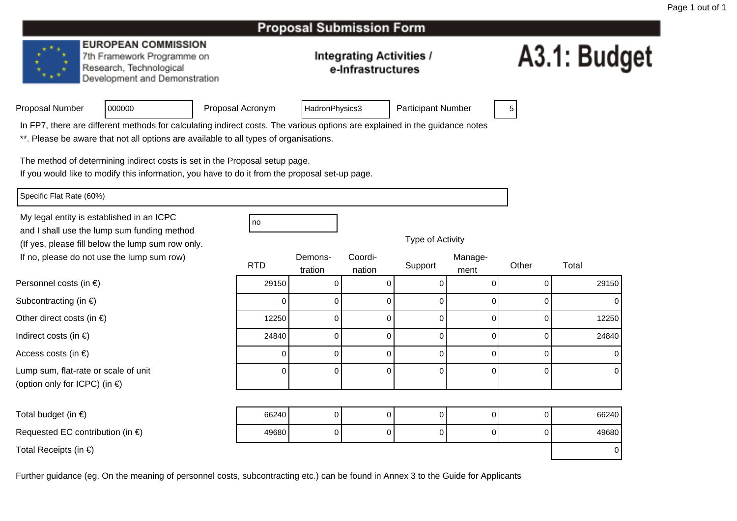#### **EUROPEAN COMMISSION**

7th Framework Programme on Research, Technological Development and Demonstration

#### **Integrating Activities /** e-Infrastructures

# A3.1: Budget

|  | Proposal Number |  |
|--|-----------------|--|
|  |                 |  |

Proposal Acronym

HadronPhysics3 | Participant Number | 5

In FP7, there are different methods for calculating indirect costs. The various options are explained in the guidance notes

\*\*. Please be aware that not all options are available to all types of organisations.

The method of determining indirect costs is set in the Proposal setup page.

If you would like to modify this information, you have to do it from the proposal set-up page.

Specific Flat Rate (60%)

Personnel costs (in €)

Subcontracting (in €)

Indirect costs (in  $\epsilon$ )

Access costs (in €)

Other direct costs (in  $\epsilon$ )

My legal entity is established in an ICPCno all'altra di una proprietà di una proprietà di una di una di una di una di una di una di una di una di una and I shall use the lump sum funding method (If yes, please fill below the lump sum row only.If no, please do not use the lump sum row)

<sup>000000</sup>

Type of Activity

<sup>0</sup> <sup>0</sup> <sup>0</sup> <sup>0</sup> <sup>0</sup> <sup>49680</sup>

| not use the lump sum row)         |            | Demons-  | Coordi-  |         | Manage- |          |             |
|-----------------------------------|------------|----------|----------|---------|---------|----------|-------------|
|                                   | <b>RTD</b> | tration  | nation   | Support | ment    | Other    | Total       |
| n €)                              | 29150      |          |          |         |         |          | 29150       |
| ı €)                              |            |          | 0        | 0       |         | 0        | 0           |
| (in $\epsilon$ )                  | 12250      |          | 0        | 0       |         | 0        | 12250       |
| E)                                | 24840      |          | 0        | 0       |         | 0        | 24840       |
|                                   | 0          |          | $\Omega$ | 0       |         |          | 0           |
| te or scale of unit<br>PC) (in €) | $\Omega$   | $\Omega$ | $\Omega$ | 0       |         | $\Omega$ | $\mathbf 0$ |
|                                   |            |          |          |         |         |          |             |
|                                   | 66240      |          | 0        | 0       |         | 0        | 66240       |

Requested EC contribution (in  $\epsilon$ )

Lump sum, flat-rate or scale of unit

(option only for ICPC) (in €)

Total Receipts (in €)) and the contract of the contract of  $\sim$  0.000  $\mu$  . The contract of  $\sim$  0.000  $\mu$   $\sim$  0.000  $\mu$   $\sim$  0.000  $\mu$   $\sim$  0.000  $\mu$   $\sim$  0.000  $\mu$   $\sim$  0.000  $\mu$   $\sim$  0.000  $\mu$   $\sim$  0.000  $\mu$   $\sim$  0.000  $\mu$   $\sim$ 

Total budget (in  $\epsilon$ )

Further guidance (eg. On the meaning of personnel costs, subcontracting etc.) can be found in Annex 3 to the Guide for Applicants

<sup>49680</sup>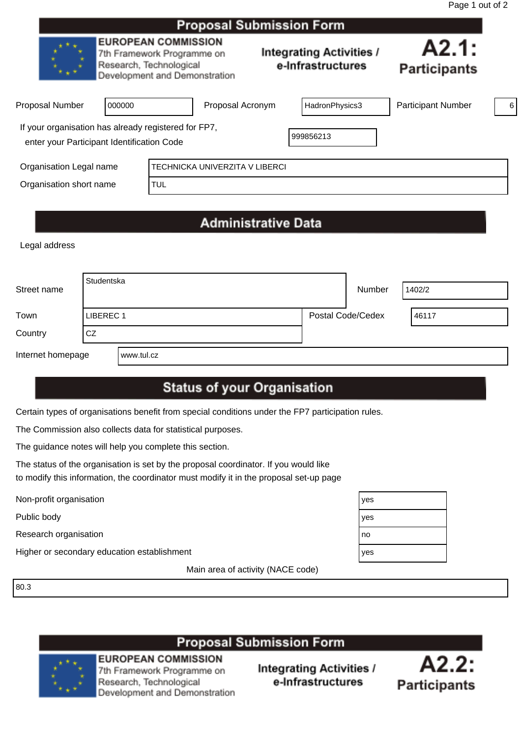|                                                                                                    |        |                                                                                                                      | Proposal Submission Form       |  |                                                      |                              |   |
|----------------------------------------------------------------------------------------------------|--------|----------------------------------------------------------------------------------------------------------------------|--------------------------------|--|------------------------------------------------------|------------------------------|---|
|                                                                                                    |        | <b>EUROPEAN COMMISSION</b><br>7th Framework Programme on<br>Research, Technological<br>Development and Demonstration |                                |  | <b>Integrating Activities /</b><br>e-Infrastructures | A2.1:<br><b>Participants</b> |   |
| <b>Proposal Number</b>                                                                             | 000000 |                                                                                                                      | Proposal Acronym               |  | HadronPhysics3                                       | <b>Participant Number</b>    | 6 |
| If your organisation has already registered for FP7,<br>enter your Participant Identification Code |        |                                                                                                                      |                                |  | 999856213                                            |                              |   |
| Organisation Legal name                                                                            |        |                                                                                                                      | TECHNICKA UNIVERZITA V LIBERCI |  |                                                      |                              |   |
| Organisation short name                                                                            |        | <b>TUL</b>                                                                                                           |                                |  |                                                      |                              |   |
|                                                                                                    |        |                                                                                                                      |                                |  |                                                      |                              |   |

# **Administrative Data**

Legal address

| Street name                     | Studentska |                   | Number | 1402/2 |
|---------------------------------|------------|-------------------|--------|--------|
| Town                            | LIBEREC 1  | Postal Code/Cedex |        | 46117  |
| Country                         | CZ         |                   |        |        |
| Internet homepage<br>www.tul.cz |            |                   |        |        |

# **Status of your Organisation**

Certain types of organisations benefit from special conditions under the FP7 participation rules.

The Commission also collects data for statistical purposes.

The guidance notes will help you complete this section.

The status of the organisation is set by the proposal coordinator. If you would like to modify this information, the coordinator must modify it in the proposal set-up page

Non-profit organisation yes

Public body<br>Research organisation Research organisation

Higher or secondary education establishment yestimate in the second yestimate of  $\vert y \vert$ 

Main area of activity (NACE code)

80.3



**Integrating Activities /** e-Infrastructures Research, Technological Development and Demonstration

| es |  |
|----|--|
| es |  |
| ١O |  |
| es |  |

 $A2.2:$ **Participants**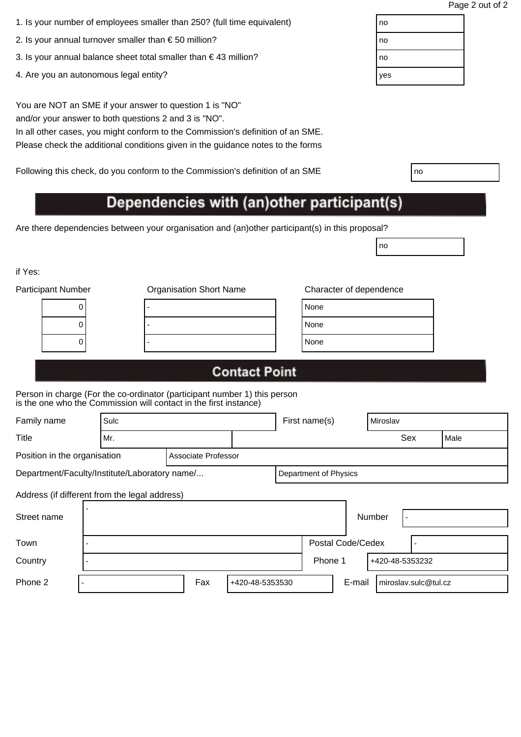| 1. Is your number of employees smaller than 250? (full time equivalent) | no |
|-------------------------------------------------------------------------|----|
|                                                                         |    |

- 2. Is your annual turnover smaller than  $\epsilon$  50 million?
- 3. Is your annual balance sheet total smaller than  $\epsilon$  43 million?
- 4. Are you an autonomous legal entity?

In all other cases, you might conform to the Commission's definition of an SME. Please check the additional conditions given in the guidance notes to the forms

Following this check, do you conform to the Commission's definition of an SME

# Dependencies with (an)other participant(s)

Are there dependencies between your organisation and (an)other participant(s) in this proposal?

if Yes:

| <b>Participant Number</b> | <b>Organisation Short Name</b> | Character of dependence |
|---------------------------|--------------------------------|-------------------------|
| U                         |                                | None                    |
|                           |                                | None                    |
|                           |                                | None                    |
|                           |                                |                         |

no

| lone |  |
|------|--|
| lone |  |
| lone |  |

## **Contact Point**

| Family name                  | Sulc                                                                   |                     |                 |  | First name(s)     |        | Miroslav |                      |      |
|------------------------------|------------------------------------------------------------------------|---------------------|-----------------|--|-------------------|--------|----------|----------------------|------|
| <b>Title</b>                 | Mr.                                                                    |                     |                 |  |                   |        |          | Sex                  | Male |
| Position in the organisation |                                                                        | Associate Professor |                 |  |                   |        |          |                      |      |
|                              | Department/Faculty/Institute/Laboratory name/<br>Department of Physics |                     |                 |  |                   |        |          |                      |      |
|                              | Address (if different from the legal address)                          |                     |                 |  |                   |        |          |                      |      |
| Street name                  |                                                                        |                     |                 |  |                   |        | Number   | $\blacksquare$       |      |
| Town                         |                                                                        |                     |                 |  | Postal Code/Cedex |        |          |                      |      |
| Country                      |                                                                        |                     |                 |  | Phone 1           |        |          | +420-48-5353232      |      |
| Phone 2                      |                                                                        | Fax                 | +420-48-5353530 |  |                   | E-mail |          | miroslav.sulc@tul.cz |      |

| no  |  |
|-----|--|
| no  |  |
| no  |  |
| yes |  |
|     |  |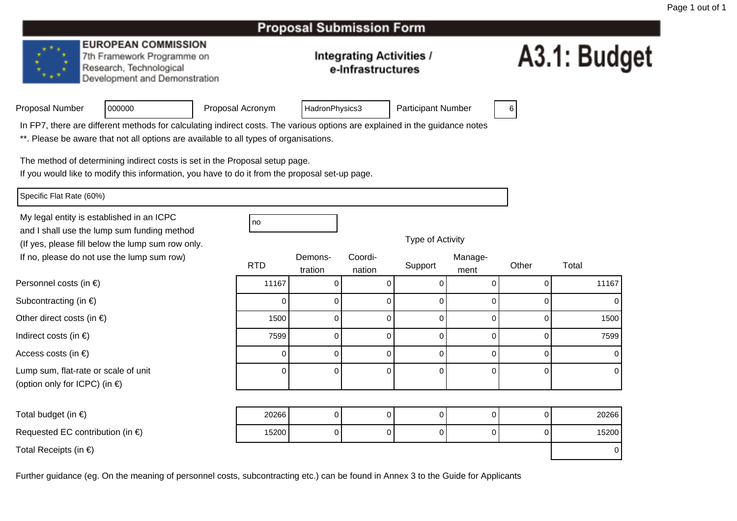#### **EUROPEAN COMMISSION**

<sup>000000</sup>

7th Framework Programme on Research, Technological Development and Demonstration

#### **Integrating Activities /** e-Infrastructures

# A3.1: Budget

| Proposal Number |  |
|-----------------|--|
|                 |  |

Proposal Acronym

HadronPhysics3 | Participant Number | 6

In FP7, there are different methods for calculating indirect costs. The various options are explained in the guidance notes

\*\*. Please be aware that not all options are available to all types of organisations.

The method of determining indirect costs is set in the Proposal setup page.

If you would like to modify this information, you have to do it from the proposal set-up page.

Specific Flat Rate (60%)

Personnel costs (in €)

Subcontracting (in €)

Indirect costs (in  $\epsilon$ )

Access costs (in €)

Other direct costs (in  $\epsilon$ )

Lump sum, flat-rate or scale of unit

(option only for ICPC) (in €)

My legal entity is established in an ICPCno all'altra di una proprietà di una proprietà di una di una di una di una di una di una di una di una di una and I shall use the lump sum funding method (If yes, please fill below the lump sum row only.If no, please do not use the lump sum row)

Activity ) a communication of Demons- Coordi-RTDD tration nation Support <sub>ment</sub> Other Total n nation buppon ment ) 11167 <sup>0</sup> <sup>0</sup> <sup>0</sup> <sup>0</sup> <sup>0</sup> <sup>11167</sup> ) and the contract of  $\overline{a}$  of  $\overline{a}$  of  $\overline{a}$  of  $\overline{a}$  of  $\overline{a}$  of  $\overline{a}$  of  $\overline{a}$  of  $\overline{a}$  of  $\overline{a}$  of  $\overline{a}$  of  $\overline{a}$  of  $\overline{a}$  of  $\overline{a}$  of  $\overline{a}$  of  $\overline{a}$  of  $\overline{a}$  of  $\overline{a}$ 0 0 0 0 0 0 0 <sup>1500</sup>0 0 0 0 0 0 0 1500 <sup>7599</sup>9 0 0 0 0 0 7599 ) and the contract of  $\overline{a}$  and  $\overline{b}$  and  $\overline{a}$  and  $\overline{a}$  and  $\overline{a}$  and  $\overline{a}$  and  $\overline{a}$  and  $\overline{a}$  and  $\overline{a}$  and  $\overline{a}$  and  $\overline{a}$  and  $\overline{a}$  and  $\overline{a}$  and  $\overline{a}$  and  $\overline{a}$  and  $\overline$ 0 0 0 0 0 0 0 t 0 0 0 0 0 0 0 0

| Total budget (in $\epsilon$ )              | 20266 |  |  |  |  |  | 20266 |
|--------------------------------------------|-------|--|--|--|--|--|-------|
| Requested EC contribution (in $\epsilon$ ) | 15200 |  |  |  |  |  | 15200 |
| Total Receipts (in $\epsilon$ )            |       |  |  |  |  |  | 0     |

| Type of |  |
|---------|--|
|         |  |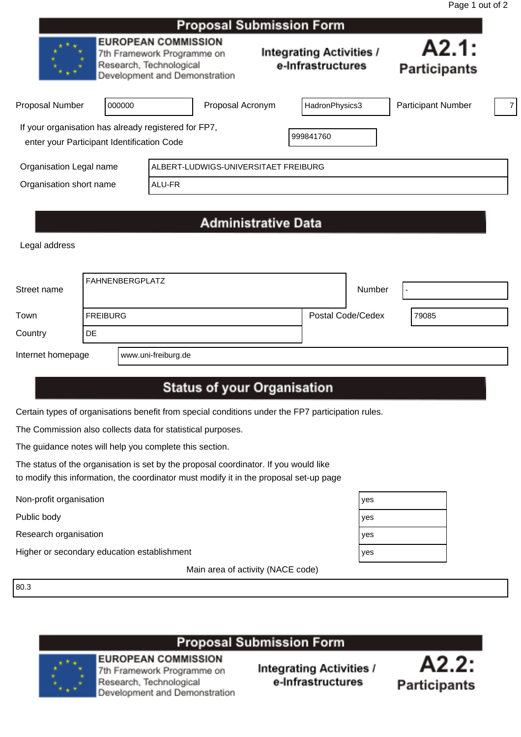|                                                                                                    |        |                                                                                                                      | <b>Proposal Submission Form</b>      |                                                      |                              |  |
|----------------------------------------------------------------------------------------------------|--------|----------------------------------------------------------------------------------------------------------------------|--------------------------------------|------------------------------------------------------|------------------------------|--|
|                                                                                                    |        | <b>EUROPEAN COMMISSION</b><br>7th Framework Programme on<br>Research, Technological<br>Development and Demonstration |                                      | <b>Integrating Activities /</b><br>e-Infrastructures | A2.1:<br><b>Participants</b> |  |
| <b>Proposal Number</b>                                                                             | 000000 |                                                                                                                      | Proposal Acronym                     | HadronPhysics3                                       | <b>Participant Number</b>    |  |
| If your organisation has already registered for FP7,<br>enter your Participant Identification Code |        |                                                                                                                      |                                      | 999841760                                            |                              |  |
| Organisation Legal name                                                                            |        |                                                                                                                      | ALBERT-LUDWIGS-UNIVERSITAET FREIBURG |                                                      |                              |  |
| Organisation short name<br>ALU-FR                                                                  |        |                                                                                                                      |                                      |                                                      |                              |  |
|                                                                                                    |        |                                                                                                                      |                                      |                                                      |                              |  |

# **Administrative Data**

Legal address

| Street name       | l FAHNENBERGPLATZ |                     |                   | Number | $\overline{\phantom{0}}$ |
|-------------------|-------------------|---------------------|-------------------|--------|--------------------------|
| Town              | <b>FREIBURG</b>   |                     | Postal Code/Cedex |        | 79085                    |
| Country           | DE.               |                     |                   |        |                          |
| Internet homepage |                   | www.uni-freiburg.de |                   |        |                          |

# **Status of your Organisation**

Certain types of organisations benefit from special conditions under the FP7 participation rules.

The Commission also collects data for statistical purposes.

The guidance notes will help you complete this section.

The status of the organisation is set by the proposal coordinator. If you would like to modify this information, the coordinator must modify it in the proposal set-up page

Public body

Research organisation

Non-profit organisation<br>
Public body<br>
Research organisation<br>
Higher or secondary education establishment Higher or secondary education establishment

Main area of activity (NACE code)

80.3

# **Proposal Submission Form**



**EUROPEAN COMMISSION** 7th Framework Programme on Research, Technological Development and Demonstration



| es |  |
|----|--|
| es |  |
| es |  |
| es |  |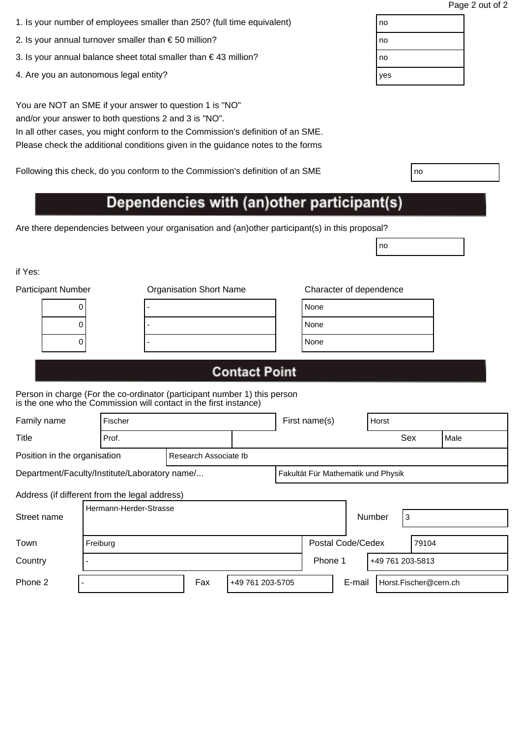| 1. Is your number of employees smaller than 250? (full time equivalent) | no |
|-------------------------------------------------------------------------|----|
|                                                                         |    |

- 2. Is your annual turnover smaller than € 50 million?  $\Box$  no
- 3. Is your annual balance sheet total smaller than € 43 million?  $\vert$  no
- 4. Are you an autonomous legal entity? yes will be a set of the set of the set of the set of the set of the set of the set of the set of the set of the set of the set of the set of the set of the set of the set of the set

In all other cases, you might conform to the Commission's definition of an SME. Please check the additional conditions given in the guidance notes to the forms

Following this check, do you conform to the Commission's definition of an SME

# Dependencies with (an)other participant(s)

Are there dependencies between your organisation and (an)other participant(s) in this proposal?

if Yes:

| <b>Participant Number</b> | <b>Organisation Short Name</b> | Character of dependence |
|---------------------------|--------------------------------|-------------------------|
| υ                         |                                | None                    |
| υ                         |                                | None                    |
|                           |                                | None                    |
|                           |                                |                         |

| lone |  |  |
|------|--|--|
| lone |  |  |
| lone |  |  |
|      |  |  |

no

## **Contact Point**

Person in charge (For the co-ordinator (participant number 1) this person is the one who the Commission will contact in the first instance)

| Family name                                   | Fischer  |                        | First name(s)                      |  |                          | Horst |                  |       |      |
|-----------------------------------------------|----------|------------------------|------------------------------------|--|--------------------------|-------|------------------|-------|------|
| <b>Title</b>                                  |          | Prof.                  |                                    |  |                          |       | Sex              |       | Male |
| Position in the organisation                  |          |                        | Research Associate Ib              |  |                          |       |                  |       |      |
| Department/Faculty/Institute/Laboratory name/ |          |                        | Fakultät Für Mathematik und Physik |  |                          |       |                  |       |      |
| Address (if different from the legal address) |          |                        |                                    |  |                          |       |                  |       |      |
| Street name                                   |          | Hermann-Herder-Strasse |                                    |  |                          |       | Number<br>3      |       |      |
| Town                                          | Freiburg |                        |                                    |  | <b>Postal Code/Cedex</b> |       |                  | 79104 |      |
| Country                                       |          |                        |                                    |  | Phone 1                  |       | +49 761 203-5813 |       |      |

Phone 2 | Fax | +49 761 203-5705 | E-mail | Horst.Fischer@cern.ch

| $\sim$ | I |
|--------|---|
|        |   |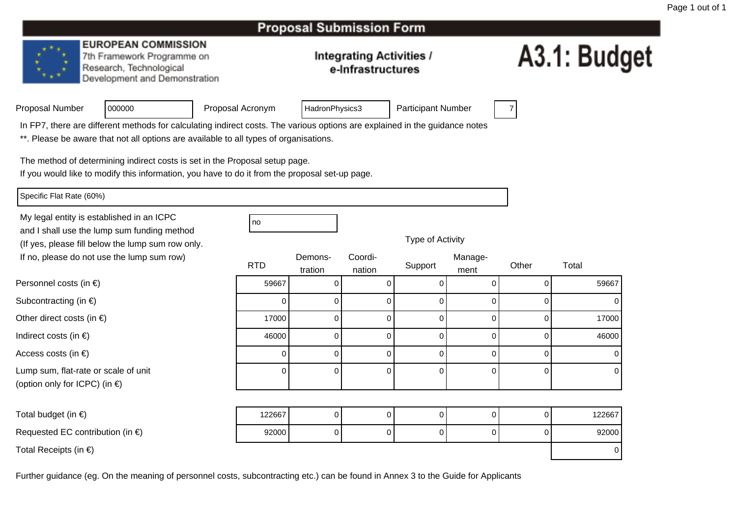#### **EUROPEAN COMMISSION**

7th Framework Programme on Research, Technological Development and Demonstration

#### **Integrating Activities /** e-Infrastructures

# A3.1: Budget

|  | Proposal Number |  |
|--|-----------------|--|
|  |                 |  |

Proposal Acronym

HadronPhysics3 | Participant Number | 7

In FP7, there are different methods for calculating indirect costs. The various options are explained in the guidance notes

\*\*. Please be aware that not all options are available to all types of organisations.

The method of determining indirect costs is set in the Proposal setup page.

If you would like to modify this information, you have to do it from the proposal set-up page.

Specific Flat Rate (60%)

Personnel costs (in €)

Subcontracting (in €)

Indirect costs (in  $\epsilon$ )

Access costs (in €)

Other direct costs (in  $\epsilon$ )

Lump sum, flat-rate or scale of unit

(option only for ICPC) (in €)

My legal entity is established in an ICPCno all'altra di una proprietà di una proprietà di una di una di una di una di una di una di una di una di una and I shall use the lump sum funding method (If yes, please fill below the lump sum row only.If no, please do not use the lump sum row)

<sup>000000</sup>

| חדם | Demons- |  |
|-----|---------|--|

| ot use the lump sum row)            |            | Demons- | Coordi-      |         | Manage- |       |       |
|-------------------------------------|------------|---------|--------------|---------|---------|-------|-------|
|                                     | <b>RTD</b> | tration | nation       | Support | ment    | Other | Total |
| າ €)                                | 59667      |         |              |         |         |       | 59667 |
| $\in)$                              |            |         | 0            |         |         |       | 0     |
| $(in \in)$                          | 17000      |         | 0            | O       |         | 0     | 17000 |
|                                     | 46000      |         | 0            |         |         | 0     | 46000 |
|                                     |            |         | 0            | O       |         |       | 0     |
| e or scale of unit<br>$P$ C) (in €) |            |         | $\mathbf{0}$ | U       |         | ∩     | 0     |

Type of Activity

| Total budget (in $\epsilon$ )              | 122667 |  |  | 01  | 122667 |
|--------------------------------------------|--------|--|--|-----|--------|
| Requested EC contribution (in $\epsilon$ ) | 92000  |  |  | 0 I | 92000  |
| Total Receipts (in $\epsilon$ )            |        |  |  |     | 0      |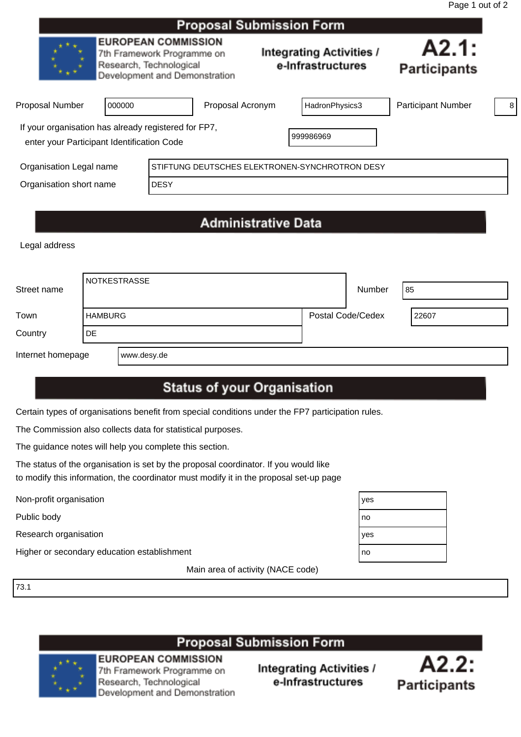|                                                                                                    |                                                                                                                      |             | <b>Proposal Submission Form</b> |                                                      |                              |   |
|----------------------------------------------------------------------------------------------------|----------------------------------------------------------------------------------------------------------------------|-------------|---------------------------------|------------------------------------------------------|------------------------------|---|
|                                                                                                    | <b>EUROPEAN COMMISSION</b><br>7th Framework Programme on<br>Research, Technological<br>Development and Demonstration |             |                                 | <b>Integrating Activities /</b><br>e-Infrastructures | A2.1:<br><b>Participants</b> |   |
| Proposal Number                                                                                    | 000000                                                                                                               |             | Proposal Acronym                | HadronPhysics3                                       | <b>Participant Number</b>    | 8 |
| If your organisation has already registered for FP7,<br>enter your Participant Identification Code |                                                                                                                      |             |                                 | 999986969                                            |                              |   |
| Organisation Legal name                                                                            |                                                                                                                      |             |                                 | STIFTUNG DEUTSCHES ELEKTRONEN-SYNCHROTRON DESY       |                              |   |
| Organisation short name                                                                            |                                                                                                                      | <b>DESY</b> |                                 |                                                      |                              |   |
|                                                                                                    |                                                                                                                      |             |                                 |                                                      |                              |   |

# **Administrative Data**

Legal address

| Street name       | <b>NOTKESTRASSE</b>         |             | Number                   | 85    |
|-------------------|-----------------------------|-------------|--------------------------|-------|
| Town<br>Country   | <b>HAMBURG</b><br><b>DE</b> |             | <b>Postal Code/Cedex</b> | 22607 |
| Internet homepage |                             | www.desy.de |                          |       |

## **Status of your Organisation**

Certain types of organisations benefit from special conditions under the FP7 participation rules.

The Commission also collects data for statistical purposes.

The guidance notes will help you complete this section.

The status of the organisation is set by the proposal coordinator. If you would like to modify this information, the coordinator must modify it in the proposal set-up page

Non-profit organisation yes

Public body not be a set of the set of the set of the set of the set of the set of the set of the set of the set of the set of the set of the set of the set of the set of the set of the set of the set of the set of the set

Research organisation yes

Higher or secondary education establishment

Main area of activity (NACE code)

73.1

## **Proposal Submission Form**



**EUROPEAN COMMISSION** 7th Framework Programme on Research, Technological Development and Demonstration



| es |  |
|----|--|
| ١O |  |
| es |  |
| ١O |  |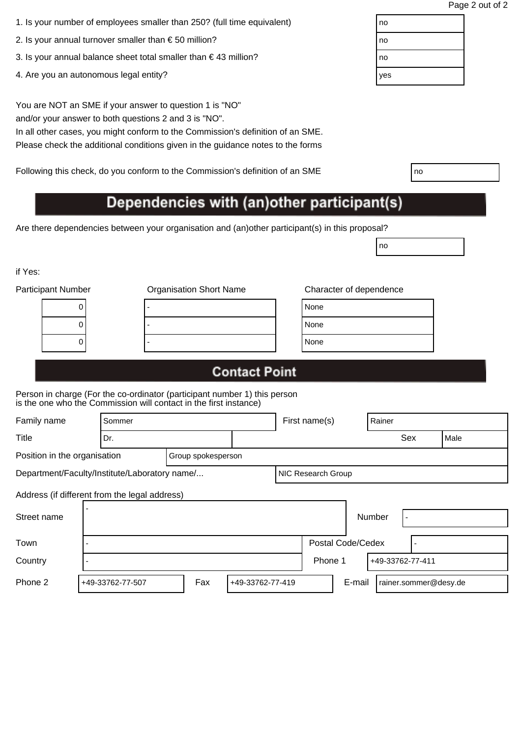| 1. Is your number of employees smaller than 250? (full time equivalent) | no |
|-------------------------------------------------------------------------|----|
|                                                                         |    |

- 2. Is your annual turnover smaller than  $\epsilon$  50 million?
- 3. Is your annual balance sheet total smaller than  $\epsilon$  43 million?
- 4. Are you an autonomous legal entity?

In all other cases, you might conform to the Commission's definition of an SME. Please check the additional conditions given in the guidance notes to the forms

Following this check, do you conform to the Commission's definition of an SME

# Dependencies with (an) other participant(s)

Are there dependencies between your organisation and (an)other participant(s) in this proposal?

if Yes:

| <b>Participant Number</b> | <b>Organisation Short Name</b> | Character of dependence |
|---------------------------|--------------------------------|-------------------------|
| U                         |                                | None                    |
|                           |                                | None                    |
| O                         |                                | None                    |
|                           |                                |                         |

| lone |  |  |
|------|--|--|
| lone |  |  |
| lone |  |  |

no

## **Contact Point**

| Family name                                   | Sommer           |                    |                  | First name(s)      | Rainer                   |        |                         |      |
|-----------------------------------------------|------------------|--------------------|------------------|--------------------|--------------------------|--------|-------------------------|------|
| Title                                         | Dr.              |                    |                  |                    |                          |        | Sex                     | Male |
| Position in the organisation                  |                  | Group spokesperson |                  |                    |                          |        |                         |      |
| Department/Faculty/Institute/Laboratory name/ |                  |                    |                  | NIC Research Group |                          |        |                         |      |
| Address (if different from the legal address) |                  |                    |                  |                    |                          |        |                         |      |
| Street name                                   |                  |                    |                  |                    |                          | Number |                         |      |
| Town                                          |                  |                    |                  |                    | <b>Postal Code/Cedex</b> |        |                         |      |
| Country                                       |                  |                    |                  | Phone 1            |                          |        | +49-33762-77-411        |      |
| Phone 2                                       | +49-33762-77-507 | Fax                | +49-33762-77-419 |                    | E-mail                   |        | l rainer.sommer@desv.de |      |

| ነ0  |  |
|-----|--|
| ነ0  |  |
| ነ0  |  |
| /es |  |
|     |  |

| ٧<br>٧<br>× | I<br>۰. |
|-------------|---------|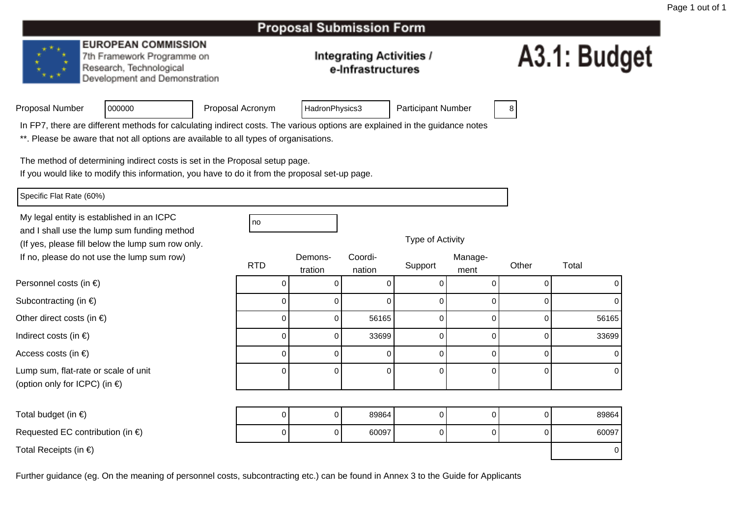#### **EUROPEAN COMMISSION**

<sup>000000</sup>

7th Framework Programme on Research, Technological Development and Demonstration

#### **Integrating Activities /** e-Infrastructures

# A3.1: Budget

| Proposal Number |  |
|-----------------|--|
|                 |  |

Proposal Acronym

HadronPhysics3 | Participant Number | 8

In FP7, there are different methods for calculating indirect costs. The various options are explained in the guidance notes

\*\*. Please be aware that not all options are available to all types of organisations.

The method of determining indirect costs is set in the Proposal setup page.

If you would like to modify this information, you have to do it from the proposal set-up page.

Specific Flat Rate (60%)

My legal entity is established in an ICPCno all'altra di una proprietà di una proprietà di una di una di una di una di una di una di una di una di una and I shall use the lump sum funding method (If yes, please fill below the lump sum row only.If no, please do not use the lump sum row)

|     | Demons- | Coordi- |
|-----|---------|---------|
| RTD | tration | nation  |
|     |         |         |

Personnel costs (in €)

Subcontracting (in €)

Other direct costs (in  $\epsilon$ )

Indirect costs (in  $\epsilon$ )

Access costs (in €)

Lump sum, flat-rate or scale of unit(option only for ICPC) (in €)

Total budget (in  $\epsilon$ )  $\begin{array}{ccc} \n\end{array}$ 0 || 89864 || 0 0 0 0 89864 Requested EC contribution (in  $\epsilon$ ) <sup>0</sup>0 0 60097 0 0 0 60097 Total Receipts (in €)) and the contract of the contract of  $\sim$  0.000  $\mu$  . The contract of  $\sim$  0.000  $\mu$   $\sim$  0.000  $\mu$   $\sim$  0.000  $\mu$   $\sim$  0.000  $\mu$   $\sim$  0.000  $\mu$   $\sim$  0.000  $\mu$   $\sim$  0.000  $\mu$   $\sim$  0.000  $\mu$   $\sim$  0.000  $\mu$   $\sim$ 

Further guidance (eg. On the meaning of personnel costs, subcontracting etc.) can be found in Annex 3 to the Guide for Applicants

Type of Activity

| ot use the lump sum row)            |            | Coordi-<br>Demons- |        |         | Manage-  |       |       |
|-------------------------------------|------------|--------------------|--------|---------|----------|-------|-------|
|                                     | <b>RTD</b> | tration            | nation | Support | ment     | Other | Total |
| າ €)                                |            |                    |        |         |          |       |       |
| $\in)$                              |            | 0                  |        |         | 0        |       |       |
| $(in \in)$                          |            | 0                  | 56165  |         | 0        |       | 56165 |
|                                     |            | 0                  | 33699  |         |          |       | 33699 |
|                                     |            |                    |        |         |          |       |       |
| e or scale of unit<br>$P$ C) (in €) |            | 0                  | 0.     |         | $\Omega$ |       |       |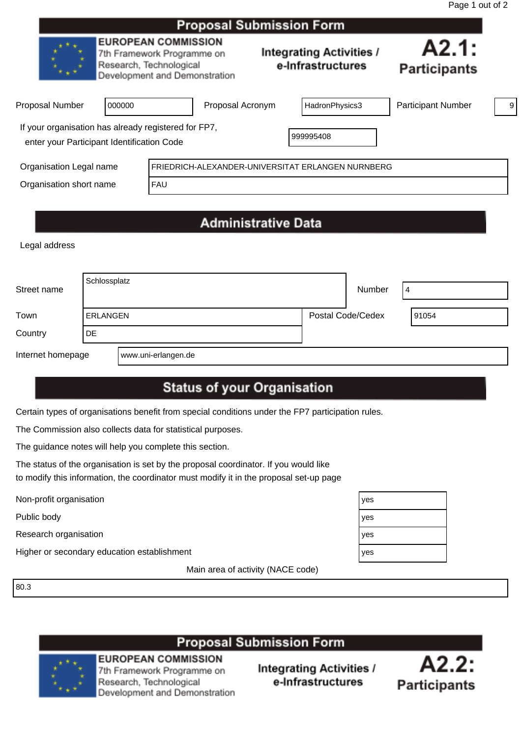|                                                                                                    |                                                                                                                      |            | <b>Proposal Submission Form</b> |                                                      |                              |   |
|----------------------------------------------------------------------------------------------------|----------------------------------------------------------------------------------------------------------------------|------------|---------------------------------|------------------------------------------------------|------------------------------|---|
|                                                                                                    | <b>EUROPEAN COMMISSION</b><br>7th Framework Programme on<br>Research, Technological<br>Development and Demonstration |            |                                 | <b>Integrating Activities /</b><br>e-Infrastructures | A2.1:<br><b>Participants</b> |   |
| Proposal Number                                                                                    | 000000                                                                                                               |            | Proposal Acronym                | HadronPhysics3                                       | <b>Participant Number</b>    | 9 |
| If your organisation has already registered for FP7,<br>enter your Participant Identification Code |                                                                                                                      |            |                                 | 999995408                                            |                              |   |
| Organisation Legal name                                                                            |                                                                                                                      |            |                                 | FRIEDRICH-ALEXANDER-UNIVERSITAT ERLANGEN NURNBERG    |                              |   |
| Organisation short name                                                                            |                                                                                                                      | <b>FAU</b> |                                 |                                                      |                              |   |
|                                                                                                    |                                                                                                                      |            | <b>Administrative Data</b>      |                                                      |                              |   |

Legal address

| Street name                              | Schlossplatz    |  | Number            | 4 |       |
|------------------------------------------|-----------------|--|-------------------|---|-------|
| Town                                     | <b>ERLANGEN</b> |  | Postal Code/Cedex |   | 91054 |
| Country                                  | DE.             |  |                   |   |       |
| Internet homepage<br>www.uni-erlangen.de |                 |  |                   |   |       |

# **Status of your Organisation**

Certain types of organisations benefit from special conditions under the FP7 participation rules.

The Commission also collects data for statistical purposes.

The guidance notes will help you complete this section.

The status of the organisation is set by the proposal coordinator. If you would like to modify this information, the coordinator must modify it in the proposal set-up page

Non-profit organisation yes

Public body<br>Research organisation<br>yesterday yesterday Research organisation

Higher or secondary education establishment yestimate and yestimate  $\vert$  yestimate  $\vert$  yestimate  $\vert$  yestimate  $\vert$  yestimate  $\vert$  yestimate  $\vert$  yestimate  $\vert$  yestimate  $\vert$  yestimate  $\vert$  yestimate  $\vert$  yestimate  $\vert$ 

Main area of activity (NACE code)

80.3

#### **Proposal Submission Form EUROPEAN COMMISSION**

7th Framework Programme on Research, Technological Development and Demonstration



| es |  |
|----|--|
| es |  |
| es |  |
| es |  |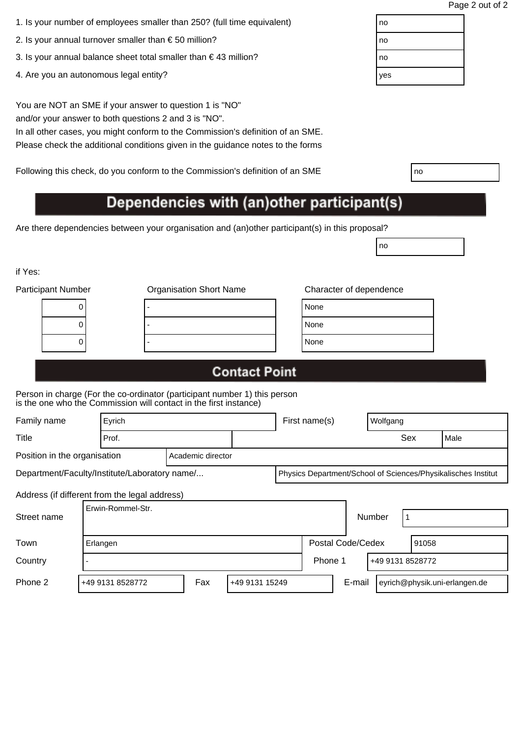| 1. Is your number of employees smaller than 250? (full time equivalent) | no |
|-------------------------------------------------------------------------|----|
|                                                                         |    |

- 2. Is your annual turnover smaller than  $\epsilon$  50 million?
- 3. Is your annual balance sheet total smaller than  $\epsilon$  43 million?
- 4. Are you an autonomous legal entity?

You are NOT an SME if your answer to question 1 is "NO" and/or your answer to both questions 2 and 3 is "NO".

In all other cases, you might conform to the Commission's definition of an SME. Please check the additional conditions given in the guidance notes to the forms

Following this check, do you conform to the Commission's definition of an SME

# Dependencies with (an)other participant(s)

Are there dependencies between your organisation and (an)other participant(s) in this proposal?

if Yes:

| <b>Participant Number</b> | <b>Organisation Short Name</b> | Character of dependence |
|---------------------------|--------------------------------|-------------------------|
|                           |                                | None                    |
| U                         |                                | None                    |
|                           |                                | None                    |
|                           |                                |                         |

| lone |  |
|------|--|
| lone |  |
| lone |  |

no

# **Contact Point**

| Family name                                       |                                                                                                                | Eyrich            |     |                |  | First name(s) |                   | Wolfgang |                  |       |                               |
|---------------------------------------------------|----------------------------------------------------------------------------------------------------------------|-------------------|-----|----------------|--|---------------|-------------------|----------|------------------|-------|-------------------------------|
| Title                                             |                                                                                                                | Prof.             |     |                |  |               |                   |          | Sex              |       | Male                          |
| Position in the organisation<br>Academic director |                                                                                                                |                   |     |                |  |               |                   |          |                  |       |                               |
|                                                   | Department/Faculty/Institute/Laboratory name/<br>Physics Department/School of Sciences/Physikalisches Institut |                   |     |                |  |               |                   |          |                  |       |                               |
|                                                   | Address (if different from the legal address)                                                                  |                   |     |                |  |               |                   |          |                  |       |                               |
| Street name                                       |                                                                                                                | Erwin-Rommel-Str. |     |                |  |               |                   | Number   |                  |       |                               |
| Town                                              | Erlangen                                                                                                       |                   |     |                |  |               | Postal Code/Cedex |          |                  | 91058 |                               |
| Country                                           |                                                                                                                |                   |     |                |  | Phone 1       |                   |          | +49 9131 8528772 |       |                               |
| Phone 2                                           |                                                                                                                | +49 9131 8528772  | Fax | +49 9131 15249 |  |               | E-mail            |          |                  |       | eyrich@physik.uni-erlangen.de |

| no  |  |
|-----|--|
| no  |  |
| no  |  |
| yes |  |
|     |  |

| ٧ | ٧<br>I<br>×<br>۰. |  |
|---|-------------------|--|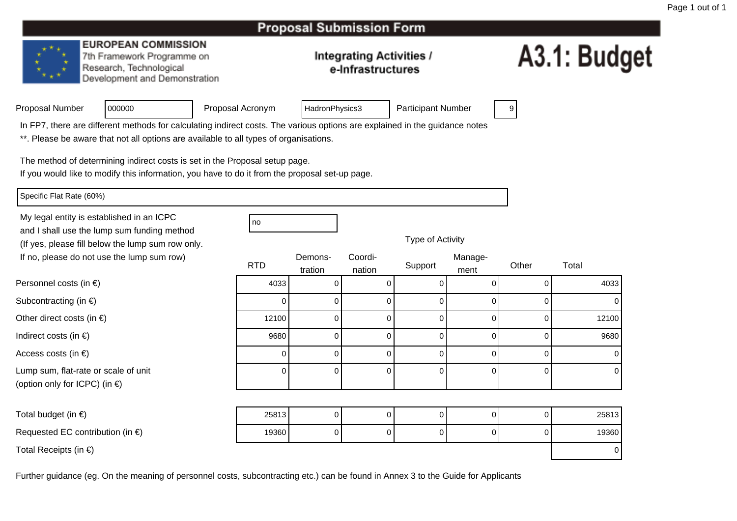#### **EUROPEAN COMMISSION**

7th Framework Programme on Research, Technological Development and Demonstration

#### **Integrating Activities /** e-Infrastructures

# A3.1: Budget

| Proposal Number |  |
|-----------------|--|
|                 |  |

Proposal Acronym

HadronPhysics3 | Participant Number | 9

In FP7, there are different methods for calculating indirect costs. The various options are explained in the guidance notes

\*\*. Please be aware that not all options are available to all types of organisations.

The method of determining indirect costs is set in the Proposal setup page.

If you would like to modify this information, you have to do it from the proposal set-up page.

Specific Flat Rate (60%)

Personnel costs (in €)

Subcontracting (in €)

Indirect costs (in  $\epsilon$ )

Access costs (in €)

Other direct costs (in  $\epsilon$ )

Lump sum, flat-rate or scale of unit

(option only for ICPC) (in €)

My legal entity is established in an ICPCno all'altra di una proprietà di una proprietà di una proprietà di una di una di una di una di una di una di u and I shall use the lump sum funding method (If yes, please fill below the lump sum row only.If no, please do not use the lump sum row)

<sup>000000</sup>

| below the lump sum row only.        |            |                    |                   | . .     | <u>_</u>        |       |       |
|-------------------------------------|------------|--------------------|-------------------|---------|-----------------|-------|-------|
| ot use the lump sum row)            | <b>RTD</b> | Demons-<br>tration | Coordi-<br>nation | Support | Manage-<br>ment | Other | Total |
| າ €)                                | 4033       |                    |                   |         |                 |       | 4033  |
| $\in)$                              |            |                    |                   |         |                 |       |       |
| $(in \in)$                          | 12100      |                    |                   |         |                 |       | 12100 |
|                                     | 9680       |                    |                   |         |                 |       | 9680  |
|                                     |            |                    |                   |         | 0               |       |       |
| e or scale of unit<br>$P$ C) (in €) |            | 0                  |                   | 0       |                 |       |       |

| Total budget (in $\epsilon$ )              | 25813 |  |  | 25813 |
|--------------------------------------------|-------|--|--|-------|
| Requested EC contribution (in $\epsilon$ ) | 19360 |  |  | 19360 |
| Total Receipts (in $\epsilon$ )            |       |  |  | 01    |

| Type of Activity |  |
|------------------|--|
|------------------|--|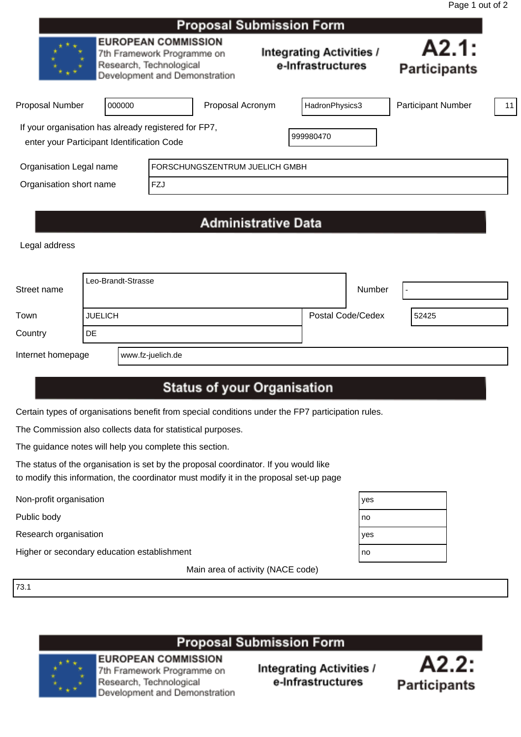|                                                                                                    |                                                                                                                      |  | <b>Proposal Submission Form</b>                      |                              |                           |    |
|----------------------------------------------------------------------------------------------------|----------------------------------------------------------------------------------------------------------------------|--|------------------------------------------------------|------------------------------|---------------------------|----|
|                                                                                                    | <b>EUROPEAN COMMISSION</b><br>7th Framework Programme on<br>Research, Technological<br>Development and Demonstration |  | <b>Integrating Activities /</b><br>e-Infrastructures | A2.1:<br><b>Participants</b> |                           |    |
| <b>Proposal Number</b>                                                                             | 000000                                                                                                               |  | Proposal Acronym                                     | HadronPhysics3               | <b>Participant Number</b> | 11 |
| If your organisation has already registered for FP7,<br>enter your Participant Identification Code |                                                                                                                      |  |                                                      | 999980470                    |                           |    |
| Organisation Legal name                                                                            |                                                                                                                      |  | FORSCHUNGSZENTRUM JUELICH GMBH                       |                              |                           |    |
| Organisation short name<br><b>FZJ</b>                                                              |                                                                                                                      |  |                                                      |                              |                           |    |
|                                                                                                    |                                                                                                                      |  |                                                      |                              |                           |    |

# **Administrative Data**

Legal address

| Street name       | Leo-Brandt-Strasse |                   |  | Number            | $\overline{\phantom{0}}$ |
|-------------------|--------------------|-------------------|--|-------------------|--------------------------|
| Town              | <b>JUELICH</b>     |                   |  | Postal Code/Cedex | 52425                    |
| Country           | DE                 |                   |  |                   |                          |
| Internet homepage |                    | www.fz-juelich.de |  |                   |                          |

# **Status of your Organisation**

Certain types of organisations benefit from special conditions under the FP7 participation rules.

The Commission also collects data for statistical purposes.

The guidance notes will help you complete this section.

The status of the organisation is set by the proposal coordinator. If you would like to modify this information, the coordinator must modify it in the proposal set-up page

Non-profit organisation yes

Public body not be a set of the set of the set of the set of the set of the set of the set of the set of the set of the set of the set of the set of the set of the set of the set of the set of the set of the set of the set

Research organisation yesterday and the search organisation yesterday and the search of the search of the search of the search of the search of the search of the search of the search of the search of the search of the sear

Higher or secondary education establishment

Main area of activity (NACE code)

73.1

### **Proposal Submission Form**



**EUROPEAN COMMISSION** 7th Framework Programme on Research, Technological Development and Demonstration



| 'es |  |
|-----|--|
| ١O  |  |
| 'es |  |
| ΙO  |  |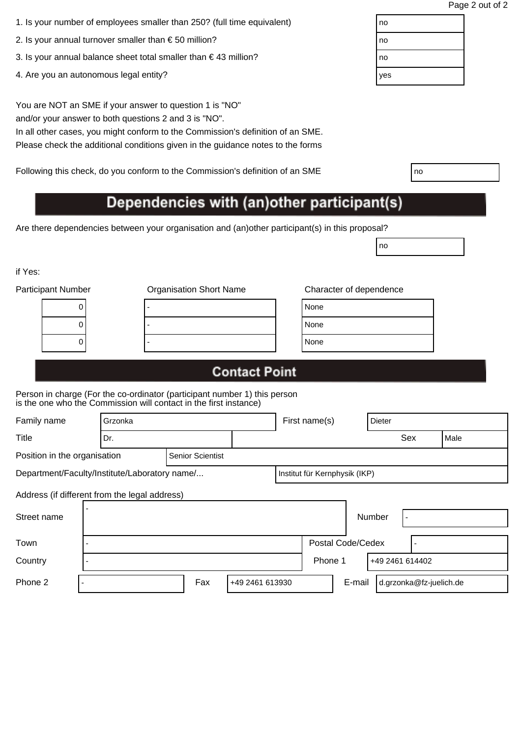| 1. Is your number of employees smaller than 250? (full time equivalent) | no |
|-------------------------------------------------------------------------|----|
|                                                                         |    |

- 2. Is your annual turnover smaller than  $\epsilon$  50 million?
- 3. Is your annual balance sheet total smaller than  $\epsilon$  43 million?
- 4. Are you an autonomous legal entity?

In all other cases, you might conform to the Commission's definition of an SME. Please check the additional conditions given in the guidance notes to the forms

Following this check, do you conform to the Commission's definition of an SME

# Dependencies with (an)other participant(s)

Are there dependencies between your organisation and (an)other participant(s) in this proposal?

if Yes:

| <b>Participant Number</b> | <b>Organisation Short Name</b> | Character of dependence |
|---------------------------|--------------------------------|-------------------------|
| U                         |                                | None                    |
| U                         |                                | None                    |
|                           |                                | None                    |
|                           |                                |                         |

| lone |  |
|------|--|
| lone |  |
| lone |  |

no

## **Contact Point**

| Family name<br>Grzonka                        |                         |  |  | First name(s)                 | <b>Dieter</b>     |        |     |        |
|-----------------------------------------------|-------------------------|--|--|-------------------------------|-------------------|--------|-----|--------|
| Title                                         | Dr.                     |  |  |                               |                   |        | Sex | l Male |
| Position in the organisation                  | <b>Senior Scientist</b> |  |  |                               |                   |        |     |        |
| Department/Faculty/Institute/Laboratory name/ |                         |  |  | Institut für Kernphysik (IKP) |                   |        |     |        |
| Address (if different from the legal address) |                         |  |  |                               |                   |        |     |        |
| Street name                                   |                         |  |  |                               |                   | Number |     |        |
| Town                                          |                         |  |  |                               | Postal Code/Cedex |        |     |        |

| Country |     | Phone           |  | l +49 2461 614402 |                         |
|---------|-----|-----------------|--|-------------------|-------------------------|
| Phone 2 | Fax | +49 2461 613930 |  | E-mail            | d.grzonka@fz-juelich.de |

| no  |  |
|-----|--|
| no  |  |
| no  |  |
| yes |  |
|     |  |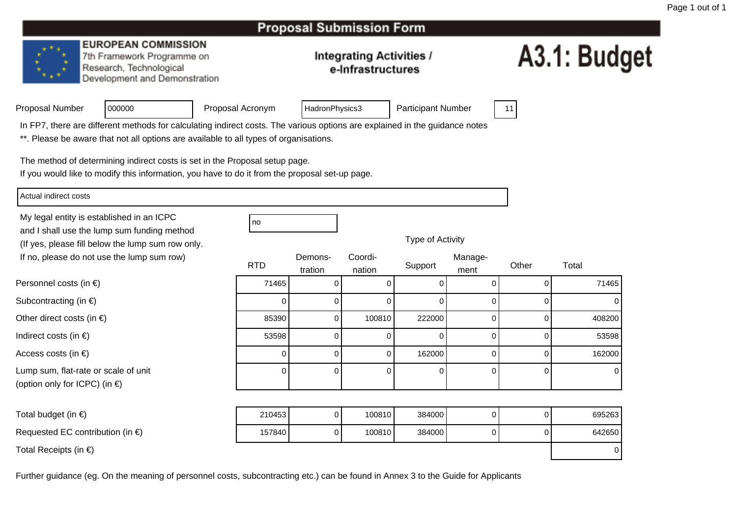#### **EUROPEAN COMMISSION**

<sup>000000</sup>

7th Framework Programme on Research, Technological Development and Demonstration

#### **Integrating Activities /** e-Infrastructures

# A3.1: Budget

|  | Proposal Number |
|--|-----------------|
|  |                 |

Proposal Acronym

HadronPhysics3 | Participant Number | 11

In FP7, there are different methods for calculating indirect costs. The various options are explained in the guidance notes

\*\*. Please be aware that not all options are available to all types of organisations.

The method of determining indirect costs is set in the Proposal setup page.

If you would like to modify this information, you have to do it from the proposal set-up page.

Actual indirect costs

My legal entity is established in an ICPCno all'altra di una proprietà di una proprietà di una proprietà di una di una di una di una di una di una di u and I shall use the lump sum funding method (If yes, please fill below the lump sum row only.If no, please do not use the lump sum row)

) a communication of Demons- Coordi-RTDD tration nation Support <sub>ment</sub> Other Total n nation buppon ment <sup>71465</sup> <sup>0</sup> <sup>0</sup> <sup>0</sup> <sup>0</sup> <sup>0</sup> <sup>71465</sup> ) and the contract of  $\overline{a}$  of  $\overline{a}$  of  $\overline{a}$  of  $\overline{a}$  of  $\overline{a}$  of  $\overline{a}$  of  $\overline{a}$  of  $\overline{a}$  of  $\overline{a}$  of  $\overline{a}$  of  $\overline{a}$  of  $\overline{a}$  of  $\overline{a}$  of  $\overline{a}$  of  $\overline{a}$  of  $\overline{a}$  of  $\overline{a}$ 0 0 0 0 0 0 0 <sup>85390</sup>0 | 0 100810 | 222000 | 0 0 108200 <sup>53598</sup>8 | 0 0 0 0 0 0 53598

Type of Activity

0 0 0 162000 0 0 162000

0 0 0 0 0 0 0

Access costs (in €)) and the contract of  $\overline{a}$  and  $\overline{b}$  and  $\overline{a}$  and  $\overline{a}$  and  $\overline{a}$  and  $\overline{a}$  and  $\overline{a}$  and  $\overline{a}$  and  $\overline{a}$  and  $\overline{a}$  and  $\overline{a}$  and  $\overline{a}$  and  $\overline{a}$  and  $\overline{a}$  and  $\overline{a}$  and  $\overline$ 

Indirect costs (in  $\epsilon$ )

Total budget (in  $\epsilon$ )

Total Receipts (in €)

Personnel costs (in €)

Subcontracting (in €)

Other direct costs (in  $\epsilon$ )

Lump sum, flat-rate or scale of unitt 0 (option only for ICPC) (in €)

 <sup>210453</sup> <sup>0</sup> <sup>100810</sup> <sup>384000</sup> <sup>0</sup> <sup>0</sup> <sup>695263</sup> Requested EC contribution (in  $\epsilon$ ) <sup>157840</sup>0 | 0 100810 | 384000 | 0 0 642650 ) and the contract of the contract of  $\sim$  0.000  $\mu$  . The contract of  $\sim$  0.000  $\mu$   $\sim$  0.000  $\mu$   $\sim$  0.000  $\mu$   $\sim$  0.000  $\mu$   $\sim$  0.000  $\mu$   $\sim$  0.000  $\mu$   $\sim$  0.000  $\mu$   $\sim$  0.000  $\mu$   $\sim$  0.000  $\mu$   $\sim$ 

| no |  |  |
|----|--|--|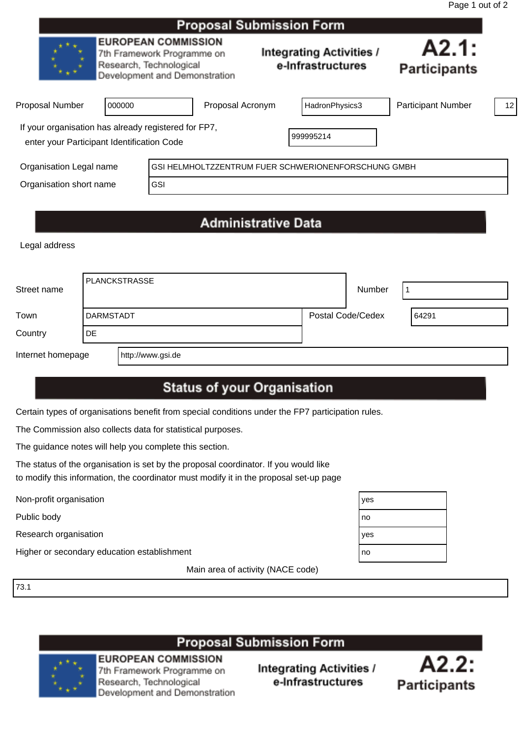|                                                                                                    |        |                                                                                                                      | <b>Proposal Submission Form</b> |                                                      |                              |    |
|----------------------------------------------------------------------------------------------------|--------|----------------------------------------------------------------------------------------------------------------------|---------------------------------|------------------------------------------------------|------------------------------|----|
|                                                                                                    |        | <b>EUROPEAN COMMISSION</b><br>7th Framework Programme on<br>Research, Technological<br>Development and Demonstration |                                 | <b>Integrating Activities /</b><br>e-Infrastructures | A2.1:<br><b>Participants</b> |    |
| <b>Proposal Number</b>                                                                             | 000000 |                                                                                                                      | Proposal Acronym                | HadronPhysics3                                       | <b>Participant Number</b>    | 12 |
| If your organisation has already registered for FP7,<br>enter your Participant Identification Code |        |                                                                                                                      |                                 | 999995214                                            |                              |    |
| Organisation Legal name                                                                            |        |                                                                                                                      |                                 | GSI HELMHOLTZZENTRUM FUER SCHWERIONENFORSCHUNG GMBH  |                              |    |
| Organisation short name                                                                            |        | <b>GSI</b>                                                                                                           |                                 |                                                      |                              |    |
|                                                                                                    |        |                                                                                                                      |                                 |                                                      |                              |    |

# **Administrative Data**

Legal address

| Street name       | <b>PLANCKSTRASSE</b> |                   |                          | Number |       |
|-------------------|----------------------|-------------------|--------------------------|--------|-------|
| Town              | <b>DARMSTADT</b>     |                   | <b>Postal Code/Cedex</b> |        | 64291 |
| Country           | <b>DE</b>            |                   |                          |        |       |
| Internet homepage |                      | http://www.gsi.de |                          |        |       |

# **Status of your Organisation**

Certain types of organisations benefit from special conditions under the FP7 participation rules.

The Commission also collects data for statistical purposes.

The guidance notes will help you complete this section.

The status of the organisation is set by the proposal coordinator. If you would like to modify this information, the coordinator must modify it in the proposal set-up page

Non-profit organisation yes

Public body not be a set of the set of the set of the set of the set of the set of the set of the set of the set of the set of the set of the set of the set of the set of the set of the set of the set of the set of the set

Research organisation yesterday and the search organisation yesterday and the search of the search of the search of the search of the search of the search of the search of the search of the search of the search of the sear

Higher or secondary education establishment

Main area of activity (NACE code)

73.1

### **Proposal Submission Form**



**EUROPEAN COMMISSION** 7th Framework Programme on Research, Technological Development and Demonstration



| 'es |  |
|-----|--|
| ΙO  |  |
| 'es |  |
| ΙO  |  |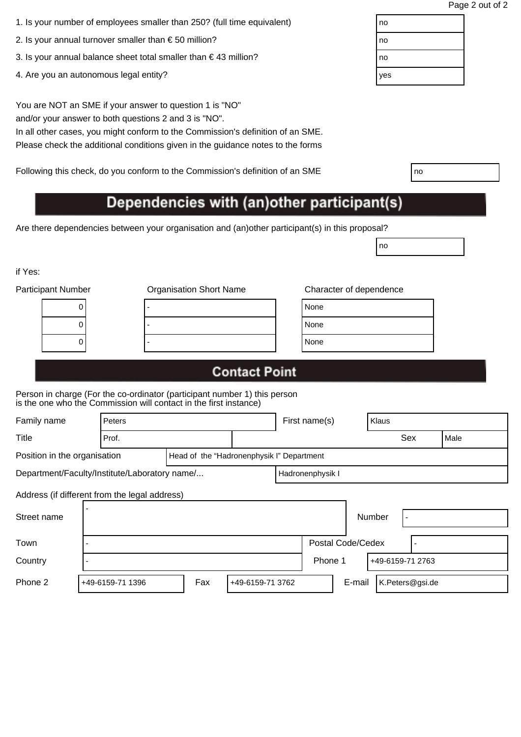| 1. Is your number of employees smaller than 250? (full time equivalent) | no |
|-------------------------------------------------------------------------|----|
|                                                                         |    |

- 2. Is your annual turnover smaller than  $\epsilon$  50 million?
- 3. Is your annual balance sheet total smaller than  $\epsilon$  43 million?
- 4. Are you an autonomous legal entity?

In all other cases, you might conform to the Commission's definition of an SME. Please check the additional conditions given in the guidance notes to the forms

Following this check, do you conform to the Commission's definition of an SME

# Dependencies with (an)other participant(s)

Are there dependencies between your organisation and (an)other participant(s) in this proposal?

if Yes:

| <b>Participant Number</b> | <b>Organisation Short Name</b> | Character of dependence |
|---------------------------|--------------------------------|-------------------------|
| U                         |                                | None                    |
| U                         |                                | None                    |
|                           |                                | None                    |
|                           |                                |                         |

| lone |  |
|------|--|
| lone |  |
| lone |  |

no

## **Contact Point**

| Family name                                                               | Peters |  | First name(s)    | Klaus |     |        |
|---------------------------------------------------------------------------|--------|--|------------------|-------|-----|--------|
| Title                                                                     | Prof.  |  |                  |       | Sex | l Male |
| Position in the organisation<br>Head of the "Hadronenphysik I" Department |        |  |                  |       |     |        |
| Department/Faculty/Institute/Laboratory name/                             |        |  | Hadronenphysik I |       |     |        |
| Address (if different from the legal address)                             |        |  |                  |       |     |        |

| Street name |                                             |  |  |         |                   | Number           |  |
|-------------|---------------------------------------------|--|--|---------|-------------------|------------------|--|
| Town        |                                             |  |  |         | Postal Code/Cedex |                  |  |
| Country     |                                             |  |  | Phone 1 |                   | +49-6159-71 2763 |  |
| Phone 2     | Fax<br>+49-6159-71 1396<br>+49-6159-71 3762 |  |  |         | E-mail            | K.Peters@gsi.de  |  |

| no  |  |
|-----|--|
| no  |  |
| no  |  |
| yes |  |
|     |  |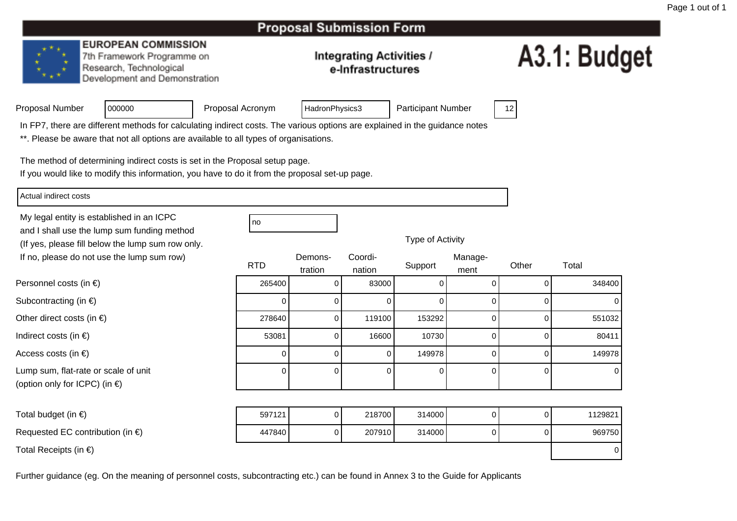#### **EUROPEAN COMMISSION**

7th Framework Programme on Research, Technological Development and Demonstration

#### **Integrating Activities /** e-Infrastructures

# A3.1: Budget

|  | Proposal Number |  |
|--|-----------------|--|
|  |                 |  |

Proposal Acronym

HadronPhysics3 | Participant Number | 12

In FP7, there are different methods for calculating indirect costs. The various options are explained in the guidance notes

\*\*. Please be aware that not all options are available to all types of organisations.

The method of determining indirect costs is set in the Proposal setup page.

If you would like to modify this information, you have to do it from the proposal set-up page.

Actual indirect costs

Personnel costs (in €)

Subcontracting (in €)

Indirect costs (in  $\epsilon$ )

Access costs (in €)

Other direct costs (in  $\epsilon$ )

Lump sum, flat-rate or scale of unit

(option only for ICPC) (in €)

My legal entity is established in an ICPCno all'altra di una proprietà di una proprietà di una proprietà di una di una di una di una di una di una di u and I shall use the lump sum funding method (If yes, please fill below the lump sum row only.If no, please do not use the lump sum row)

<sup>000000</sup>

| ot use the lump sum row)            | <b>RTD</b> | Demons-<br>tration | Coordi-<br>nation | Support | Manage-<br>ment | Other | Total          |
|-------------------------------------|------------|--------------------|-------------------|---------|-----------------|-------|----------------|
| າ €)                                | 265400     | U                  | 83000             |         |                 |       | 348400         |
| $\in)$                              |            |                    |                   |         |                 |       | 0              |
| $(in \in)$                          | 278640     | 0                  | 119100            | 153292  | 0               |       | 551032         |
|                                     | 53081      | 0                  | 16600             | 10730   | 0               |       | 80411          |
|                                     |            | 0                  | 0.                | 149978  |                 |       | 149978         |
| e or scale of unit<br>$P$ C) (in €) |            | 0                  |                   |         | 0               |       | $\overline{0}$ |

Type of Activity

| Total budget (in $\epsilon$ )              | 597121 | 218700 | 314000 |  | 1129821 |
|--------------------------------------------|--------|--------|--------|--|---------|
| Requested EC contribution (in $\epsilon$ ) | 447840 | 207910 | 314000 |  | 969750  |
| Total Receipts (in $\epsilon$ )            |        |        |        |  |         |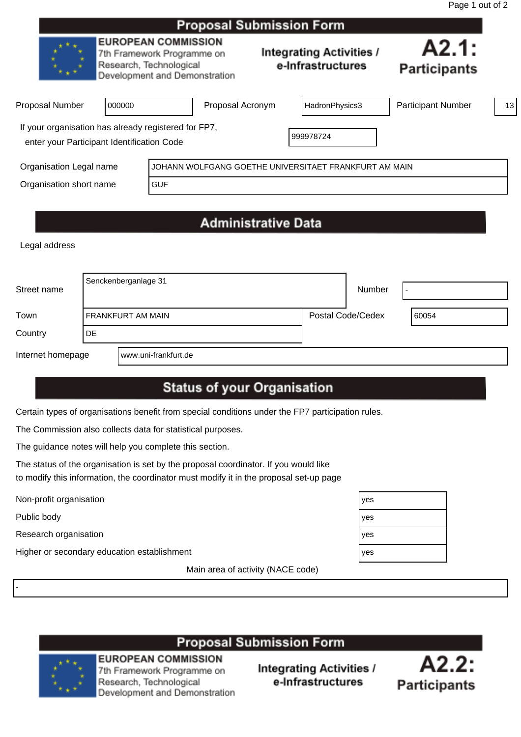|                                                                                                    |                                                                                                                      |            | <b>Proposal Submission Form</b> |  |                                                       |                              |    |
|----------------------------------------------------------------------------------------------------|----------------------------------------------------------------------------------------------------------------------|------------|---------------------------------|--|-------------------------------------------------------|------------------------------|----|
|                                                                                                    | <b>EUROPEAN COMMISSION</b><br>7th Framework Programme on<br>Research, Technological<br>Development and Demonstration |            |                                 |  | <b>Integrating Activities /</b><br>e-Infrastructures  | A2.1:<br><b>Participants</b> |    |
| Proposal Number                                                                                    | 000000                                                                                                               |            | Proposal Acronym                |  | HadronPhysics3                                        | <b>Participant Number</b>    | 13 |
| If your organisation has already registered for FP7,<br>enter your Participant Identification Code |                                                                                                                      |            |                                 |  | 999978724                                             |                              |    |
| Organisation Legal name                                                                            |                                                                                                                      |            |                                 |  | JOHANN WOLFGANG GOETHE UNIVERSITAET FRANKFURT AM MAIN |                              |    |
| Organisation short name                                                                            |                                                                                                                      | <b>GUF</b> |                                 |  |                                                       |                              |    |
|                                                                                                    |                                                                                                                      |            |                                 |  |                                                       |                              |    |

# **Administrative Data**

Legal address

| Street name       |     | Senckenberganlage 31   |                          | Number | -     |
|-------------------|-----|------------------------|--------------------------|--------|-------|
| Town              |     | FRANKFURT AM MAIN      | <b>Postal Code/Cedex</b> |        | 60054 |
| Country           | DE. |                        |                          |        |       |
| Internet homepage |     | l www.uni-frankfurt.de |                          |        |       |

# **Status of your Organisation**

Certain types of organisations benefit from special conditions under the FP7 participation rules.

The Commission also collects data for statistical purposes.

The guidance notes will help you complete this section.

The status of the organisation is set by the proposal coordinator. If you would like to modify this information, the coordinator must modify it in the proposal set-up page

Non-profit organisation yes

-

Public body<br>Research organisation Research organisation

Higher or secondary education establishment yestimate in the second yestimate of  $\vert$  y

Main area of activity (NACE code)

| es  |  |
|-----|--|
| es  |  |
| /es |  |
| es  |  |



**Proposal Submission Form** 

**EUROPEAN COMMISSION** 7th Framework Programme on Research, Technological Development and Demonstration

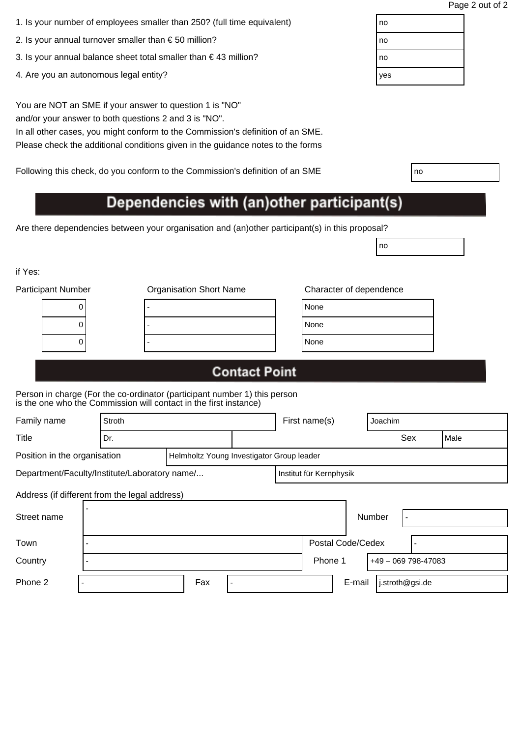| 1. Is your number of employees smaller than 250? (full time equivalent) | no |
|-------------------------------------------------------------------------|----|
|                                                                         |    |

- 2. Is your annual turnover smaller than  $\epsilon$  50 million?
- 3. Is your annual balance sheet total smaller than  $\epsilon$  43 million?
- 4. Are you an autonomous legal entity?

In all other cases, you might conform to the Commission's definition of an SME. Please check the additional conditions given in the guidance notes to the forms

Following this check, do you conform to the Commission's definition of an SME

# Dependencies with (an)other participant(s)

Are there dependencies between your organisation and (an)other participant(s) in this proposal?

if Yes:

| <b>Participant Number</b> | <b>Organisation Short Name</b> | Character of dependence |      |  |
|---------------------------|--------------------------------|-------------------------|------|--|
| U                         |                                |                         | None |  |
|                           |                                |                         | None |  |
| U                         |                                |                         | None |  |
|                           |                                |                         |      |  |

no

## **Contact Point**

| Family name                                   | Stroth                                    |  |  | First name(s)           | Joachim |        |  |
|-----------------------------------------------|-------------------------------------------|--|--|-------------------------|---------|--------|--|
| Title                                         | Dr.                                       |  |  |                         | Sex     | l Male |  |
| Position in the organisation                  | Helmholtz Young Investigator Group leader |  |  |                         |         |        |  |
| Department/Faculty/Institute/Laboratory name/ |                                           |  |  | Institut für Kernphysik |         |        |  |
| Address (if different from the legal address) |                                           |  |  |                         |         |        |  |

| Street name |     |                   |        | Number                 |  |
|-------------|-----|-------------------|--------|------------------------|--|
| Town        |     | Postal Code/Cedex |        |                        |  |
| Country     |     | Phone 1           |        | $+49 - 069798 - 47083$ |  |
| Phone 2     | Fax |                   | E-mail | $j$ .stroth@gsi.de     |  |

| no  |  |
|-----|--|
| no  |  |
| no  |  |
| yes |  |
|     |  |

| ٧<br>٧<br>×<br>×<br>۰. |  |
|------------------------|--|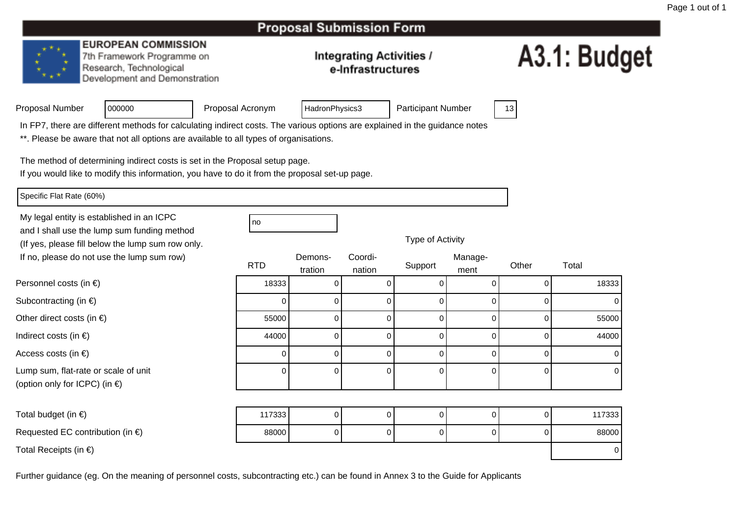### **EUROPEAN COMMISSION**

7th Framework Programme on Research, Technological Development and Demonstration

### **Integrating Activities /** e-Infrastructures

# A3.1: Budget

|  | Proposal Number |
|--|-----------------|
|  |                 |

Proposal Acronym

HadronPhysics3 | Participant Number | 13

In FP7, there are different methods for calculating indirect costs. The various options are explained in the guidance notes

\*\*. Please be aware that not all options are available to all types of organisations.

The method of determining indirect costs is set in the Proposal setup page.

If you would like to modify this information, you have to do it from the proposal set-up page.

Specific Flat Rate (60%)

Personnel costs (in €)

Subcontracting (in €)

Indirect costs (in  $\epsilon$ )

Access costs (in €)

Other direct costs (in  $\epsilon$ )

Lump sum, flat-rate or scale of unit

(option only for ICPC) (in €)

My legal entity is established in an ICPCno all'altra di una proprietà di una proprietà di una di una di una di una di una di una di una di una di una and I shall use the lump sum funding method (If yes, please fill below the lump sum row only.If no, please do not use the lump sum row)

<sup>000000</sup>

| $5000$ $\ldots$ $0000$ $\ldots$ $0000$ $\ldots$ $0000$ |            |                    |                   |          |                 |       |       |
|--------------------------------------------------------|------------|--------------------|-------------------|----------|-----------------|-------|-------|
| ot use the lump sum row)                               | <b>RTD</b> | Demons-<br>tration | Coordi-<br>nation | Support  | Manage-<br>ment | Other | Total |
| າ €)                                                   | 18333      |                    |                   |          |                 |       | 18333 |
| $\in)$                                                 |            |                    | 0                 | $\Omega$ |                 |       | 0     |
| $(in \in)$                                             | 55000      |                    | 0                 |          |                 |       | 55000 |
|                                                        | 44000      |                    | 0                 | 0        |                 |       | 44000 |
|                                                        |            |                    | 0                 |          |                 |       | 0     |
| e or scale of unit<br>$P$ C) (in €)                    |            |                    | $\Omega$          | 0        |                 |       | 0     |

| Total budget (in $\epsilon$ )              | 117333 |  |  | υı | 117333 |
|--------------------------------------------|--------|--|--|----|--------|
| Requested EC contribution (in $\epsilon$ ) | 88000  |  |  |    | 88000  |
| Total Receipts (in $\epsilon$ )            |        |  |  |    | 0      |

|  |  | Type of Activity |
|--|--|------------------|
|--|--|------------------|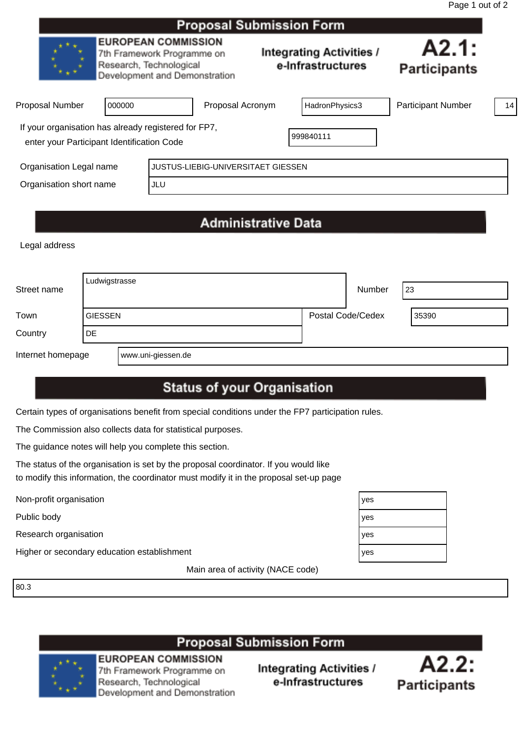|                                                                                                    |                                                                                                                      |  | Proposal Submission Form |                                                      |                              |                           |    |
|----------------------------------------------------------------------------------------------------|----------------------------------------------------------------------------------------------------------------------|--|--------------------------|------------------------------------------------------|------------------------------|---------------------------|----|
|                                                                                                    | <b>EUROPEAN COMMISSION</b><br>7th Framework Programme on<br>Research, Technological<br>Development and Demonstration |  |                          | <b>Integrating Activities /</b><br>e-Infrastructures | A2.1:<br><b>Participants</b> |                           |    |
| Proposal Number                                                                                    | 000000                                                                                                               |  | Proposal Acronym         |                                                      | HadronPhysics3               | <b>Participant Number</b> | 14 |
| If your organisation has already registered for FP7,<br>enter your Participant Identification Code |                                                                                                                      |  |                          |                                                      | 999840111                    |                           |    |
|                                                                                                    | Organisation Legal name<br>JUSTUS-LIEBIG-UNIVERSITAET GIESSEN                                                        |  |                          |                                                      |                              |                           |    |
| Organisation short name<br>JLU                                                                     |                                                                                                                      |  |                          |                                                      |                              |                           |    |
|                                                                                                    |                                                                                                                      |  |                          |                                                      |                              |                           |    |

# **Administrative Data**

Legal address

| Street name       | Ludwigstrasse  |                    | Number            | 23    |  |
|-------------------|----------------|--------------------|-------------------|-------|--|
| Town              | <b>GIESSEN</b> |                    | Postal Code/Cedex | 35390 |  |
| Country           | <b>DE</b>      |                    |                   |       |  |
| Internet homepage |                | www.uni-giessen.de |                   |       |  |

# **Status of your Organisation**

Certain types of organisations benefit from special conditions under the FP7 participation rules.

The Commission also collects data for statistical purposes.

The guidance notes will help you complete this section.

The status of the organisation is set by the proposal coordinator. If you would like to modify this information, the coordinator must modify it in the proposal set-up page

Non-profit organisation yes

Public body<br>Research organisation Research organisation

Higher or secondary education establishment

Main area of activity (NACE code)

80.3

# **Proposal Submission Form**



**EUROPEAN COMMISSION** 7th Framework Programme on Research, Technological Development and Demonstration



| 'es |  |
|-----|--|
| 'es |  |
| 'es |  |
| 'es |  |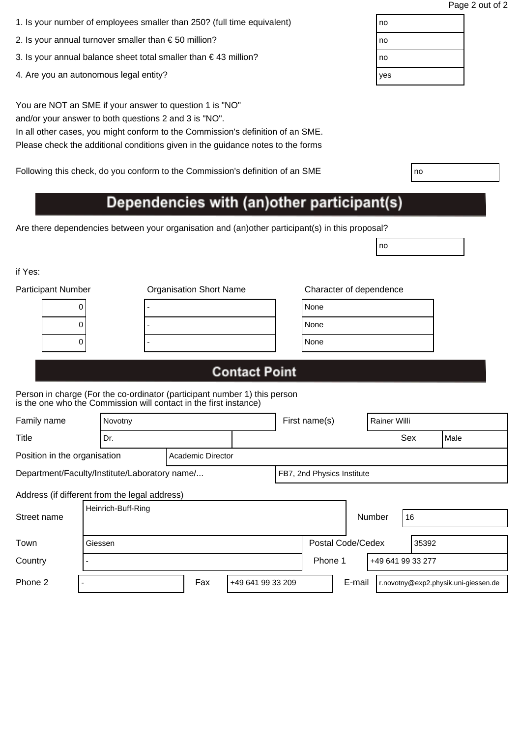| 1. Is your number of employees smaller than 250? (full time equivalent) | no |
|-------------------------------------------------------------------------|----|
|                                                                         |    |

- 2. Is your annual turnover smaller than  $\epsilon$  50 million?
- 3. Is your annual balance sheet total smaller than  $\epsilon$  43 million?
- 4. Are you an autonomous legal entity?

In all other cases, you might conform to the Commission's definition of an SME. Please check the additional conditions given in the guidance notes to the forms

Following this check, do you conform to the Commission's definition of an SME

# Dependencies with (an)other participant(s)

Are there dependencies between your organisation and (an)other participant(s) in this proposal?

if Yes:

| <b>Participant Number</b> | <b>Organisation Short Name</b> | Character of dependence |
|---------------------------|--------------------------------|-------------------------|
| υ                         |                                | None                    |
| υ                         |                                | None                    |
|                           |                                | None                    |
|                           |                                |                         |

| lone |  |  |
|------|--|--|
| lone |  |  |
| lone |  |  |
|      |  |  |

no

# **Contact Point**

Person in charge (For the co-ordinator (participant number 1) this person is the one who the Commission will contact in the first instance)

| Family name                                   |         | Novotny            |                   |  | First name(s)              |  |                   | Rainer Willi |  |      |
|-----------------------------------------------|---------|--------------------|-------------------|--|----------------------------|--|-------------------|--------------|--|------|
| <b>Title</b>                                  |         | Dr.                |                   |  |                            |  |                   | Sex          |  | Male |
| Position in the organisation                  |         |                    | Academic Director |  |                            |  |                   |              |  |      |
| Department/Faculty/Institute/Laboratory name/ |         |                    |                   |  | FB7, 2nd Physics Institute |  |                   |              |  |      |
| Address (if different from the legal address) |         |                    |                   |  |                            |  |                   |              |  |      |
| Street name                                   |         | Heinrich-Buff-Ring |                   |  |                            |  | 16<br>Number      |              |  |      |
| Town                                          | Giessen |                    |                   |  | Postal Code/Cedex          |  |                   | 35392        |  |      |
| Country                                       |         |                    |                   |  | Phone 1                    |  | +49 641 99 33 277 |              |  |      |

Phone 2 | Fax | Fax | +49 641 99 33 209 | E-mail | r.novotny@exp2.physik.uni-giessen.de

| ١O |  |
|----|--|
| ١O |  |
| ١O |  |
| es |  |
|    |  |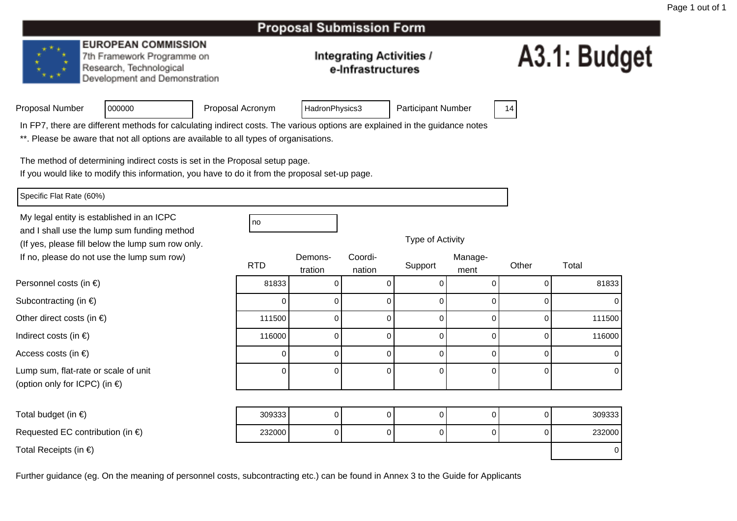### **EUROPEAN COMMISSION**

<sup>000000</sup>

7th Framework Programme on Research, Technological Development and Demonstration

### **Integrating Activities /** e-Infrastructures

# A3.1: Budget

Proposal Acronym

HadronPhysics3 | Participant Number | 14

In FP7, there are different methods for calculating indirect costs. The various options are explained in the guidance notes

\*\*. Please be aware that not all options are available to all types of organisations.

The method of determining indirect costs is set in the Proposal setup page.

If you would like to modify this information, you have to do it from the proposal set-up page.

Specific Flat Rate (60%)

Personnel costs (in €)

Subcontracting (in €)

Indirect costs (in  $\epsilon$ )

Access costs (in €)

Total budget (in  $\epsilon$ )

Other direct costs (in  $\epsilon$ )

Lump sum, flat-rate or scale of unit

(option only for ICPC) (in €)

My legal entity is established in an ICPCand I shall use the lump sum funding method (If yes, please fill below the lump sum row only.If no, please do not use the lump sum row)

| С | no |
|---|----|

Type of Activity

| ot use the lump sum row)            | <b>RTD</b> | Demons-<br>tration | Coordi-<br>nation | Support | Manage-<br>ment | Other | Total  |
|-------------------------------------|------------|--------------------|-------------------|---------|-----------------|-------|--------|
| າ €)                                | 81833      |                    | 0                 |         |                 |       | 81833  |
| $\in)$                              |            | 0                  | 0                 | 0       |                 | 0     | 0      |
| $(in \in)$                          | 111500     | 0                  | 0                 | 0       |                 | 0     | 111500 |
|                                     | 116000     | 0                  | 0                 | 0       |                 | 0     | 116000 |
|                                     |            | $\Omega$           | 0                 | 0       |                 | 0     | 0      |
| e or scale of unit<br>$P$ C) (in €) |            | $\Omega$           | 0                 | 0       |                 | 0     | 0      |
|                                     |            |                    |                   |         |                 |       |        |
|                                     | $\cdots$   |                    |                   |         |                 |       | .      |

| Total budget (in $\epsilon$ )              | 309333 |  |  | 309333 |
|--------------------------------------------|--------|--|--|--------|
| Requested EC contribution (in $\epsilon$ ) | 232000 |  |  | 232000 |
| Total Receipts (in $\epsilon$ )            |        |  |  |        |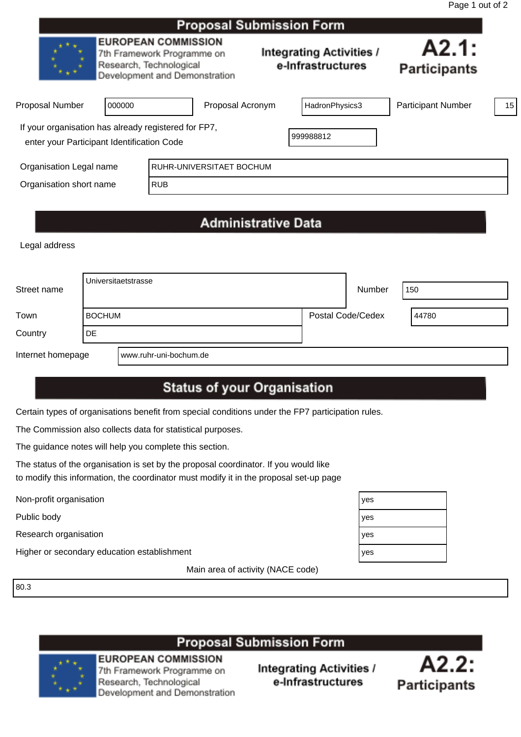|                                                                                                    |        |                                                                                                                      | Proposal Jubilission Form |  |                                                      |                              |    |
|----------------------------------------------------------------------------------------------------|--------|----------------------------------------------------------------------------------------------------------------------|---------------------------|--|------------------------------------------------------|------------------------------|----|
|                                                                                                    |        | <b>EUROPEAN COMMISSION</b><br>7th Framework Programme on<br>Research, Technological<br>Development and Demonstration |                           |  | <b>Integrating Activities /</b><br>e-Infrastructures | A2.1:<br><b>Participants</b> |    |
| <b>Proposal Number</b>                                                                             | 000000 |                                                                                                                      | Proposal Acronym          |  | HadronPhysics3                                       | <b>Participant Number</b>    | 15 |
| If your organisation has already registered for FP7,<br>enter your Participant Identification Code |        |                                                                                                                      |                           |  | 999988812                                            |                              |    |
| Organisation Legal name<br>RUHR-UNIVERSITAET BOCHUM                                                |        |                                                                                                                      |                           |  |                                                      |                              |    |
| Organisation short name                                                                            |        | <b>RUB</b>                                                                                                           |                           |  |                                                      |                              |    |
|                                                                                                    |        |                                                                                                                      |                           |  |                                                      |                              |    |

# **Administrative Data**

Legal address

| Street name                                 |               | Universitaetstrasse |                   | Number | 150   |
|---------------------------------------------|---------------|---------------------|-------------------|--------|-------|
| Town                                        | <b>BOCHUM</b> |                     | Postal Code/Cedex |        | 44780 |
| Country                                     | DE.           |                     |                   |        |       |
| Internet homepage<br>www.ruhr-uni-bochum.de |               |                     |                   |        |       |

# **Status of your Organisation**

Certain types of organisations benefit from special conditions under the FP7 participation rules.

The Commission also collects data for statistical purposes.

The guidance notes will help you complete this section.

The status of the organisation is set by the proposal coordinator. If you would like to modify this information, the coordinator must modify it in the proposal set-up page

Non-profit organisation yes

Public body yes

Research organisation yes

Higher or secondary education establishment yes

Main area of activity (NACE code)

80.3

## **Proposal Submission Form**



**EUROPEAN COMMISSION** 7th Framework Programme on Research, Technological

Development and Demonstration

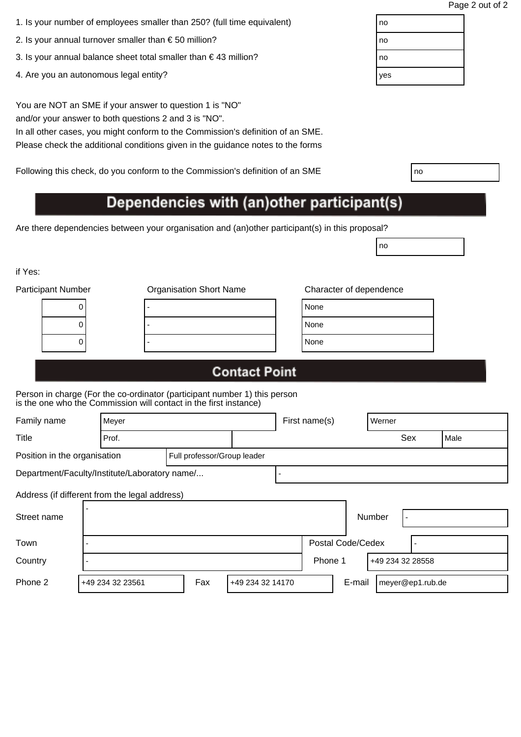| 1. Is your number of employees smaller than 250? (full time equivalent) | no |
|-------------------------------------------------------------------------|----|
|                                                                         |    |

- 2. Is your annual turnover smaller than  $\epsilon$  50 million?
- 3. Is your annual balance sheet total smaller than  $\epsilon$  43 million?
- 4. Are you an autonomous legal entity?

In all other cases, you might conform to the Commission's definition of an SME. Please check the additional conditions given in the guidance notes to the forms

Following this check, do you conform to the Commission's definition of an SME

# Dependencies with (an)other participant(s)

Are there dependencies between your organisation and (an)other participant(s) in this proposal?

if Yes:

| <b>Participant Number</b> |   | <b>Organisation Short Name</b> | Character of dependence |  |  |
|---------------------------|---|--------------------------------|-------------------------|--|--|
|                           | U |                                | None                    |  |  |
|                           |   |                                | None                    |  |  |
|                           |   |                                | None                    |  |  |
|                           |   |                                |                         |  |  |

| lone |  |
|------|--|
| lone |  |
| lone |  |

no

# **Contact Point**

| Family name                                   |  | Meyer            |                             |                  | First name(s)     |         | Werner |  |                  |  |      |
|-----------------------------------------------|--|------------------|-----------------------------|------------------|-------------------|---------|--------|--|------------------|--|------|
| <b>Title</b>                                  |  | Prof.            |                             |                  |                   |         |        |  | Sex              |  | Male |
| Position in the organisation                  |  |                  | Full professor/Group leader |                  |                   |         |        |  |                  |  |      |
| Department/Faculty/Institute/Laboratory name/ |  |                  |                             |                  |                   |         |        |  |                  |  |      |
| Address (if different from the legal address) |  |                  |                             |                  |                   |         |        |  |                  |  |      |
| Street name                                   |  |                  |                             |                  |                   |         | Number |  |                  |  |      |
|                                               |  |                  |                             |                  |                   |         |        |  |                  |  |      |
| Town                                          |  |                  |                             |                  | Postal Code/Cedex |         |        |  |                  |  |      |
| Country                                       |  |                  |                             |                  |                   | Phone 1 |        |  | +49 234 32 28558 |  |      |
| Phone 2                                       |  | +49 234 32 23561 | Fax                         | +49 234 32 14170 |                   |         | E-mail |  | meyer@ep1.rub.de |  |      |

| no  |  |  |
|-----|--|--|
| no  |  |  |
| no  |  |  |
| yes |  |  |
|     |  |  |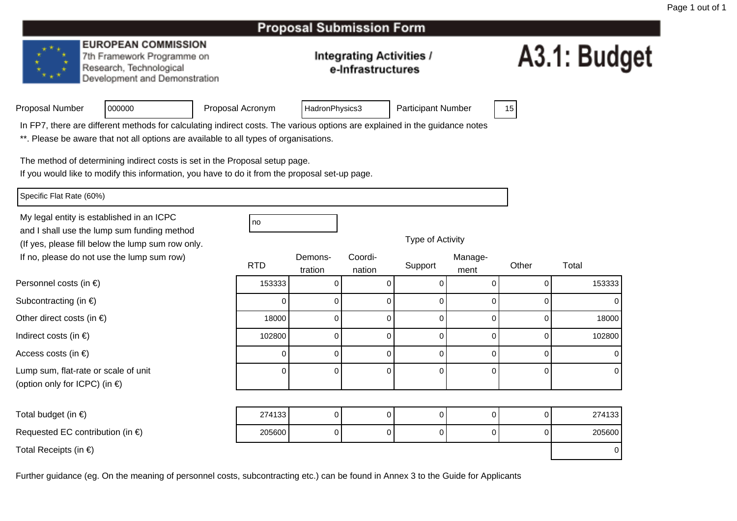### **EUROPEAN COMMISSION**

7th Framework Programme on Research, Technological Development and Demonstration

### **Integrating Activities /** e-Infrastructures

# A3.1: Budget

| Proposal Number |  |
|-----------------|--|
|                 |  |

Proposal Acronym

HadronPhysics3 | Participant Number | 15

In FP7, there are different methods for calculating indirect costs. The various options are explained in the guidance notes

\*\*. Please be aware that not all options are available to all types of organisations.

The method of determining indirect costs is set in the Proposal setup page.

If you would like to modify this information, you have to do it from the proposal set-up page.

Specific Flat Rate (60%)

Personnel costs (in €)

Subcontracting (in €)

Indirect costs (in  $\epsilon$ )

Access costs (in €)

Other direct costs (in  $\epsilon$ )

Lump sum, flat-rate or scale of unit

(option only for ICPC) (in €)

My legal entity is established in an ICPCno all'altra di una proprietà di una proprietà di una di una di una di una di una di una di una di una di una and I shall use the lump sum funding method (If yes, please fill below the lump sum row only.If no, please do not use the lump sum row)

<sup>000000</sup>

Type of Activity) a communication of Demons- Coordi-RTDD tration nation Support <sub>ment</sub> Other Total n nation buppon ment <sup>153333</sup> <sup>0</sup> <sup>0</sup> <sup>0</sup> <sup>0</sup> <sup>0</sup> <sup>153333</sup> ) and the contract of  $\overline{a}$  of  $\overline{a}$  of  $\overline{a}$  of  $\overline{a}$  of  $\overline{a}$  of  $\overline{a}$  of  $\overline{a}$  of  $\overline{a}$  of  $\overline{a}$  of  $\overline{a}$  of  $\overline{a}$  of  $\overline{a}$  of  $\overline{a}$  of  $\overline{a}$  of  $\overline{a}$  of  $\overline{a}$  of  $\overline{a}$ 0 0 0 0 0 0 0 <sup>18000</sup>0 0 0 0 0 0 0 18000 <sup>102800</sup>0 0 0 0 0 0 0 102800 ) and the contract of  $\overline{a}$  and  $\overline{b}$  and  $\overline{a}$  and  $\overline{a}$  and  $\overline{a}$  and  $\overline{a}$  and  $\overline{a}$  and  $\overline{a}$  and  $\overline{a}$  and  $\overline{a}$  and  $\overline{a}$  and  $\overline{a}$  and  $\overline{a}$  and  $\overline{a}$  and  $\overline{a}$  and  $\overline$ 0 0 0 0 0 0 0 t 0 0 0 0 0 0 0 0

| Total budget (in $\epsilon$ )              | 274133 |  |  |  |  |  | 274133 |
|--------------------------------------------|--------|--|--|--|--|--|--------|
| Requested EC contribution (in $\epsilon$ ) | 205600 |  |  |  |  |  | 205600 |
| Total Receipts (in $\epsilon$ )            |        |  |  |  |  |  |        |

|  | O<br>L<br>г |  |  |
|--|-------------|--|--|
|--|-------------|--|--|

| <b>RTD</b> | Demons-<br>tration | Coordi-<br>nation | Support | Manage-<br>ment | Other | Total  |
|------------|--------------------|-------------------|---------|-----------------|-------|--------|
| 153333     | 0                  | 0                 |         |                 |       | 153333 |
| 0          | 0                  | 0                 |         | υ               | 0     |        |
| 18000      | 0                  | 0                 |         |                 | 0     | 18000  |
| 102800     | ი                  | ∩                 |         | 0               | 0     | 102800 |
| 0          | 0                  | 0                 |         | υ               | 0     |        |
| 0          | 0                  | 0                 |         |                 | 0     |        |
|            |                    |                   |         |                 |       |        |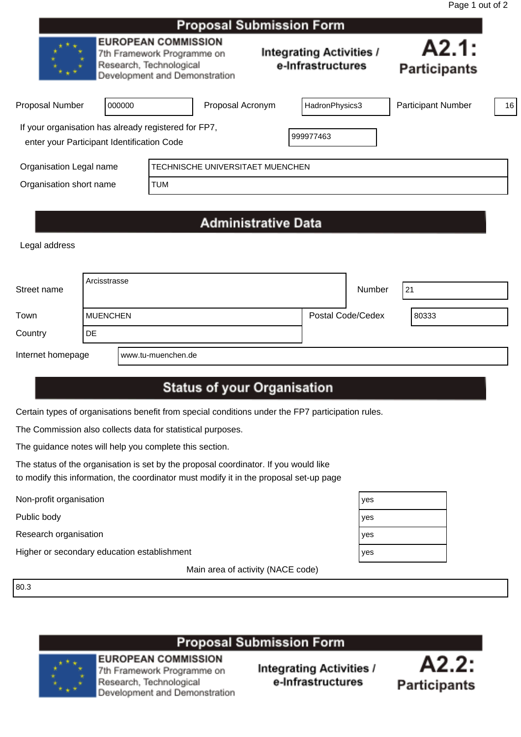|                                                                                                    |                                                                                                                      |            | <b>Proposal Submission Form</b>  |  |                                                      |                              |    |
|----------------------------------------------------------------------------------------------------|----------------------------------------------------------------------------------------------------------------------|------------|----------------------------------|--|------------------------------------------------------|------------------------------|----|
|                                                                                                    | <b>EUROPEAN COMMISSION</b><br>7th Framework Programme on<br>Research, Technological<br>Development and Demonstration |            |                                  |  | <b>Integrating Activities /</b><br>e-Infrastructures | A2.1:<br><b>Participants</b> |    |
| <b>Proposal Number</b>                                                                             | 000000                                                                                                               |            | Proposal Acronym                 |  | HadronPhysics3                                       | <b>Participant Number</b>    | 16 |
| If your organisation has already registered for FP7,<br>enter your Participant Identification Code |                                                                                                                      |            |                                  |  | 999977463                                            |                              |    |
| Organisation Legal name                                                                            |                                                                                                                      |            | TECHNISCHE UNIVERSITAET MUENCHEN |  |                                                      |                              |    |
| Organisation short name                                                                            |                                                                                                                      | <b>TUM</b> |                                  |  |                                                      |                              |    |
|                                                                                                    |                                                                                                                      |            |                                  |  |                                                      |                              |    |

# **Administrative Data**

Legal address

| Street name       | Arcisstrasse     |                    |                          | Number | 21    |
|-------------------|------------------|--------------------|--------------------------|--------|-------|
| Town              | <b>IMUENCHEN</b> |                    | <b>Postal Code/Cedex</b> |        | 80333 |
| Country           | DE.              |                    |                          |        |       |
| Internet homepage |                  | www.tu-muenchen.de |                          |        |       |

# **Status of your Organisation**

Certain types of organisations benefit from special conditions under the FP7 participation rules.

The Commission also collects data for statistical purposes.

The guidance notes will help you complete this section.

The status of the organisation is set by the proposal coordinator. If you would like to modify this information, the coordinator must modify it in the proposal set-up page

Non-profit organisation yesterday<br>Public body<br>Research organisation yesterday

Public body

Research organisation

Higher or secondary education establishment yets are all the secondary of  $\vert$  y

Main area of activity (NACE code)

80.3





**EUROPEAN COMMISSION** 7th Framework Programme on Research, Technological Development and Demonstration



| es |  |
|----|--|
| es |  |
| es |  |
| es |  |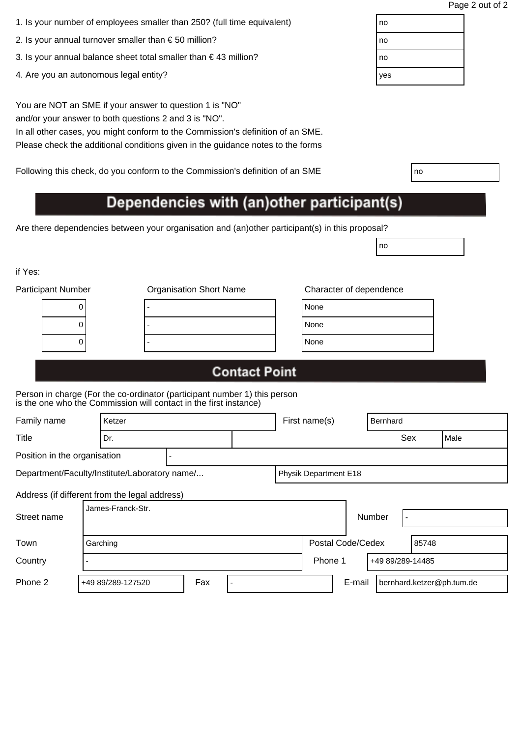| 1. Is your number of employees smaller than 250? (full time equivalent) | no |
|-------------------------------------------------------------------------|----|
|                                                                         |    |

- 2. Is your annual turnover smaller than  $\epsilon$  50 million?
- 3. Is your annual balance sheet total smaller than  $\epsilon$  43 million?
- 4. Are you an autonomous legal entity?

You are NOT an SME if your answer to question 1 is "NO" and/or your answer to both questions 2 and 3 is "NO".

In all other cases, you might conform to the Commission's definition of an SME. Please check the additional conditions given in the guidance notes to the forms

Following this check, do you conform to the Commission's definition of an SME

# Dependencies with (an)other participant(s)

Are there dependencies between your organisation and (an)other participant(s) in this proposal?

if Yes:

Participant N

| umber | <b>Organisation Short Name</b> | Char |
|-------|--------------------------------|------|
|       |                                | None |
|       |                                | None |
|       |                                | None |
|       |                                |      |

no

# **Contact Point**

| Family name                                   |                                               | Ketzer            |     |  | First name(s) |                       |                   | <b>Bernhard</b>  |       |                           |
|-----------------------------------------------|-----------------------------------------------|-------------------|-----|--|---------------|-----------------------|-------------------|------------------|-------|---------------------------|
| Title                                         |                                               | Dr.               |     |  |               |                       | Sex               |                  | Male  |                           |
| Position in the organisation                  |                                               |                   |     |  |               |                       |                   |                  |       |                           |
|                                               | Department/Faculty/Institute/Laboratory name/ |                   |     |  |               | Physik Department E18 |                   |                  |       |                           |
| Address (if different from the legal address) |                                               |                   |     |  |               |                       |                   |                  |       |                           |
| Street name                                   |                                               | James-Franck-Str. |     |  |               |                       |                   | Number           |       |                           |
| Town                                          | Garching                                      |                   |     |  |               |                       | Postal Code/Cedex |                  | 85748 |                           |
| Country                                       |                                               |                   |     |  |               | Phone 1               |                   | +49 89/289-14485 |       |                           |
| Phone 2                                       |                                               | +49 89/289-127520 | Fax |  |               |                       | E-mail            |                  |       | bernhard.ketzer@ph.tum.de |

| no  |  |
|-----|--|
| no  |  |
| no  |  |
| yes |  |
|     |  |

| ٧ | ٧<br>I<br>×<br>۰. |  |
|---|-------------------|--|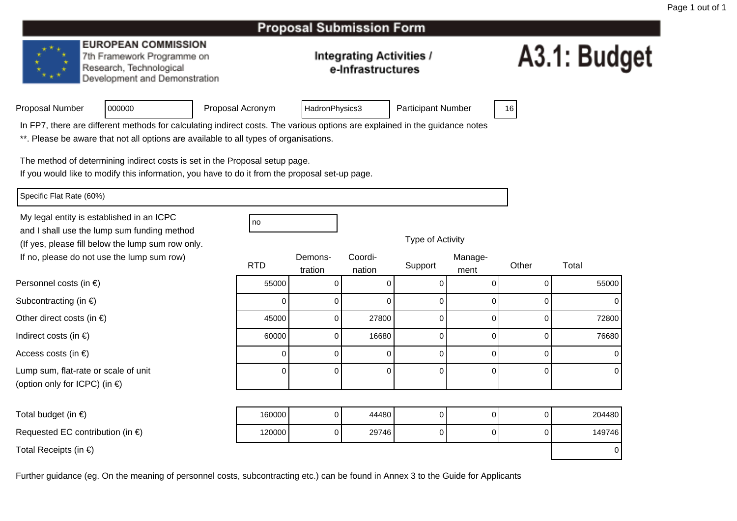### **EUROPEAN COMMISSION**

7th Framework Programme on Research, Technological Development and Demonstration

### **Integrating Activities /** e-Infrastructures

# A3.1: Budget

|  | Proposal Number |
|--|-----------------|
|  |                 |

Proposal Acronym

HadronPhysics3 | Participant Number | 16

In FP7, there are different methods for calculating indirect costs. The various options are explained in the guidance notes

\*\*. Please be aware that not all options are available to all types of organisations.

The method of determining indirect costs is set in the Proposal setup page.

If you would like to modify this information, you have to do it from the proposal set-up page.

Specific Flat Rate (60%)

Personnel costs (in €)

Subcontracting (in €)

Indirect costs (in  $\epsilon$ )

Total budget (in  $\epsilon$ )

Other direct costs (in  $\epsilon$ )

My legal entity is established in an ICPCno all'altra di una proprietà di una proprietà di una di una di una di una di una di una di una di una di una and I shall use the lump sum funding method (If yes, please fill below the lump sum row only.If no, please do not use the lump sum row)

<sup>000000</sup>

) a communication of Demons- Coordi-RTDn nation buppon ment

Access costs (in €)

Lump sum, flat-rate or scale of unit(option only for ICPC) (in €)

 <sup>160000</sup> <sup>0</sup> <sup>44480</sup> <sup>0</sup> <sup>0</sup> <sup>0</sup> <sup>204480</sup> Requested EC contribution (in  $\epsilon$ ) <sup>120000</sup>0 || 29746 || 0 0 0 0 149746 Total Receipts (in €)) and the contract of the contract of  $\sim$  0.000  $\mu$  . The contract of  $\sim$  0.000  $\mu$   $\sim$  0.000  $\mu$   $\sim$  0.000  $\mu$   $\sim$  0.000  $\mu$   $\sim$  0.000  $\mu$   $\sim$  0.000  $\mu$   $\sim$  0.000  $\mu$   $\sim$  0.000  $\mu$   $\sim$  0.000  $\mu$   $\sim$ 

Further guidance (eg. On the meaning of personnel costs, subcontracting etc.) can be found in Annex 3 to the Guide for Applicants

| Ω<br>г |  |  |
|--------|--|--|
|        |  |  |
|        |  |  |

| ot use the lump sum row)            |            | Demons- | Coordi- |         | Manage- |       |       |
|-------------------------------------|------------|---------|---------|---------|---------|-------|-------|
|                                     | <b>RTD</b> | tration | nation  | Support | ment    | Other | Total |
| າ €)                                | 55000      |         |         |         |         |       | 55000 |
| $\in)$                              |            |         |         |         |         |       |       |
| $(in \in)$                          | 45000      |         | 27800   | 0       |         |       | 72800 |
|                                     | 60000      |         | 16680   | 0       |         |       | 76680 |
|                                     |            |         |         |         |         |       |       |
| e or scale of unit<br>$P$ C) (in €) | ი          |         | 0       | 0       |         |       |       |
|                                     |            |         |         |         |         |       |       |

Type of Activity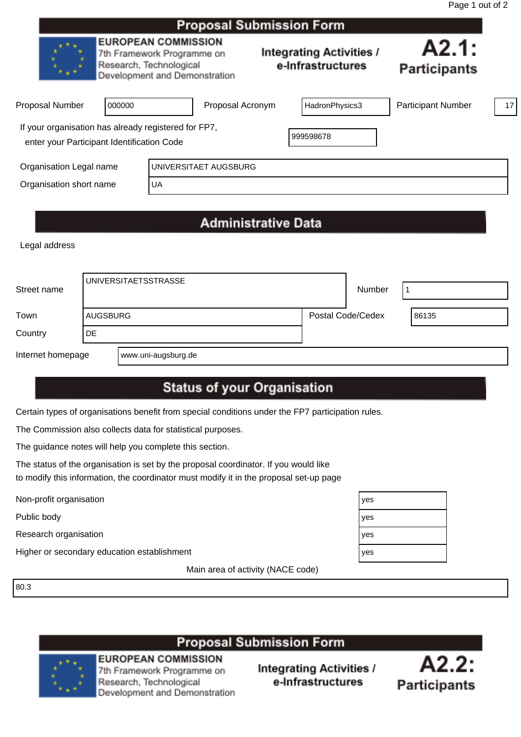|                                                                                                                      |        |  | Proposal Submission Form                             |                              |                |                           |    |
|----------------------------------------------------------------------------------------------------------------------|--------|--|------------------------------------------------------|------------------------------|----------------|---------------------------|----|
| <b>EUROPEAN COMMISSION</b><br>7th Framework Programme on<br>Research, Technological<br>Development and Demonstration |        |  | <b>Integrating Activities /</b><br>e-Infrastructures | A2.1:<br><b>Participants</b> |                |                           |    |
| <b>Proposal Number</b>                                                                                               | 000000 |  | Proposal Acronym                                     |                              | HadronPhysics3 | <b>Participant Number</b> | 17 |
| If your organisation has already registered for FP7,<br>enter your Participant Identification Code                   |        |  |                                                      |                              | 999598678      |                           |    |
| Organisation Legal name                                                                                              |        |  | UNIVERSITAET AUGSBURG                                |                              |                |                           |    |
| Organisation short name<br>UA                                                                                        |        |  |                                                      |                              |                |                           |    |
|                                                                                                                      |        |  |                                                      |                              |                |                           |    |

# **Administrative Data**

Legal address

| Street name       |                 | I UNIVERSITAETSSTRASSE |                   | Number |       |
|-------------------|-----------------|------------------------|-------------------|--------|-------|
| Town              | <b>AUGSBURG</b> |                        | Postal Code/Cedex |        | 86135 |
| Country           | DE.             |                        |                   |        |       |
| Internet homepage |                 | www.uni-augsburg.de    |                   |        |       |

# **Status of your Organisation**

Certain types of organisations benefit from special conditions under the FP7 participation rules.

The Commission also collects data for statistical purposes.

The guidance notes will help you complete this section.

The status of the organisation is set by the proposal coordinator. If you would like to modify this information, the coordinator must modify it in the proposal set-up page

Non-profit organisation yes

Public body yes

Research organisation yes

Higher or secondary education establishment yestimately research of the second yestimate of the second yestimate

Main area of activity (NACE code)

80.3

# **Proposal Submission Form**



**EUROPEAN COMMISSION** 7th Framework Programme on Research, Technological Development and Demonstration



| ЭS |  |
|----|--|
| ЭS |  |
| ЭS |  |
| ЭS |  |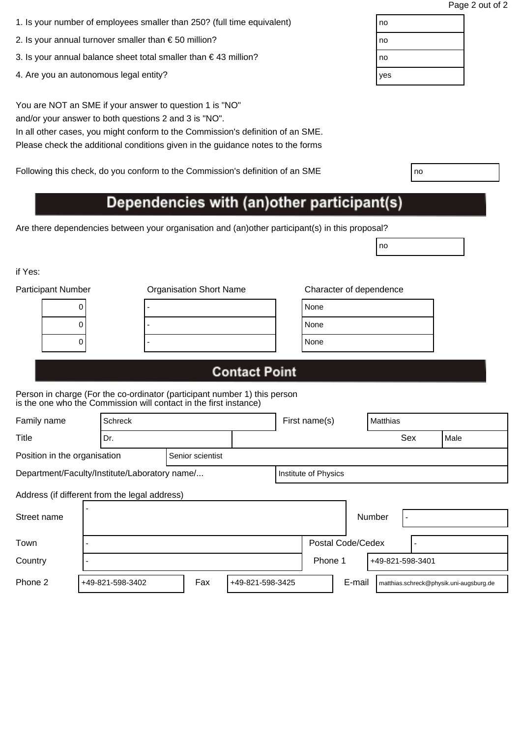| 1. Is your number of employees smaller than 250? (full time equivalent) | no |
|-------------------------------------------------------------------------|----|
|                                                                         |    |

- 2. Is your annual turnover smaller than  $\epsilon$  50 million?
- 3. Is your annual balance sheet total smaller than  $\epsilon$  43 million?
- 4. Are you an autonomous legal entity?

In all other cases, you might conform to the Commission's definition of an SME. Please check the additional conditions given in the guidance notes to the forms

Following this check, do you conform to the Commission's definition of an SME

# Dependencies with (an) other participant(s)

Are there dependencies between your organisation and (an)other participant(s) in this proposal?

if Yes:

| <b>Participant Number</b> | <b>Organisation Short Name</b> | Character of dependence |
|---------------------------|--------------------------------|-------------------------|
| υ                         |                                | None                    |
| U                         |                                | None                    |
| U                         |                                | None                    |
|                           |                                |                         |

| lone |  |
|------|--|
| lone |  |
| lone |  |
|      |  |

no

# **Contact Point**

| Family name                                                           | Schreck          |  |     |                  |  | First name(s)     |        | Matthias |                  |                                         |
|-----------------------------------------------------------------------|------------------|--|-----|------------------|--|-------------------|--------|----------|------------------|-----------------------------------------|
| Title                                                                 | Dr.              |  |     |                  |  |                   |        |          | Sex              | Male                                    |
| Position in the organisation<br>Senior scientist                      |                  |  |     |                  |  |                   |        |          |                  |                                         |
| Department/Faculty/Institute/Laboratory name/<br>Institute of Physics |                  |  |     |                  |  |                   |        |          |                  |                                         |
| Address (if different from the legal address)                         |                  |  |     |                  |  |                   |        |          |                  |                                         |
| Street name                                                           |                  |  |     |                  |  |                   |        | Number   |                  |                                         |
| Town                                                                  |                  |  |     |                  |  | Postal Code/Cedex |        |          |                  |                                         |
| Country                                                               |                  |  |     |                  |  | Phone 1           |        |          | +49-821-598-3401 |                                         |
| Phone 2                                                               | +49-821-598-3402 |  | Fax | +49-821-598-3425 |  |                   | E-mail |          |                  | matthias.schreck@physik.uni-augsburg.de |

| no  |  |
|-----|--|
| no  |  |
| no  |  |
| yes |  |
|     |  |

| ٧<br>٧<br>×<br>×<br>۰. |  |
|------------------------|--|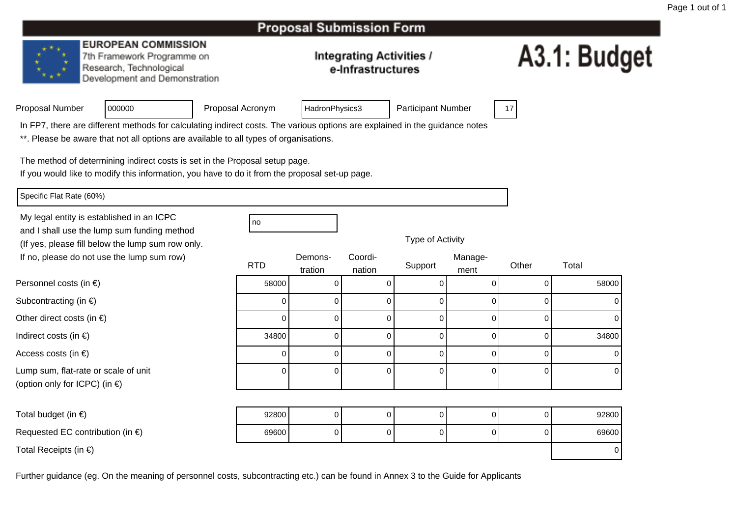### **EUROPEAN COMMISSION**

7th Framework Programme on Research, Technological Development and Demonstration

### **Integrating Activities /** e-Infrastructures

# A3.1: Budget

|  | Proposal Number |
|--|-----------------|
|  |                 |

Proposal Acronym

HadronPhysics3 | Participant Number | 17

In FP7, there are different methods for calculating indirect costs. The various options are explained in the guidance notes

no

\*\*. Please be aware that not all options are available to all types of organisations.

The method of determining indirect costs is set in the Proposal setup page.

If you would like to modify this information, you have to do it from the proposal set-up page.

Specific Flat Rate (60%)

Personnel costs (in €)

Subcontracting (in €)

Indirect costs (in  $\epsilon$ )

Access costs (in €)

Other direct costs (in  $\epsilon$ )

Lump sum, flat-rate or scale of unit

(option only for ICPC) (in €)

My legal entity is established in an ICPCand I shall use the lump sum funding method (If yes, please fill below the lump sum row only.If no, please do not use the lump sum row)

<sup>000000</sup>

|     | Demons- | Coor |
|-----|---------|------|
| RTD | tration | nati |

| ot use the lump sum row)                     | <b>RTD</b> | Demons-<br>tration | Coordi-<br>nation | Support | Manage-<br>ment | Other | Total |
|----------------------------------------------|------------|--------------------|-------------------|---------|-----------------|-------|-------|
| າ €)                                         | 58000      |                    |                   |         |                 |       | 58000 |
| $\in)$                                       |            |                    | U                 |         |                 |       |       |
| $(in \in)$                                   |            |                    | 0                 |         |                 |       |       |
|                                              | 34800      |                    | Ω                 |         |                 |       | 34800 |
|                                              |            |                    | 0                 |         |                 |       | U     |
| e or scale of unit<br><sup>2</sup> C) (in €) |            |                    | 0                 |         |                 |       | U     |

Type of Activity

| Total budget (in $\epsilon$ )              | 92800 |  |  |  |  | υı | 92800 |
|--------------------------------------------|-------|--|--|--|--|----|-------|
| Requested EC contribution (in $\epsilon$ ) | 69600 |  |  |  |  |    | 69600 |
| Total Receipts (in $\epsilon$ )            |       |  |  |  |  |    |       |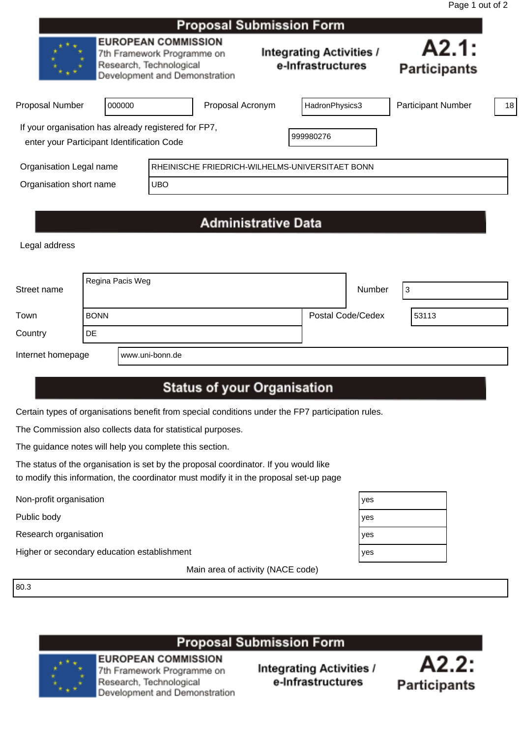|                                                                                                    |        |                                                                                                                      | <b>Proposal Submission Form</b> |  |                                                      |                              |    |
|----------------------------------------------------------------------------------------------------|--------|----------------------------------------------------------------------------------------------------------------------|---------------------------------|--|------------------------------------------------------|------------------------------|----|
|                                                                                                    |        | <b>EUROPEAN COMMISSION</b><br>7th Framework Programme on<br>Research, Technological<br>Development and Demonstration |                                 |  | <b>Integrating Activities /</b><br>e-Infrastructures | A2.1:<br><b>Participants</b> |    |
| <b>Proposal Number</b>                                                                             | 000000 |                                                                                                                      | Proposal Acronym                |  | HadronPhysics3                                       | <b>Participant Number</b>    | 18 |
| If your organisation has already registered for FP7,<br>enter your Participant Identification Code |        |                                                                                                                      |                                 |  | 999980276                                            |                              |    |
| Organisation Legal name                                                                            |        | RHEINISCHE FRIEDRICH-WILHELMS-UNIVERSITAET BONN                                                                      |                                 |  |                                                      |                              |    |
| Organisation short name                                                                            |        | <b>UBO</b>                                                                                                           |                                 |  |                                                      |                              |    |
|                                                                                                    |        |                                                                                                                      |                                 |  |                                                      |                              |    |

# **Administrative Data**

Legal address

| Street name       | Regina Pacis Weg |                   |                   | Number | 3     |
|-------------------|------------------|-------------------|-------------------|--------|-------|
| Town              | <b>BONN</b>      |                   | Postal Code/Cedex |        | 53113 |
| Country           | DE               |                   |                   |        |       |
| Internet homepage |                  | l www.uni-bonn.de |                   |        |       |

# **Status of your Organisation**

Certain types of organisations benefit from special conditions under the FP7 participation rules.

The Commission also collects data for statistical purposes.

The guidance notes will help you complete this section.

The status of the organisation is set by the proposal coordinator. If you would like to modify this information, the coordinator must modify it in the proposal set-up page

Non-profit organisation yes

Public body yes

Research organisation yes

Higher or secondary education establishment yes

Main area of activity (NACE code)

80.3



Research, Technological

Development and Demonstration

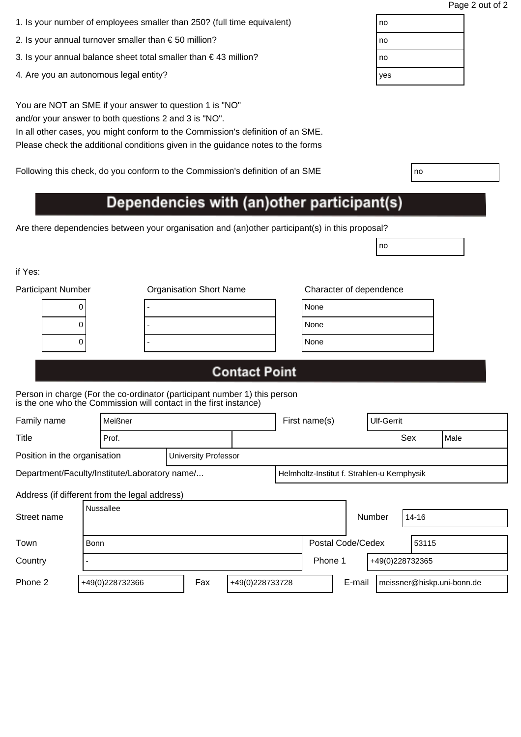| 1. Is your number of employees smaller than 250? (full time equivalent) | no |
|-------------------------------------------------------------------------|----|
|                                                                         |    |

- 2. Is your annual turnover smaller than  $\epsilon$  50 million?
- 3. Is your annual balance sheet total smaller than  $\epsilon$  43 million?
- 4. Are you an autonomous legal entity?

In all other cases, you might conform to the Commission's definition of an SME. Please check the additional conditions given in the guidance notes to the forms

Following this check, do you conform to the Commission's definition of an SME

# Dependencies with (an) other participant(s)

Are there dependencies between your organisation and (an)other participant(s) in this proposal?

if Yes:

| <b>Participant Number</b> | <b>Organisation Short Name</b> | Character of dependence |
|---------------------------|--------------------------------|-------------------------|
| U                         |                                | None                    |
| U                         |                                | None                    |
|                           |                                | None                    |
|                           |                                |                         |

| lone |  |  |
|------|--|--|
| lone |  |  |
| lone |  |  |

no

# **Contact Point**

| Family name                                                 |  | Meißner                                   |  |  |         | First name(s)                               |        | <b>Ulf-Gerrit</b> |       |                            |
|-------------------------------------------------------------|--|-------------------------------------------|--|--|---------|---------------------------------------------|--------|-------------------|-------|----------------------------|
| Title                                                       |  | Prof.                                     |  |  |         |                                             |        |                   | Sex   | Male                       |
| Position in the organisation<br><b>University Professor</b> |  |                                           |  |  |         |                                             |        |                   |       |                            |
| Department/Faculty/Institute/Laboratory name/               |  |                                           |  |  |         | Helmholtz-Institut f. Strahlen-u Kernphysik |        |                   |       |                            |
| Address (if different from the legal address)               |  |                                           |  |  |         |                                             |        |                   |       |                            |
| Street name                                                 |  | Nussallee                                 |  |  |         |                                             |        | Number            | 14-16 |                            |
| Town                                                        |  | <b>Bonn</b>                               |  |  |         | Postal Code/Cedex                           |        | 53115             |       |                            |
| Country                                                     |  |                                           |  |  | Phone 1 |                                             |        | +49(0)228732365   |       |                            |
| Phone 2                                                     |  | Fax<br>+49(0)228732366<br>+49(0)228733728 |  |  |         |                                             | E-mail |                   |       | meissner@hiskp.uni-bonn.de |

| no  |  |
|-----|--|
| no  |  |
| no  |  |
| yes |  |
|     |  |

| ٧ | I<br>×<br>۰. |  |
|---|--------------|--|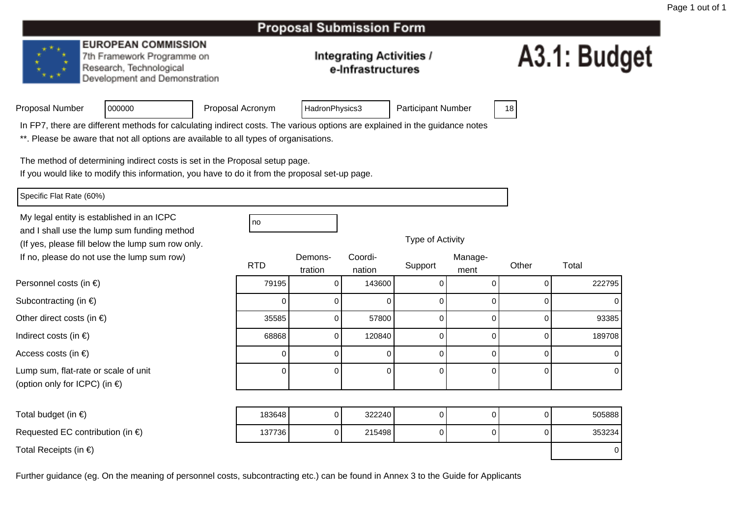### **EUROPEAN COMMISSION**

<sup>000000</sup>

7th Framework Programme on Research, Technological Development and Demonstration

### **Integrating Activities /** e-Infrastructures

# A3.1: Budget

| Proposal Number |  |
|-----------------|--|
|                 |  |

Proposal Acronym

HadronPhysics3 | Participant Number | 18

In FP7, there are different methods for calculating indirect costs. The various options are explained in the guidance notes

\*\*. Please be aware that not all options are available to all types of organisations.

The method of determining indirect costs is set in the Proposal setup page.

If you would like to modify this information, you have to do it from the proposal set-up page.

Specific Flat Rate (60%)

Personnel costs (in €)

Subcontracting (in €)

Indirect costs (in  $\epsilon$ )

Access costs (in €)

Other direct costs (in  $\epsilon$ )

My legal entity is established in an ICPCno all'altra di una proprietà di una proprietà di una di una di una di una di una di una di una di una di una and I shall use the lump sum funding method (If yes, please fill below the lump sum row only.If no, please do not use the lump sum row)

Type of Activity

| ot use the lump sum row)            | <b>RTD</b> | Demons-<br>tration | Coordi-<br>nation | Support | Manage-<br>ment | Other | Total  |
|-------------------------------------|------------|--------------------|-------------------|---------|-----------------|-------|--------|
| າ €)                                | 79195      |                    | 143600            |         |                 |       | 222795 |
| $\in)$                              |            |                    |                   |         |                 |       |        |
| $(in \in)$                          | 35585      |                    | 57800             |         |                 |       | 93385  |
|                                     | 68868      |                    | 120840            |         |                 |       | 189708 |
|                                     |            |                    | 0                 |         |                 |       | U      |
| e or scale of unit<br>$P$ C) (in €) |            |                    | 0                 |         | 0               |       | 0      |

Total budget (in  $\epsilon$ )

Requested EC contribution (in  $\epsilon$ )

Lump sum, flat-rate or scale of unit

(option only for ICPC) (in €)

Total Receipts (in €)

 <sup>183648</sup> <sup>0</sup> <sup>322240</sup> <sup>0</sup> <sup>0</sup> <sup>0</sup> <sup>505888</sup> <sup>137736</sup> <sup>0</sup> <sup>215498</sup> <sup>0</sup> <sup>0</sup> <sup>0</sup> <sup>353234</sup> ) and the contract of the contract of  $\sim$  0.000  $\mu$  . The contract of  $\sim$  0.000  $\mu$   $\sim$  0.000  $\mu$   $\sim$  0.000  $\mu$   $\sim$  0.000  $\mu$   $\sim$  0.000  $\mu$   $\sim$  0.000  $\mu$   $\sim$  0.000  $\mu$   $\sim$  0.000  $\mu$   $\sim$  0.000  $\mu$   $\sim$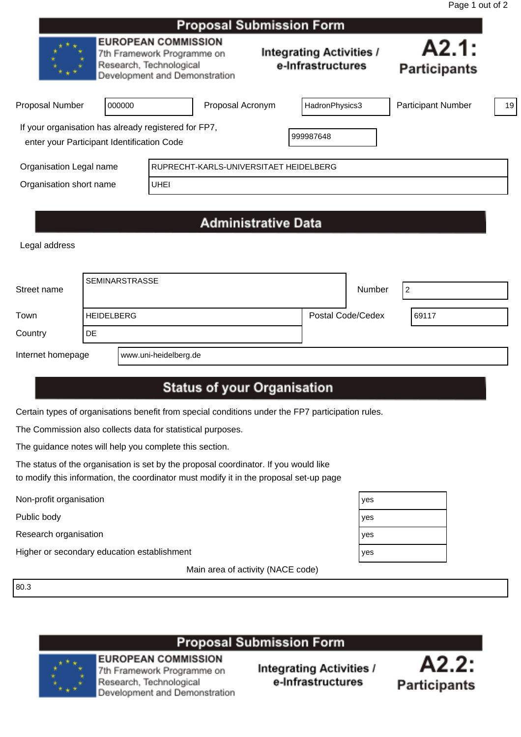|                                                                                                    |                                                                                                                      |             | <b>Proposal Submission Form</b>        |                                                      |                              |    |
|----------------------------------------------------------------------------------------------------|----------------------------------------------------------------------------------------------------------------------|-------------|----------------------------------------|------------------------------------------------------|------------------------------|----|
|                                                                                                    | <b>EUROPEAN COMMISSION</b><br>7th Framework Programme on<br>Research, Technological<br>Development and Demonstration |             |                                        | <b>Integrating Activities /</b><br>e-Infrastructures | A2.1:<br><b>Participants</b> |    |
| Proposal Number                                                                                    | 000000                                                                                                               |             | Proposal Acronym                       | HadronPhysics3                                       | <b>Participant Number</b>    | 19 |
| If your organisation has already registered for FP7,<br>enter your Participant Identification Code |                                                                                                                      |             |                                        | 999987648                                            |                              |    |
| Organisation Legal name                                                                            |                                                                                                                      |             | RUPRECHT-KARLS-UNIVERSITAET HEIDELBERG |                                                      |                              |    |
| Organisation short name                                                                            |                                                                                                                      | <b>UHEI</b> |                                        |                                                      |                              |    |
|                                                                                                    |                                                                                                                      |             |                                        |                                                      |                              |    |

# **Administrative Data**

Legal address

| Street name       |                   | <b>SEMINARSTRASSE</b> |                   | Number |  |       |
|-------------------|-------------------|-----------------------|-------------------|--------|--|-------|
| Town              | <b>HEIDELBERG</b> |                       | Postal Code/Cedex |        |  | 69117 |
| Country           | DE.               |                       |                   |        |  |       |
| Internet homepage |                   | www.uni-heidelberg.de |                   |        |  |       |

# **Status of your Organisation**

Certain types of organisations benefit from special conditions under the FP7 participation rules.

The Commission also collects data for statistical purposes.

The guidance notes will help you complete this section.

The status of the organisation is set by the proposal coordinator. If you would like to modify this information, the coordinator must modify it in the proposal set-up page

Non-profit organisation yes

Public body<br>Research organisation Research organisation

Higher or secondary education establishment yets are all the secondary of  $\vert$  y

Main area of activity (NACE code)

80.3

# **Proposal Submission Form**



**EUROPEAN COMMISSION** 7th Framework Programme on Research, Technological Development and Demonstration



| es |  |
|----|--|
| es |  |
| es |  |
| es |  |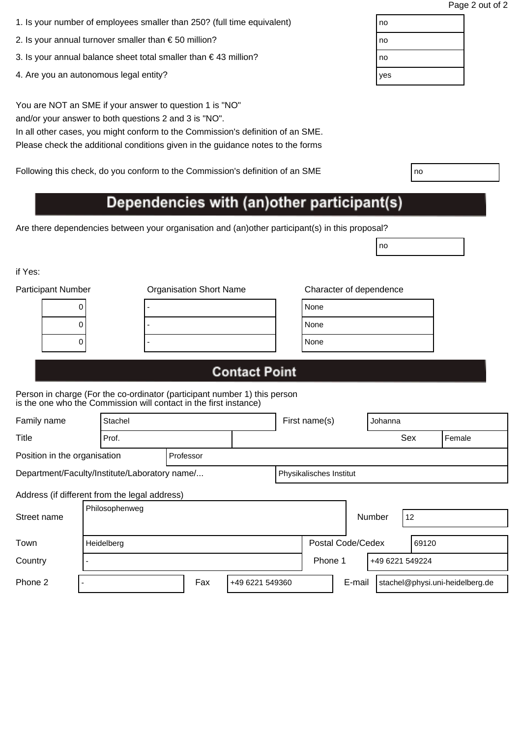| 1. Is your number of employees smaller than 250? (full time equivalent) | no |
|-------------------------------------------------------------------------|----|
|                                                                         |    |

- 2. Is your annual turnover smaller than € 50 million?  $\vert$  no
- 3. Is your annual balance sheet total smaller than € 43 million?  $\vert$  no
- 4. Are you an autonomous legal entity? We are also as a set of the set of the set of the set of the set of the set of the set of the set of the set of the set of the set of the set of the set of the set of the set of the s

In all other cases, you might conform to the Commission's definition of an SME. Please check the additional conditions given in the guidance notes to the forms

Following this check, do you conform to the Commission's definition of an SME

# Dependencies with (an)other participant(s)

Are there dependencies between your organisation and (an)other participant(s) in this proposal?

if Yes:

| <b>Participant Number</b> | <b>Organisation Short Name</b> | Character of dependence |
|---------------------------|--------------------------------|-------------------------|
| U                         |                                | None                    |
| O                         |                                | None                    |
|                           |                                | None                    |
|                           |                                |                         |

no

# **Contact Point**

Person in charge (For the co-ordinator (participant number 1) this person is the one who the Commission will contact in the first instance)

| Family name                                   | Stachel        |           |  | First name(s)           | Johanna         |     |       |        |
|-----------------------------------------------|----------------|-----------|--|-------------------------|-----------------|-----|-------|--------|
| Title                                         | Prof.          |           |  |                         |                 | Sex |       | Female |
| Position in the organisation                  |                | Professor |  |                         |                 |     |       |        |
| Department/Faculty/Institute/Laboratory name/ |                |           |  | Physikalisches Institut |                 |     |       |        |
| Address (if different from the legal address) |                |           |  |                         |                 |     |       |        |
| Street name                                   | Philosophenweg |           |  |                         | Number          | 12  |       |        |
| Town                                          | Heidelberg     |           |  | Postal Code/Cedex       |                 |     | 69120 |        |
| Country                                       |                |           |  | Phone 1                 | +49 6221 549224 |     |       |        |

Phone 2 |- Fax | +49 6221 549360 | E-mail stachel@physi.uni-heidelberg.de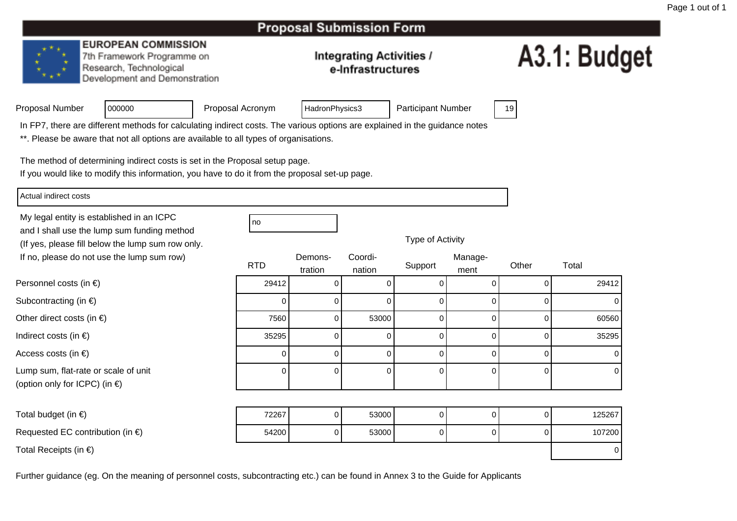### **EUROPEAN COMMISSION**

<sup>000000</sup>

7th Framework Programme on Research, Technological Development and Demonstration

### **Integrating Activities /** e-Infrastructures

# A3.1: Budget

|  | Proposal Number |
|--|-----------------|
|  |                 |

Proposal Acronym

HadronPhysics3 | Participant Number | 19

In FP7, there are different methods for calculating indirect costs. The various options are explained in the guidance notes

\*\*. Please be aware that not all options are available to all types of organisations.

The method of determining indirect costs is set in the Proposal setup page.

If you would like to modify this information, you have to do it from the proposal set-up page.

Actual indirect costs

My legal entity is established in an ICPCno all'altra di una proprietà di una proprietà di una di una di una di una di una di una di una di una di una and I shall use the lump sum funding method (If yes, please fill below the lump sum row only.If no, please do not use the lump sum row)

RTD

Other direct costs (in  $\epsilon$ )

Personnel costs (in €)

Subcontracting (in €)

Indirect costs (in  $\epsilon$ )

Access costs (in €)

Lump sum, flat-rate or scale of unit(option only for ICPC) (in €)

Total budget (in  $\epsilon$ ) <sup>72267</sup>7 | 0 | 53000 | 0 | 0 | 125267 Requested EC contribution (in  $\epsilon$ ) <sup>54200</sup> <sup>0</sup> <sup>53000</sup> <sup>0</sup> <sup>0</sup> <sup>0</sup> <sup>107200</sup> Total Receipts (in €)) and the contract of the contract of  $\sim$  0.000  $\mu$  . The contract of  $\sim$  0.000  $\mu$   $\sim$  0.000  $\mu$   $\sim$  0.000  $\mu$   $\sim$  0.000  $\mu$   $\sim$  0.000  $\mu$   $\sim$  0.000  $\mu$   $\sim$  0.000  $\mu$   $\sim$  0.000  $\mu$   $\sim$  0.000  $\mu$   $\sim$ 

Further guidance (eg. On the meaning of personnel costs, subcontracting etc.) can be found in Annex 3 to the Guide for Applicants

| 10 |  |  |
|----|--|--|
|    |  |  |

| ot use the lump sum row)            | <b>RTD</b> | Demons-<br>tration | Coordi-<br>nation | Support | Manage-<br>ment | Other | Total |
|-------------------------------------|------------|--------------------|-------------------|---------|-----------------|-------|-------|
| າ €)                                | 29412      |                    |                   |         |                 |       | 29412 |
| $\in)$                              |            |                    |                   | 0       |                 |       | U     |
| $(in \in)$                          | 7560       |                    | 53000             |         |                 |       | 60560 |
|                                     | 35295      |                    | $^{(1)}$          |         |                 |       | 35295 |
|                                     |            |                    | 0                 | 0       |                 |       |       |
| e or scale of unit<br>$P$ C) (in €) |            |                    | $\Omega$          |         | 0               |       | 0     |

Type of Activity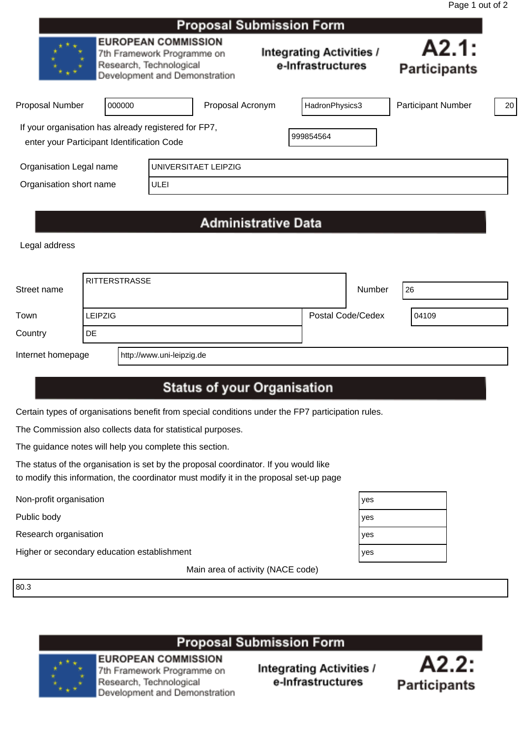|                                                                                                    |                                                                                                                      |             | <b>Proposal Submission Form</b>                      |                              |                           |    |
|----------------------------------------------------------------------------------------------------|----------------------------------------------------------------------------------------------------------------------|-------------|------------------------------------------------------|------------------------------|---------------------------|----|
|                                                                                                    | <b>EUROPEAN COMMISSION</b><br>7th Framework Programme on<br>Research, Technological<br>Development and Demonstration |             | <b>Integrating Activities /</b><br>e-Infrastructures | A2.1:<br><b>Participants</b> |                           |    |
| <b>Proposal Number</b>                                                                             | 000000                                                                                                               |             | Proposal Acronym                                     | HadronPhysics3               | <b>Participant Number</b> | 20 |
| If your organisation has already registered for FP7,<br>enter your Participant Identification Code |                                                                                                                      |             |                                                      | 999854564                    |                           |    |
| Organisation Legal name                                                                            |                                                                                                                      |             | UNIVERSITAET LEIPZIG                                 |                              |                           |    |
| Organisation short name                                                                            |                                                                                                                      | <b>ULEI</b> |                                                      |                              |                           |    |
|                                                                                                    |                                                                                                                      |             |                                                      |                              |                           |    |

# **Administrative Data**

Legal address

| Street name       |                | <b>RITTERSTRASSE</b>      | Number            | 26    |
|-------------------|----------------|---------------------------|-------------------|-------|
| Town              | <b>LEIPZIG</b> |                           | Postal Code/Cedex | 04109 |
| Country           | DE.            |                           |                   |       |
| Internet homepage |                | http://www.uni-leipzig.de |                   |       |

# **Status of your Organisation**

Certain types of organisations benefit from special conditions under the FP7 participation rules.

The Commission also collects data for statistical purposes.

The guidance notes will help you complete this section.

The status of the organisation is set by the proposal coordinator. If you would like to modify this information, the coordinator must modify it in the proposal set-up page

Non-profit organisation yes

Public body yes

Research organisation yes

Higher or secondary education establishment yes

Main area of activity (NACE code)

80.3

# **Proposal Submission Form**



**EUROPEAN COMMISSION** 7th Framework Programme on Research, Technological Development and Demonstration

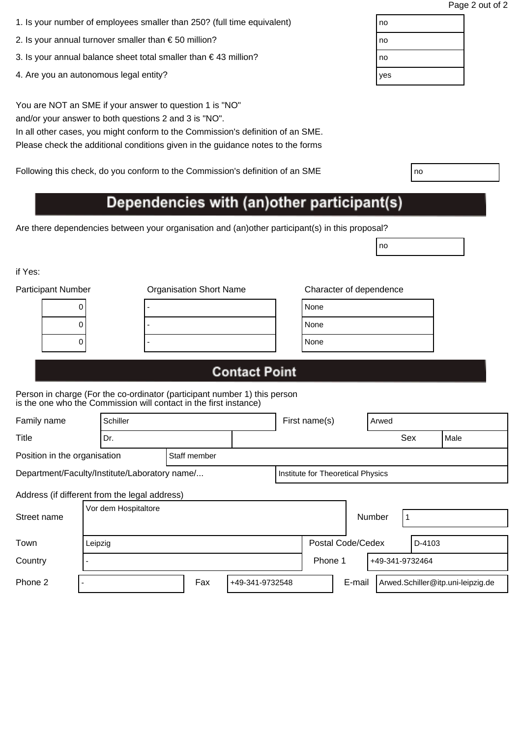| 1. Is your number of employees smaller than 250? (full time equivalent) | no |
|-------------------------------------------------------------------------|----|
|                                                                         |    |

- 2. Is your annual turnover smaller than  $\epsilon$  50 million?
- 3. Is your annual balance sheet total smaller than  $\epsilon$  43 million?
- 4. Are you an autonomous legal entity?

In all other cases, you might conform to the Commission's definition of an SME. Please check the additional conditions given in the guidance notes to the forms

Following this check, do you conform to the Commission's definition of an SME

# Dependencies with (an)other participant(s)

Are there dependencies between your organisation and (an)other participant(s) in this proposal?

if Yes:

| <b>Participant Number</b> | <b>Organisation Short Name</b> | Character of dependence |
|---------------------------|--------------------------------|-------------------------|
| U                         |                                | None                    |
| υ                         |                                | None                    |
|                           |                                | None                    |
|                           |                                |                         |

| lone |  |
|------|--|
| lone |  |
| lone |  |

no

# **Contact Point**

| Family name                                   |     | Schiller             |     |  |                            | First name(s)     |                                   | Arwed  |  |        |                                   |
|-----------------------------------------------|-----|----------------------|-----|--|----------------------------|-------------------|-----------------------------------|--------|--|--------|-----------------------------------|
| Title                                         | Dr. |                      |     |  |                            |                   |                                   | Sex    |  | Male   |                                   |
| Position in the organisation<br>Staff member  |     |                      |     |  |                            |                   |                                   |        |  |        |                                   |
| Department/Faculty/Institute/Laboratory name/ |     |                      |     |  |                            |                   | Institute for Theoretical Physics |        |  |        |                                   |
| Address (if different from the legal address) |     |                      |     |  |                            |                   |                                   |        |  |        |                                   |
| Street name                                   |     | Vor dem Hospitaltore |     |  |                            |                   |                                   | Number |  |        |                                   |
| Town                                          |     | Leipzig              |     |  |                            | Postal Code/Cedex |                                   |        |  | D-4103 |                                   |
| Country                                       |     |                      |     |  | Phone 1<br>+49-341-9732464 |                   |                                   |        |  |        |                                   |
| Phone 2                                       |     |                      | Fax |  | +49-341-9732548            |                   | E-mail                            |        |  |        | Arwed.Schiller@itp.uni-leipzig.de |

| no  |  |
|-----|--|
| no  |  |
| no  |  |
| yes |  |
|     |  |

| ٧ | ٧<br>I<br>×<br>۰. |  |
|---|-------------------|--|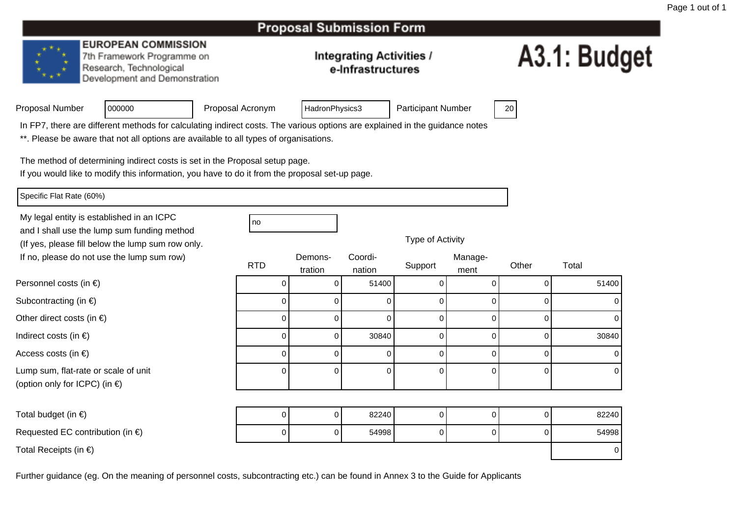### **EUROPEAN COMMISSION**

7th Framework Programme on Research, Technological Development and Demonstration

### **Integrating Activities /** e-Infrastructures

# A3.1: Budget

| Proposal Number |  |
|-----------------|--|
|                 |  |

Proposal Acronym

HadronPhysics3 | Participant Number | 20

In FP7, there are different methods for calculating indirect costs. The various options are explained in the guidance notes

\*\*. Please be aware that not all options are available to all types of organisations.

The method of determining indirect costs is set in the Proposal setup page.

If you would like to modify this information, you have to do it from the proposal set-up page.

Specific Flat Rate (60%)

Personnel costs (in €)

Subcontracting (in €)

Indirect costs (in  $\epsilon$ )

Access costs (in €)

Other direct costs (in  $\epsilon$ )

My legal entity is established in an ICPCno all'altra di una proprietà di una proprietà di una di una di una di una di una di una di una di una di una and I shall use the lump sum funding method (If yes, please fill below the lump sum row only.If no, please do not use the lump sum row)

<sup>000000</sup>

| Type of Activity |  |
|------------------|--|
|------------------|--|

0 | 82240 | 0 0 0 82240

0 | 54998 | 0 | 0 | 54998

| ot use the lump sum row)            |            | Demons- | Coordi- |         | Manage- |       |       |
|-------------------------------------|------------|---------|---------|---------|---------|-------|-------|
|                                     | <b>RTD</b> | tration | nation  | Support | ment    | Other | Total |
| າ €)                                |            |         | 51400   |         |         |       | 51400 |
| $\in)$                              |            |         |         |         |         |       | 0     |
| $(in \in)$                          |            |         |         |         |         |       | 0     |
|                                     |            |         | 30840   |         |         |       | 30840 |
|                                     |            |         |         |         |         |       | 0     |
| e or scale of unit<br>$P$ C) (in €) |            | 0       | 0       | O.      |         | 0     | 0     |

Total budget (in  $\epsilon$ )  $\begin{array}{ccc} \n\end{array}$ 

Requested EC contribution (in  $\epsilon$ ) <sup>0</sup>

Lump sum, flat-rate or scale of unit

(option only for ICPC) (in €)

Total Receipts (in €)) and the contract of the contract of  $\sim$  0.000  $\mu$  . The contract of  $\sim$  0.000  $\mu$   $\sim$  0.000  $\mu$   $\sim$  0.000  $\mu$   $\sim$  0.000  $\mu$   $\sim$  0.000  $\mu$   $\sim$  0.000  $\mu$   $\sim$  0.000  $\mu$   $\sim$  0.000  $\mu$   $\sim$  0.000  $\mu$   $\sim$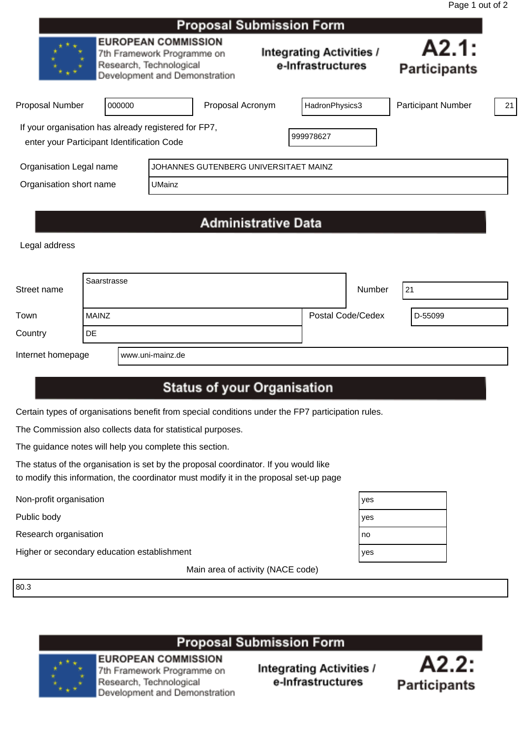|                                                                                                    |                                                                                                                      |                                       | <b>Proposal Submission Form</b> |  |                                                      |                              |    |
|----------------------------------------------------------------------------------------------------|----------------------------------------------------------------------------------------------------------------------|---------------------------------------|---------------------------------|--|------------------------------------------------------|------------------------------|----|
|                                                                                                    | <b>EUROPEAN COMMISSION</b><br>7th Framework Programme on<br>Research, Technological<br>Development and Demonstration |                                       |                                 |  | <b>Integrating Activities /</b><br>e-Infrastructures | A2.1:<br><b>Participants</b> |    |
| Proposal Number                                                                                    | 000000                                                                                                               |                                       | Proposal Acronym                |  | HadronPhysics3                                       | <b>Participant Number</b>    | 21 |
| If your organisation has already registered for FP7,<br>enter your Participant Identification Code |                                                                                                                      |                                       |                                 |  | 999978627                                            |                              |    |
| Organisation Legal name                                                                            |                                                                                                                      | JOHANNES GUTENBERG UNIVERSITAET MAINZ |                                 |  |                                                      |                              |    |
| Organisation short name                                                                            |                                                                                                                      | <b>UMainz</b>                         |                                 |  |                                                      |                              |    |
|                                                                                                    |                                                                                                                      |                                       |                                 |  |                                                      |                              |    |

# **Administrative Data**

Legal address

| Street name       | Saarstrasse  |                  | Number            | 21 |         |
|-------------------|--------------|------------------|-------------------|----|---------|
|                   |              |                  |                   |    |         |
| Town              | <b>MAINZ</b> |                  | Postal Code/Cedex |    | D-55099 |
| Country           | I DE         |                  |                   |    |         |
| Internet homepage |              | www.uni-mainz.de |                   |    |         |

# **Status of your Organisation**

Certain types of organisations benefit from special conditions under the FP7 participation rules.

The Commission also collects data for statistical purposes.

The guidance notes will help you complete this section.

The status of the organisation is set by the proposal coordinator. If you would like to modify this information, the coordinator must modify it in the proposal set-up page

Non-profit organisation yes

Public body yes

Research organisation  $\vert$  no

Higher or secondary education establishment yes

Main area of activity (NACE code)

80.3





**EUROPEAN COMMISSION** 7th Framework Programme on Research, Technological Development and Demonstration

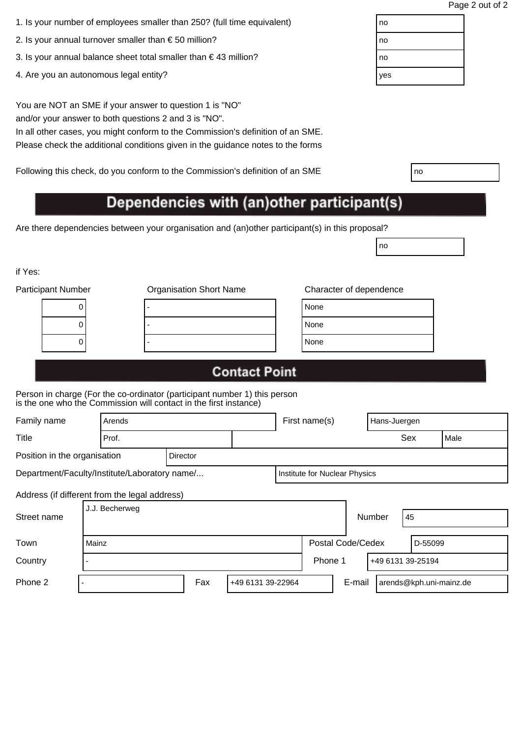| 1. Is your number of employees smaller than 250? (full time equivalent) | no |
|-------------------------------------------------------------------------|----|
|                                                                         |    |

- 2. Is your annual turnover smaller than  $\epsilon$  50 million?
- 3. Is your annual balance sheet total smaller than  $\epsilon$  43 million?
- 4. Are you an autonomous legal entity?

In all other cases, you might conform to the Commission's definition of an SME. Please check the additional conditions given in the guidance notes to the forms

Following this check, do you conform to the Commission's definition of an SME

# Dependencies with (an)other participant(s)

Are there dependencies between your organisation and (an)other participant(s) in this proposal?

if Yes:

| <b>Participant Number</b> |   | <b>Organisation Short Name</b> | Character of dependence |
|---------------------------|---|--------------------------------|-------------------------|
|                           | U |                                | None                    |
|                           | O |                                | None                    |
|                           | U |                                | None                    |
|                           |   |                                |                         |

| lone |  |  |
|------|--|--|
| lone |  |  |
| lone |  |  |

no

# **Contact Point**

| Family name                                   | Arends         |          | First name(s)                 |  | Hans-Juergen |    |  |  |
|-----------------------------------------------|----------------|----------|-------------------------------|--|--------------|----|--|--|
| Title                                         | Prof.          |          |                               |  | Sex<br>Male  |    |  |  |
| Position in the organisation                  |                | Director |                               |  |              |    |  |  |
| Department/Faculty/Institute/Laboratory name/ |                |          | Institute for Nuclear Physics |  |              |    |  |  |
| Address (if different from the legal address) |                |          |                               |  |              |    |  |  |
| Street name                                   | J.J. Becherweg |          |                               |  | Number       | 45 |  |  |
|                                               |                |          |                               |  |              |    |  |  |

| Town    | Mainz |     |                   |         | Postal Code/Cedex |                     | D-55099                 |
|---------|-------|-----|-------------------|---------|-------------------|---------------------|-------------------------|
| Country |       |     |                   | Phone 1 |                   | l +49 6131 39-25194 |                         |
| Phone 2 |       | Fax | +49 6131 39-22964 |         | E-mail            |                     | arends@kph.uni-mainz.de |

| no  |  |  |
|-----|--|--|
| no  |  |  |
| no  |  |  |
| yes |  |  |
|     |  |  |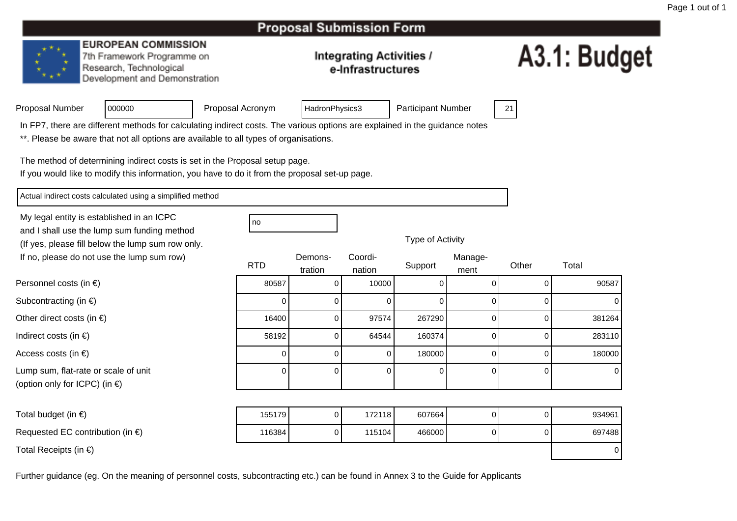### **EUROPEAN COMMISSION**

7th Framework Programme on Research, Technological Development and Demonstration

### **Integrating Activities /** e-Infrastructures

# A3.1: Budget

|  | Proposal Number |
|--|-----------------|
|  |                 |

Proposal Acronym

HadronPhysics3 | Participant Number | 21

In FP7, there are different methods for calculating indirect costs. The various options are explained in the guidance notes

\*\*. Please be aware that not all options are available to all types of organisations.

The method of determining indirect costs is set in the Proposal setup page.

If you would like to modify this information, you have to do it from the proposal set-up page.

Actual indirect costs calculated using a simplified method

<sup>000000</sup>

My legal entity is established in an ICPCno all'altra di una proprietà di una proprietà di una di una di una di una di una di una di una di una di una and I shall use the lump sum funding method (If yes, please fill below the lump sum row only.If no, please do not use the lump sum row)

| ot use the lump sum row)                     |            | Demons- | Coordi- |         | Manage- |       |        |
|----------------------------------------------|------------|---------|---------|---------|---------|-------|--------|
|                                              | <b>RTD</b> | tration | nation  | Support | ment    | Other | Total  |
| າ €)                                         | 80587      |         | 10000   |         |         |       | 90587  |
| $\in)$                                       |            |         |         |         |         |       | ∪∣     |
| $(in \in)$                                   | 16400      |         | 97574   | 267290  |         |       | 381264 |
|                                              | 58192      |         | 64544   | 160374  |         |       | 283110 |
|                                              |            |         | Ü       | 180000  |         |       | 180000 |
| e or scale of unit<br><sup>2</sup> C) (in €) |            | 0       |         |         |         |       | 0 I    |

Type of Activity

| Total budget (in $\epsilon$ ) |  |
|-------------------------------|--|
|                               |  |

Personnel costs (in €)

Subcontracting (in €)

Indirect costs (in  $\epsilon$ )

Access costs (in €)

Other direct costs (in  $\epsilon$ )

Requested EC contribution (in  $\epsilon$ )

Lump sum, flat-rate or scale of unit

(option only for ICPC) (in €)

Total Receipts (in €)

 <sup>155179</sup> <sup>0</sup> <sup>172118</sup> <sup>607664</sup> <sup>0</sup> <sup>0</sup> <sup>934961</sup> <sup>116384</sup> <sup>0</sup> <sup>115104</sup> <sup>466000</sup> <sup>0</sup> <sup>0</sup> <sup>697488</sup> ) and the contract of the contract of  $\sim$  0.000  $\mu$  . The contract of  $\sim$  0.000  $\mu$   $\sim$  0.000  $\mu$   $\sim$  0.000  $\mu$   $\sim$  0.000  $\mu$   $\sim$  0.000  $\mu$   $\sim$  0.000  $\mu$   $\sim$  0.000  $\mu$   $\sim$  0.000  $\mu$   $\sim$  0.000  $\mu$   $\sim$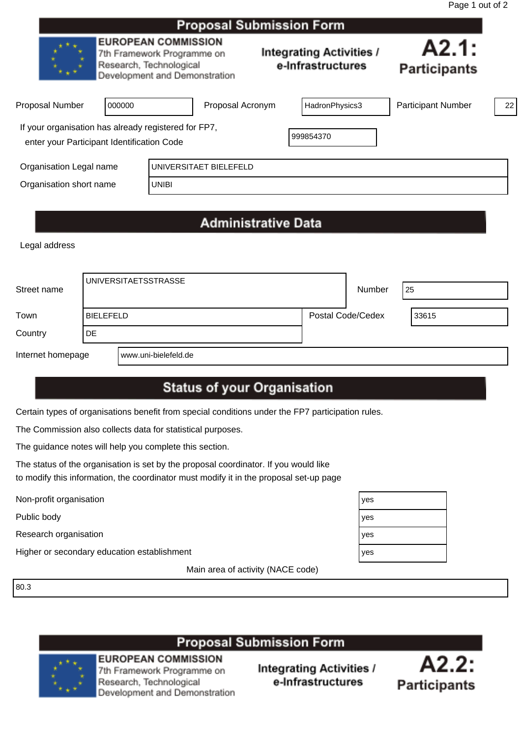|                         | <b>EUROPEAN COMMISSION</b><br>7th Framework Programme on<br>Research, Technological<br>Development and Demonstration |                                                                                                    |              | <b>Integrating Activities /</b><br>e-Infrastructures | A2.1:<br><b>Participants</b> |                           |    |
|-------------------------|----------------------------------------------------------------------------------------------------------------------|----------------------------------------------------------------------------------------------------|--------------|------------------------------------------------------|------------------------------|---------------------------|----|
| <b>Proposal Number</b>  |                                                                                                                      | 000000                                                                                             |              | Proposal Acronym                                     | HadronPhysics3               | <b>Participant Number</b> | 22 |
|                         |                                                                                                                      | If your organisation has already registered for FP7,<br>enter your Participant Identification Code |              |                                                      | 999854370                    |                           |    |
| Organisation Legal name |                                                                                                                      |                                                                                                    |              | UNIVERSITAET BIELEFELD                               |                              |                           |    |
| Organisation short name |                                                                                                                      |                                                                                                    | <b>UNIBI</b> |                                                      |                              |                           |    |

# **Administrative Data**

Legal address

| Street name       |           | UNIVERSITAETSSTRASSE |                   | Number | l 25  |
|-------------------|-----------|----------------------|-------------------|--------|-------|
| Town              | BIELEFELD |                      | Postal Code/Cedex |        | 33615 |
| Country           | DE        |                      |                   |        |       |
| Internet homepage |           | www.uni-bielefeld.de |                   |        |       |

# **Status of your Organisation**

Certain types of organisations benefit from special conditions under the FP7 participation rules.

The Commission also collects data for statistical purposes.

The guidance notes will help you complete this section.

The status of the organisation is set by the proposal coordinator. If you would like to modify this information, the coordinator must modify it in the proposal set-up page

Non-profit organisation yes

Public body yes

Research organisation yes

Higher or secondary education establishment yes

Main area of activity (NACE code)

80.3



Research, Technological

Development and Demonstration

**Proposal Submission Form** 

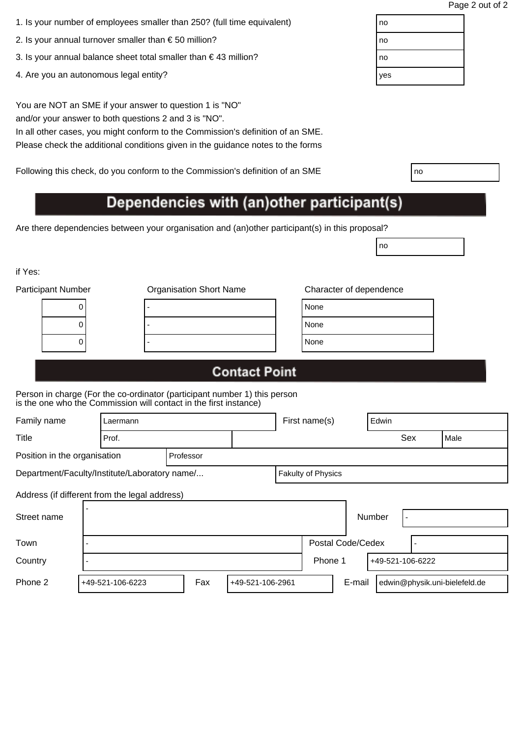| 1. Is your number of employees smaller than 250? (full time equivalent) | no |
|-------------------------------------------------------------------------|----|
|                                                                         |    |

- 2. Is your annual turnover smaller than  $\epsilon$  50 million?
- 3. Is your annual balance sheet total smaller than  $\epsilon$  43 million?
- 4. Are you an autonomous legal entity?

In all other cases, you might conform to the Commission's definition of an SME. Please check the additional conditions given in the guidance notes to the forms

Following this check, do you conform to the Commission's definition of an SME

# Dependencies with (an)other participant(s)

Are there dependencies between your organisation and (an)other participant(s) in this proposal?

if Yes:

| <b>Participant Number</b> | <b>Organisation Short Name</b> | Character of dependence |
|---------------------------|--------------------------------|-------------------------|
| U                         |                                | None                    |
| υ                         |                                | None                    |
|                           |                                | None                    |
|                           |                                |                         |

| lone |  |
|------|--|
| lone |  |
| lone |  |
|      |  |

no

# **Contact Point**

| Family name                                   |  | Laermann         |           |  |                  |  | First name(s)      |                   | Edwin  |                  |                               |
|-----------------------------------------------|--|------------------|-----------|--|------------------|--|--------------------|-------------------|--------|------------------|-------------------------------|
| Title                                         |  | Prof.            |           |  |                  |  |                    |                   |        | Sex              | Male                          |
| Position in the organisation                  |  |                  | Professor |  |                  |  |                    |                   |        |                  |                               |
| Department/Faculty/Institute/Laboratory name/ |  |                  |           |  |                  |  | Fakulty of Physics |                   |        |                  |                               |
| Address (if different from the legal address) |  |                  |           |  |                  |  |                    |                   |        |                  |                               |
| Street name                                   |  |                  |           |  |                  |  |                    |                   | Number |                  |                               |
| Town                                          |  |                  |           |  |                  |  |                    | Postal Code/Cedex |        |                  |                               |
| Country                                       |  |                  |           |  |                  |  | Phone 1            |                   |        | +49-521-106-6222 |                               |
| Phone 2                                       |  | +49-521-106-6223 | Fax       |  | +49-521-106-2961 |  |                    | E-mail            |        |                  | edwin@physik.uni-bielefeld.de |

| no  |  |
|-----|--|
| no  |  |
| no  |  |
| yes |  |
|     |  |

| ٧ | I<br>×<br>۰. |  |
|---|--------------|--|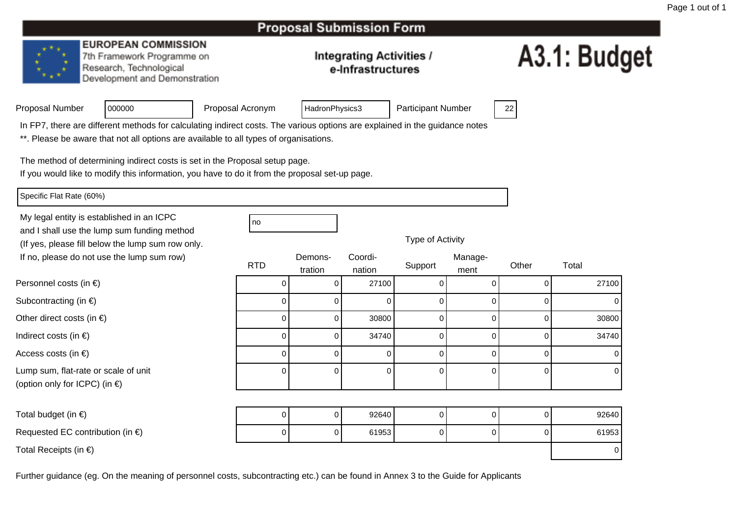### **EUROPEAN COMMISSION**

7th Framework Programme on Research, Technological Development and Demonstration

### **Integrating Activities /** e-Infrastructures

# A3.1: Budget

| Proposal Number |  |
|-----------------|--|
|                 |  |

Proposal Acronym

HadronPhysics3 | Participant Number | 22

In FP7, there are different methods for calculating indirect costs. The various options are explained in the guidance notes

\*\*. Please be aware that not all options are available to all types of organisations.

The method of determining indirect costs is set in the Proposal setup page.

If you would like to modify this information, you have to do it from the proposal set-up page.

Specific Flat Rate (60%)

Personnel costs (in €)

Subcontracting (in €)

Indirect costs (in  $\epsilon$ )

Access costs (in €)

Other direct costs (in  $\epsilon$ )

My legal entity is established in an ICPCno all'altra di una proprietà di una proprietà di una di una di una di una di una di una di una di una di una and I shall use the lump sum funding method (If yes, please fill below the lump sum row only.If no, please do not use the lump sum row)

<sup>000000</sup>

| below the lump sum row only.     |            |                    |                   |         |                 |       |       |
|----------------------------------|------------|--------------------|-------------------|---------|-----------------|-------|-------|
| ot use the lump sum row)         | <b>RTD</b> | Demons-<br>tration | Coordi-<br>nation | Support | Manage-<br>ment | Other | Total |
| ) €)                             |            |                    | 27100             |         |                 |       | 27100 |
| $\varepsilon$                    | U          |                    |                   |         | 0               |       |       |
| $(in \in)$                       |            |                    | 30800             |         | 0               |       | 30800 |
|                                  | 0          |                    | 34740             |         | 0               |       | 34740 |
|                                  | 0          |                    | 0                 |         | 0               | 0     |       |
| e or scale of unit<br>PC) (in €) | 0          |                    | $\Omega$          |         | 0               | U     |       |

| Total budget (in $\epsilon$ ) |  |
|-------------------------------|--|
|-------------------------------|--|

Requested EC contribution (in  $\epsilon$ )

Lump sum, flat-rate or scale of unit

(option only for ICPC) (in €)

Total Receipts (in €)

 $\begin{array}{ccc} \n\end{array}$ 0 0 92640 0 0 0 92640 <sup>0</sup>0 || 0 || 0 || 0 || 0 || 0 || 0 || 61953 ) and the contract of the contract of  $\sim$  0.000  $\mu$  . The contract of  $\sim$  0.000  $\mu$   $\sim$  0.000  $\mu$   $\sim$  0.000  $\mu$   $\sim$  0.000  $\mu$   $\sim$  0.000  $\mu$   $\sim$  0.000  $\mu$   $\sim$  0.000  $\mu$   $\sim$  0.000  $\mu$   $\sim$  0.000  $\mu$   $\sim$ 

Further guidance (eg. On the meaning of personnel costs, subcontracting etc.) can be found in Annex 3 to the Guide for Applicants

Type of Activity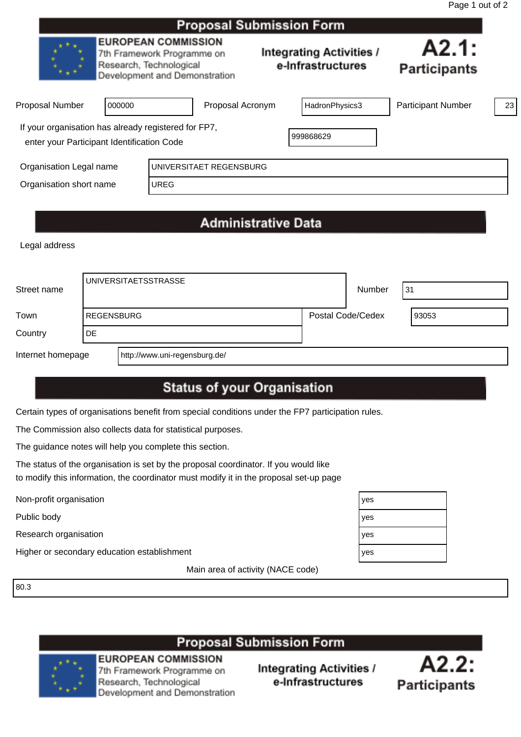|                                                                                                    |                                                                                                                      |             | Proposal Submission Form |                                                      |                              |    |
|----------------------------------------------------------------------------------------------------|----------------------------------------------------------------------------------------------------------------------|-------------|--------------------------|------------------------------------------------------|------------------------------|----|
|                                                                                                    | <b>EUROPEAN COMMISSION</b><br>7th Framework Programme on<br>Research, Technological<br>Development and Demonstration |             |                          | <b>Integrating Activities /</b><br>e-Infrastructures | A2.1:<br><b>Participants</b> |    |
| Proposal Number                                                                                    | 000000                                                                                                               |             | Proposal Acronym         | HadronPhysics3                                       | <b>Participant Number</b>    | 23 |
| If your organisation has already registered for FP7,<br>enter your Participant Identification Code |                                                                                                                      |             |                          | 999868629                                            |                              |    |
| Organisation Legal name<br>Organisation short name                                                 |                                                                                                                      | <b>UREG</b> | UNIVERSITAET REGENSBURG  |                                                      |                              |    |

# **Administrative Data**

Legal address

| Street name       |                   | I UNIVERSITAETSSTRASSE        | Number            | 131   |
|-------------------|-------------------|-------------------------------|-------------------|-------|
| Town              | <b>REGENSBURG</b> |                               | Postal Code/Cedex | 93053 |
| Country           | DE.               |                               |                   |       |
| Internet homepage |                   | http://www.uni-regensburg.de/ |                   |       |

# **Status of your Organisation**

Certain types of organisations benefit from special conditions under the FP7 participation rules.

The Commission also collects data for statistical purposes.

The guidance notes will help you complete this section.

The status of the organisation is set by the proposal coordinator. If you would like to modify this information, the coordinator must modify it in the proposal set-up page

Non-profit organisation yes

Public body yes

Research organisation yes

Higher or secondary education establishment yes

Main area of activity (NACE code)

80.3

# **Proposal Submission Form**



**EUROPEAN COMMISSION** 7th Framework Programme on Research, Technological Development and Demonstration

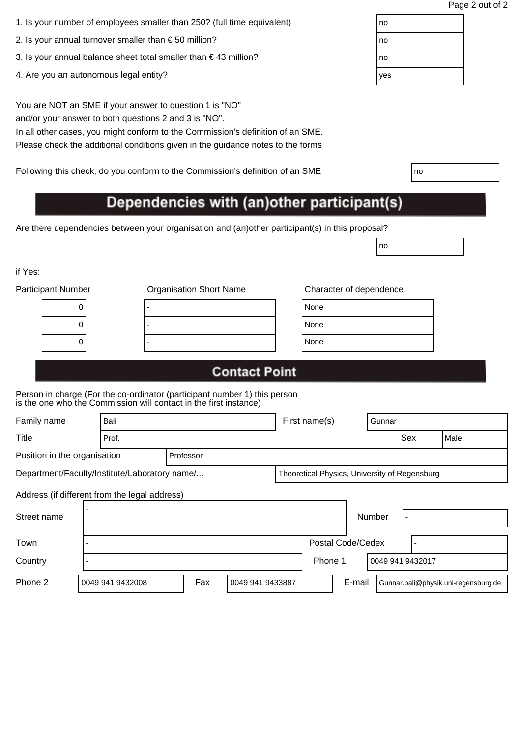| 1. Is your number of employees smaller than 250? (full time equivalent) | no |
|-------------------------------------------------------------------------|----|
|                                                                         |    |

- 2. Is your annual turnover smaller than  $\epsilon$  50 million?
- 3. Is your annual balance sheet total smaller than  $\epsilon$  43 million?
- 4. Are you an autonomous legal entity?

In all other cases, you might conform to the Commission's definition of an SME. Please check the additional conditions given in the guidance notes to the forms

Following this check, do you conform to the Commission's definition of an SME

# Dependencies with (an)other participant(s)

Are there dependencies between your organisation and (an)other participant(s) in this proposal?

if Yes:

| <b>Participant Number</b> | <b>Organisation Short Name</b> | Character of dependence |
|---------------------------|--------------------------------|-------------------------|
| υ                         |                                | None                    |
| U                         |                                | None                    |
| U                         |                                | None                    |
|                           |                                |                         |

| lone |  |
|------|--|
| lone |  |
| lone |  |

no

# **Contact Point**

| Family name                                   | Bali                                                                                           |                  |           |  | First name(s)    | Gunnar |         |                   |        |                  |                                      |
|-----------------------------------------------|------------------------------------------------------------------------------------------------|------------------|-----------|--|------------------|--------|---------|-------------------|--------|------------------|--------------------------------------|
| Title                                         |                                                                                                | Prof.            |           |  |                  |        |         |                   |        | Sex              | Male                                 |
| Position in the organisation                  |                                                                                                |                  | Professor |  |                  |        |         |                   |        |                  |                                      |
|                                               | Department/Faculty/Institute/Laboratory name/<br>Theoretical Physics, University of Regensburg |                  |           |  |                  |        |         |                   |        |                  |                                      |
| Address (if different from the legal address) |                                                                                                |                  |           |  |                  |        |         |                   |        |                  |                                      |
| Street name                                   |                                                                                                |                  |           |  |                  |        |         |                   | Number |                  |                                      |
| Town                                          |                                                                                                |                  |           |  |                  |        |         | Postal Code/Cedex |        |                  |                                      |
| Country                                       |                                                                                                |                  |           |  |                  |        | Phone 1 |                   |        | 0049 941 9432017 |                                      |
| Phone 2                                       |                                                                                                | 0049 941 9432008 | Fax       |  | 0049 941 9433887 |        |         | E-mail            |        |                  | Gunnar.bali@physik.uni-regensburg.de |

| no  |  |
|-----|--|
| no  |  |
| no  |  |
| yes |  |
|     |  |

| ٧<br>٧<br>× | I<br>۰. |
|-------------|---------|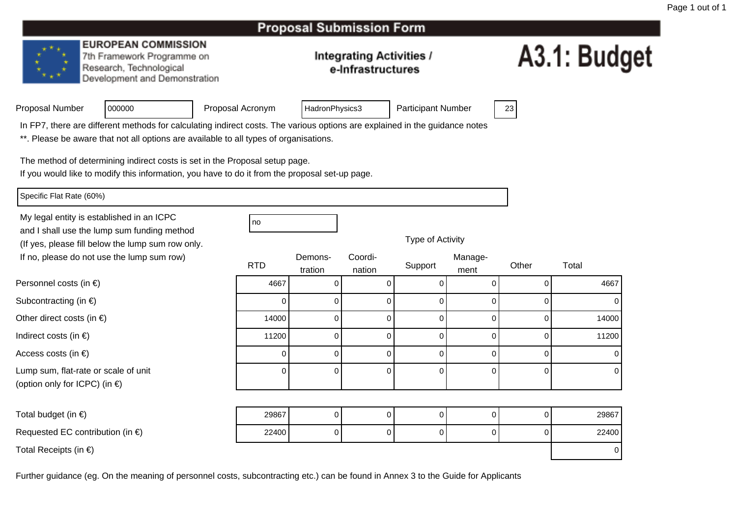### **EUROPEAN COMMISSION**

<sup>000000</sup>

7th Framework Programme on Research, Technological Development and Demonstration

### **Integrating Activities /** e-Infrastructures

# A3.1: Budget

| Proposal Number |  |
|-----------------|--|
|                 |  |

Proposal Acronym

HadronPhysics3 | Participant Number | 23

In FP7, there are different methods for calculating indirect costs. The various options are explained in the guidance notes

\*\*. Please be aware that not all options are available to all types of organisations.

The method of determining indirect costs is set in the Proposal setup page.

If you would like to modify this information, you have to do it from the proposal set-up page.

Specific Flat Rate (60%)

Personnel costs (in €)

Subcontracting (in €)

Indirect costs (in  $\epsilon$ )

Access costs (in €)

Other direct costs (in  $\epsilon$ )

Lump sum, flat-rate or scale of unit

(option only for ICPC) (in €)

My legal entity is established in an ICPCno all'altra di una proprietà di una proprietà di una di una di una di una di una di una di una di una di una and I shall use the lump sum funding methodIf no, please do not use the lump sum row)

| (If yes, please fill below the lump sum row only.                   |            |                    |                   | Type of Activity |                 |       |       |  |
|---------------------------------------------------------------------|------------|--------------------|-------------------|------------------|-----------------|-------|-------|--|
| If no, please do not use the lump sum row)                          | <b>RTD</b> | Demons-<br>tration | Coordi-<br>nation | Support          | Manage-<br>ment | Other | Total |  |
| ersonnel costs (in $\epsilon$ )                                     | 4667       |                    |                   |                  |                 |       | 4667  |  |
| ubcontracting (in $\epsilon$ )                                      |            |                    |                   |                  |                 |       |       |  |
| ther direct costs (in €)                                            | 14000      |                    |                   |                  |                 |       | 14000 |  |
| ndirect costs (in $\epsilon$ )                                      | 11200      | 0                  |                   |                  |                 |       | 11200 |  |
| ccess costs (in $\in$ ).                                            |            |                    |                   |                  |                 |       |       |  |
| ump sum, flat-rate or scale of unit<br>option only for ICPC) (in €) |            | 0                  |                   |                  |                 |       |       |  |

| Total budget (in $\epsilon$ )              | 29867 |  |  |  |  |   | 29867 |
|--------------------------------------------|-------|--|--|--|--|---|-------|
| Requested EC contribution (in $\epsilon$ ) | 22400 |  |  |  |  |   | 22400 |
| Total Receipts (in $\epsilon$ )            |       |  |  |  |  | 0 |       |

|  | Type of Activity |
|--|------------------|
|--|------------------|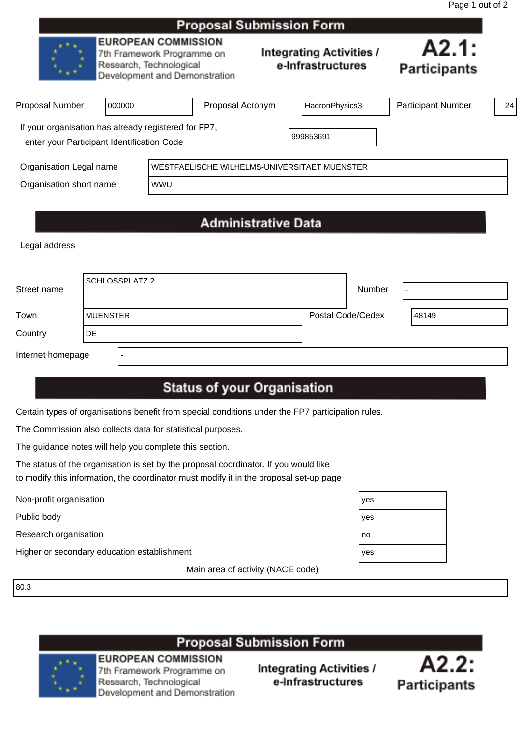|                                                                                                    |                                                                                                                      |            | <b>Proposal Submission Form</b> |  |                                                      |                              |    |
|----------------------------------------------------------------------------------------------------|----------------------------------------------------------------------------------------------------------------------|------------|---------------------------------|--|------------------------------------------------------|------------------------------|----|
|                                                                                                    | <b>EUROPEAN COMMISSION</b><br>7th Framework Programme on<br>Research, Technological<br>Development and Demonstration |            |                                 |  | <b>Integrating Activities /</b><br>e-Infrastructures | A2.1:<br><b>Participants</b> |    |
| Proposal Number                                                                                    | 000000                                                                                                               |            | Proposal Acronym                |  | HadronPhysics3                                       | <b>Participant Number</b>    | 24 |
| If your organisation has already registered for FP7,<br>enter your Participant Identification Code |                                                                                                                      |            |                                 |  | 999853691                                            |                              |    |
| Organisation Legal name                                                                            |                                                                                                                      |            |                                 |  | WESTFAELISCHE WILHELMS-UNIVERSITAET MUENSTER         |                              |    |
| Organisation short name                                                                            |                                                                                                                      | <b>WWU</b> |                                 |  |                                                      |                              |    |
|                                                                                                    |                                                                                                                      |            | <b>Administrative Data</b>      |  |                                                      |                              |    |

Legal address

| Street name       |          | SCHLOSSPLATZ 2 |                   | Number | $\overline{\phantom{0}}$ |
|-------------------|----------|----------------|-------------------|--------|--------------------------|
| Town              | MUENSTER |                | Postal Code/Cedex |        | 48149                    |
| Country           | DE.      |                |                   |        |                          |
| Internet homepage |          |                |                   |        |                          |

# **Status of your Organisation**

Certain types of organisations benefit from special conditions under the FP7 participation rules.

The Commission also collects data for statistical purposes.

The guidance notes will help you complete this section.

The status of the organisation is set by the proposal coordinator. If you would like to modify this information, the coordinator must modify it in the proposal set-up page

Non-profit organisation yes

Public body  $y'$ 

Research organisation  $\Gamma$ 

Higher or secondary education establishment yet

Main area of activity (NACE code)

80.3

**Proposal Submission Form** 



**EUROPEAN COMMISSION** 7th Framework Programme on Research, Technological

Development and Demonstration



| эs |  |
|----|--|
| ЭS |  |
| ٥  |  |
| ЭS |  |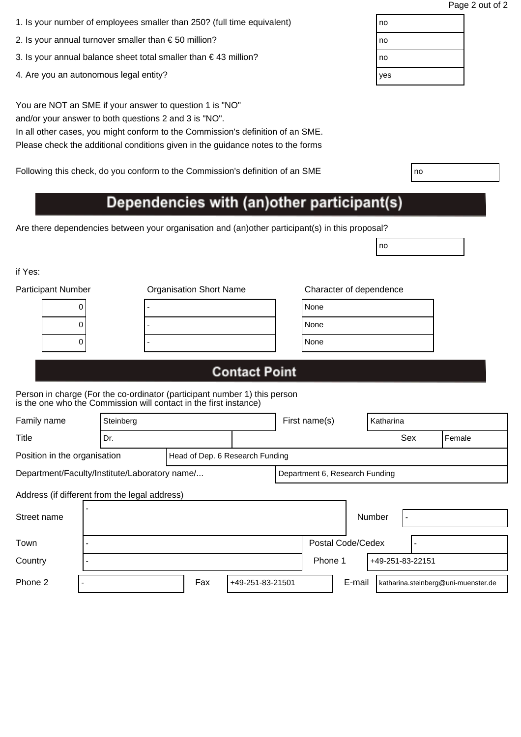| 1. Is your number of employees smaller than 250? (full time equivalent) | no |
|-------------------------------------------------------------------------|----|
|                                                                         |    |

- 2. Is your annual turnover smaller than  $\epsilon$  50 million?
- 3. Is your annual balance sheet total smaller than  $\epsilon$  43 million?
- 4. Are you an autonomous legal entity?

In all other cases, you might conform to the Commission's definition of an SME. Please check the additional conditions given in the guidance notes to the forms

Following this check, do you conform to the Commission's definition of an SME

# Dependencies with (an)other participant(s)

Are there dependencies between your organisation and (an)other participant(s) in this proposal?

if Yes:

| <b>Participant Number</b> | <b>Organisation Short Name</b> | Character of dependence |
|---------------------------|--------------------------------|-------------------------|
| υ                         |                                | None                    |
| υ                         |                                | None                    |
|                           |                                | None                    |
|                           |                                |                         |

| lone |  |
|------|--|
| lone |  |
| lone |  |

no

# **Contact Point**

| Family name                                                     | Steinberg |  |                                |  | First name(s)     |        | Katharina |     |        |  |
|-----------------------------------------------------------------|-----------|--|--------------------------------|--|-------------------|--------|-----------|-----|--------|--|
| Title                                                           | Dr.       |  |                                |  |                   |        |           | Sex | Female |  |
| Position in the organisation<br>Head of Dep. 6 Research Funding |           |  |                                |  |                   |        |           |     |        |  |
| Department/Faculty/Institute/Laboratory name/                   |           |  | Department 6, Research Funding |  |                   |        |           |     |        |  |
| Address (if different from the legal address)                   |           |  |                                |  |                   |        |           |     |        |  |
| Street name                                                     |           |  |                                |  |                   | Number |           |     |        |  |
| Town                                                            |           |  |                                |  | Postal Code/Cedex |        |           |     |        |  |

| Country |  |     |                    |  | Phone<br>1+49-251-83-22151 |  |                                     |
|---------|--|-----|--------------------|--|----------------------------|--|-------------------------------------|
| Phone 2 |  | Fax | l +49-251-83-21501 |  | E-mail                     |  | katharina.steinberg@uni-muenster.de |

| no  |  |  |
|-----|--|--|
| no  |  |  |
| no  |  |  |
| yes |  |  |
|     |  |  |

| ٧                 |  |
|-------------------|--|
| I<br>$\sim$<br>۰. |  |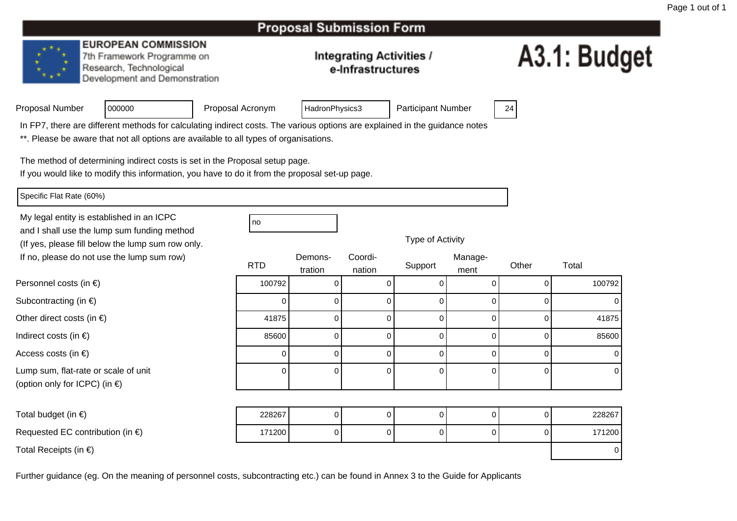### **EUROPEAN COMMISSION**

7th Framework Programme on Research, Technological Development and Demonstration

### **Integrating Activities /** e-Infrastructures

# A3.1: Budget

| Proposal Number |  |
|-----------------|--|
|                 |  |

Proposal Acronym

HadronPhysics3 | Participant Number | 24

In FP7, there are different methods for calculating indirect costs. The various options are explained in the guidance notes

\*\*. Please be aware that not all options are available to all types of organisations.

The method of determining indirect costs is set in the Proposal setup page.

If you would like to modify this information, you have to do it from the proposal set-up page.

Specific Flat Rate (60%)

Personnel costs (in €)

Subcontracting (in €)

Indirect costs (in  $\epsilon$ )

Access costs (in €)

Other direct costs (in  $\epsilon$ )

Lump sum, flat-rate or scale of unit

(option only for ICPC) (in €)

My legal entity is established in an ICPCno all'altra di una proprietà di una proprietà di una di una di una di una di una di una di una di una di una and I shall use the lump sum funding method (If yes, please fill below the lump sum row only.If no, please do not use the lump sum row)

<sup>000000</sup>

| ot use the lump sum row)            | <b>RTD</b> | Demons-<br>tration | Coordi-<br>nation | Support | Manage-<br>ment | Other    | Total  |
|-------------------------------------|------------|--------------------|-------------------|---------|-----------------|----------|--------|
| າ €)                                | 100792     |                    |                   |         |                 |          | 100792 |
| $\in)$                              |            |                    |                   |         |                 |          | 0      |
| $(in \in)$                          | 41875      |                    |                   |         |                 |          | 41875  |
|                                     | 85600      | 0                  | 0                 | 0       |                 | 0        | 85600  |
|                                     |            |                    |                   |         |                 |          | 0      |
| e or scale of unit<br>$P$ C) (in €) |            | 0                  | 0                 | 0       |                 | $\Omega$ | 0      |

Type of Activity

| Total budget (in $\epsilon$ )              | 228267 |  |  |  |  |  | 228267 |
|--------------------------------------------|--------|--|--|--|--|--|--------|
| Requested EC contribution (in $\epsilon$ ) | 171200 |  |  |  |  |  | 171200 |
| Total Receipts (in $\epsilon$ )            |        |  |  |  |  |  | 0 I    |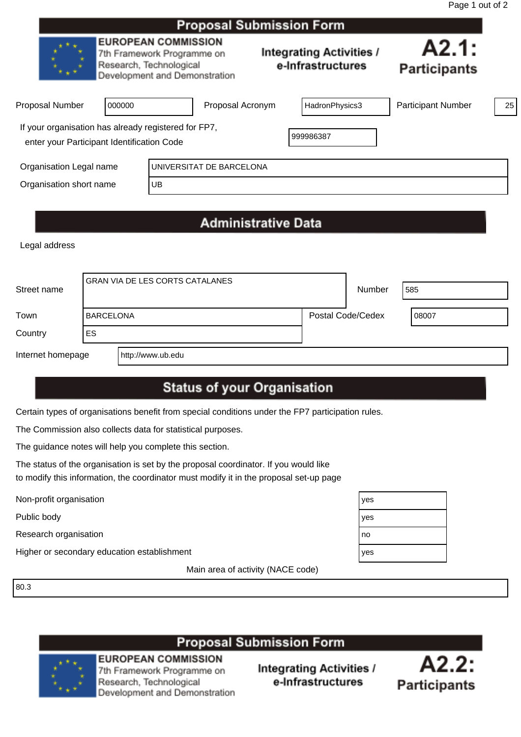|                                                                                                    |                                                                                                                      |                          | Proposal Jubilission Form |                                                      |                              |                           |    |
|----------------------------------------------------------------------------------------------------|----------------------------------------------------------------------------------------------------------------------|--------------------------|---------------------------|------------------------------------------------------|------------------------------|---------------------------|----|
|                                                                                                    | <b>EUROPEAN COMMISSION</b><br>7th Framework Programme on<br>Research, Technological<br>Development and Demonstration |                          |                           | <b>Integrating Activities /</b><br>e-Infrastructures | A2.1:<br><b>Participants</b> |                           |    |
| <b>Proposal Number</b>                                                                             | 000000                                                                                                               |                          | Proposal Acronym          |                                                      | HadronPhysics3               | <b>Participant Number</b> | 25 |
| If your organisation has already registered for FP7,<br>enter your Participant Identification Code |                                                                                                                      |                          |                           |                                                      | 999986387                    |                           |    |
| Organisation Legal name                                                                            |                                                                                                                      | UNIVERSITAT DE BARCELONA |                           |                                                      |                              |                           |    |
| Organisation short name                                                                            |                                                                                                                      | UB                       |                           |                                                      |                              |                           |    |
|                                                                                                    |                                                                                                                      |                          |                           |                                                      |                              |                           |    |

# **Administrative Data**

Legal address

| Street name       | <b>GRAN VIA DE LES CORTS CATALANES</b> |                   |                          | Number | 585   |  |
|-------------------|----------------------------------------|-------------------|--------------------------|--------|-------|--|
| Town              | <b>BARCELONA</b>                       |                   | <b>Postal Code/Cedex</b> |        | 08007 |  |
| Country           | ES                                     |                   |                          |        |       |  |
| Internet homepage |                                        | http://www.ub.edu |                          |        |       |  |

# **Status of your Organisation**

Certain types of organisations benefit from special conditions under the FP7 participation rules.

The Commission also collects data for statistical purposes.

The guidance notes will help you complete this section.

The status of the organisation is set by the proposal coordinator. If you would like to modify this information, the coordinator must modify it in the proposal set-up page

Non-profit organisation yes

Public body yes

Research organisation no metal and the search organisation no metal and the search organisation no metal and  $\vert$  no metal and the search of the search of the search of the search of the search of the search of the search

Higher or secondary education establishment yes

Main area of activity (NACE code)

80.3





**EUROPEAN COMMISSION** 7th Framework Programme on Research, Technological Development and Demonstration

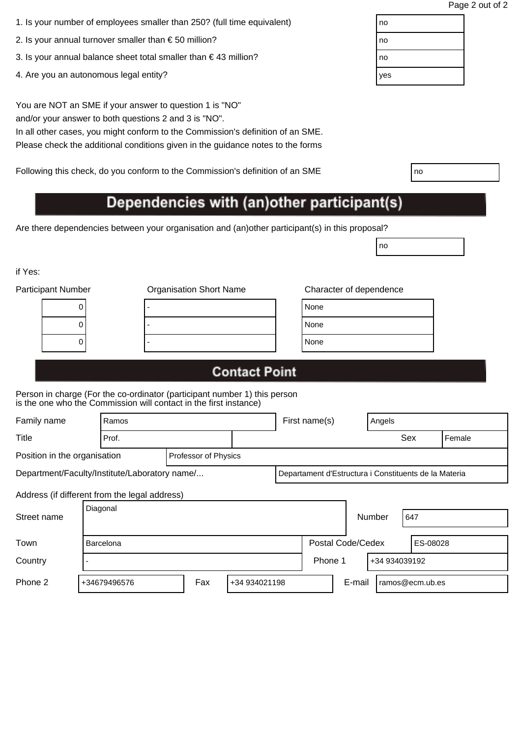| 1. Is your number of employees smaller than 250? (full time equivalent) | no |
|-------------------------------------------------------------------------|----|
|                                                                         |    |

- 2. Is your annual turnover smaller than  $\epsilon$  50 million?
- 3. Is your annual balance sheet total smaller than  $\epsilon$  43 million?
- 4. Are you an autonomous legal entity?

In all other cases, you might conform to the Commission's definition of an SME. Please check the additional conditions given in the guidance notes to the forms

Following this check, do you conform to the Commission's definition of an SME

# Dependencies with (an)other participant(s)

Are there dependencies between your organisation and (an)other participant(s) in this proposal?

if Yes:

| <b>Participant Number</b> |   | <b>Organisation Short Name</b> | Character of dependence |
|---------------------------|---|--------------------------------|-------------------------|
|                           | U |                                | None                    |
|                           | U |                                | None                    |
|                           |   |                                | None                    |
|                           |   |                                |                         |

| lone |  |
|------|--|
| lone |  |
| lone |  |
|      |  |

no

# **Contact Point**

| Family name<br>Ramos                          |       |              |                      |  |  | First name(s)                                         |  | Angels |                 |  |        |
|-----------------------------------------------|-------|--------------|----------------------|--|--|-------------------------------------------------------|--|--------|-----------------|--|--------|
| Title                                         | Prof. |              |                      |  |  |                                                       |  |        | Sex             |  | Female |
| Position in the organisation                  |       |              | Professor of Physics |  |  |                                                       |  |        |                 |  |        |
| Department/Faculty/Institute/Laboratory name/ |       |              |                      |  |  | Departament d'Estructura i Constituents de la Materia |  |        |                 |  |        |
| Address (if different from the legal address) |       |              |                      |  |  |                                                       |  |        |                 |  |        |
| Street name                                   |       | Diagonal     |                      |  |  | 647<br>Number                                         |  |        |                 |  |        |
| Town                                          |       | Barcelona    |                      |  |  | Postal Code/Cedex<br>ES-08028                         |  |        |                 |  |        |
| Country                                       |       |              |                      |  |  | Phone 1<br>+34 934039192                              |  |        |                 |  |        |
| Phone 2                                       |       | +34679496576 | Fax<br>+34 934021198 |  |  | E-mail                                                |  |        | ramos@ecm.ub.es |  |        |

| ገ0  |  |
|-----|--|
| ነ0  |  |
| ነ0  |  |
| /es |  |
|     |  |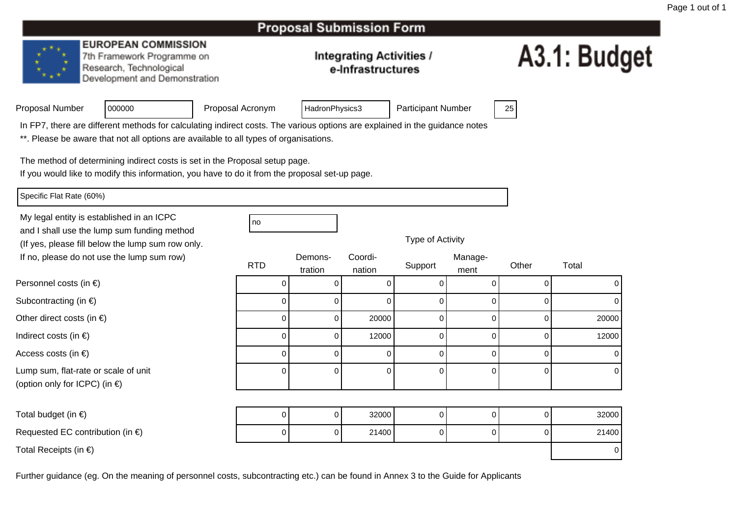#### **EUROPEAN COMMISSION**

7th Framework Programme on Research, Technological Development and Demonstration

#### **Integrating Activities /** e-Infrastructures

# A3.1: Budget

| Proposal Number |  |
|-----------------|--|
|                 |  |

Proposal Acronym

HadronPhysics3 | Participant Number | 25

In FP7, there are different methods for calculating indirect costs. The various options are explained in the guidance notes

\*\*. Please be aware that not all options are available to all types of organisations.

The method of determining indirect costs is set in the Proposal setup page.

If you would like to modify this information, you have to do it from the proposal set-up page.

Specific Flat Rate (60%)

Personnel costs (in €)

Subcontracting (in €)

Indirect costs (in  $\epsilon$ )

Access costs (in €)

Other direct costs (in  $\epsilon$ )

Lump sum, flat-rate or scale of unit

(option only for ICPC) (in €)

My legal entity is established in an ICPCno all'altra di una proprietà di una proprietà di una proprietà di una di una di una di una di una di una di u and I shall use the lump sum funding method (If yes, please fill below the lump sum row only.If no, please do not use the lump sum row)

<sup>000000</sup>

| below the lump sum row only.     |            |                    |                   | Type of Activity |                 |          |       |
|----------------------------------|------------|--------------------|-------------------|------------------|-----------------|----------|-------|
| ot use the lump sum row)         | <b>RTD</b> | Demons-<br>tration | Coordi-<br>nation | Support          | Manage-<br>ment | Other    | Total |
| າ €)                             |            |                    |                   |                  |                 |          |       |
| $\in)$                           |            |                    |                   |                  |                 |          |       |
| $(in \in)$                       |            |                    | 20000             |                  |                 |          | 20000 |
|                                  |            | 0                  | 12000             | 0                |                 |          | 12000 |
|                                  |            | 0                  |                   | 0                |                 |          |       |
| e or scale of unit<br>PC) (in €) | 0          | 0                  | 0                 | 0                | 0               | $\Omega$ |       |

Total budget (in  $\epsilon$ )  $\begin{array}{ccc} \n\end{array}$ 0 0 32000 0 0 0 32000 Requested EC contribution (in  $\epsilon$ ) <sup>0</sup>0 0 21400 0 0 0 21400 Total Receipts (in €)) and the contract of the contract of  $\sim$  0.000  $\mu$  . The contract of  $\sim$  0.000  $\mu$   $\sim$  0.000  $\mu$   $\sim$  0.000  $\mu$   $\sim$  0.000  $\mu$   $\sim$  0.000  $\mu$   $\sim$  0.000  $\mu$   $\sim$  0.000  $\mu$   $\sim$  0.000  $\mu$   $\sim$  0.000  $\mu$   $\sim$ 

| O.<br>т |  |  |
|---------|--|--|
|---------|--|--|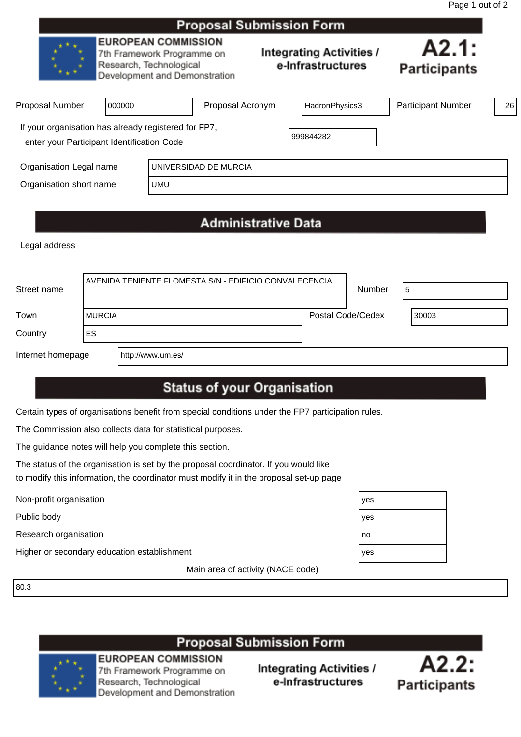|                                                                                                    |                                                                                        |                            | Proposal Submission Form |                                                      |                              |    |
|----------------------------------------------------------------------------------------------------|----------------------------------------------------------------------------------------|----------------------------|--------------------------|------------------------------------------------------|------------------------------|----|
|                                                                                                    | <b>EUROPEAN COMMISSION</b><br>Research, Technological<br>Development and Demonstration | 7th Framework Programme on |                          | <b>Integrating Activities /</b><br>e-Infrastructures | A2.1:<br><b>Participants</b> |    |
| Proposal Number                                                                                    | 000000                                                                                 |                            | Proposal Acronym         | HadronPhysics3                                       | <b>Participant Number</b>    | 26 |
| If your organisation has already registered for FP7,<br>enter your Participant Identification Code |                                                                                        |                            |                          | 999844282                                            |                              |    |
| Organisation Legal name                                                                            |                                                                                        |                            | UNIVERSIDAD DE MURCIA    |                                                      |                              |    |
| Organisation short name                                                                            |                                                                                        | <b>UMU</b>                 |                          |                                                      |                              |    |
|                                                                                                    |                                                                                        |                            |                          |                                                      |                              |    |

# **Administrative Data**

Legal address

| Street name       |                | AVENIDA TENIENTE FLOMESTA S/N - EDIFICIO CONVALECENCIA |                   | Number | -5 |       |
|-------------------|----------------|--------------------------------------------------------|-------------------|--------|----|-------|
| Town              | <b>IMURCIA</b> |                                                        | Postal Code/Cedex |        |    | 30003 |
| Country           | ES             |                                                        |                   |        |    |       |
| Internet homepage |                | http://www.um.es/                                      |                   |        |    |       |

# **Status of your Organisation**

Certain types of organisations benefit from special conditions under the FP7 participation rules.

The Commission also collects data for statistical purposes.

The guidance notes will help you complete this section.

The status of the organisation is set by the proposal coordinator. If you would like to modify this information, the coordinator must modify it in the proposal set-up page

Public body

Research organisation

Non-profit organisation<br>
Public body<br>
Research organisation<br>
Higher or secondary education establishment Higher or secondary education establishment

Main area of activity (NACE code)

80.3

### **Proposal Submission Form**



**EUROPEAN COMMISSION** 7th Framework Programme on Research, Technological Development and Demonstration



| es |  |
|----|--|
| es |  |
| 0  |  |
| es |  |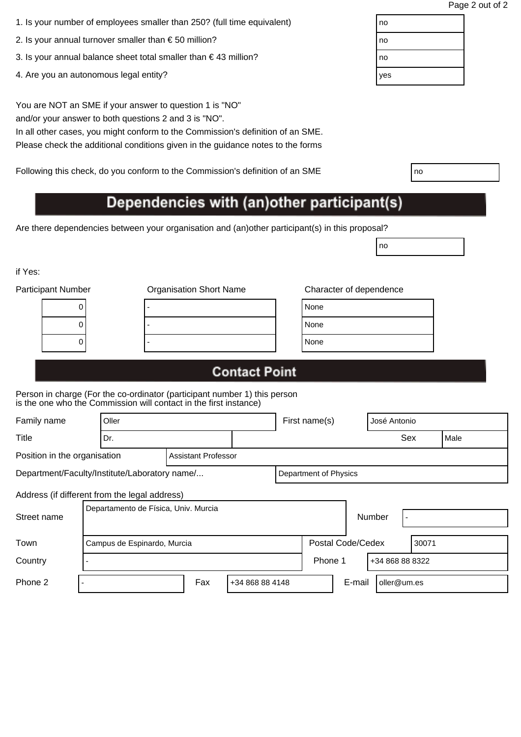| 1. Is your number of employees smaller than 250? (full time equivalent) | no |
|-------------------------------------------------------------------------|----|
|                                                                         |    |

- 2. Is your annual turnover smaller than € 50 million?  $\Box$  no
- 3. Is your annual balance sheet total smaller than € 43 million?  $\vert$  no
- 4. Are you an autonomous legal entity? yes will be a set of the set of the set of the set of the set of the set of the set of the set of the set of the set of the set of the set of the set of the set of the set of the set

You are NOT an SME if your answer to question 1 is "NO" and/or your answer to both questions 2 and 3 is "NO".

In all other cases, you might conform to the Commission's definition of an SME. Please check the additional conditions given in the guidance notes to the forms

Following this check, do you conform to the Commission's definition of an SME

# Dependencies with (an)other participant(s)

Are there dependencies between your organisation and (an)other participant(s) in this proposal?

if Yes:

| <b>Participant Number</b> | <b>Organisation Short Name</b> | Character of dependence |
|---------------------------|--------------------------------|-------------------------|
| U                         |                                | None                    |
|                           |                                | None                    |
|                           |                                | None                    |
|                           |                                |                         |

no

## **Contact Point**

Person in charge (For the co-ordinator (participant number 1) this person is the one who the Commission will contact in the first instance)

| Family name<br>Oller                          |                                      |                             |                            |  |  | First name(s)         |     | José Antonio    |       |  |
|-----------------------------------------------|--------------------------------------|-----------------------------|----------------------------|--|--|-----------------------|-----|-----------------|-------|--|
| Title                                         |                                      | Dr.                         |                            |  |  |                       | Sex |                 | Male  |  |
| Position in the organisation                  |                                      |                             | <b>Assistant Professor</b> |  |  |                       |     |                 |       |  |
| Department/Faculty/Institute/Laboratory name/ |                                      |                             |                            |  |  | Department of Physics |     |                 |       |  |
| Address (if different from the legal address) |                                      |                             |                            |  |  |                       |     |                 |       |  |
| Street name                                   | Departamento de Física, Univ. Murcia |                             |                            |  |  |                       |     | Number          |       |  |
| Town                                          |                                      | Campus de Espinardo, Murcia |                            |  |  | Postal Code/Cedex     |     |                 | 30071 |  |
| Country                                       |                                      |                             |                            |  |  | Phone 1               |     | +34 868 88 8322 |       |  |

Phone 2 | Fax | +34 868 88 4148 | Famail oller@um.es

| ٧<br>$\sim$ |  |
|-------------|--|
|-------------|--|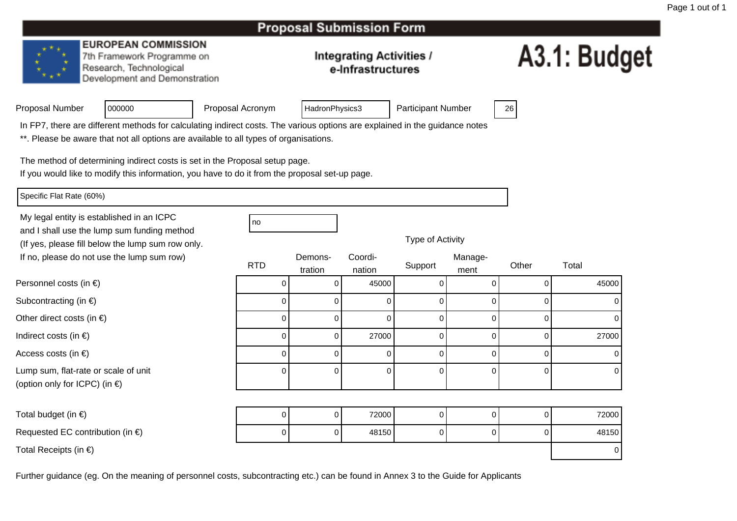#### **EUROPEAN COMMISSION**

7th Framework Programme on Research, Technological Development and Demonstration

#### **Integrating Activities /** e-Infrastructures

# A3.1: Budget

| Proposal Number |  |  |  |
|-----------------|--|--|--|
|-----------------|--|--|--|

Proposal Acronym

HadronPhysics3 | Participant Number | 26

In FP7, there are different methods for calculating indirect costs. The various options are explained in the guidance notes

\*\*. Please be aware that not all options are available to all types of organisations.

The method of determining indirect costs is set in the Proposal setup page.

If you would like to modify this information, you have to do it from the proposal set-up page.

Specific Flat Rate (60%)

Personnel costs (in €)

Subcontracting (in €)

Indirect costs (in  $\epsilon$ )

Access costs (in €)

Other direct costs (in  $\epsilon$ )

Lump sum, flat-rate or scale of unit

(option only for ICPC) (in €)

My legal entity is established in an ICPCno all'altra di una proprietà di una proprietà di una proprietà di una di una di una di una di una di una di u and I shall use the lump sum funding method (If yes, please fill below the lump sum row only.If no, please do not use the lump sum row)

<sup>000000</sup>

| ' no |
|------|

Type of Activity

| ot use the lump sum row)            |            | Demons- | Coordi-        |         | Manage- |       |       |
|-------------------------------------|------------|---------|----------------|---------|---------|-------|-------|
|                                     | <b>RTD</b> | tration | nation         | Support | ment    | Other | Total |
| າ €)                                |            |         | 45000          |         |         |       | 45000 |
| $\in)$                              |            |         | 0              |         |         |       | 0     |
| $(in \in)$                          |            |         | 0              |         |         |       | 0     |
|                                     |            |         | 27000          | 0       |         |       | 27000 |
|                                     |            |         | $\overline{0}$ | 0       |         |       | 0     |
| e or scale of unit<br>$P$ C) (in €) |            |         | $\overline{0}$ |         |         |       | 0     |

| Total budget (in $\epsilon$ )              |  |  | 72000 |  |  |  | 720001 |
|--------------------------------------------|--|--|-------|--|--|--|--------|
| Requested EC contribution (in $\epsilon$ ) |  |  | 48150 |  |  |  | 48150  |
| Total Receipts (in $\epsilon$ )            |  |  |       |  |  |  |        |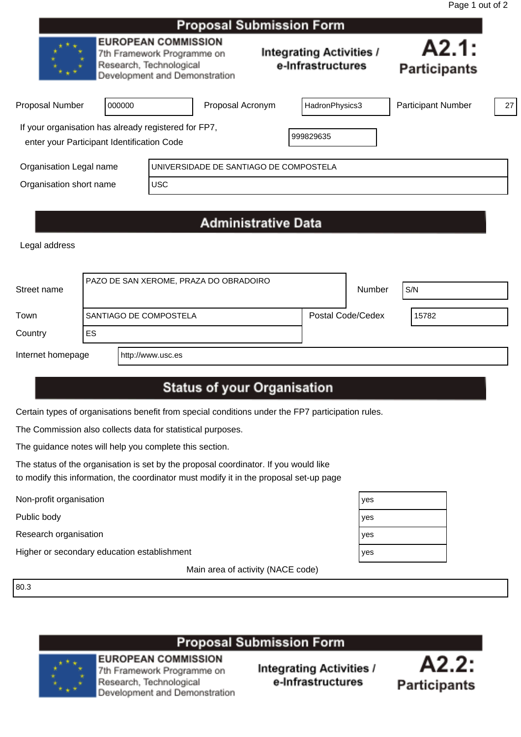|                                                                                                    |                                                       |                                                             | <b>Proposal Submission Form</b>        |                                                      |                              |    |
|----------------------------------------------------------------------------------------------------|-------------------------------------------------------|-------------------------------------------------------------|----------------------------------------|------------------------------------------------------|------------------------------|----|
|                                                                                                    | <b>EUROPEAN COMMISSION</b><br>Research, Technological | 7th Framework Programme on<br>Development and Demonstration |                                        | <b>Integrating Activities /</b><br>e-Infrastructures | A2.1:<br><b>Participants</b> |    |
| <b>Proposal Number</b>                                                                             | 000000                                                |                                                             | Proposal Acronym                       | HadronPhysics3                                       | <b>Participant Number</b>    | 27 |
| If your organisation has already registered for FP7,<br>enter your Participant Identification Code |                                                       |                                                             |                                        | 999829635                                            |                              |    |
| Organisation Legal name                                                                            |                                                       |                                                             | UNIVERSIDADE DE SANTIAGO DE COMPOSTELA |                                                      |                              |    |
| Organisation short name                                                                            |                                                       | <b>USC</b>                                                  |                                        |                                                      |                              |    |
|                                                                                                    |                                                       |                                                             |                                        |                                                      |                              |    |

# **Administrative Data**

Legal address

| Street name       |                               | PAZO DE SAN XEROME, PRAZA DO OBRADOIRO |  | Number            | S/N   |
|-------------------|-------------------------------|----------------------------------------|--|-------------------|-------|
| Town              | <b>SANTIAGO DE COMPOSTELA</b> |                                        |  | Postal Code/Cedex | 15782 |
| Country           | ES.                           |                                        |  |                   |       |
| Internet homepage |                               | http://www.usc.es                      |  |                   |       |

## **Status of your Organisation**

Certain types of organisations benefit from special conditions under the FP7 participation rules.

The Commission also collects data for statistical purposes.

The guidance notes will help you complete this section.

The status of the organisation is set by the proposal coordinator. If you would like to modify this information, the coordinator must modify it in the proposal set-up page

Public body

Research organisation

Non-profit organisation<br>
Public body<br>
Research organisation<br>
Higher or secondary education establishment<br>
y Higher or secondary education establishment

Main area of activity (NACE code)

80.3

# **Proposal Submission Form**



**EUROPEAN COMMISSION** 7th Framework Programme on Research, Technological Development and Demonstration



| es |  |
|----|--|
| es |  |
| es |  |
| es |  |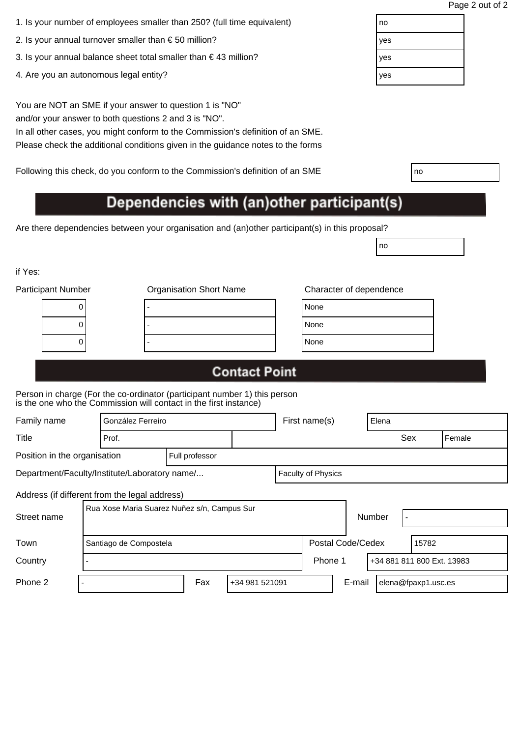| 1. Is your number of employees smaller than 250? (full time equivalent) | no |
|-------------------------------------------------------------------------|----|
|                                                                         |    |

- 2. Is your annual turnover smaller than € 50 million?  $|$ yes
- 3. Is your annual balance sheet total smaller than € 43 million?  $|$  yes
- 4. Are you an autonomous legal entity? yes will be a set of the set of the set of the set of the set of the set of the set of the set of the set of the set of the set of the set of the set of the set of the set of the set

You are NOT an SME if your answer to question 1 is "NO" and/or your answer to both questions 2 and 3 is "NO".

In all other cases, you might conform to the Commission's definition of an SME. Please check the additional conditions given in the guidance notes to the forms

Following this check, do you conform to the Commission's definition of an SME

# Dependencies with (an)other participant(s)

Are there dependencies between your organisation and (an)other participant(s) in this proposal?

if Yes:

| <b>Participant Number</b> | <b>Organisation Short Name</b> | Character of dependence |
|---------------------------|--------------------------------|-------------------------|
|                           |                                | None                    |
| U                         |                                | None                    |
|                           |                                | None                    |
|                           |                                |                         |

| lone |  |
|------|--|
| lone |  |
| lone |  |

no

## **Contact Point**

Person in charge (For the co-ordinator (participant number 1) this person is the one who the Commission will contact in the first instance)

| Family name                                                                |                                             | González Ferreiro |  |  |                   | First name(s) | Elena                      |     |        |
|----------------------------------------------------------------------------|---------------------------------------------|-------------------|--|--|-------------------|---------------|----------------------------|-----|--------|
| Title                                                                      | Prof.                                       |                   |  |  |                   |               |                            | Sex | Female |
| Position in the organisation                                               |                                             | Full professor    |  |  |                   |               |                            |     |        |
| Department/Faculty/Institute/Laboratory name/<br><b>Faculty of Physics</b> |                                             |                   |  |  |                   |               |                            |     |        |
| Address (if different from the legal address)                              |                                             |                   |  |  |                   |               |                            |     |        |
| Street name                                                                | Rua Xose Maria Suarez Nuñez s/n, Campus Sur |                   |  |  |                   | Number        |                            |     |        |
| Town                                                                       | Santiago de Compostela                      |                   |  |  | Postal Code/Cedex |               | 15782                      |     |        |
| Country                                                                    |                                             |                   |  |  | Phone 1           |               | +34 881 811 800 Ext. 13983 |     |        |

Phone 2 - Fax +34 981 521091 Fermail elena@fpaxp1.usc.es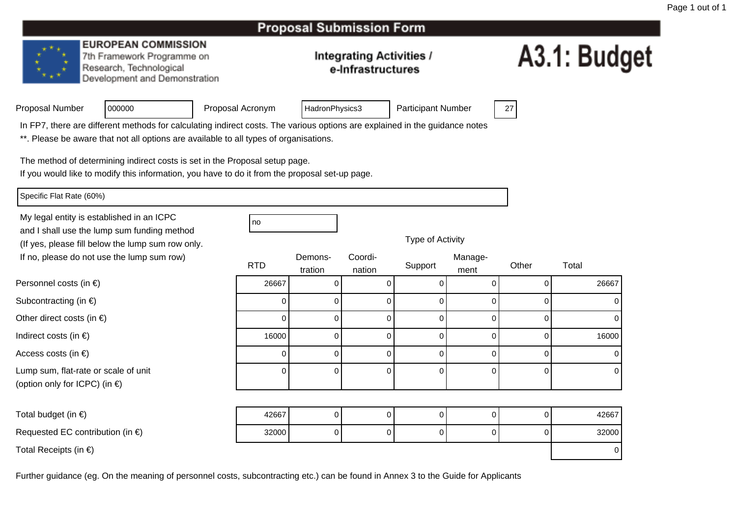#### **EUROPEAN COMMISSION**

7th Framework Programme on Research, Technological Development and Demonstration

#### **Integrating Activities /** e-Infrastructures

# A3.1: Budget

|  | Proposal Number |  |
|--|-----------------|--|
|  |                 |  |

Proposal Acronym

HadronPhysics3 | Participant Number | 27

In FP7, there are different methods for calculating indirect costs. The various options are explained in the guidance notes

\*\*. Please be aware that not all options are available to all types of organisations.

The method of determining indirect costs is set in the Proposal setup page.

If you would like to modify this information, you have to do it from the proposal set-up page.

Specific Flat Rate (60%)

Personnel costs (in €)

Subcontracting (in €)

Indirect costs (in  $\epsilon$ )

Access costs (in €)

Other direct costs (in  $\epsilon$ )

Lump sum, flat-rate or scale of unit

(option only for ICPC) (in €)

My legal entity is established in an ICPCand I shall use the lump sum funding method (If yes, please fill below the lump sum row only.If no, please do not use the lump sum row)

<sup>000000</sup>

| С   |  | no |
|-----|--|----|
| . . |  |    |

Type of Activity

| ot use the lump sum row)         | <b>RTD</b> | Demons- | Coordi-  | Support | Manage- | Other | Total     |
|----------------------------------|------------|---------|----------|---------|---------|-------|-----------|
|                                  |            | tration | nation   |         | ment    |       |           |
| ) €)                             | 26667      |         |          |         |         | O     | 26667     |
| $\in)$                           |            |         | 0        |         |         |       | 0         |
| $(in \in)$                       |            | 0       | 0        | 0       |         | 0     | 0         |
|                                  | 16000      |         | υ        |         |         | O     | 16000     |
|                                  |            |         | 0        |         |         | 0     | 0         |
| e or scale of unit<br>PC) (in €) |            | 0       | $\Omega$ | O       |         | 0     | $\pmb{0}$ |
|                                  |            |         |          |         |         |       |           |
|                                  |            |         |          |         |         |       |           |

| Total budget (in $\epsilon$ )              | 42667 | 0 |  | 42667 |
|--------------------------------------------|-------|---|--|-------|
| Requested EC contribution (in $\epsilon$ ) | 32000 | 0 |  | 32000 |
| Total Receipts (in $\epsilon$ )            |       |   |  |       |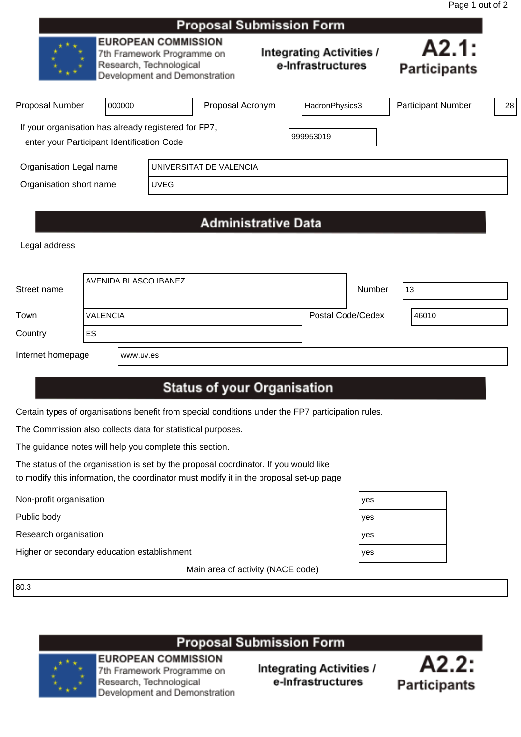|                                                                                                    |        |                                                                                                                      | Proposal Submission Form |  |                                                      |                              |    |
|----------------------------------------------------------------------------------------------------|--------|----------------------------------------------------------------------------------------------------------------------|--------------------------|--|------------------------------------------------------|------------------------------|----|
|                                                                                                    |        | <b>EUROPEAN COMMISSION</b><br>7th Framework Programme on<br>Research, Technological<br>Development and Demonstration |                          |  | <b>Integrating Activities /</b><br>e-Infrastructures | A2.1:<br><b>Participants</b> |    |
| <b>Proposal Number</b>                                                                             | 000000 |                                                                                                                      | Proposal Acronym         |  | HadronPhysics3                                       | <b>Participant Number</b>    | 28 |
| If your organisation has already registered for FP7,<br>enter your Participant Identification Code |        |                                                                                                                      |                          |  | 999953019                                            |                              |    |
| Organisation Legal name<br>UNIVERSITAT DE VALENCIA                                                 |        |                                                                                                                      |                          |  |                                                      |                              |    |
| Organisation short name<br><b>UVEG</b>                                                             |        |                                                                                                                      |                          |  |                                                      |                              |    |

# **Administrative Data**

Legal address

| Street name       |                 | AVENIDA BLASCO IBANEZ |                   | Number | 13    |
|-------------------|-----------------|-----------------------|-------------------|--------|-------|
| Town              | <b>VALENCIA</b> |                       | Postal Code/Cedex |        | 46010 |
| Country           | <b>ES</b>       |                       |                   |        |       |
| Internet homepage |                 | www.uv.es             |                   |        |       |

# **Status of your Organisation**

Certain types of organisations benefit from special conditions under the FP7 participation rules.

The Commission also collects data for statistical purposes.

The guidance notes will help you complete this section.

The status of the organisation is set by the proposal coordinator. If you would like to modify this information, the coordinator must modify it in the proposal set-up page

Non-profit organisation yes

Research organisation

Public body<br>
Research organisation<br>
Higher or secondary education establishment Higher or secondary education establishment

Main area of activity (NACE code)

80.3

### **Proposal Submission Form**



**EUROPEAN COMMISSION** 7th Framework Programme on Research, Technological Development and Demonstration



| es |  |
|----|--|
| es |  |
| es |  |
| es |  |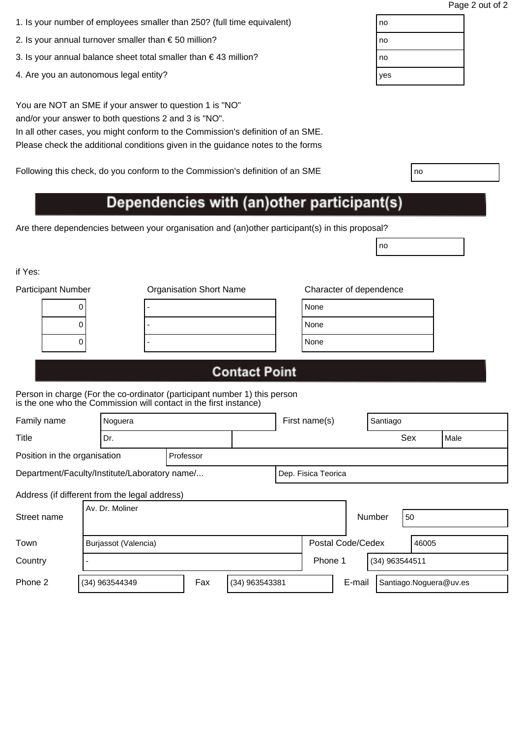| 1. Is your number of employees smaller than 250? (full time equivalent) | no |
|-------------------------------------------------------------------------|----|
|                                                                         |    |

- 2. Is your annual turnover smaller than  $\epsilon$  50 million?
- 3. Is your annual balance sheet total smaller than  $\epsilon$  43 million?
- 4. Are you an autonomous legal entity?

You are NOT an SME if your answer to question 1 is "NO" and/or your answer to both questions 2 and 3 is "NO".

In all other cases, you might conform to the Commission's definition of an SME. Please check the additional conditions given in the guidance notes to the forms

Following this check, do you conform to the Commission's definition of an SME

# Dependencies with (an)other participant(s)

Are there dependencies between your organisation and (an)other participant(s) in this proposal?

if Yes:

| <b>Participant Number</b> |   | <b>Organisation Short Name</b> | Character of dependence |  |  |
|---------------------------|---|--------------------------------|-------------------------|--|--|
|                           | U |                                | None                    |  |  |
|                           | U |                                | None                    |  |  |
|                           |   |                                | None                    |  |  |
|                           |   |                                |                         |  |  |

no

## **Contact Point**

Person in charge (For the co-ordinator (participant number 1) this person is the one who the Commission will contact in the first instance)

| Family name                                   |                                               | Noguera              |           |  |                     | First name(s) | Santiago                  |        |  |                        |  |      |
|-----------------------------------------------|-----------------------------------------------|----------------------|-----------|--|---------------------|---------------|---------------------------|--------|--|------------------------|--|------|
| <b>Title</b>                                  |                                               | Dr.                  |           |  |                     |               |                           |        |  | Sex                    |  | Male |
| Position in the organisation                  |                                               |                      | Professor |  |                     |               |                           |        |  |                        |  |      |
|                                               | Department/Faculty/Institute/Laboratory name/ |                      |           |  | Dep. Fisica Teorica |               |                           |        |  |                        |  |      |
| Address (if different from the legal address) |                                               |                      |           |  |                     |               |                           |        |  |                        |  |      |
| Street name                                   |                                               | Av. Dr. Moliner      |           |  |                     |               |                           |        |  | Number<br>50           |  |      |
| Town                                          |                                               | Burjassot (Valencia) |           |  |                     |               | Postal Code/Cedex         |        |  | 46005                  |  |      |
| Country                                       |                                               |                      |           |  |                     |               | Phone 1<br>(34) 963544511 |        |  |                        |  |      |
| Phone 2                                       |                                               | (34) 963544349       | Fax       |  | (34) 963543381      |               |                           | E-mail |  | Santiago.Noguera@uv.es |  |      |

| no  |  |
|-----|--|
| no  |  |
| no  |  |
| yes |  |
|     |  |

| I<br>×<br>۰. |  |
|--------------|--|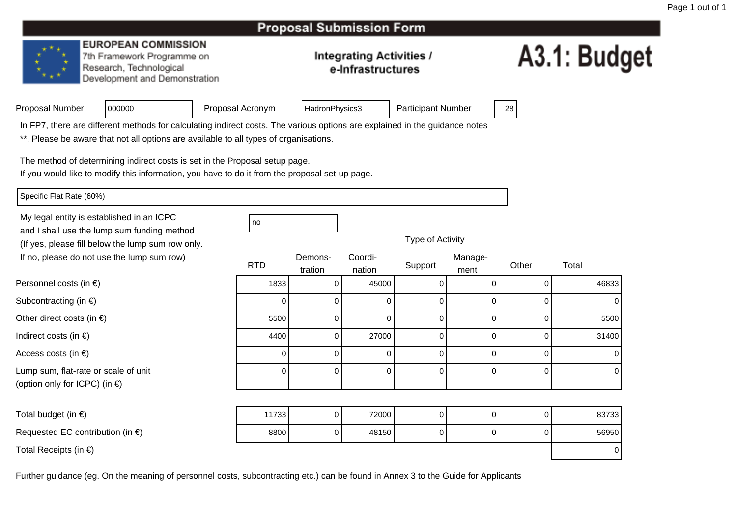#### **EUROPEAN COMMISSION**

7th Framework Programme on Research, Technological Development and Demonstration

#### **Integrating Activities /** e-Infrastructures

# A3.1: Budget

| Proposal Number |  |
|-----------------|--|
|                 |  |

Proposal Acronym

HadronPhysics3 | Participant Number | 28

In FP7, there are different methods for calculating indirect costs. The various options are explained in the guidance notes

\*\*. Please be aware that not all options are available to all types of organisations.

The method of determining indirect costs is set in the Proposal setup page.

If you would like to modify this information, you have to do it from the proposal set-up page.

Specific Flat Rate (60%)

Personnel costs (in €)

Subcontracting (in €)

Indirect costs (in  $\epsilon$ )

Access costs (in €)

Other direct costs (in  $\epsilon$ )

Lump sum, flat-rate or scale of unit

(option only for ICPC) (in €)

My legal entity is established in an ICPCno all'altra di una proprietà di una proprietà di una proprietà di una di una di una di una di una di una di u and I shall use the lump sum funding method (If yes, please fill below the lump sum row only.If no, please do not use the lump sum row)

<sup>000000</sup>

) a coordi- Coordi- Coordi- Manage-RTDD tration nation Support <sub>ment</sub> Other Total n nation buppon ment ) (1833) <sup>0</sup> <sup>45000</sup> <sup>0</sup> <sup>0</sup> <sup>0</sup> <sup>46833</sup> ) and the contract of  $\overline{a}$  of  $\overline{a}$  of  $\overline{a}$  of  $\overline{a}$  of  $\overline{a}$  of  $\overline{a}$  of  $\overline{a}$  of  $\overline{a}$  of  $\overline{a}$  of  $\overline{a}$  of  $\overline{a}$  of  $\overline{a}$  of  $\overline{a}$  of  $\overline{a}$  of  $\overline{a}$  of  $\overline{a}$  of  $\overline{a}$ 0 0 0 0 0 0 0 <sup>5500</sup>0 0 0 0 0 0 5500 <sup>4400</sup>0 0 27000 0 0 0 31400 ) and the contract of  $\overline{a}$  and  $\overline{b}$  and  $\overline{a}$  and  $\overline{a}$  and  $\overline{a}$  and  $\overline{a}$  and  $\overline{a}$  and  $\overline{a}$  and  $\overline{a}$  and  $\overline{a}$  and  $\overline{a}$  and  $\overline{a}$  and  $\overline{a}$  and  $\overline{a}$  and  $\overline{a}$  and  $\overline$ 0 0 0 0 0 0 0 t 0 0 0 0 0 0 0 0

Total budget (in  $\epsilon$ ) <sup>11733</sup> <sup>0</sup> <sup>72000</sup> <sup>0</sup> <sup>0</sup> <sup>0</sup> <sup>83733</sup> Requested EC contribution (in  $\epsilon$ ) <sup>8800</sup> <sup>0</sup> <sup>48150</sup> <sup>0</sup> <sup>0</sup> <sup>0</sup> <sup>56950</sup> Total Receipts (in €)) and the contract of the contract of  $\sim$  0.000  $\mu$  . The contract of  $\sim$  0.000  $\mu$   $\sim$  0.000  $\mu$   $\sim$  0.000  $\mu$   $\sim$  0.000  $\mu$   $\sim$  0.000  $\mu$   $\sim$  0.000  $\mu$   $\sim$  0.000  $\mu$   $\sim$  0.000  $\mu$   $\sim$  0.000  $\mu$   $\sim$ 

Further guidance (eg. On the meaning of personnel costs, subcontracting etc.) can be found in Annex 3 to the Guide for Applicants

Type of Activity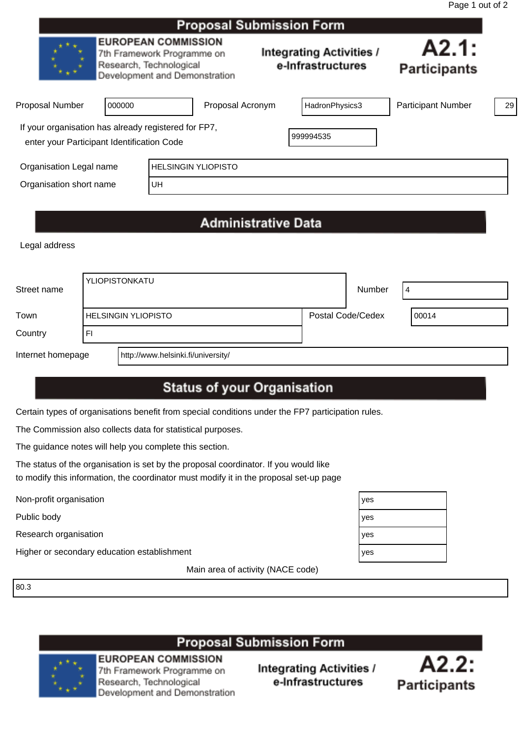|                                                                                                    |                                                                                                                      |                            | <b>Proposal Submission Form</b> |  |                                                      |                              |    |
|----------------------------------------------------------------------------------------------------|----------------------------------------------------------------------------------------------------------------------|----------------------------|---------------------------------|--|------------------------------------------------------|------------------------------|----|
|                                                                                                    | <b>EUROPEAN COMMISSION</b><br>7th Framework Programme on<br>Research, Technological<br>Development and Demonstration |                            |                                 |  | <b>Integrating Activities /</b><br>e-Infrastructures | A2.1:<br><b>Participants</b> |    |
| <b>Proposal Number</b>                                                                             | 000000                                                                                                               |                            | Proposal Acronym                |  | HadronPhysics3                                       | <b>Participant Number</b>    | 29 |
| If your organisation has already registered for FP7,<br>enter your Participant Identification Code |                                                                                                                      |                            |                                 |  | 999994535                                            |                              |    |
| Organisation Legal name                                                                            |                                                                                                                      | <b>HELSINGIN YLIOPISTO</b> |                                 |  |                                                      |                              |    |
| Organisation short name                                                                            |                                                                                                                      | <b>UH</b>                  |                                 |  |                                                      |                              |    |
|                                                                                                    |                                                                                                                      |                            |                                 |  |                                                      |                              |    |

# **Administrative Data**

Legal address

| Street name       |    | YLIOPISTONKATU                     |                   | Number | 4     |
|-------------------|----|------------------------------------|-------------------|--------|-------|
| Town              |    | <b>HELSINGIN YLIOPISTO</b>         | Postal Code/Cedex |        | 00014 |
| Country           | FI |                                    |                   |        |       |
| Internet homepage |    | http://www.helsinki.fi/university/ |                   |        |       |

## **Status of your Organisation**

Certain types of organisations benefit from special conditions under the FP7 participation rules.

The Commission also collects data for statistical purposes.

The guidance notes will help you complete this section.

The status of the organisation is set by the proposal coordinator. If you would like to modify this information, the coordinator must modify it in the proposal set-up page

Non-profit organisation yes

Public body yes

Research organisation yesterday and the search organisation yesterday and the search organisation

Higher or secondary education establishment

Main area of activity (NACE code)

80.3

#### **Proposal Submission Form EUROPEAN COMMISSION**

7th Framework Programme on Research, Technological Development and Demonstration



| es |
|----|
| es |
| es |
| es |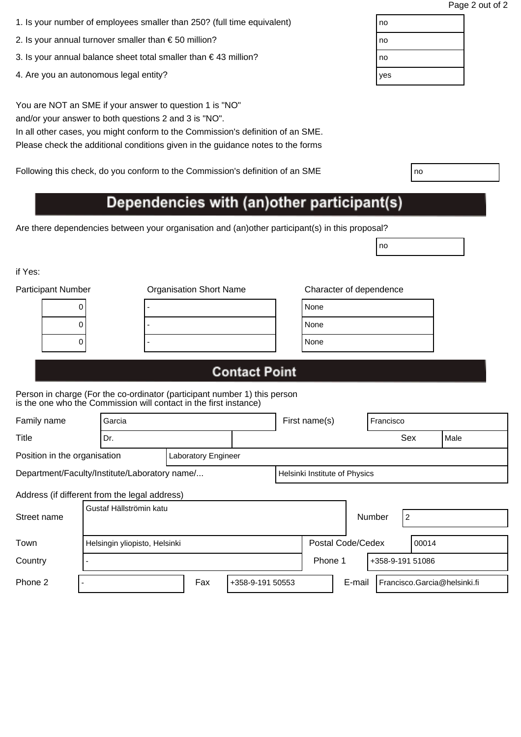| 1. Is your number of employees smaller than 250? (full time equivalent) | no |
|-------------------------------------------------------------------------|----|
|                                                                         |    |

- 2. Is your annual turnover smaller than  $\epsilon$  50 million?
- 3. Is your annual balance sheet total smaller than  $\epsilon$  43 million?
- 4. Are you an autonomous legal entity?

You are NOT an SME if your answer to question 1 is "NO" and/or your answer to both questions 2 and 3 is "NO".

In all other cases, you might conform to the Commission's definition of an SME. Please check the additional conditions given in the guidance notes to the forms

Following this check, do you conform to the Commission's definition of an SME

# Dependencies with (an)other participant(s)

Are there dependencies between your organisation and (an)other participant(s) in this proposal?

if Yes:

| <b>Participant Number</b> | <b>Organisation Short Name</b> | Character of dependence |
|---------------------------|--------------------------------|-------------------------|
| U                         |                                | None                    |
|                           |                                | None                    |
|                           |                                | None                    |
|                           |                                |                         |

| lone |  |
|------|--|
| lone |  |
| lone |  |

no

# **Contact Point**

Person in charge (For the co-ordinator (participant number 1) this person is the one who the Commission will contact in the first instance)

| Family name                                                                    |  | Garcia                        |                     |                  |  | First name(s) |                          |        | Francisco                    |  |  |
|--------------------------------------------------------------------------------|--|-------------------------------|---------------------|------------------|--|---------------|--------------------------|--------|------------------------------|--|--|
| <b>Title</b>                                                                   |  | Dr.                           |                     |                  |  |               | Sex<br>Male              |        |                              |  |  |
| Position in the organisation                                                   |  |                               | Laboratory Engineer |                  |  |               |                          |        |                              |  |  |
| Department/Faculty/Institute/Laboratory name/<br>Helsinki Institute of Physics |  |                               |                     |                  |  |               |                          |        |                              |  |  |
| Address (if different from the legal address)                                  |  |                               |                     |                  |  |               |                          |        |                              |  |  |
| Street name                                                                    |  | Gustaf Hällströmin katu       |                     |                  |  |               |                          | Number | $\overline{2}$               |  |  |
| Town                                                                           |  | Helsingin yliopisto, Helsinki |                     |                  |  |               | <b>Postal Code/Cedex</b> |        | 00014                        |  |  |
| Country                                                                        |  |                               |                     |                  |  | Phone 1       |                          |        | +358-9-191 51086             |  |  |
| Phone 2                                                                        |  |                               | Fax                 | +358-9-191 50553 |  |               | E-mail                   |        | Francisco.Garcia@helsinki.fi |  |  |

| no  |  |
|-----|--|
| no  |  |
| no  |  |
| yes |  |
|     |  |

| ٧ | ٧<br>I<br>×<br>۰. |  |
|---|-------------------|--|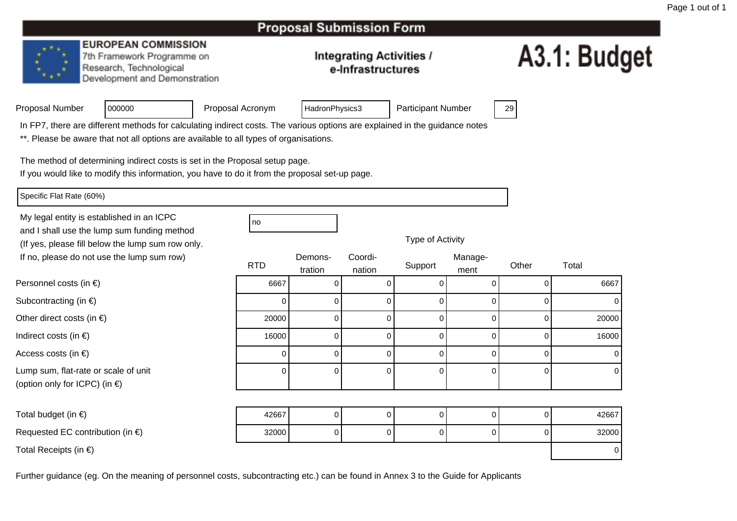#### **EUROPEAN COMMISSION**

<sup>000000</sup>

7th Framework Programme on Research, Technological Development and Demonstration

#### **Integrating Activities /** e-Infrastructures

# A3.1: Budget

| Proposal Number |  |
|-----------------|--|
|                 |  |

Proposal Acronym

HadronPhysics3 | Participant Number | 29

In FP7, there are different methods for calculating indirect costs. The various options are explained in the guidance notes

\*\*. Please be aware that not all options are available to all types of organisations.

The method of determining indirect costs is set in the Proposal setup page.

If you would like to modify this information, you have to do it from the proposal set-up page.

Specific Flat Rate (60%)

My legal entity is established in an ICPCno all'altra di una proprietà di una proprietà di una proprietà di una di una di una di una di una di una di u and I shall use the lump sum funding methodIf no, please do not use the lump sum row)

| (If yes, please fill below the lump sum row only. |            |                    |                   | Type of Activity |                 |       |       |
|---------------------------------------------------|------------|--------------------|-------------------|------------------|-----------------|-------|-------|
| If no, please do not use the lump sum row)        | <b>RTD</b> | Demons-<br>tration | Coordi-<br>nation | Support          | Manage-<br>ment | Other | Total |
| ersonnel costs (in $\epsilon$ )                   | 6667       |                    |                   |                  |                 |       | 6667  |
| ubcontracting (in €)                              |            |                    |                   |                  |                 |       |       |
| ther direct costs (in €)                          | 20000      |                    |                   |                  |                 |       | 20000 |
| ndirect costs (in $\epsilon$ )                    | 16000      |                    |                   |                  |                 |       | 16000 |
| ccess costs (in $\in$ ).                          |            |                    |                   |                  |                 |       |       |

 $T_{M20}$  of Activity

0 0 0 0 0 0 0

Personnel costs (in €)

Subcontracting (in €)

Other direct costs (in  $\epsilon$ )

Indirect costs (in  $\epsilon$ )

Access costs (in €)

Lump sum, flat-rate or scale of unitt 0 (option only for ICPC) (in €)

Total budget (in  $\epsilon$ ) <sup>42667</sup>7 | 0 | 0 | 0 | 0 | 42667 Requested EC contribution (in  $\epsilon$ ) <sup>32000</sup>0 0 0 0 0 0 0 32000 Total Receipts (in €)) and the contract of the contract of  $\sim$  0.000  $\mu$  . The contract of  $\sim$  0.000  $\mu$   $\sim$  0.000  $\mu$   $\sim$  0.000  $\mu$   $\sim$  0.000  $\mu$   $\sim$  0.000  $\mu$   $\sim$  0.000  $\mu$   $\sim$  0.000  $\mu$   $\sim$  0.000  $\mu$   $\sim$  0.000  $\mu$   $\sim$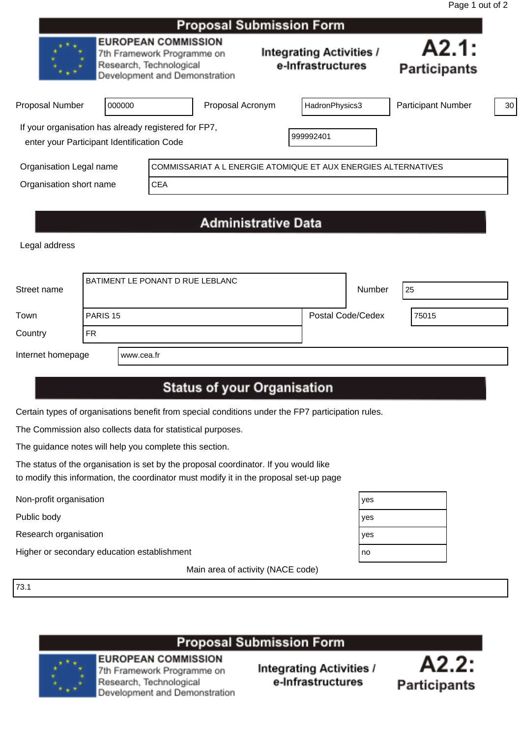|                                                                                                    |        |                                                                                                                      | <b>Proposal Submission Form</b> |                                                      |                                                                |                           |    |
|----------------------------------------------------------------------------------------------------|--------|----------------------------------------------------------------------------------------------------------------------|---------------------------------|------------------------------------------------------|----------------------------------------------------------------|---------------------------|----|
|                                                                                                    |        | <b>EUROPEAN COMMISSION</b><br>7th Framework Programme on<br>Research, Technological<br>Development and Demonstration |                                 | <b>Integrating Activities /</b><br>e-Infrastructures | A2.1:<br><b>Participants</b>                                   |                           |    |
| <b>Proposal Number</b>                                                                             | 000000 |                                                                                                                      | Proposal Acronym                |                                                      | HadronPhysics3                                                 | <b>Participant Number</b> | 30 |
| If your organisation has already registered for FP7,<br>enter your Participant Identification Code |        |                                                                                                                      |                                 |                                                      | 999992401                                                      |                           |    |
| Organisation Legal name                                                                            |        |                                                                                                                      |                                 |                                                      | COMMISSARIAT A L ENERGIE ATOMIQUE ET AUX ENERGIES ALTERNATIVES |                           |    |
| Organisation short name                                                                            |        | <b>CEA</b>                                                                                                           |                                 |                                                      |                                                                |                           |    |
|                                                                                                    |        |                                                                                                                      | <b>Administrative Data</b>      |                                                      |                                                                |                           |    |

#### Legal address

| Street name       |                              | <b>BATIMENT LE PONANT D RUE LEBLANC</b> |                   | Number | 25    |  |
|-------------------|------------------------------|-----------------------------------------|-------------------|--------|-------|--|
| Town<br>Country   | <b>PARIS 15</b><br><b>FR</b> |                                         | Postal Code/Cedex |        | 75015 |  |
| Internet homepage |                              | l www.cea.fr                            |                   |        |       |  |

# **Status of your Organisation**

Certain types of organisations benefit from special conditions under the FP7 participation rules.

The Commission also collects data for statistical purposes.

The guidance notes will help you complete this section.

The status of the organisation is set by the proposal coordinator. If you would like to modify this information, the coordinator must modify it in the proposal set-up page

Non-profit organisation yes

Public body<br>Research organisation Research organisation

Higher or secondary education establishment

Main area of activity (NACE code)

73.1

### **Proposal Submission Form**



**EUROPEAN COMMISSION** 7th Framework Programme on Research, Technological Development and Demonstration



| 'es |  |
|-----|--|
| 'es |  |
| 'es |  |
| ΙO  |  |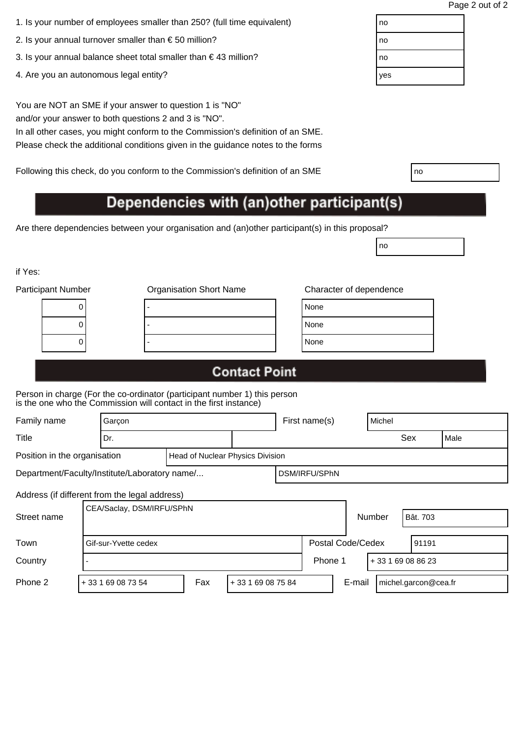| 1. Is your number of employees smaller than 250? (full time equivalent) | no |
|-------------------------------------------------------------------------|----|
|                                                                         |    |

- 2. Is your annual turnover smaller than  $\epsilon$  50 million?
- 3. Is your annual balance sheet total smaller than  $\epsilon$  43 million?
- 4. Are you an autonomous legal entity?

You are NOT an SME if your answer to question 1 is "NO" and/or your answer to both questions 2 and 3 is "NO".

In all other cases, you might conform to the Commission's definition of an SME. Please check the additional conditions given in the guidance notes to the forms

Following this check, do you conform to the Commission's definition of an SME no

# Dependencies with (an)other participant(s)

Are there dependencies between your organisation and (an)other participant(s) in this proposal?

if Yes:

Participant N

| umber | <b>Organisation Short Name</b> | Char |
|-------|--------------------------------|------|
|       |                                | None |
|       |                                | None |
|       |                                | None |
|       |                                |      |

| Character of dependence |  |
|-------------------------|--|
|-------------------------|--|

| lone |  |
|------|--|
| lone |  |
| lone |  |

no

## **Contact Point**

Person in charge (For the co-ordinator (participant number 1) this person is the one who the Commission will contact in the first instance)

| Family name                  |                                               | Garçon                    |  |                                  |                    |  | First name(s) |                          | Michel      |                      |  |  |
|------------------------------|-----------------------------------------------|---------------------------|--|----------------------------------|--------------------|--|---------------|--------------------------|-------------|----------------------|--|--|
| Title                        |                                               | Dr.                       |  |                                  |                    |  |               |                          | Sex<br>Male |                      |  |  |
| Position in the organisation |                                               |                           |  | Head of Nuclear Physics Division |                    |  |               |                          |             |                      |  |  |
|                              | Department/Faculty/Institute/Laboratory name/ |                           |  |                                  | DSM/IRFU/SPhN      |  |               |                          |             |                      |  |  |
|                              | Address (if different from the legal address) |                           |  |                                  |                    |  |               |                          |             |                      |  |  |
| Street name                  |                                               | CEA/Saclay, DSM/IRFU/SPhN |  |                                  |                    |  |               |                          | Number      | Bât. 703             |  |  |
| Town                         |                                               | Gif-sur-Yvette cedex      |  |                                  |                    |  |               | <b>Postal Code/Cedex</b> |             | 91191                |  |  |
| Country                      |                                               |                           |  |                                  |                    |  | Phone 1       |                          |             | +33 169 08 86 23     |  |  |
| Phone 2                      |                                               | + 33 1 69 08 73 54        |  | Fax                              | + 33 1 69 08 75 84 |  |               | E-mail                   |             | michel.garcon@cea.fr |  |  |

| no  |  |
|-----|--|
| no  |  |
| no  |  |
| yes |  |
|     |  |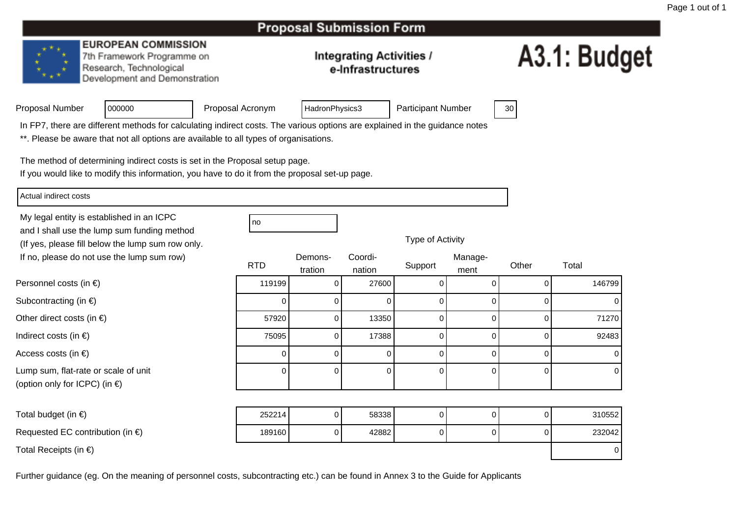#### **EUROPEAN COMMISSION**

<sup>000000</sup>

7th Framework Programme on Research, Technological Development and Demonstration

#### **Integrating Activities /** e-Infrastructures

# A3.1: Budget

| Proposal Number |
|-----------------|
|-----------------|

Proposal Acronym

HadronPhysics3 | Participant Number | 30

In FP7, there are different methods for calculating indirect costs. The various options are explained in the guidance notes

\*\*. Please be aware that not all options are available to all types of organisations.

The method of determining indirect costs is set in the Proposal setup page.

If you would like to modify this information, you have to do it from the proposal set-up page.

Actual indirect costs

Personnel costs (in €)

Subcontracting (in €)

Indirect costs (in  $\epsilon$ )

Access costs (in €)

Other direct costs (in  $\epsilon$ )

Lump sum, flat-rate or scale of unit

(option only for ICPC) (in €)

My legal entity is established in an ICPCand I shall use the lump sum funding method (If yes, please fill below the lump sum row only.If no, please do not use the lump sum row)

no all'altra di una proprietà di una proprietà di una proprietà di una di una di una di una di una di una di u

Type of Activity

| ot use the lump sum row)            |            | Demons- | Coordi-        |         | Manage- |          |        |
|-------------------------------------|------------|---------|----------------|---------|---------|----------|--------|
|                                     | <b>RTD</b> | tration | nation         | Support | ment    | Other    | Total  |
| າ €)                                | 119199     |         | 27600          |         |         |          | 146799 |
| $\in)$                              |            |         |                |         |         |          | 0      |
| $(in \in)$                          | 57920      | 0       | 13350          | 0       |         | 0        | 71270  |
|                                     | 75095      | 0       | 17388          | 0       |         |          | 92483  |
|                                     |            |         | 0              | 0       |         |          | 0      |
| e or scale of unit<br>$P$ C) (in €) |            | 0       | $\overline{0}$ | 0       |         | $\Omega$ | 0      |

| Total budget (in $\epsilon$ )              | 252214 |  | 58338 |  |  | 0 | 310552 |
|--------------------------------------------|--------|--|-------|--|--|---|--------|
| Requested EC contribution (in $\epsilon$ ) | 189160 |  | 42882 |  |  | 0 | 232042 |
| Total Receipts (in $\epsilon$ )            |        |  |       |  |  |   |        |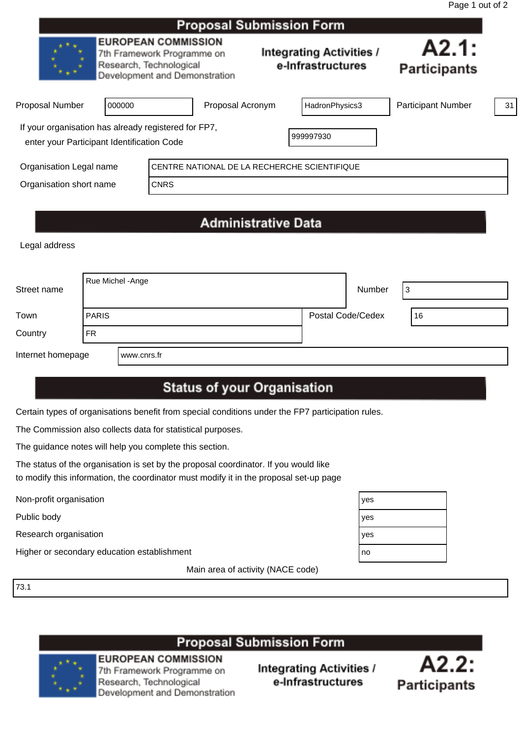|                                                                         |        |                                              | <b>Proposal Submission Form</b>                                                           |  |                                                      |                              |    |
|-------------------------------------------------------------------------|--------|----------------------------------------------|-------------------------------------------------------------------------------------------|--|------------------------------------------------------|------------------------------|----|
|                                                                         |        | Research, Technological                      | <b>EUROPEAN COMMISSION</b><br>7th Framework Programme on<br>Development and Demonstration |  | <b>Integrating Activities /</b><br>e-Infrastructures | A2.1:<br><b>Participants</b> |    |
| Proposal Number<br>If your organisation has already registered for FP7, | 000000 |                                              | Proposal Acronym                                                                          |  | HadronPhysics3<br>999997930                          | <b>Participant Number</b>    | 31 |
| enter your Participant Identification Code                              |        |                                              |                                                                                           |  |                                                      |                              |    |
| Organisation Legal name                                                 |        | CENTRE NATIONAL DE LA RECHERCHE SCIENTIFIQUE |                                                                                           |  |                                                      |                              |    |
| Organisation short name                                                 |        | <b>CNRS</b>                                  |                                                                                           |  |                                                      |                              |    |
|                                                                         |        |                                              | <b>Administrative Data</b>                                                                |  |                                                      |                              |    |

Legal address

| Street name       | Rue Michel - Ange |             |                   | Number | 3 |     |
|-------------------|-------------------|-------------|-------------------|--------|---|-----|
| Town              | <b>PARIS</b>      |             | Postal Code/Cedex |        |   | 16، |
| Country           | FR.               |             |                   |        |   |     |
| Internet homepage |                   | www.cnrs.fr |                   |        |   |     |

# **Status of your Organisation**

Certain types of organisations benefit from special conditions under the FP7 participation rules.

The Commission also collects data for statistical purposes.

The guidance notes will help you complete this section.

The status of the organisation is set by the proposal coordinator. If you would like to modify this information, the coordinator must modify it in the proposal set-up page

Public body

Non-profit organisation yesterday<br>Public body<br>Research organisation Research organisation

Higher or secondary education establishment

Main area of activity (NACE code)

73.1

**Proposal Submission Form** 



**EUROPEAN COMMISSION** 7th Framework Programme on Research, Technological

Development and Demonstration



| es |  |
|----|--|
| es |  |
| es |  |
| ١O |  |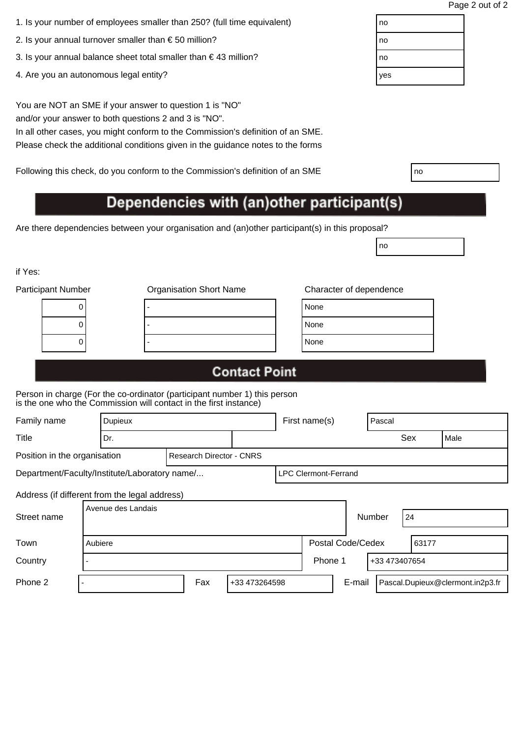| 1. Is your number of employees smaller than 250? (full time equivalent) | no |
|-------------------------------------------------------------------------|----|
|                                                                         |    |

- 2. Is your annual turnover smaller than  $\epsilon$  50 million?
- 3. Is your annual balance sheet total smaller than  $\epsilon$  43 million?
- 4. Are you an autonomous legal entity?

You are NOT an SME if your answer to question 1 is "NO" and/or your answer to both questions 2 and 3 is "NO".

In all other cases, you might conform to the Commission's definition of an SME. Please check the additional conditions given in the guidance notes to the forms

Following this check, do you conform to the Commission's definition of an SME

# Dependencies with (an) other participant(s)

Are there dependencies between your organisation and (an)other participant(s) in this proposal?

if Yes:

| <b>Participant Number</b> | <b>Organisation Short Name</b> | Character of dependence |
|---------------------------|--------------------------------|-------------------------|
| υ                         |                                | None                    |
| U                         |                                | None                    |
|                           |                                | None                    |
|                           |                                |                         |

| lone |  |
|------|--|
| lone |  |
| lone |  |

no

### **Contact Point**

Person in charge (For the co-ordinator (participant number 1) this person is the one who the Commission will contact in the first instance)

| Family name                                   | <b>Dupieux</b> |                                 |  |                             |  | First name(s)     | Pascal |               |     |       |      |  |
|-----------------------------------------------|----------------|---------------------------------|--|-----------------------------|--|-------------------|--------|---------------|-----|-------|------|--|
| Title                                         |                | Dr.                             |  |                             |  |                   |        |               | Sex |       | Male |  |
| Position in the organisation                  |                | <b>Research Director - CNRS</b> |  |                             |  |                   |        |               |     |       |      |  |
| Department/Faculty/Institute/Laboratory name/ |                |                                 |  | <b>LPC Clermont-Ferrand</b> |  |                   |        |               |     |       |      |  |
| Address (if different from the legal address) |                |                                 |  |                             |  |                   |        |               |     |       |      |  |
| Street name                                   |                | Avenue des Landais              |  |                             |  |                   |        | Number        | 24  |       |      |  |
| Town                                          | Aubiere        |                                 |  |                             |  | Postal Code/Cedex |        |               |     | 63177 |      |  |
| Country                                       |                |                                 |  |                             |  | Phone 1           |        | +33 473407654 |     |       |      |  |

Phone 2 | Fax | Fax 1+33 473264598 | E-mail Pascal.Dupieux@clermont.in2p3.fr

| no  |  |
|-----|--|
| no  |  |
| no  |  |
| yes |  |

| ٧<br>I<br>×<br>۰. |  |
|-------------------|--|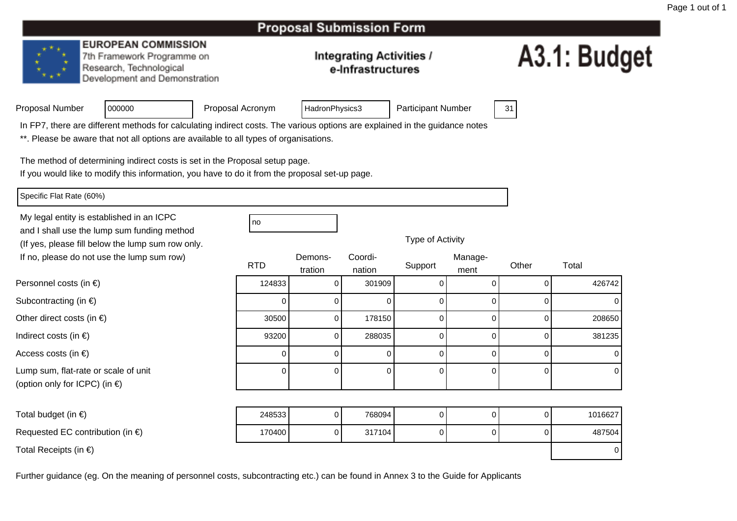#### **EUROPEAN COMMISSION**

7th Framework Programme on Research, Technological Development and Demonstration

#### **Integrating Activities /** e-Infrastructures

# A3.1: Budget

|  | Proposal Number |
|--|-----------------|
|  |                 |

Proposal Acronym

HadronPhysics3 | Participant Number | 31

In FP7, there are different methods for calculating indirect costs. The various options are explained in the guidance notes

\*\*. Please be aware that not all options are available to all types of organisations.

The method of determining indirect costs is set in the Proposal setup page.

If you would like to modify this information, you have to do it from the proposal set-up page.

Specific Flat Rate (60%)

Personnel costs (in €)

Subcontracting (in €)

Indirect costs (in  $\epsilon$ )

Access costs (in €)

Other direct costs (in  $\epsilon$ )

Lump sum, flat-rate or scale of unit

(option only for ICPC) (in €)

My legal entity is established in an ICPCno all'altra di una proprietà di una proprietà di una proprietà di una di una di una di una di una di una di u and I shall use the lump sum funding method (If yes, please fill below the lump sum row only.If no, please do not use the lump sum row)

<sup>000000</sup>

| ot use the lump sum row)                     | <b>RTD</b> | Demons-<br>tration | Coordi-<br>nation | Support | Manage-<br>ment | Other | Total  |
|----------------------------------------------|------------|--------------------|-------------------|---------|-----------------|-------|--------|
| າ €)                                         | 124833     |                    | 301909            |         |                 |       | 426742 |
| $\in)$                                       |            |                    | 0                 | 0       |                 |       | 0      |
| $(in \in)$                                   | 30500      |                    | 178150            | 0       |                 |       | 208650 |
|                                              | 93200      | 0                  | 288035            | 0       |                 | 0     | 381235 |
|                                              |            |                    | 0                 | 0       |                 |       | 0      |
| e or scale of unit<br><sup>2</sup> C) (in €) |            |                    | 0                 | 0       |                 | 0     | 0      |

Type of Activity

Total budget (in  $\epsilon$ ) <sup>248533</sup> <sup>0</sup> <sup>768094</sup> <sup>0</sup> <sup>0</sup> <sup>0</sup> <sup>1016627</sup> Requested EC contribution (in  $\epsilon$ ) <sup>170400</sup>0 | 317104 | 0 | 0 | 487504 Total Receipts (in €)) and the contract of the contract of  $\sim$  0.000  $\mu$  . The contract of  $\sim$  0.000  $\mu$   $\sim$  0.000  $\mu$   $\sim$  0.000  $\mu$   $\sim$  0.000  $\mu$   $\sim$  0.000  $\mu$   $\sim$  0.000  $\mu$   $\sim$  0.000  $\mu$   $\sim$  0.000  $\mu$   $\sim$  0.000  $\mu$   $\sim$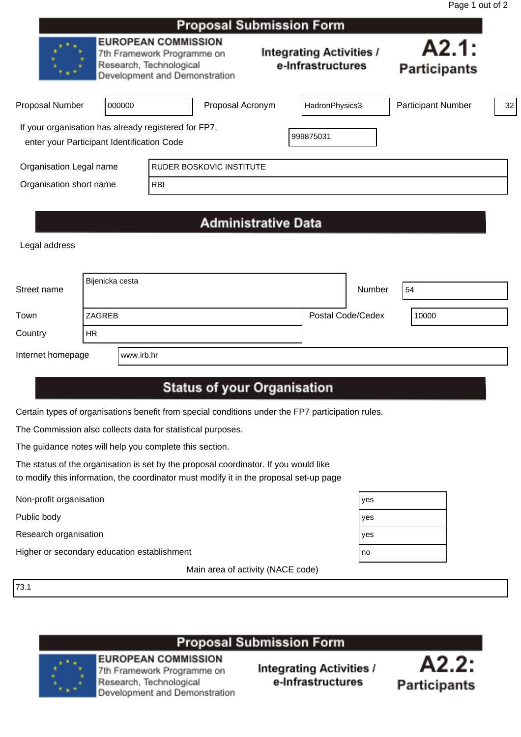| Page 1 out of 2 |  |  |
|-----------------|--|--|
|                 |  |  |

|                                                                                                    |                                                                                                                      |            | Proposal Submission Form        |  |                                                      |                              |    |
|----------------------------------------------------------------------------------------------------|----------------------------------------------------------------------------------------------------------------------|------------|---------------------------------|--|------------------------------------------------------|------------------------------|----|
|                                                                                                    | <b>EUROPEAN COMMISSION</b><br>7th Framework Programme on<br>Research, Technological<br>Development and Demonstration |            |                                 |  | <b>Integrating Activities /</b><br>e-Infrastructures | A2.1:<br><b>Participants</b> |    |
| <b>Proposal Number</b>                                                                             | 000000                                                                                                               |            | Proposal Acronym                |  | HadronPhysics3                                       | <b>Participant Number</b>    | 32 |
| If your organisation has already registered for FP7,<br>enter your Participant Identification Code |                                                                                                                      |            |                                 |  | 999875031                                            |                              |    |
| Organisation Legal name                                                                            |                                                                                                                      |            | <b>RUDER BOSKOVIC INSTITUTE</b> |  |                                                      |                              |    |
| Organisation short name                                                                            |                                                                                                                      | <b>RBI</b> |                                 |  |                                                      |                              |    |
|                                                                                                    |                                                                                                                      |            |                                 |  |                                                      |                              |    |

# **Administrative Data**

Legal address

| Street name       | Bijenicka cesta |            |  | Number            | 54    |
|-------------------|-----------------|------------|--|-------------------|-------|
| Town              | <b>ZAGREB</b>   |            |  | Postal Code/Cedex | 10000 |
| Country           | HR.             |            |  |                   |       |
| Internet homepage |                 | www.irb.hr |  |                   |       |

# **Status of your Organisation**

Certain types of organisations benefit from special conditions under the FP7 participation rules.

The Commission also collects data for statistical purposes.

The guidance notes will help you complete this section.

The status of the organisation is set by the proposal coordinator. If you would like to modify this information, the coordinator must modify it in the proposal set-up page

Public body

Research organisation

Non-profit organisation<br>
Public body<br>
Research organisation<br>
Higher or secondary education establishment Higher or secondary education establishment

Main area of activity (NACE code)

73.1

**Proposal Submission Form** 



**EUROPEAN COMMISSION** 7th Framework Programme on Research, Technological

Development and Demonstration



| es |  |
|----|--|
| es |  |
| es |  |
| 0  |  |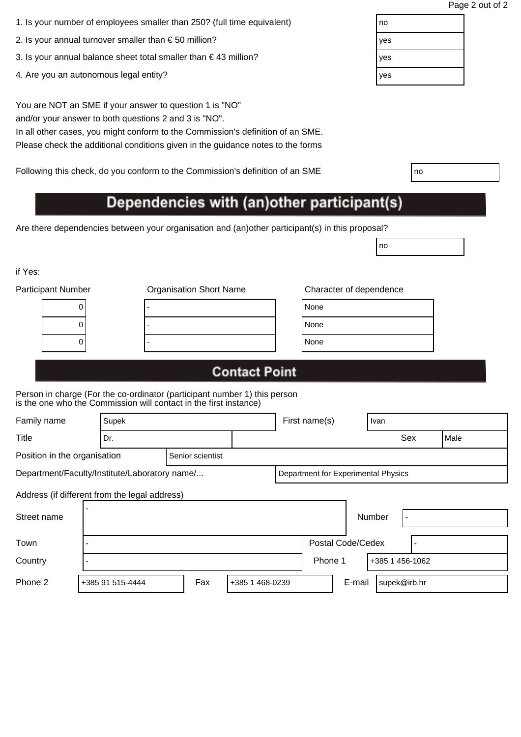| 1. Is your number of employees smaller than 250? (full time equivalent) | no |
|-------------------------------------------------------------------------|----|
|                                                                         |    |

- 2. Is your annual turnover smaller than € 50 million?  $|$ yes
- 3. Is your annual balance sheet total smaller than € 43 million?  $|$  yes
- 4. Are you an autonomous legal entity? yes will be a set of the set of the set of the set of the set of the set of the set of the set of the set of the set of the set of the set of the set of the set of the set of the set

You are NOT an SME if your answer to question 1 is "NO" and/or your answer to both questions 2 and 3 is "NO".

In all other cases, you might conform to the Commission's definition of an SME. Please check the additional conditions given in the guidance notes to the forms

Following this check, do you conform to the Commission's definition of an SME

# Dependencies with (an) other participant(s)

Are there dependencies between your organisation and (an)other participant(s) in this proposal?

if Yes:

| <b>Participant Number</b> | <b>Organisation Short Name</b> | Character of dependence |
|---------------------------|--------------------------------|-------------------------|
| U                         |                                | None                    |
|                           |                                | None                    |
|                           |                                | None                    |
|                           |                                |                         |

| lone |  |
|------|--|
| lone |  |
| lone |  |

no

## **Contact Point**

Person in charge (For the co-ordinator (participant number 1) this person is the one who the Commission will contact in the first instance)

| Family name                                      |  | Supek |  |                                     |  | First name(s)     | Ivan   |  |                 |      |
|--------------------------------------------------|--|-------|--|-------------------------------------|--|-------------------|--------|--|-----------------|------|
| Title                                            |  | Dr.   |  |                                     |  |                   |        |  | Sex             | Male |
| Position in the organisation<br>Senior scientist |  |       |  |                                     |  |                   |        |  |                 |      |
| Department/Faculty/Institute/Laboratory name/    |  |       |  | Department for Experimental Physics |  |                   |        |  |                 |      |
| Address (if different from the legal address)    |  |       |  |                                     |  |                   |        |  |                 |      |
| Street name                                      |  |       |  |                                     |  |                   | Number |  |                 |      |
| Town                                             |  |       |  |                                     |  | Postal Code/Cedex |        |  |                 |      |
| Country                                          |  |       |  |                                     |  | Phone 1           |        |  | +385 1 456-1062 |      |

Phone 2 +385 91 515-4444 Fax +385 1 468-0239 E-mail supek@irb.hr

| I<br>$\sim$ |  |
|-------------|--|
|-------------|--|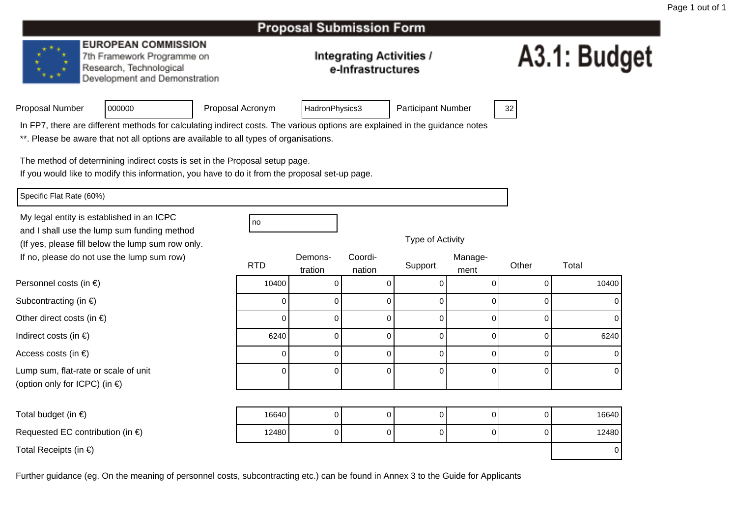#### **EUROPEAN COMMISSION**

7th Framework Programme on Research, Technological Development and Demonstration

#### **Integrating Activities /** e-Infrastructures

# A3.1: Budget

| Proposal Number |  |  |
|-----------------|--|--|
|-----------------|--|--|

Proposal Acronym

HadronPhysics3 | Participant Number | 32

In FP7, there are different methods for calculating indirect costs. The various options are explained in the guidance notes

\*\*. Please be aware that not all options are available to all types of organisations.

The method of determining indirect costs is set in the Proposal setup page.

If you would like to modify this information, you have to do it from the proposal set-up page.

Specific Flat Rate (60%)

Personnel costs (in €)

Subcontracting (in €)

Indirect costs (in  $\epsilon$ )

Access costs (in €)

Other direct costs (in  $\epsilon$ )

Lump sum, flat-rate or scale of unit

(option only for ICPC) (in €)

My legal entity is established in an ICPCno all'altra di una proprietà di una proprietà di una proprietà di una di una di una di una di una di una di u and I shall use the lump sum funding method (If yes, please fill below the lump sum row only.If no, please do not use the lump sum row)

<sup>000000</sup>

| DEIOW THE RITIP SUIT TOW OHIY.   |            |                    |                   |         |                 |       |       |
|----------------------------------|------------|--------------------|-------------------|---------|-----------------|-------|-------|
| ot use the lump sum row)         | <b>RTD</b> | Demons-<br>tration | Coordi-<br>nation | Support | Manage-<br>ment | Other | Total |
| າ €)                             | 10400      |                    |                   |         |                 |       | 10400 |
| $\varepsilon$                    |            |                    |                   |         |                 |       |       |
| $(in \in)$                       |            |                    |                   |         |                 |       |       |
|                                  | 6240       |                    |                   |         |                 |       | 6240  |
|                                  |            |                    |                   |         | O               |       |       |
| e or scale of unit<br>PC) (in €) |            | $\Omega$           | O.                | 0       | 0               |       |       |

| Total budget (in $\epsilon$ )              | 16640 | 0 |  | 16640 |
|--------------------------------------------|-------|---|--|-------|
| Requested EC contribution (in $\epsilon$ ) | 12480 |   |  | 12480 |
| Total Receipts (in $\epsilon$ )            |       |   |  |       |

|  |  | Type of Activity |  |
|--|--|------------------|--|
|--|--|------------------|--|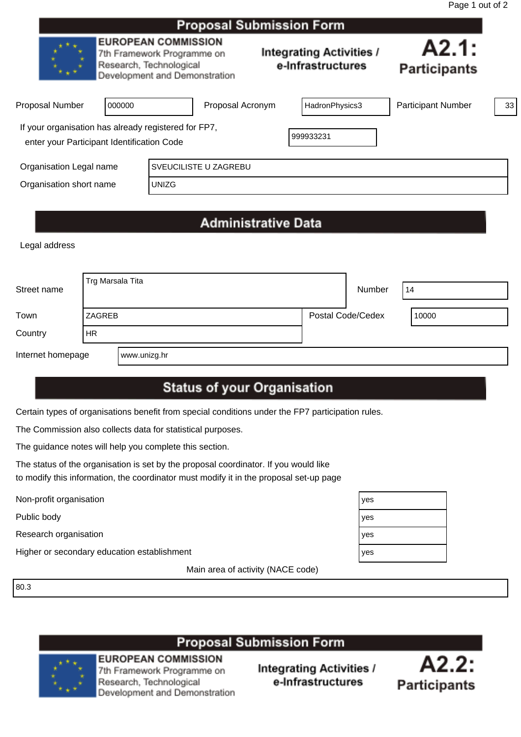|                                                                                                    |        |                                                                                                                      | Proposal Jubilission Form |  |                                                      |                              |    |
|----------------------------------------------------------------------------------------------------|--------|----------------------------------------------------------------------------------------------------------------------|---------------------------|--|------------------------------------------------------|------------------------------|----|
|                                                                                                    |        | <b>EUROPEAN COMMISSION</b><br>7th Framework Programme on<br>Research, Technological<br>Development and Demonstration |                           |  | <b>Integrating Activities /</b><br>e-Infrastructures | A2.1:<br><b>Participants</b> |    |
| <b>Proposal Number</b>                                                                             | 000000 |                                                                                                                      | Proposal Acronym          |  | HadronPhysics3                                       | <b>Participant Number</b>    | 33 |
| If your organisation has already registered for FP7,<br>enter your Participant Identification Code |        |                                                                                                                      |                           |  | 999933231                                            |                              |    |
| Organisation Legal name                                                                            |        |                                                                                                                      | SVEUCILISTE U ZAGREBU     |  |                                                      |                              |    |
| Organisation short name                                                                            |        | <b>UNIZG</b>                                                                                                         |                           |  |                                                      |                              |    |
|                                                                                                    |        |                                                                                                                      |                           |  |                                                      |                              |    |

# **Administrative Data**

Legal address

| Street name       | Trg Marsala Tita |              |                   | Number | 14    |
|-------------------|------------------|--------------|-------------------|--------|-------|
| Town              | ZAGREB           |              | Postal Code/Cedex |        | 10000 |
| Country           | HR.              |              |                   |        |       |
| Internet homepage |                  | www.unizg.hr |                   |        |       |

# **Status of your Organisation**

Certain types of organisations benefit from special conditions under the FP7 participation rules.

The Commission also collects data for statistical purposes.

The guidance notes will help you complete this section.

The status of the organisation is set by the proposal coordinator. If you would like to modify this information, the coordinator must modify it in the proposal set-up page

Non-profit organisation yes

Public body yes

Research organisation yes

Higher or secondary education establishment yes

Main area of activity (NACE code)

80.3

### **Proposal Submission Form**



**EUROPEAN COMMISSION** 7th Framework Programme on Research, Technological Development and Demonstration

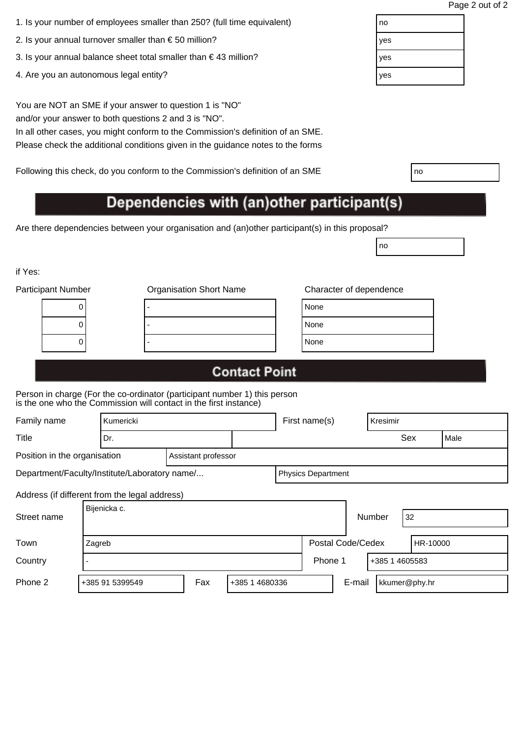| 1. Is your number of employees smaller than 250? (full time equivalent) | no |
|-------------------------------------------------------------------------|----|
|                                                                         |    |

- 2. Is your annual turnover smaller than  $\epsilon$  50 million?
- 3. Is your annual balance sheet total smaller than € 43 million?
- 4. Are you an autonomous legal entity?

You are NOT an SME if your answer to question 1 is "NO" and/or your answer to both questions 2 and 3 is "NO".

In all other cases, you might conform to the Commission's definition of an SME. Please check the additional conditions given in the guidance notes to the forms

Following this check, do you conform to the Commission's definition of an SME

# Dependencies with (an)other participant(s)

Are there dependencies between your organisation and (an)other participant(s) in this proposal?

if Yes:

| <b>Participant Number</b> | <b>Organisation Short Name</b> | Character of dependence |
|---------------------------|--------------------------------|-------------------------|
| U                         |                                | None                    |
| U                         |                                | None                    |
|                           |                                | None                    |
|                           |                                |                         |

| lone |  |  |
|------|--|--|
| lone |  |  |
| lone |  |  |

no

## **Contact Point**

Person in charge (For the co-ordinator (participant number 1) this person is the one who the Commission will contact in the first instance)

| Family name                                   | Kumericki |                 |                     |                | First name(s) | Kresimir                             |        |        |                |      |
|-----------------------------------------------|-----------|-----------------|---------------------|----------------|---------------|--------------------------------------|--------|--------|----------------|------|
| Title<br>Dr.                                  |           |                 |                     |                |               |                                      |        |        | Sex            | Male |
| Position in the organisation                  |           |                 | Assistant professor |                |               |                                      |        |        |                |      |
| Department/Faculty/Institute/Laboratory name/ |           |                 |                     |                |               | <b>Physics Department</b>            |        |        |                |      |
| Address (if different from the legal address) |           |                 |                     |                |               |                                      |        |        |                |      |
| Street name                                   |           | Bijenicka c.    |                     |                |               |                                      |        | Number | 32             |      |
| Town                                          | Zagreb    |                 |                     |                |               | <b>Postal Code/Cedex</b><br>HR-10000 |        |        |                |      |
| Country                                       |           |                 |                     |                |               | Phone 1                              |        |        | +385 1 4605583 |      |
| Phone 2                                       |           | +385 91 5399549 | Fax                 | +385 1 4680336 |               |                                      | E-mail |        | kkumer@phy.hr  |      |

| no  |  |
|-----|--|
| yes |  |
| yes |  |
| yes |  |
|     |  |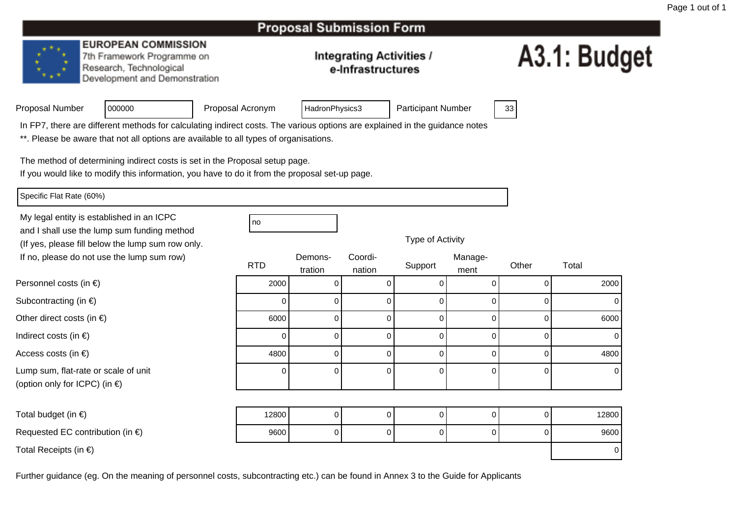#### **EUROPEAN COMMISSION**

7th Framework Programme on Research, Technological Development and Demonstration

#### **Integrating Activities /** e-Infrastructures

# A3.1: Budget

| Proposal Number |  |
|-----------------|--|
|                 |  |

Proposal Acronym

HadronPhysics3 | Participant Number | 33

In FP7, there are different methods for calculating indirect costs. The various options are explained in the guidance notes

\*\*. Please be aware that not all options are available to all types of organisations.

The method of determining indirect costs is set in the Proposal setup page.

If you would like to modify this information, you have to do it from the proposal set-up page.

Specific Flat Rate (60%)

Personnel costs (in €)

Subcontracting (in €)

Indirect costs (in  $\epsilon$ )

Access costs (in €)

Other direct costs (in  $\epsilon$ )

Lump sum, flat-rate or scale of unit

(option only for ICPC) (in €)

My legal entity is established in an ICPCno all'altra di una proprietà di una proprietà di una proprietà di una di una di una di una di una di una di u and I shall use the lump sum funding method (If yes, please fill below the lump sum row only.If no, please do not use the lump sum row)

<sup>000000</sup>

| below the lump sum row only.        |            |                    |                   |         |                 |       |       |  |
|-------------------------------------|------------|--------------------|-------------------|---------|-----------------|-------|-------|--|
| ot use the lump sum row)            | <b>RTD</b> | Demons-<br>tration | Coordi-<br>nation | Support | Manage-<br>ment | Other | Total |  |
| ) €)                                | 2000       | U                  |                   |         |                 |       | 2000  |  |
| $\in)$                              |            |                    |                   |         |                 |       |       |  |
| $(in \in)$                          | 6000       |                    |                   |         |                 |       | 6000  |  |
|                                     |            |                    |                   |         |                 |       |       |  |
|                                     | 4800       | 0                  |                   |         |                 |       | 4800  |  |
| e or scale of unit<br>$P$ C) (in €) | 0          |                    |                   |         |                 | n     |       |  |

| Total budget (in $\epsilon$ )              | 12800 |  |  |  |  |  | 12800 <sub>1</sub> |  |  |
|--------------------------------------------|-------|--|--|--|--|--|--------------------|--|--|
| Requested EC contribution (in $\epsilon$ ) | 9600  |  |  |  |  |  | 9600               |  |  |
| Total Receipts (in $\epsilon$ )            |       |  |  |  |  |  |                    |  |  |

|  | Type of Activity |
|--|------------------|
|--|------------------|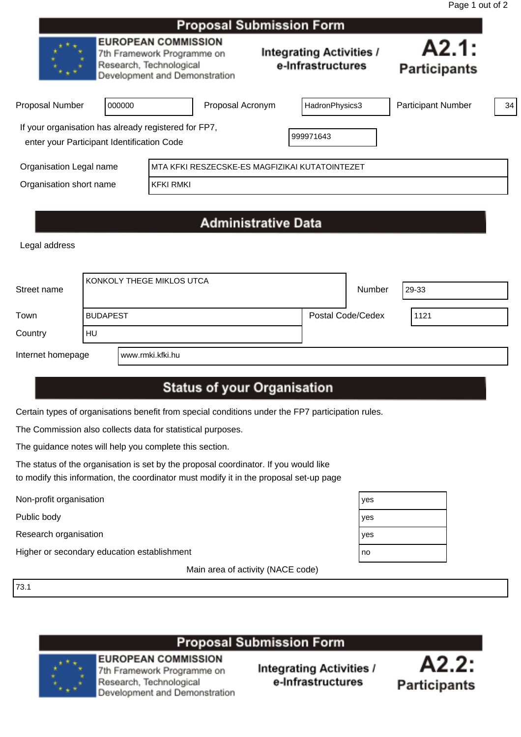|                                                                                                                 |        |                                                                                                                      | <b>Proposal Submission Form</b> |  |                                                      |                              |    |
|-----------------------------------------------------------------------------------------------------------------|--------|----------------------------------------------------------------------------------------------------------------------|---------------------------------|--|------------------------------------------------------|------------------------------|----|
|                                                                                                                 |        | <b>EUROPEAN COMMISSION</b><br>7th Framework Programme on<br>Research, Technological<br>Development and Demonstration |                                 |  | <b>Integrating Activities /</b><br>e-Infrastructures | A2.1:<br><b>Participants</b> |    |
| <b>Proposal Number</b>                                                                                          | 000000 |                                                                                                                      | Proposal Acronym                |  | HadronPhysics3                                       | <b>Participant Number</b>    | 34 |
| If your organisation has already registered for FP7,<br>999971643<br>enter your Participant Identification Code |        |                                                                                                                      |                                 |  |                                                      |                              |    |
| Organisation Legal name                                                                                         |        |                                                                                                                      |                                 |  | MTA KFKI RESZECSKE-ES MAGFIZIKAI KUTATOINTEZET       |                              |    |
| Organisation short name<br><b>KFKI RMKI</b>                                                                     |        |                                                                                                                      |                                 |  |                                                      |                              |    |
|                                                                                                                 |        |                                                                                                                      |                                 |  |                                                      |                              |    |

# **Administrative Data**

Legal address

| Street name       |                 | I KONKOLY THEGE MIKLOS UTCA | Number                   | l 29-33 |      |
|-------------------|-----------------|-----------------------------|--------------------------|---------|------|
| Town              | <b>BUDAPEST</b> |                             | <b>Postal Code/Cedex</b> |         | 1121 |
| Country           | HU              |                             |                          |         |      |
| Internet homepage |                 | l www.rmki.kfki.hu          |                          |         |      |

## **Status of your Organisation**

Certain types of organisations benefit from special conditions under the FP7 participation rules.

The Commission also collects data for statistical purposes.

The guidance notes will help you complete this section.

The status of the organisation is set by the proposal coordinator. If you would like to modify this information, the coordinator must modify it in the proposal set-up page

Public body

Non-profit organisation<br>Public body<br>Research organisation Research organisation

Higher or secondary education establishment

Main area of activity (NACE code)

73.1

# **Proposal Submission Form**



**EUROPEAN COMMISSION** 7th Framework Programme on Research, Technological Development and Demonstration



| 'es |  |
|-----|--|
| 'es |  |
| 'es |  |
| ١O  |  |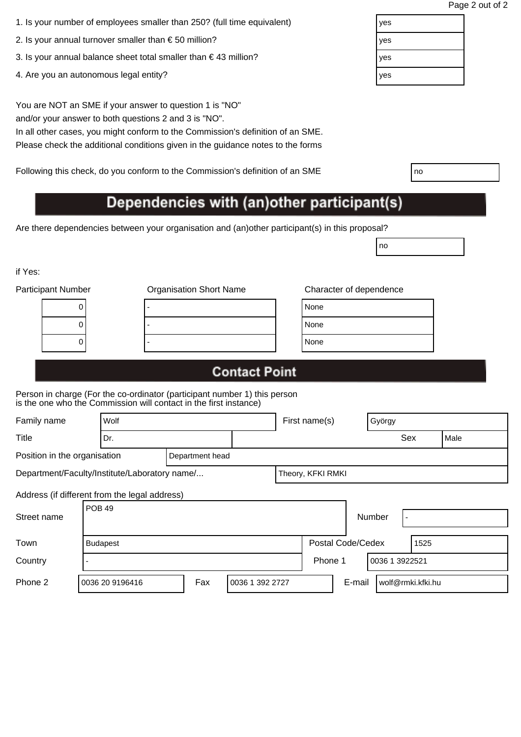| 1. Is your number of employees smaller than 250? (full time equivalent) | l yes |
|-------------------------------------------------------------------------|-------|
|                                                                         |       |

- 2. Is your annual turnover smaller than  $\epsilon$  50 million?
- 3. Is your annual balance sheet total smaller than € 43 million?
- 4. Are you an autonomous legal entity?

You are NOT an SME if your answer to question 1 is "NO" and/or your answer to both questions 2 and 3 is "NO".

In all other cases, you might conform to the Commission's definition of an SME. Please check the additional conditions given in the guidance notes to the forms

Following this check, do you conform to the Commission's definition of an SME

# Dependencies with (an)other participant(s)

Are there dependencies between your organisation and (an)other participant(s) in this proposal?

if Yes:

| <b>Participant Number</b> | <b>Organisation Short Name</b> | Character of dependence |
|---------------------------|--------------------------------|-------------------------|
| U                         |                                | None                    |
|                           |                                | None                    |
|                           |                                | None                    |
|                           |                                |                         |

| lone |  |  |
|------|--|--|
| lone |  |  |
| lone |  |  |

no

## **Contact Point**

Person in charge (For the co-ordinator (participant number 1) this person is the one who the Commission will contact in the first instance)

| Family name<br>Wolf                                                |               |                 |                 | First name(s)   |  | György            |        |                |                   |      |
|--------------------------------------------------------------------|---------------|-----------------|-----------------|-----------------|--|-------------------|--------|----------------|-------------------|------|
| Title                                                              |               | Dr.             |                 |                 |  |                   |        |                | Sex               | Male |
| Position in the organisation                                       |               |                 | Department head |                 |  |                   |        |                |                   |      |
| Department/Faculty/Institute/Laboratory name/<br>Theory, KFKI RMKI |               |                 |                 |                 |  |                   |        |                |                   |      |
| Address (if different from the legal address)                      |               |                 |                 |                 |  |                   |        |                |                   |      |
| Street name                                                        | <b>POB 49</b> |                 |                 |                 |  |                   |        | Number         |                   |      |
| Town                                                               |               | <b>Budapest</b> |                 |                 |  | Postal Code/Cedex |        |                | 1525              |      |
| Country                                                            |               |                 |                 |                 |  | Phone 1           |        | 0036 1 3922521 |                   |      |
| Phone 2                                                            |               | 0036 20 9196416 | Fax             | 0036 1 392 2727 |  |                   | E-mail |                | wolf@rmki.kfki.hu |      |

| yes |  |
|-----|--|
| yes |  |
| yes |  |
| yes |  |
|     |  |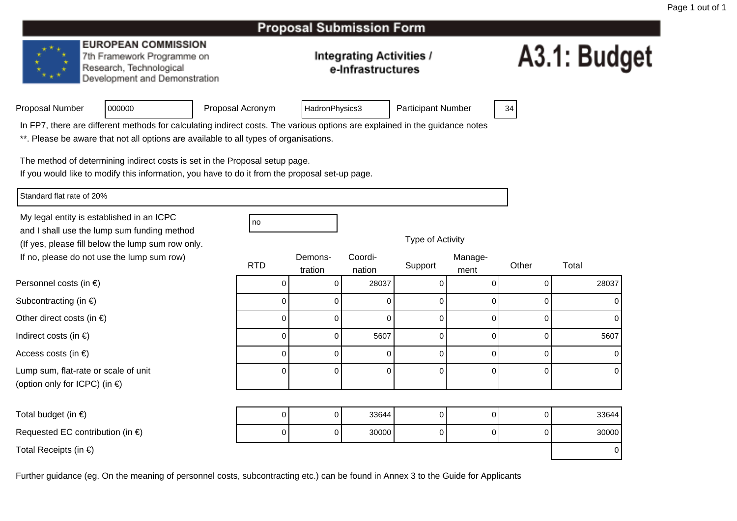#### **EUROPEAN COMMISSION**

7th Framework Programme on Research, Technological Development and Demonstration

#### **Integrating Activities /** e-Infrastructures

# A3.1: Budget

| Proposal Number |  |
|-----------------|--|
|                 |  |

Proposal Acronym

HadronPhysics3 | Participant Number | 34

In FP7, there are different methods for calculating indirect costs. The various options are explained in the guidance notes

\*\*. Please be aware that not all options are available to all types of organisations.

The method of determining indirect costs is set in the Proposal setup page.

If you would like to modify this information, you have to do it from the proposal set-up page.

Standard flat rate of 20%

Personnel costs (in €)

Subcontracting (in €)

Indirect costs (in  $\epsilon$ )

Access costs (in €)

Other direct costs (in  $\epsilon$ )

My legal entity is established in an ICPCno all'altra di una proprietà di una proprietà di una proprietà di una di una di una di una di una di una di u and I shall use the lump sum funding method (If yes, please fill below the lump sum row only.If no, please do not use the lump sum row)

<sup>000000</sup>

| -<br>ot use the lump sum row)                | <b>RTD</b> | Demons-<br>tration | Coordi-<br>nation | Support  | Manage-<br>ment | Other | Total |
|----------------------------------------------|------------|--------------------|-------------------|----------|-----------------|-------|-------|
| າ €)                                         |            |                    | 28037             |          |                 |       | 28037 |
| $\in)$                                       |            |                    |                   |          |                 |       |       |
| $(in \in)$                                   |            |                    | 0                 |          |                 |       |       |
|                                              |            |                    | 5607              |          |                 |       | 5607  |
|                                              |            |                    | 0                 |          |                 |       |       |
| e or scale of unit<br><sup>2</sup> C) (in €) | O          |                    | 0                 | $\Omega$ | 0               |       | 0     |

| Lump sum, flat-rate or scale of unit    |
|-----------------------------------------|
| (option only for ICPC) (in $\epsilon$ ) |
|                                         |

Total budget (in  $\epsilon$ )

Requested EC contribution (in  $\epsilon$ )

Total Receipts (in €)

 $\begin{array}{ccc} \n\end{array}$ 0 0 33644 0 0 0 0 33644 <sup>0</sup>0 0 30000 0 0 0 30000 ) and the contract of the contract of  $\sim$  0.000  $\mu$  . The contract of  $\sim$  0.000  $\mu$   $\sim$  0.000  $\mu$   $\sim$  0.000  $\mu$   $\sim$  0.000  $\mu$   $\sim$  0.000  $\mu$   $\sim$  0.000  $\mu$   $\sim$  0.000  $\mu$   $\sim$  0.000  $\mu$   $\sim$  0.000  $\mu$   $\sim$ 

Further guidance (eg. On the meaning of personnel costs, subcontracting etc.) can be found in Annex 3 to the Guide for Applicants

| ∽<br>n<br>о |  |  |
|-------------|--|--|
|-------------|--|--|

Type of Activity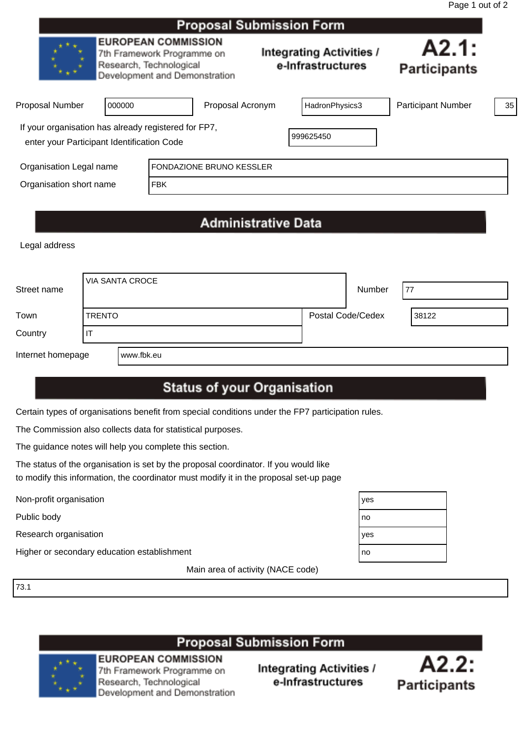|                                                                                                    |        |                                                                                                                      | Proposal Submission Form |                                                      |                              |    |
|----------------------------------------------------------------------------------------------------|--------|----------------------------------------------------------------------------------------------------------------------|--------------------------|------------------------------------------------------|------------------------------|----|
|                                                                                                    |        | <b>EUROPEAN COMMISSION</b><br>7th Framework Programme on<br>Research, Technological<br>Development and Demonstration |                          | <b>Integrating Activities /</b><br>e-Infrastructures | A2.1:<br><b>Participants</b> |    |
| Proposal Number                                                                                    | 000000 |                                                                                                                      | Proposal Acronym         | HadronPhysics3                                       | <b>Participant Number</b>    | 35 |
| If your organisation has already registered for FP7,<br>enter your Participant Identification Code |        |                                                                                                                      |                          | 999625450                                            |                              |    |
| Organisation Legal name                                                                            |        |                                                                                                                      | FONDAZIONE BRUNO KESSLER |                                                      |                              |    |
| Organisation short name                                                                            |        | <b>FBK</b>                                                                                                           |                          |                                                      |                              |    |
|                                                                                                    |        |                                                                                                                      |                          |                                                      |                              |    |

# **Administrative Data**

Legal address

| Street name       |               | <b>VIA SANTA CROCE</b> |                   | Number | 77    |
|-------------------|---------------|------------------------|-------------------|--------|-------|
| Town              | <b>TRENTO</b> |                        | Postal Code/Cedex |        | 38122 |
| Country           | ш             |                        |                   |        |       |
| Internet homepage |               | www.fbk.eu             |                   |        |       |

# **Status of your Organisation**

Certain types of organisations benefit from special conditions under the FP7 participation rules.

The Commission also collects data for statistical purposes.

The guidance notes will help you complete this section.

The status of the organisation is set by the proposal coordinator. If you would like to modify this information, the coordinator must modify it in the proposal set-up page

Public body

Research organisation

Non-profit organisation<br>
Public body<br>
Research organisation<br>
Higher or secondary education establishment Higher or secondary education establishment

Main area of activity (NACE code)

73.1





**EUROPEAN COMMISSION** 7th Framework Programme on Research, Technological

Development and Demonstration



| es |  |
|----|--|
| 0  |  |
| es |  |
| 0  |  |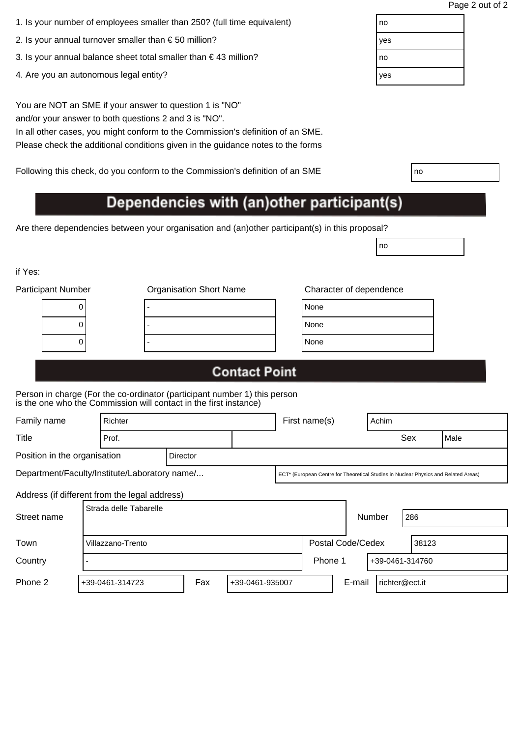| 1. Is your number of employees smaller than 250? (full time equivalent) | no |
|-------------------------------------------------------------------------|----|
|                                                                         |    |

- 2. Is your annual turnover smaller than € 50 million?  $\vert$  y
- 3. Is your annual balance sheet total smaller than  $\epsilon$  43 million?
- 4. Are you an autonomous legal entity?

You are NOT an SME if your answer to question 1 is "NO" and/or your answer to both questions 2 and 3 is "NO".

In all other cases, you might conform to the Commission's definition of an SME. Please check the additional conditions given in the guidance notes to the forms

Following this check, do you conform to the Commission's definition of an SME

# Dependencies with (an)other participant(s)

Are there dependencies between your organisation and (an)other participant(s) in this proposal?

if Yes:

| <b>Participant Number</b> | <b>Organisation Short Name</b> | Character of dependence |
|---------------------------|--------------------------------|-------------------------|
| U                         |                                | None                    |
|                           |                                | None                    |
|                           |                                | None                    |

| lone |  |
|------|--|
| lone |  |
| lone |  |

no

## **Contact Point**

Person in charge (For the co-ordinator (participant number 1) this person is the one who the Commission will contact in the first instance)

| Family name<br>Richter                        |       |                        |                 |                                                                                     | First name(s)              |                            | Achim  |        |                |  |      |
|-----------------------------------------------|-------|------------------------|-----------------|-------------------------------------------------------------------------------------|----------------------------|----------------------------|--------|--------|----------------|--|------|
| Title                                         | Prof. |                        |                 |                                                                                     |                            |                            |        |        | Sex            |  | Male |
| Position in the organisation                  |       |                        | <b>Director</b> |                                                                                     |                            |                            |        |        |                |  |      |
| Department/Faculty/Institute/Laboratory name/ |       |                        |                 | ECT* (European Centre for Theoretical Studies in Nuclear Physics and Related Areas) |                            |                            |        |        |                |  |      |
| Address (if different from the legal address) |       |                        |                 |                                                                                     |                            |                            |        |        |                |  |      |
| Street name                                   |       | Strada delle Tabarelle |                 |                                                                                     |                            |                            |        | Number | 286            |  |      |
| Town                                          |       | Villazzano-Trento      |                 |                                                                                     |                            | Postal Code/Cedex<br>38123 |        |        |                |  |      |
| Country                                       |       |                        |                 |                                                                                     | Phone 1<br>+39-0461-314760 |                            |        |        |                |  |      |
| Phone 2                                       |       | +39-0461-314723        | Fax             | +39-0461-935007                                                                     |                            |                            | E-mail |        | richter@ect.it |  |      |

| ገ0  |  |
|-----|--|
| /es |  |
| ገ0  |  |
| /es |  |
|     |  |

| ٧<br>٧<br>I<br>×<br>۰. |  |
|------------------------|--|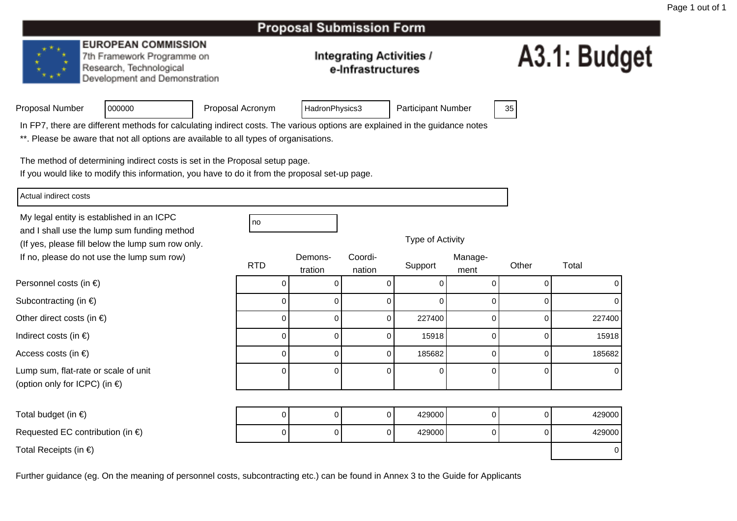#### **EUROPEAN COMMISSION**

7th Framework Programme on Research, Technological Development and Demonstration

#### **Integrating Activities /** e-Infrastructures

# A3.1: Budget

| Proposal Number |  |  |  |
|-----------------|--|--|--|
|-----------------|--|--|--|

Proposal Acronym

HadronPhysics3 | Participant Number | 35

In FP7, there are different methods for calculating indirect costs. The various options are explained in the guidance notes

\*\*. Please be aware that not all options are available to all types of organisations.

The method of determining indirect costs is set in the Proposal setup page.

If you would like to modify this information, you have to do it from the proposal set-up page.

Actual indirect costs

Personnel costs (in €)

Subcontracting (in €)

Indirect costs (in  $\epsilon$ )

Access costs (in €)

Total budget (in  $\epsilon$ )

Total Receipts (in €)

Other direct costs (in  $\epsilon$ )

Lump sum, flat-rate or scale of unit

(option only for ICPC) (in €)

My legal entity is established in an ICPCno all'altra di una proprietà di una proprietà di una proprietà di una di una di una di una di una di una di u and I shall use the lump sum funding method (If yes, please fill below the lump sum row only.If no, please do not use the lump sum row)

<sup>000000</sup>

) a coordi- Coordi- Coordi- Manage-RTDD tration nation Support <sub>ment</sub> Other Total n nation buppon ment ) and the contract of  $\overline{a}$  and  $\overline{b}$  and  $\overline{a}$  and  $\overline{a}$  and  $\overline{a}$  and  $\overline{a}$  and  $\overline{a}$  and  $\overline{a}$  and  $\overline{a}$  and  $\overline{a}$  and  $\overline{a}$  and  $\overline{a}$  and  $\overline{a}$  and  $\overline{a}$  and  $\overline{a}$  and  $\overline$ 0 0 0 0 0 0 0 ) and the contract of  $\overline{a}$  of  $\overline{a}$  of  $\overline{a}$  of  $\overline{a}$  of  $\overline{a}$  of  $\overline{a}$  of  $\overline{a}$  of  $\overline{a}$  of  $\overline{a}$  of  $\overline{a}$  of  $\overline{a}$  of  $\overline{a}$  of  $\overline{a}$  of  $\overline{a}$  of  $\overline{a}$  of  $\overline{a}$  of  $\overline{a}$ 0 0 0 0 0 0 0 <sup>0</sup>0 0 0 227400 0 0 227400 ) and the contract of  $\overline{a}$  and  $\overline{b}$  and  $\overline{b}$  and  $\overline{a}$  and  $\overline{a}$  and  $\overline{a}$  and  $\overline{a}$  and  $\overline{a}$  and  $\overline{a}$  and  $\overline{a}$  and  $\overline{a}$  and  $\overline{a}$  and  $\overline{a}$  and  $\overline{a}$  and  $\overline{a}$  and  $\overline$ 0 | 0 | 15918 | 0 | 15918 ) and the contract of  $\overline{a}$  and  $\overline{b}$  and  $\overline{a}$  and  $\overline{a}$  and  $\overline{a}$  and  $\overline{a}$  and  $\overline{a}$  and  $\overline{a}$  and  $\overline{a}$  and  $\overline{a}$  and  $\overline{a}$  and  $\overline{a}$  and  $\overline{a}$  and  $\overline{a}$  and  $\overline{a}$  and  $\overline$ 0 | 0 | 185682 | 0 | 185682 t 0 0 0 0 0 0 0 0

Type of Activity

 $\begin{array}{ccc} \n\end{array}$ 0 0 0 429000 0 0 429000 Requested EC contribution (in  $\epsilon$ ) <sup>0</sup>0 0 0 429000 0 0 429000 ) and the contract of the contract of  $\sim$  0.000  $\mu$  . The contract of  $\sim$  0.000  $\mu$   $\sim$  0.000  $\mu$   $\sim$  0.000  $\mu$   $\sim$  0.000  $\mu$   $\sim$  0.000  $\mu$   $\sim$  0.000  $\mu$   $\sim$  0.000  $\mu$   $\sim$  0.000  $\mu$   $\sim$  0.000  $\mu$   $\sim$ 

|  | O<br>п<br>ı<br>г |  |
|--|------------------|--|
|--|------------------|--|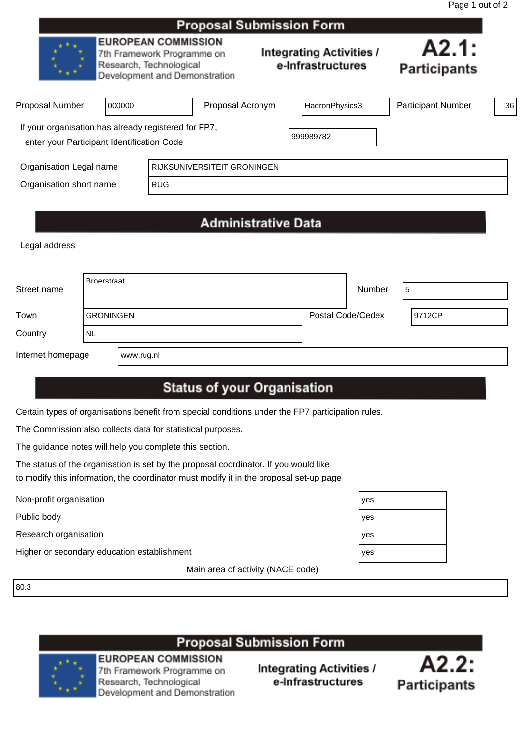|                                                                                                    |        |                                                                                                                      | <b>Proposal Submission Form</b>    |                                                      |                              |    |
|----------------------------------------------------------------------------------------------------|--------|----------------------------------------------------------------------------------------------------------------------|------------------------------------|------------------------------------------------------|------------------------------|----|
|                                                                                                    |        | <b>EUROPEAN COMMISSION</b><br>7th Framework Programme on<br>Research, Technological<br>Development and Demonstration |                                    | <b>Integrating Activities /</b><br>e-Infrastructures | A2.1:<br><b>Participants</b> |    |
| <b>Proposal Number</b>                                                                             | 000000 |                                                                                                                      | Proposal Acronym                   | HadronPhysics3                                       | <b>Participant Number</b>    | 36 |
| If your organisation has already registered for FP7,<br>enter your Participant Identification Code |        |                                                                                                                      |                                    | 999989782                                            |                              |    |
| Organisation Legal name                                                                            |        |                                                                                                                      | <b>RIJKSUNIVERSITEIT GRONINGEN</b> |                                                      |                              |    |
| Organisation short name                                                                            |        | <b>RUG</b>                                                                                                           |                                    |                                                      |                              |    |
|                                                                                                    |        |                                                                                                                      |                                    |                                                      |                              |    |

# **Administrative Data**

Legal address

| Street name       | <b>Broerstraat</b> |            |                   | Number | 5      |
|-------------------|--------------------|------------|-------------------|--------|--------|
| Town              | <b>GRONINGEN</b>   |            | Postal Code/Cedex |        | 9712CP |
| Country           | I NL               |            |                   |        |        |
| Internet homepage |                    | www.rug.nl |                   |        |        |

# **Status of your Organisation**

Certain types of organisations benefit from special conditions under the FP7 participation rules.

The Commission also collects data for statistical purposes.

The guidance notes will help you complete this section.

The status of the organisation is set by the proposal coordinator. If you would like to modify this information, the coordinator must modify it in the proposal set-up page

Non-profit organisation yes

Public body yes

Research organisation yes

Higher or secondary education establishment yes

Main area of activity (NACE code)

80.3



Research, Technological

Development and Demonstration

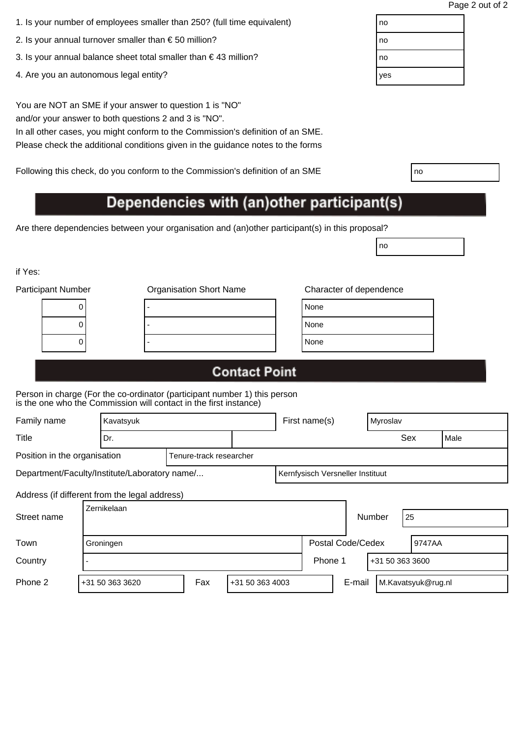| 1. Is your number of employees smaller than 250? (full time equivalent) | no |
|-------------------------------------------------------------------------|----|
|                                                                         |    |

- 2. Is your annual turnover smaller than € 50 million?  $\Box$  no
- 3. Is your annual balance sheet total smaller than € 43 million?  $\vert$  no
- 4. Are you an autonomous legal entity? yes will be a set of the set of the set of the set of the set of the set of the set of the set of the set of the set of the set of the set of the set of the set of the set of the set

You are NOT an SME if your answer to question 1 is "NO" and/or your answer to both questions 2 and 3 is "NO".

In all other cases, you might conform to the Commission's definition of an SME. Please check the additional conditions given in the guidance notes to the forms

Following this check, do you conform to the Commission's definition of an SME

# Dependencies with (an) other participant(s)

Are there dependencies between your organisation and (an)other participant(s) in this proposal?

if Yes:

| <b>Participant Number</b> |   | <b>Organisation Short Name</b> | Character of dependence |      |
|---------------------------|---|--------------------------------|-------------------------|------|
|                           | U |                                |                         | None |
|                           |   |                                |                         | None |
|                           |   |                                |                         | None |
|                           |   |                                |                         |      |

| lone |  |  |
|------|--|--|
| lone |  |  |
| lone |  |  |

no

# **Contact Point**

Person in charge (For the co-ordinator (participant number 1) this person is the one who the Commission will contact in the first instance)

| Family name                                                                       | Kavatsyuk |  |                         |                             |         | First name(s)   |              | Myroslav |  |      |
|-----------------------------------------------------------------------------------|-----------|--|-------------------------|-----------------------------|---------|-----------------|--------------|----------|--|------|
| Title                                                                             | Dr.       |  |                         |                             |         |                 |              | Sex      |  | Male |
| Position in the organisation                                                      |           |  | Tenure-track researcher |                             |         |                 |              |          |  |      |
| Department/Faculty/Institute/Laboratory name/<br>Kernfysisch Versneller Instituut |           |  |                         |                             |         |                 |              |          |  |      |
| Address (if different from the legal address)                                     |           |  |                         |                             |         |                 |              |          |  |      |
| Zernikelaan<br>Street name                                                        |           |  |                         |                             |         |                 | 25<br>Number |          |  |      |
| Town<br>Groningen                                                                 |           |  |                         | Postal Code/Cedex<br>9747AA |         |                 |              |          |  |      |
| Country                                                                           |           |  |                         |                             | Phone 1 | +31 50 363 3600 |              |          |  |      |

Phone 2 +31 50 363 3620 Fax +31 50 363 4003 E-mail M.Kavatsyuk@rug.nl

| I<br>×<br>۰. |  |
|--------------|--|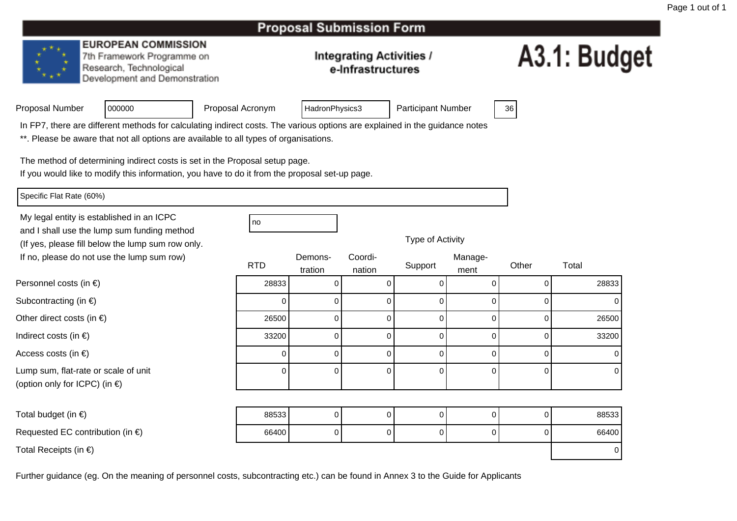#### **EUROPEAN COMMISSION**

7th Framework Programme on Research, Technological Development and Demonstration

#### **Integrating Activities /** e-Infrastructures

# A3.1: Budget

| Proposal Number |  |
|-----------------|--|
|-----------------|--|

Proposal Acronym

HadronPhysics3 | Participant Number | 36

In FP7, there are different methods for calculating indirect costs. The various options are explained in the guidance notes

\*\*. Please be aware that not all options are available to all types of organisations.

The method of determining indirect costs is set in the Proposal setup page.

If you would like to modify this information, you have to do it from the proposal set-up page.

Specific Flat Rate (60%)

Personnel costs (in €)

Subcontracting (in €)

Indirect costs (in  $\epsilon$ )

Access costs (in €)

Other direct costs (in  $\epsilon$ )

Lump sum, flat-rate or scale of unit

(option only for ICPC) (in €)

My legal entity is established in an ICPCno all'altra di una proprietà di una proprietà di una proprietà di una di una di una di una di una di una di u and I shall use the lump sum funding methodIf no, please do not use the lump sum row)

<sup>000000</sup>

| (If yes, please fill below the lump sum row only.                   |            |                    |                   | Type of Activity |                 |       |       |
|---------------------------------------------------------------------|------------|--------------------|-------------------|------------------|-----------------|-------|-------|
| If no, please do not use the lump sum row)                          | <b>RTD</b> | Demons-<br>tration | Coordi-<br>nation | Support          | Manage-<br>ment | Other | Total |
| ersonnel costs (in $\epsilon$ )                                     | 28833      |                    |                   |                  |                 |       | 28833 |
| ubcontracting (in $\epsilon$ )                                      |            |                    |                   |                  |                 |       |       |
| ther direct costs (in €)                                            | 26500      |                    |                   |                  | 0               |       | 26500 |
| ndirect costs (in $\epsilon$ )                                      | 33200      |                    |                   |                  | 0               |       | 33200 |
| ccess costs (in $\epsilon$ )                                        |            |                    |                   |                  |                 |       |       |
| ump sum, flat-rate or scale of unit<br>option only for ICPC) (in €) |            |                    |                   |                  |                 |       |       |

| Total budget (in $\epsilon$ )              | 88533 |  |  |  |  | υı | 88533 |
|--------------------------------------------|-------|--|--|--|--|----|-------|
| Requested EC contribution (in $\epsilon$ ) | 66400 |  |  |  |  |    | 66400 |
| Total Receipts (in $\epsilon$ )            |       |  |  |  |  |    | 0     |

Further guidance (eg. On the meaning of personnel costs, subcontracting etc.) can be found in Annex 3 to the Guide for Applicants

Type of Activity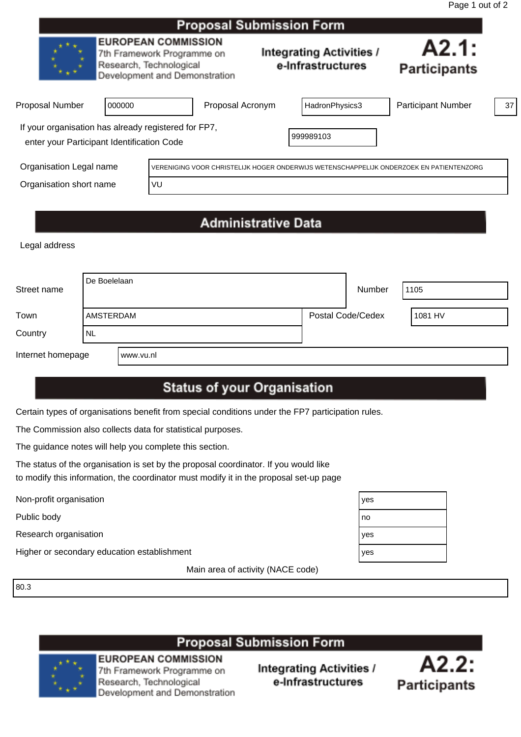|                                                                                                                 |                                                                                                                      |                                                                                         | <b>Proposal Submission Form</b> |                                                      |                              |                           |    |  |
|-----------------------------------------------------------------------------------------------------------------|----------------------------------------------------------------------------------------------------------------------|-----------------------------------------------------------------------------------------|---------------------------------|------------------------------------------------------|------------------------------|---------------------------|----|--|
|                                                                                                                 | <b>EUROPEAN COMMISSION</b><br>7th Framework Programme on<br>Research, Technological<br>Development and Demonstration |                                                                                         |                                 | <b>Integrating Activities /</b><br>e-Infrastructures | A2.1:<br><b>Participants</b> |                           |    |  |
| <b>Proposal Number</b>                                                                                          | 000000                                                                                                               |                                                                                         | Proposal Acronym                |                                                      | HadronPhysics3               | <b>Participant Number</b> | 37 |  |
| If your organisation has already registered for FP7,<br>999989103<br>enter your Participant Identification Code |                                                                                                                      |                                                                                         |                                 |                                                      |                              |                           |    |  |
| Organisation Legal name                                                                                         |                                                                                                                      | VERENIGING VOOR CHRISTELIJK HOGER ONDERWIJS WETENSCHAPPELIJK ONDERZOEK EN PATIENTENZORG |                                 |                                                      |                              |                           |    |  |
| Organisation short name                                                                                         |                                                                                                                      | VU                                                                                      |                                 |                                                      |                              |                           |    |  |
|                                                                                                                 |                                                                                                                      |                                                                                         |                                 |                                                      |                              |                           |    |  |

# **Administrative Data**

Legal address

| Street name       | l De Boelelaan   |           | Number            | 1105 |         |
|-------------------|------------------|-----------|-------------------|------|---------|
| Town<br>Country   | AMSTERDAM<br>'NL |           | Postal Code/Cedex |      | 1081 HV |
| Internet homepage |                  | www.vu.nl |                   |      |         |

## **Status of your Organisation**

Certain types of organisations benefit from special conditions under the FP7 participation rules.

The Commission also collects data for statistical purposes.

The guidance notes will help you complete this section.

The status of the organisation is set by the proposal coordinator. If you would like to modify this information, the coordinator must modify it in the proposal set-up page

Non-profit organisation yes

Public body not be a set of the set of the set of the set of the set of the set of the set of the set of the set of the set of the set of the set of the set of the set of the set of the set of the set of the set of the set

Research organisation  $\overline{y}$ 

Higher or secondary education establishment yets are all the secondary of  $\frac{1}{y}$ 

Main area of activity (NACE code)

80.3

### **Proposal Submission Form**



**EUROPEAN COMMISSION** 7th Framework Programme on Research, Technological Development and Demonstration



| es |  |
|----|--|
| о  |  |
| es |  |
| es |  |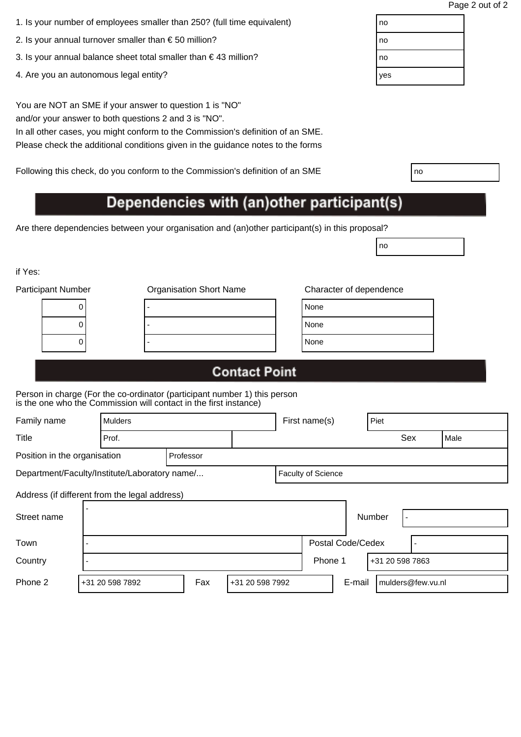| 1. Is your number of employees smaller than 250? (full time equivalent) | no |
|-------------------------------------------------------------------------|----|
|                                                                         |    |

- 2. Is your annual turnover smaller than  $\epsilon$  50 million?
- 3. Is your annual balance sheet total smaller than  $\epsilon$  43 million?
- 4. Are you an autonomous legal entity?

You are NOT an SME if your answer to question 1 is "NO" and/or your answer to both questions 2 and 3 is "NO".

In all other cases, you might conform to the Commission's definition of an SME. Please check the additional conditions given in the guidance notes to the forms

Following this check, do you conform to the Commission's definition of an SME

# Dependencies with (an)other participant(s)

Are there dependencies between your organisation and (an)other participant(s) in this proposal?

if Yes:

| <b>Participant Number</b> |   | <b>Organisation Short Name</b> |  |      |  |  |
|---------------------------|---|--------------------------------|--|------|--|--|
|                           | U |                                |  | None |  |  |
|                           | U |                                |  | None |  |  |
|                           |   |                                |  | None |  |  |
|                           |   |                                |  |      |  |  |

| lone |  |  |
|------|--|--|
| lone |  |  |
| lone |  |  |

no

## **Contact Point**

Person in charge (For the co-ordinator (participant number 1) this person is the one who the Commission will contact in the first instance)

| Family name                                   |                                                                     | <b>Mulders</b>  |     |  |                 | First name(s) |                   |                 | Piet |     |                   |  |
|-----------------------------------------------|---------------------------------------------------------------------|-----------------|-----|--|-----------------|---------------|-------------------|-----------------|------|-----|-------------------|--|
| Title                                         |                                                                     | Prof.           |     |  |                 |               |                   |                 |      | Sex | Male              |  |
| Position in the organisation                  |                                                                     | Professor       |     |  |                 |               |                   |                 |      |     |                   |  |
|                                               | Department/Faculty/Institute/Laboratory name/<br>Faculty of Science |                 |     |  |                 |               |                   |                 |      |     |                   |  |
| Address (if different from the legal address) |                                                                     |                 |     |  |                 |               |                   |                 |      |     |                   |  |
| Street name                                   |                                                                     |                 |     |  |                 |               | Number            |                 |      |     |                   |  |
| Town                                          |                                                                     |                 |     |  |                 |               | Postal Code/Cedex |                 |      |     |                   |  |
| Country                                       |                                                                     |                 |     |  | Phone 1         |               |                   | +31 20 598 7863 |      |     |                   |  |
| Phone 2                                       |                                                                     | +31 20 598 7892 | Fax |  | +31 20 598 7992 |               |                   | E-mail          |      |     | mulders@few.vu.nl |  |

| ١O |  |  |  |
|----|--|--|--|
| ١Ο |  |  |  |
| ١O |  |  |  |
| es |  |  |  |
|    |  |  |  |

| ٧ | ٧<br>I<br>×<br>۰. |  |
|---|-------------------|--|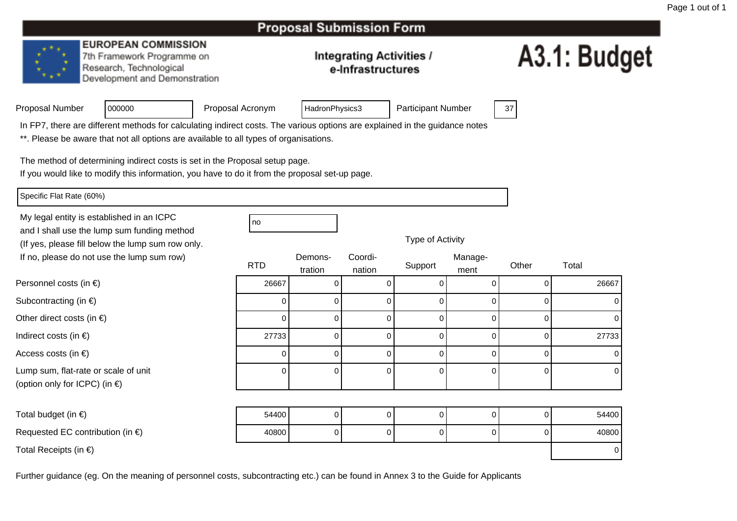#### **EUROPEAN COMMISSION**

7th Framework Programme on Research, Technological Development and Demonstration

### **Integrating Activities /** e-Infrastructures

# A3.1: Budget

| Proposal Number |  |  |
|-----------------|--|--|
|-----------------|--|--|

Proposal Acronym

HadronPhysics3 | Participant Number | 37

In FP7, there are different methods for calculating indirect costs. The various options are explained in the guidance notes

\*\*. Please be aware that not all options are available to all types of organisations.

The method of determining indirect costs is set in the Proposal setup page.

If you would like to modify this information, you have to do it from the proposal set-up page.

Specific Flat Rate (60%)

Personnel costs (in €)

Subcontracting (in  $\epsilon$ )

Indirect costs (in  $\epsilon$ )

Access costs (in €)

Other direct costs (in  $\epsilon$ )

Lump sum, flat-rate or scale of unit

(option only for ICPC) (in €)

My legal entity is established in an ICPCand I shall use the lump sum funding method (If yes, please fill below the lump sum row only.If no, please do not use the lump sum row)

<sup>000000</sup>

| С | no |
|---|----|

Type of Activity

| ot use the lump sum row)         | <b>RTD</b> | Demons- | Coordi-        | Support | Manage- | Other | Total            |
|----------------------------------|------------|---------|----------------|---------|---------|-------|------------------|
|                                  |            | tration | nation         |         | ment    |       |                  |
| ) €)                             | 26667      |         | 0              |         |         |       | 26667            |
| $\in)$                           |            |         | $\mathbf 0$    | 0       |         |       | 0                |
| $(in \in)$                       |            |         | $\mathbf 0$    | 0       |         |       | 0                |
|                                  | 27733      |         | 0              | 0       |         |       | 27733            |
|                                  |            |         | $\overline{0}$ | 0       |         |       | $\boldsymbol{0}$ |
| e or scale of unit<br>PC) (in €) |            | 0       | $\overline{0}$ | 0       |         | 0     | $\boldsymbol{0}$ |
|                                  |            |         |                |         |         |       |                  |
|                                  |            |         |                |         |         |       |                  |

| Total budget (in $\epsilon$ )              | 54400 |  |  |  |  |  | 54400 |
|--------------------------------------------|-------|--|--|--|--|--|-------|
| Requested EC contribution (in $\epsilon$ ) | 40800 |  |  |  |  |  | 40800 |
| Total Receipts (in $\epsilon$ )            |       |  |  |  |  |  |       |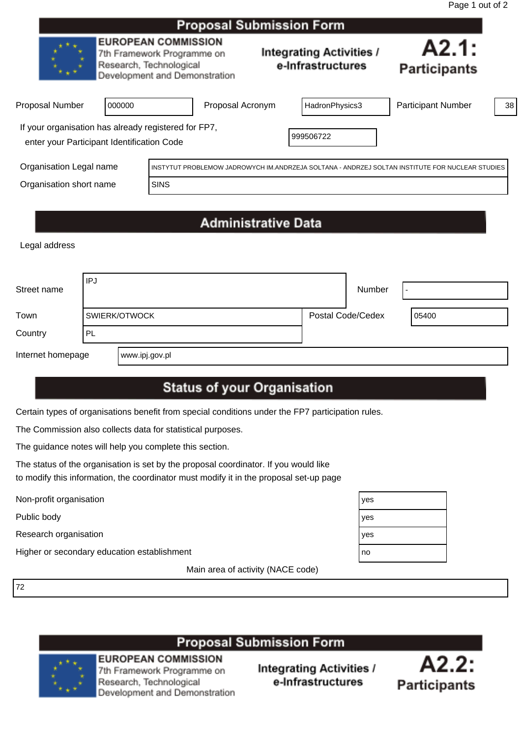|                                                                                                                      | <b>Proposal Submission Form</b> |                  |  |  |                                                      |                                                                                                 |    |  |  |
|----------------------------------------------------------------------------------------------------------------------|---------------------------------|------------------|--|--|------------------------------------------------------|-------------------------------------------------------------------------------------------------|----|--|--|
| <b>EUROPEAN COMMISSION</b><br>7th Framework Programme on<br>Research, Technological<br>Development and Demonstration |                                 |                  |  |  | <b>Integrating Activities /</b><br>e-Infrastructures | A2.1:<br><b>Participants</b>                                                                    |    |  |  |
| <b>Proposal Number</b>                                                                                               | 000000                          | Proposal Acronym |  |  | HadronPhysics3                                       | <b>Participant Number</b>                                                                       | 38 |  |  |
| If your organisation has already registered for FP7,<br>enter your Participant Identification Code                   |                                 |                  |  |  | 999506722                                            |                                                                                                 |    |  |  |
| Organisation Legal name                                                                                              |                                 |                  |  |  |                                                      | INSTYTUT PROBLEMOW JADROWYCH IM.ANDRZEJA SOLTANA - ANDRZEJ SOLTAN INSTITUTE FOR NUCLEAR STUDIES |    |  |  |
| Organisation short name                                                                                              |                                 | <b>SINS</b>      |  |  |                                                      |                                                                                                 |    |  |  |
|                                                                                                                      |                                 |                  |  |  |                                                      |                                                                                                 |    |  |  |

# **Administrative Data**

Legal address

| Street name       | l IPJ     |                |                   | Number | -     |
|-------------------|-----------|----------------|-------------------|--------|-------|
| Town              |           | SWIERK/OTWOCK  | Postal Code/Cedex |        | 05400 |
| Country           | <b>PL</b> |                |                   |        |       |
| Internet homepage |           | www.ipj.gov.pl |                   |        |       |

## **Status of your Organisation**

Certain types of organisations benefit from special conditions under the FP7 participation rules.

The Commission also collects data for statistical purposes.

The guidance notes will help you complete this section.

The status of the organisation is set by the proposal coordinator. If you would like to modify this information, the coordinator must modify it in the proposal set-up page

Non-profit organisation yes

Public body yes

Research organisation yes

Higher or secondary education establishment no metal of the second local problem in the second local problem in

Main area of activity (NACE code)

72



7th Framework Programme on Research, Technological Development and Demonstration

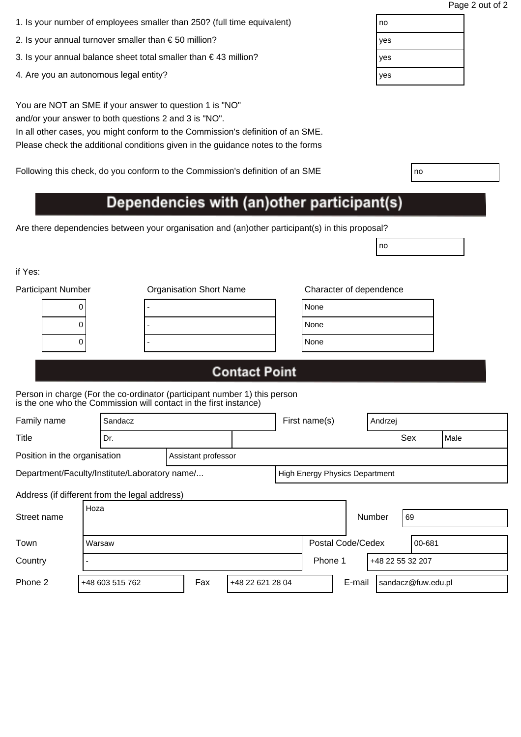| 1. Is your number of employees smaller than 250? (full time equivalent) | no |
|-------------------------------------------------------------------------|----|
|                                                                         |    |

- 2. Is your annual turnover smaller than  $\epsilon$  50 million?
- 3. Is your annual balance sheet total smaller than  $\epsilon$  43 million?
- 4. Are you an autonomous legal entity?

You are NOT an SME if your answer to question 1 is "NO" and/or your answer to both questions 2 and 3 is "NO".

In all other cases, you might conform to the Commission's definition of an SME. Please check the additional conditions given in the guidance notes to the forms

Following this check, do you conform to the Commission's definition of an SME

# Dependencies with (an)other participant(s)

Are there dependencies between your organisation and (an)other participant(s) in this proposal?

if Yes:

| <b>Participant Number</b> | <b>Organisation Short Name</b> | Character of dependence |
|---------------------------|--------------------------------|-------------------------|
| U                         |                                | None                    |
| U                         |                                | None                    |
|                           |                                | None                    |
|                           |                                |                         |

| lone |  |  |
|------|--|--|
| lone |  |  |
| lone |  |  |

no

# **Contact Point**

Person in charge (For the co-ordinator (participant number 1) this person is the one who the Commission will contact in the first instance)

| Family name                                   |        | Sandacz             |  |                                |         | First name(s)     |                  | Andrzej |        |      |
|-----------------------------------------------|--------|---------------------|--|--------------------------------|---------|-------------------|------------------|---------|--------|------|
| <b>Title</b>                                  |        | Dr.                 |  |                                |         |                   |                  |         | Sex    | Male |
| Position in the organisation                  |        | Assistant professor |  |                                |         |                   |                  |         |        |      |
| Department/Faculty/Institute/Laboratory name/ |        |                     |  | High Energy Physics Department |         |                   |                  |         |        |      |
| Address (if different from the legal address) |        |                     |  |                                |         |                   |                  |         |        |      |
| Street name                                   | Hoza   |                     |  |                                |         |                   |                  | Number  | 69     |      |
| Town                                          | Warsaw |                     |  |                                |         | Postal Code/Cedex |                  |         | 00-681 |      |
| Country                                       |        |                     |  |                                | Phone 1 |                   | +48 22 55 32 207 |         |        |      |
|                                               |        |                     |  |                                |         |                   |                  |         |        |      |

Phone 2  $\vert$  +48 603 515 762 Fax  $\vert$  +48 22 621 28 04 Fasc E-mail sandacz@fuw.edu.pl

| no  |  |  |
|-----|--|--|
| yes |  |  |
| yes |  |  |
| yes |  |  |
|     |  |  |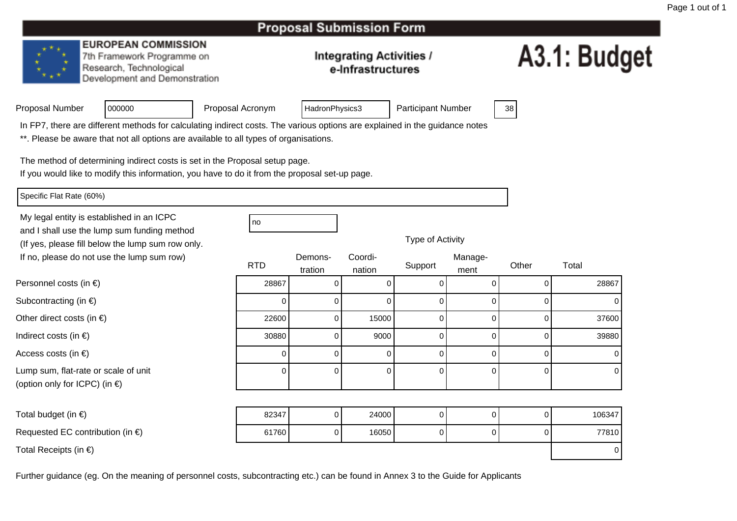#### **EUROPEAN COMMISSION**

7th Framework Programme on Research, Technological Development and Demonstration

### **Integrating Activities /** e-Infrastructures

# A3.1: Budget

| Proposal Number |  |
|-----------------|--|
|                 |  |

Proposal Acronym

HadronPhysics3 | Participant Number | 38

In FP7, there are different methods for calculating indirect costs. The various options are explained in the guidance notes

\*\*. Please be aware that not all options are available to all types of organisations.

The method of determining indirect costs is set in the Proposal setup page.

If you would like to modify this information, you have to do it from the proposal set-up page.

Specific Flat Rate (60%)

Personnel costs (in €)

Subcontracting (in  $\epsilon$ )

Indirect costs (in  $\epsilon$ )

Access costs (in €)

Other direct costs (in  $\epsilon$ )

Lump sum, flat-rate or scale of unit

(option only for ICPC) (in €)

My legal entity is established in an ICPCand I shall use the lump sum funding method (If yes, please fill below the lump sum row only.If no, please do not use the lump sum row)

<sup>000000</sup>

| С                        | no |
|--------------------------|----|
| $\overline{\phantom{a}}$ |    |

Type of Activity

| ot use the lump sum row)            | <b>RTD</b> | Demons-<br>tration | Coordi-<br>nation | Support | Manage-<br>ment | Other | Total |
|-------------------------------------|------------|--------------------|-------------------|---------|-----------------|-------|-------|
| າ €)                                | 28867      |                    | 0                 |         |                 |       | 28867 |
| $\in)$                              |            |                    | 0                 | 0       |                 |       | 0     |
| $(in \in)$                          | 22600      |                    | 15000             |         |                 |       | 37600 |
|                                     | 30880      |                    | 9000              |         |                 |       | 39880 |
|                                     |            |                    | $\overline{0}$    | 0       |                 |       | 0     |
| e or scale of unit<br>$P$ C) (in €) |            |                    | $\overline{0}$    |         |                 |       | 0     |

Total budget (in  $\epsilon$ ) <sup>82347</sup>7 | 0 | 24000 | 0 | 0 | 106347 Requested EC contribution (in  $\epsilon$ ) <sup>61760</sup>0 | 16050 | 0 0 0 77810 Total Receipts (in €)) and the contract of the contract of  $\sim$  0.000  $\mu$  . The contract of  $\sim$  0.000  $\mu$   $\sim$  0.000  $\mu$   $\sim$  0.000  $\mu$   $\sim$  0.000  $\mu$   $\sim$  0.000  $\mu$   $\sim$  0.000  $\mu$   $\sim$  0.000  $\mu$   $\sim$  0.000  $\mu$   $\sim$  0.000  $\mu$   $\sim$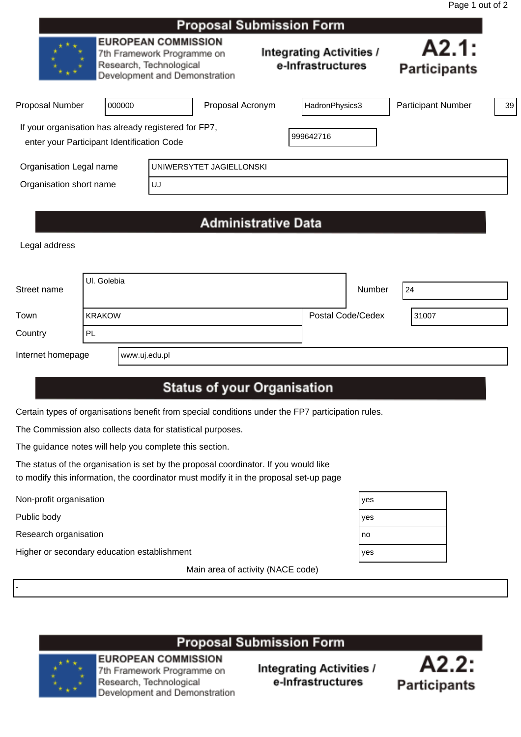| Page 1 out of 2 |  |  |
|-----------------|--|--|
|                 |  |  |

|                                                                                                                      |        |    | Proposal Submission Form                             |                              |                           |    |
|----------------------------------------------------------------------------------------------------------------------|--------|----|------------------------------------------------------|------------------------------|---------------------------|----|
| <b>EUROPEAN COMMISSION</b><br>7th Framework Programme on<br>Research, Technological<br>Development and Demonstration |        |    | <b>Integrating Activities /</b><br>e-Infrastructures | A2.1:<br><b>Participants</b> |                           |    |
| <b>Proposal Number</b>                                                                                               | 000000 |    | Proposal Acronym                                     | HadronPhysics3               | <b>Participant Number</b> | 39 |
| If your organisation has already registered for FP7,<br>enter your Participant Identification Code                   |        |    |                                                      | 999642716                    |                           |    |
| Organisation Legal name                                                                                              |        |    | UNIWERSYTET JAGIELLONSKI                             |                              |                           |    |
| Organisation short name                                                                                              |        | UJ |                                                      |                              |                           |    |
|                                                                                                                      |        |    |                                                      |                              |                           |    |

# **Administrative Data**

Legal address

| Street name       | UI. Golebia         |               | Number | 24                |       |
|-------------------|---------------------|---------------|--------|-------------------|-------|
| Town<br>Country   | <b>KRAKOW</b><br>PL |               |        | Postal Code/Cedex | 31007 |
| Internet homepage |                     | www.uj.edu.pl |        |                   |       |

# **Status of your Organisation**

Certain types of organisations benefit from special conditions under the FP7 participation rules.

The Commission also collects data for statistical purposes.

The guidance notes will help you complete this section.

The status of the organisation is set by the proposal coordinator. If you would like to modify this information, the coordinator must modify it in the proposal set-up page

Non-profit organisation yes

-

Public body<br>Research organisation Research organisation

Higher or secondary education establishment

Main area of activity (NACE code)

| es |  |
|----|--|
| es |  |
| ١O |  |
| es |  |

**Proposal Submission Form EUROPEAN COMMISSION** 

7th Framework Programme on Research, Technological Development and Demonstration

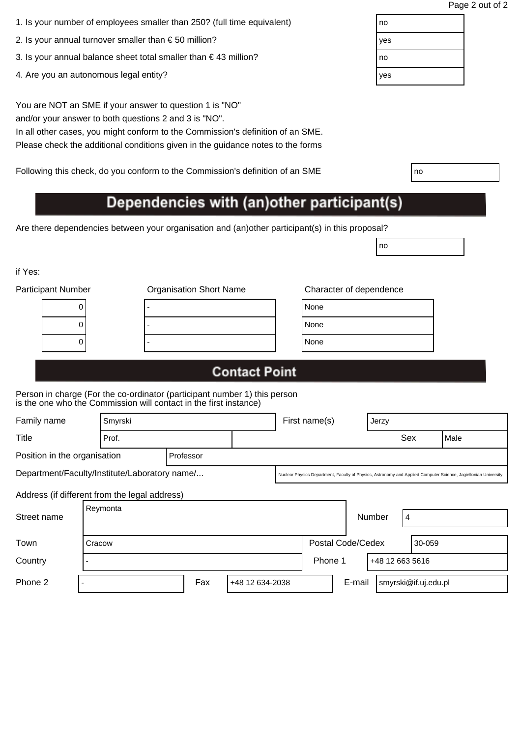| 1. Is your number of employees smaller than 250? (full time equivalent) | no |
|-------------------------------------------------------------------------|----|
|                                                                         |    |

- 2. Is your annual turnover smaller than  $\epsilon$  50 million?
- 3. Is your annual balance sheet total smaller than  $\epsilon$  43 million?
- 4. Are you an autonomous legal entity?

You are NOT an SME if your answer to question 1 is "NO" and/or your answer to both questions 2 and 3 is "NO".

In all other cases, you might conform to the Commission's definition of an SME. Please check the additional conditions given in the guidance notes to the forms

Following this check, do you conform to the Commission's definition of an SME

# Dependencies with (an)other participant(s)

Are there dependencies between your organisation and (an)other participant(s) in this proposal?

if Yes:

| lone |  |  |
|------|--|--|
| lone |  |  |
| lone |  |  |
|      |  |  |

no

# **Contact Point**

Person in charge (For the co-ordinator (participant number 1) this person is the one who the Commission will contact in the first instance)

| Family name                                   |  | Smyrski  |           |                 |                                                                                                                 | First name(s)              |        | Jerzy  |                      |      |
|-----------------------------------------------|--|----------|-----------|-----------------|-----------------------------------------------------------------------------------------------------------------|----------------------------|--------|--------|----------------------|------|
| Title                                         |  | Prof.    |           |                 |                                                                                                                 |                            |        |        | Sex                  | Male |
| Position in the organisation                  |  |          | Professor |                 |                                                                                                                 |                            |        |        |                      |      |
| Department/Faculty/Institute/Laboratory name/ |  |          |           |                 | Nuclear Physics Department, Faculty of Physics, Astronomy and Applied Computer Science, Jagiellonian University |                            |        |        |                      |      |
| Address (if different from the legal address) |  |          |           |                 |                                                                                                                 |                            |        |        |                      |      |
| Street name                                   |  | Reymonta |           |                 |                                                                                                                 |                            |        | Number | 4                    |      |
| Town                                          |  | Cracow   |           |                 |                                                                                                                 | Postal Code/Cedex          |        |        | 30-059               |      |
| Country                                       |  |          |           |                 |                                                                                                                 | Phone 1<br>+48 12 663 5616 |        |        |                      |      |
| Phone 2                                       |  |          | Fax       | +48 12 634-2038 |                                                                                                                 |                            | E-mail |        | smyrski@if.uj.edu.pl |      |

| no  |  |
|-----|--|
| yes |  |
| no  |  |
| yes |  |
|     |  |

| I<br>×<br>۰. |  |
|--------------|--|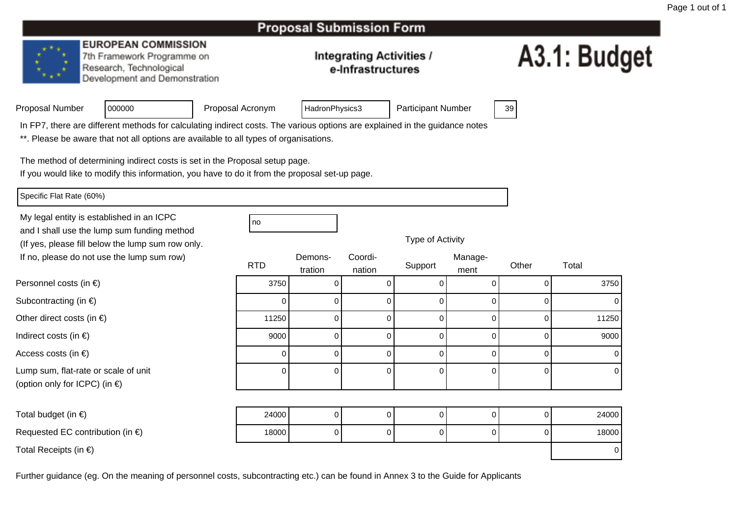#### **EUROPEAN COMMISSION**

7th Framework Programme on Research, Technological Development and Demonstration

### **Integrating Activities /** e-Infrastructures

# A3.1: Budget

| Proposal Number |  |
|-----------------|--|
|                 |  |

Proposal Acronym

HadronPhysics3 | Participant Number | 39

In FP7, there are different methods for calculating indirect costs. The various options are explained in the guidance notes

\*\*. Please be aware that not all options are available to all types of organisations.

The method of determining indirect costs is set in the Proposal setup page.

If you would like to modify this information, you have to do it from the proposal set-up page.

Specific Flat Rate (60%)

Personnel costs (in €)

Subcontracting (in  $\epsilon$ )

Indirect costs (in  $\epsilon$ )

Access costs (in €)

Other direct costs (in  $\epsilon$ )

Lump sum, flat-rate or scale of unit

(option only for ICPC) (in €)

My legal entity is established in an ICPCno all'altra di una proprietà di una proprietà di una proprietà di una di una di una di una di una di una di u and I shall use the lump sum funding method (If yes, please fill below the lump sum row only.If no, please do not use the lump sum row)

<sup>000000</sup>

| Delow the furtip surfl row only. |            |                    |                   | . .     |                 |       |       |
|----------------------------------|------------|--------------------|-------------------|---------|-----------------|-------|-------|
| ot use the lump sum row)         | <b>RTD</b> | Demons-<br>tration | Coordi-<br>nation | Support | Manage-<br>ment | Other | Total |
| ) €)                             | 3750       |                    |                   |         |                 |       | 3750  |
| $\in)$                           |            |                    |                   |         |                 |       |       |
| $(in \in)$                       | 11250      | O                  |                   |         |                 |       | 11250 |
|                                  | 9000       | 0                  |                   |         |                 |       | 9000  |
|                                  |            |                    |                   |         | 0               |       |       |
| e or scale of unit<br>PC) (in €) |            | 0                  | 0                 | 0       | 0               |       |       |

| Total budget (in $\epsilon$ )              | 24000 |  |  |  |  |  | 24000 |
|--------------------------------------------|-------|--|--|--|--|--|-------|
| Requested EC contribution (in $\epsilon$ ) | 18000 |  |  |  |  |  | 18000 |
| Total Receipts (in $\epsilon$ )            |       |  |  |  |  |  |       |

Further guidance (eg. On the meaning of personnel costs, subcontracting etc.) can be found in Annex 3 to the Guide for Applicants

Type of Activity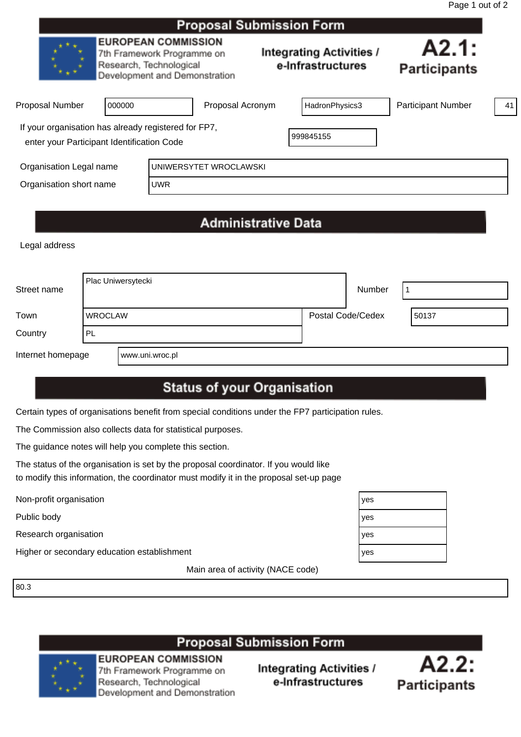| Proposal Jubilission Form                                                                          |        |                                                                                                                      |                        |  |                                                      |                              |    |  |
|----------------------------------------------------------------------------------------------------|--------|----------------------------------------------------------------------------------------------------------------------|------------------------|--|------------------------------------------------------|------------------------------|----|--|
|                                                                                                    |        | <b>EUROPEAN COMMISSION</b><br>7th Framework Programme on<br>Research, Technological<br>Development and Demonstration |                        |  | <b>Integrating Activities /</b><br>e-Infrastructures | A2.1:<br><b>Participants</b> |    |  |
| <b>Proposal Number</b>                                                                             | 000000 |                                                                                                                      | Proposal Acronym       |  | HadronPhysics3                                       | <b>Participant Number</b>    | 41 |  |
| If your organisation has already registered for FP7,<br>enter your Participant Identification Code |        |                                                                                                                      |                        |  | 999845155                                            |                              |    |  |
| Organisation Legal name                                                                            |        |                                                                                                                      | UNIWERSYTET WROCLAWSKI |  |                                                      |                              |    |  |
| Organisation short name                                                                            |        | <b>UWR</b>                                                                                                           |                        |  |                                                      |                              |    |  |
|                                                                                                    |        |                                                                                                                      |                        |  |                                                      |                              |    |  |

# **Administrative Data**

Legal address

| Street name       |                | Plac Uniwersytecki |                   | Number |       |
|-------------------|----------------|--------------------|-------------------|--------|-------|
| Town              | <b>WROCLAW</b> |                    | Postal Code/Cedex |        | 50137 |
| Country           | <b>PL</b>      |                    |                   |        |       |
| Internet homepage |                | www.uni.wroc.pl    |                   |        |       |

# **Status of your Organisation**

Certain types of organisations benefit from special conditions under the FP7 participation rules.

The Commission also collects data for statistical purposes.

The guidance notes will help you complete this section.

The status of the organisation is set by the proposal coordinator. If you would like to modify this information, the coordinator must modify it in the proposal set-up page

Non-profit organisation yes all the set of the set of the set of the set of the set of the set of the set of the set of the set of the set of the set of the set of the set of the set of the set of the set of the set of the

Public body yes

Research organisation yes

Higher or secondary education establishment yes

Main area of activity (NACE code)

80.3

## **Proposal Submission Form**



**EUROPEAN COMMISSION** 7th Framework Programme on Research, Technological Development and Demonstration



| эS |  |
|----|--|
| эS |  |
| эS |  |
| эs |  |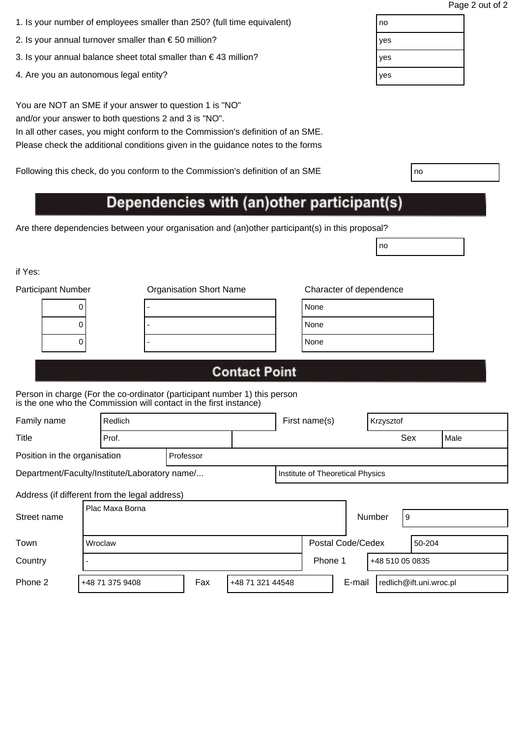| 1. Is your number of employees smaller than 250? (full time equivalent) | no |
|-------------------------------------------------------------------------|----|
|                                                                         |    |

- 2. Is your annual turnover smaller than € 50 million?  $|$ yes
- 3. Is your annual balance sheet total smaller than € 43 million?  $|$  yes
- 4. Are you an autonomous legal entity? yes will be a set of the set of the set of the set of the set of the set of the set of the set of the set of the set of the set of the set of the set of the set of the set of the set

You are NOT an SME if your answer to question 1 is "NO" and/or your answer to both questions 2 and 3 is "NO".

In all other cases, you might conform to the Commission's definition of an SME. Please check the additional conditions given in the guidance notes to the forms

Following this check, do you conform to the Commission's definition of an SME

# Dependencies with (an)other participant(s)

Are there dependencies between your organisation and (an)other participant(s) in this proposal?

if Yes:

| <b>Organisation Short Name</b> | Character of dependence |
|--------------------------------|-------------------------|
|                                | None                    |
|                                | None                    |
|                                | None                    |
|                                |                         |

| lone |  |
|------|--|
| lone |  |
| lone |  |

no

# **Contact Point**

Person in charge (For the co-ordinator (participant number 1) this person is the one who the Commission will contact in the first instance)

| Family name                                   | Redlich                                       |  |  | First name(s)                    |                   | Krzysztof |     |        |      |
|-----------------------------------------------|-----------------------------------------------|--|--|----------------------------------|-------------------|-----------|-----|--------|------|
| Title                                         | Prof.                                         |  |  |                                  |                   |           | Sex |        | Male |
| Position in the organisation<br>Professor     |                                               |  |  |                                  |                   |           |     |        |      |
| Department/Faculty/Institute/Laboratory name/ |                                               |  |  | Institute of Theoretical Physics |                   |           |     |        |      |
|                                               | Address (if different from the legal address) |  |  |                                  |                   |           |     |        |      |
| Street name                                   | Plac Maxa Borna                               |  |  |                                  |                   | Number    | 9   |        |      |
| Town                                          | Wroclaw                                       |  |  |                                  | Postal Code/Cedex |           |     | 50-204 |      |

Country - Phone 1 +48 510 05 0835

| Phone $\sim$ | +48 71 375 9408 | Fax | 44548<br>+48 71 321 | E-mail | I redlich@ift.uni.wroc.pl |
|--------------|-----------------|-----|---------------------|--------|---------------------------|

| I<br>$\sim$ |  |
|-------------|--|
|-------------|--|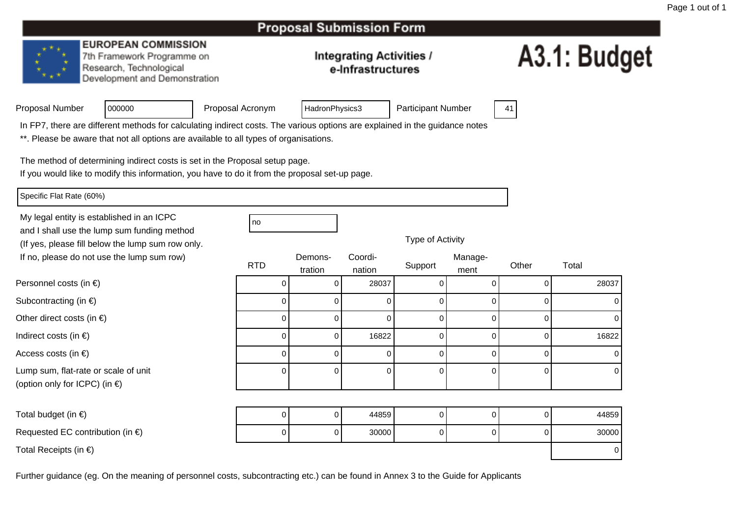#### **EUROPEAN COMMISSION**

7th Framework Programme on Research, Technological Development and Demonstration

### **Integrating Activities /** e-Infrastructures

# A3.1: Budget

| Proposal Number |  |
|-----------------|--|
|                 |  |

Proposal Acronym

HadronPhysics3 | Participant Number | 41

In FP7, there are different methods for calculating indirect costs. The various options are explained in the guidance notes

\*\*. Please be aware that not all options are available to all types of organisations.

The method of determining indirect costs is set in the Proposal setup page.

If you would like to modify this information, you have to do it from the proposal set-up page.

Specific Flat Rate (60%)

Personnel costs (in €)

Subcontracting (in  $\epsilon$ )

Indirect costs (in  $\epsilon$ )

Access costs (in €)

Other direct costs (in  $\epsilon$ )

My legal entity is established in an ICPCno all'altra di una proprietà di una proprietà di una proprietà di una di una di una di una di una di una di u and I shall use the lump sum funding method (If yes, please fill below the lump sum row only.If no, please do not use the lump sum row)

<sup>000000</sup>

| l no |
|------|
|      |

| .<br>ot use the lump sum row)       | <b>RTD</b> | Demons-<br>tration | Coordi-<br>nation | Support | Manage-<br>ment | Other    | Total |
|-------------------------------------|------------|--------------------|-------------------|---------|-----------------|----------|-------|
| ) €)                                |            | 0                  | 28037             |         |                 |          | 28037 |
| $\in)$                              |            |                    |                   |         |                 |          |       |
| $(in \in)$                          |            |                    |                   |         |                 |          |       |
|                                     |            | 0                  | 16822             |         |                 | $\Omega$ | 16822 |
|                                     |            | 0                  |                   |         |                 |          |       |
| e or scale of unit<br>$P$ C) (in €) |            | 0                  |                   |         |                 |          |       |

Type of Activity

Total budget (in  $\epsilon$ )

Requested EC contribution (in  $\epsilon$ )

Lump sum, flat-rate or scale of unit

(option only for ICPC) (in €)

Total Receipts (in €)

) and the contract of  $\overline{a}$  of  $\overline{a}$  of  $\overline{a}$  of  $\overline{a}$  of  $\overline{a}$  of  $\overline{a}$  of  $\overline{a}$  of  $\overline{a}$  of  $\overline{a}$  of  $\overline{a}$  of  $\overline{a}$  of  $\overline{a}$  of  $\overline{a}$  of  $\overline{a}$  of  $\overline{a}$  of  $\overline{a}$  of  $\overline{a}$ 0 | 44859 | 0 | 0 | 44859 <sup>0</sup>0 0 30000 0 0 0 30000 ) and the contract of the contract of  $\sim$  0.000  $\mu$  . The contract of  $\sim$  0.000  $\mu$   $\sim$  0.000  $\mu$   $\sim$  0.000  $\mu$   $\sim$  0.000  $\mu$   $\sim$  0.000  $\mu$   $\sim$  0.000  $\mu$   $\sim$  0.000  $\mu$   $\sim$  0.000  $\mu$   $\sim$  0.000  $\mu$   $\sim$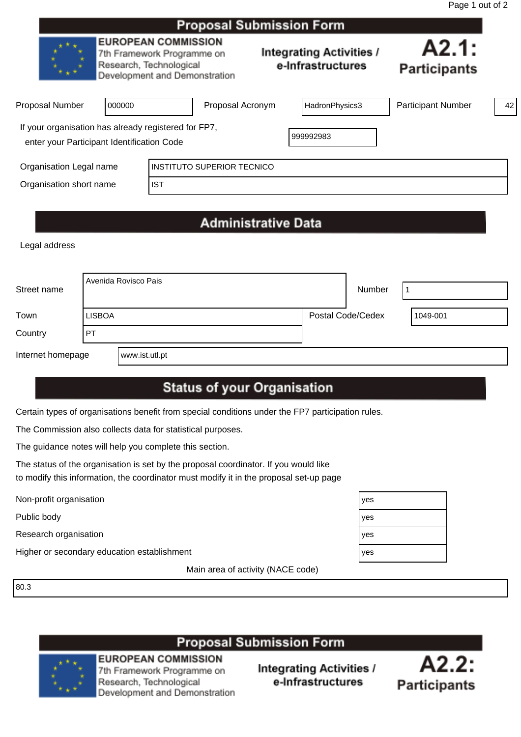|                                                                                                                      |        |            | <b>Proposal Submission Form</b>               |                              |                           |    |
|----------------------------------------------------------------------------------------------------------------------|--------|------------|-----------------------------------------------|------------------------------|---------------------------|----|
| <b>EUROPEAN COMMISSION</b><br>7th Framework Programme on<br>Research, Technological<br>Development and Demonstration |        |            | Integrating Activities /<br>e-Infrastructures | A2.1:<br><b>Participants</b> |                           |    |
| <b>Proposal Number</b>                                                                                               | 000000 |            | Proposal Acronym                              | HadronPhysics3               | <b>Participant Number</b> | 42 |
| If your organisation has already registered for FP7,<br>enter your Participant Identification Code                   |        |            |                                               | 999992983                    |                           |    |
| Organisation Legal name                                                                                              |        |            | <b>INSTITUTO SUPERIOR TECNICO</b>             |                              |                           |    |
| Organisation short name                                                                                              |        | <b>IST</b> |                                               |                              |                           |    |

# **Administrative Data**

Legal address

| Street name       |               | Avenida Rovisco Pais | Number            |          |
|-------------------|---------------|----------------------|-------------------|----------|
| Town              | <b>LISBOA</b> |                      | Postal Code/Cedex | 1049-001 |
| Country           | <b>PT</b>     |                      |                   |          |
| Internet homepage |               | www.ist.utl.pt       |                   |          |

# **Status of your Organisation**

Certain types of organisations benefit from special conditions under the FP7 participation rules.

The Commission also collects data for statistical purposes.

The guidance notes will help you complete this section.

The status of the organisation is set by the proposal coordinator. If you would like to modify this information, the coordinator must modify it in the proposal set-up page

Public body

Research organisation

Non-profit organisation<br>
Public body<br>
Research organisation<br>
Higher or secondary education establishment<br>
y Higher or secondary education establishment

Main area of activity (NACE code)

80.3

# **Proposal Submission Form**



**EUROPEAN COMMISSION** 7th Framework Programme on Research, Technological Development and Demonstration



| es |  |
|----|--|
| es |  |
| es |  |
| es |  |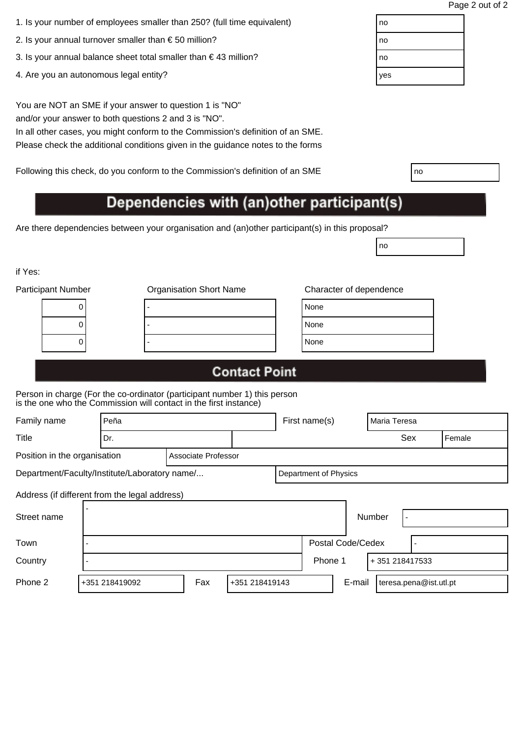| 1. Is your number of employees smaller than 250? (full time equivalent) | no |
|-------------------------------------------------------------------------|----|
|                                                                         |    |

- 2. Is your annual turnover smaller than  $\epsilon$  50 million?
- 3. Is your annual balance sheet total smaller than  $\epsilon$  43 million?
- 4. Are you an autonomous legal entity?

You are NOT an SME if your answer to question 1 is "NO" and/or your answer to both questions 2 and 3 is "NO".

In all other cases, you might conform to the Commission's definition of an SME. Please check the additional conditions given in the guidance notes to the forms

Following this check, do you conform to the Commission's definition of an SME

# Dependencies with (an)other participant(s)

Are there dependencies between your organisation and (an)other participant(s) in this proposal?

if Yes:

| <b>Participant Number</b> |   | <b>Organisation Short Name</b> |  |      |  |  |
|---------------------------|---|--------------------------------|--|------|--|--|
|                           | U |                                |  | None |  |  |
|                           |   |                                |  | None |  |  |
|                           | υ |                                |  | None |  |  |
|                           |   |                                |  |      |  |  |

| lone |  |
|------|--|
| lone |  |
| lone |  |

no

## **Contact Point**

Person in charge (For the co-ordinator (participant number 1) this person is the one who the Commission will contact in the first instance)

| Family name<br>Peña                           |  |                |                     |                | First name(s) |                       | Maria Teresa |        |                        |        |
|-----------------------------------------------|--|----------------|---------------------|----------------|---------------|-----------------------|--------------|--------|------------------------|--------|
| Title                                         |  | Dr.            |                     |                |               |                       |              |        | Sex                    | Female |
| Position in the organisation                  |  |                | Associate Professor |                |               |                       |              |        |                        |        |
| Department/Faculty/Institute/Laboratory name/ |  |                |                     |                |               | Department of Physics |              |        |                        |        |
| Address (if different from the legal address) |  |                |                     |                |               |                       |              |        |                        |        |
| Street name                                   |  |                |                     |                |               |                       |              | Number |                        |        |
| Town                                          |  |                |                     |                |               | Postal Code/Cedex     |              |        |                        |        |
| Country                                       |  |                |                     |                |               | Phone 1               |              |        | +351218417533          |        |
| Phone 2                                       |  | +351 218419092 | Fax                 | +351 218419143 |               |                       | E-mail       |        | teresa.pena@ist.utl.pt |        |

| no  |  |
|-----|--|
| no  |  |
| no  |  |
| yes |  |
|     |  |

| ٧<br>I<br>×<br>۰. |  |
|-------------------|--|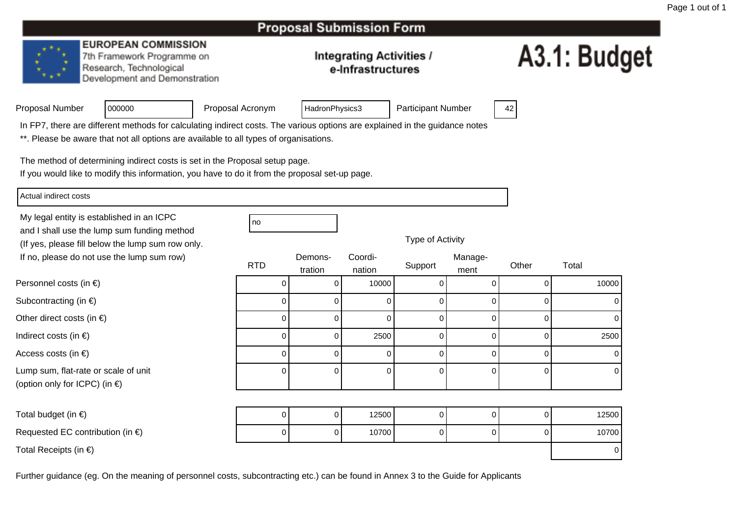#### **EUROPEAN COMMISSION**

7th Framework Programme on Research, Technological Development and Demonstration

### **Integrating Activities /** e-Infrastructures

# A3.1: Budget

| Proposal Number |  |
|-----------------|--|
|-----------------|--|

Proposal Acronym

HadronPhysics3 | Participant Number | 42

In FP7, there are different methods for calculating indirect costs. The various options are explained in the guidance notes

\*\*. Please be aware that not all options are available to all types of organisations.

The method of determining indirect costs is set in the Proposal setup page.

If you would like to modify this information, you have to do it from the proposal set-up page.

Actual indirect costs

Personnel costs (in €)

Subcontracting (in  $\epsilon$ )

Indirect costs (in  $\epsilon$ )

Access costs (in €)

Other direct costs (in  $\epsilon$ )

My legal entity is established in an ICPCno all'altra di una proprietà di una proprietà di una proprietà di una di una di una di una di una di una di u and I shall use the lump sum funding method (If yes, please fill below the lump sum row only.If no, please do not use the lump sum row)

<sup>000000</sup>

| bolow the large samplew only.       |            |                    |                   |         |                 |       |       |
|-------------------------------------|------------|--------------------|-------------------|---------|-----------------|-------|-------|
| ot use the lump sum row)            | <b>RTD</b> | Demons-<br>tration | Coordi-<br>nation | Support | Manage-<br>ment | Other | Total |
| າ €)                                |            |                    | 10000             |         |                 |       | 10000 |
| $\in)$                              |            |                    |                   |         | 0               |       |       |
| $(in \in)$                          |            | 0                  |                   |         | 0               |       |       |
|                                     |            | 0                  | 2500              |         | 0               |       | 2500  |
|                                     |            |                    |                   |         | 0               |       |       |
| e or scale of unit<br>$P$ C) (in €) |            | 0                  |                   |         | 0               |       |       |

Lump sum, flat-rate or scale of unit(option only for ICPC) (in €)

Total budget (in  $\epsilon$ ) ) and the contract of  $\overline{a}$  of  $\overline{a}$  of  $\overline{a}$  of  $\overline{a}$  of  $\overline{a}$  of  $\overline{a}$  of  $\overline{a}$  of  $\overline{a}$  of  $\overline{a}$  of  $\overline{a}$  of  $\overline{a}$  of  $\overline{a}$  of  $\overline{a}$  of  $\overline{a}$  of  $\overline{a}$  of  $\overline{a}$  of  $\overline{a}$ 0 | 12500 | 0 0 0 12500 Requested EC contribution (in  $\epsilon$ ) <sup>0</sup>0 | 0 | 10700 | 0 | 0 | 10700 Total Receipts (in €)) and the contract of the contract of  $\sim$  0.000  $\mu$  . The contract of  $\sim$  0.000  $\mu$   $\sim$  0.000  $\mu$   $\sim$  0.000  $\mu$   $\sim$  0.000  $\mu$   $\sim$  0.000  $\mu$   $\sim$  0.000  $\mu$   $\sim$  0.000  $\mu$   $\sim$  0.000  $\mu$   $\sim$  0.000  $\mu$   $\sim$ 

Further guidance (eg. On the meaning of personnel costs, subcontracting etc.) can be found in Annex 3 to the Guide for Applicants

Type of Activity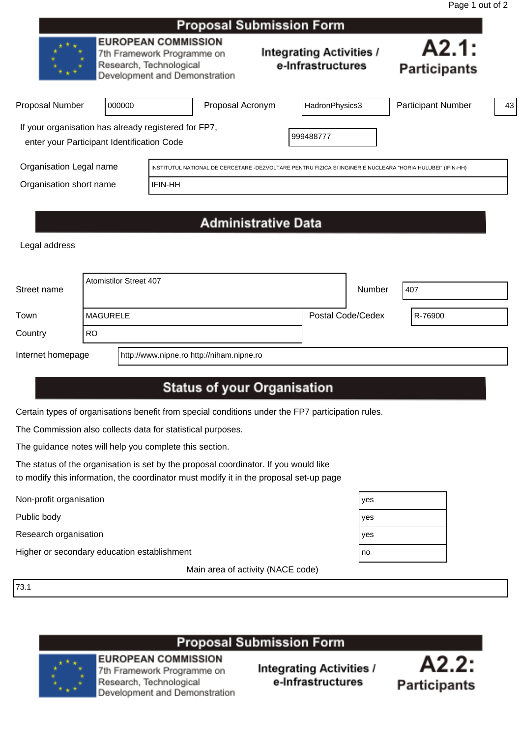|                                                                                                    |                                                                                                                      |                | <b>Proposal Submission Form</b> |                                                                                                            |                              |    |
|----------------------------------------------------------------------------------------------------|----------------------------------------------------------------------------------------------------------------------|----------------|---------------------------------|------------------------------------------------------------------------------------------------------------|------------------------------|----|
|                                                                                                    | <b>EUROPEAN COMMISSION</b><br>7th Framework Programme on<br>Research, Technological<br>Development and Demonstration |                |                                 | <b>Integrating Activities /</b><br>e-Infrastructures                                                       | A2.1:<br><b>Participants</b> |    |
| <b>Proposal Number</b>                                                                             | 000000                                                                                                               |                | Proposal Acronym                | HadronPhysics3                                                                                             | <b>Participant Number</b>    | 43 |
| If your organisation has already registered for FP7,<br>enter your Participant Identification Code |                                                                                                                      |                |                                 | 999488777                                                                                                  |                              |    |
| Organisation Legal name<br>Organisation short name                                                 |                                                                                                                      | <b>IFIN-HH</b> |                                 | INSTITUTUL NATIONAL DE CERCETARE -DEZVOLTARE PENTRU FIZICA SI INGINERIE NUCLEARA "HORIA HULUBEI" (IFIN-HH) |                              |    |
|                                                                                                    |                                                                                                                      |                |                                 |                                                                                                            |                              |    |

# **Administrative Data**

Legal address

| Street name       |                  | Atomistilor Street 407                    |                   | Number | 407     |
|-------------------|------------------|-------------------------------------------|-------------------|--------|---------|
| Town              | <b>IMAGURELE</b> |                                           | Postal Code/Cedex |        | R-76900 |
| Country           | .RO              |                                           |                   |        |         |
| Internet homepage |                  | http://www.nipne.ro http://niham.nipne.ro |                   |        |         |

## **Status of your Organisation**

Certain types of organisations benefit from special conditions under the FP7 participation rules.

The Commission also collects data for statistical purposes.

The guidance notes will help you complete this section.

The status of the organisation is set by the proposal coordinator. If you would like to modify this information, the coordinator must modify it in the proposal set-up page

Public body

Research organisation

Non-profit organisation<br>
Public body<br>
Research organisation<br>
Higher or secondary education establishment Higher or secondary education establishment

Main area of activity (NACE code)

73.1

## **Proposal Submission Form**



**EUROPEAN COMMISSION** 7th Framework Programme on Research, Technological Development and Demonstration



| es |  |
|----|--|
| es |  |
| es |  |
| 0  |  |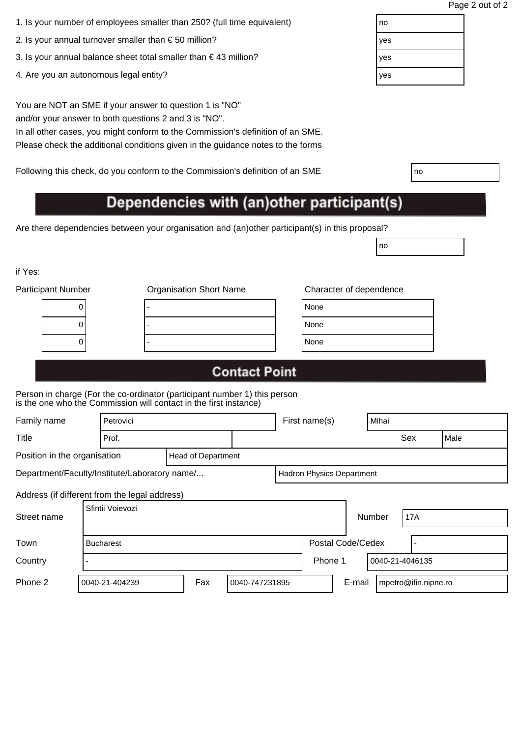| 1. Is your number of employees smaller than 250? (full time equivalent) | no |
|-------------------------------------------------------------------------|----|
|                                                                         |    |

- 2. Is your annual turnover smaller than € 50 million?  $|$ yes
- 3. Is your annual balance sheet total smaller than € 43 million?  $|$  yes
- 4. Are you an autonomous legal entity? yes will be a set of the set of the set of the set of the set of the set of the set of the set of the set of the set of the set of the set of the set of the set of the set of the set

You are NOT an SME if your answer to question 1 is "NO" and/or your answer to both questions 2 and 3 is "NO".

In all other cases, you might conform to the Commission's definition of an SME. Please check the additional conditions given in the guidance notes to the forms

Following this check, do you conform to the Commission's definition of an SME

# Dependencies with (an)other participant(s)

Are there dependencies between your organisation and (an)other participant(s) in this proposal?

if Yes:

| <b>Participant Number</b> | <b>Organisation Short Name</b> | Character of dependence |
|---------------------------|--------------------------------|-------------------------|
| U                         |                                | None                    |
|                           |                                | None                    |
|                           |                                | None                    |
|                           |                                |                         |

| lone |  |  |
|------|--|--|
| lone |  |  |
| lone |  |  |

no

# **Contact Point**

Person in charge (For the co-ordinator (participant number 1) this person is the one who the Commission will contact in the first instance)

| Family name                                   | Petrovici        |  |                                  |  |                   | First name(s) |        | Mihai           |     |      |
|-----------------------------------------------|------------------|--|----------------------------------|--|-------------------|---------------|--------|-----------------|-----|------|
| Title                                         | Prof.            |  |                                  |  |                   |               |        |                 | Sex | Male |
| Position in the organisation                  |                  |  | Head of Department               |  |                   |               |        |                 |     |      |
| Department/Faculty/Institute/Laboratory name/ |                  |  | <b>Hadron Physics Department</b> |  |                   |               |        |                 |     |      |
| Address (if different from the legal address) |                  |  |                                  |  |                   |               |        |                 |     |      |
| Street name                                   | Sfintii Voievozi |  |                                  |  |                   |               | Number | <b>17A</b>      |     |      |
| Town                                          | <b>Bucharest</b> |  |                                  |  | Postal Code/Cedex |               |        |                 |     |      |
| Country                                       |                  |  |                                  |  |                   | Phone 1       |        | 0040-21-4046135 |     |      |

Phone 2 0040-21-404239 Fax 0040-747231895 E-mail mpetro@ifin.nipne.ro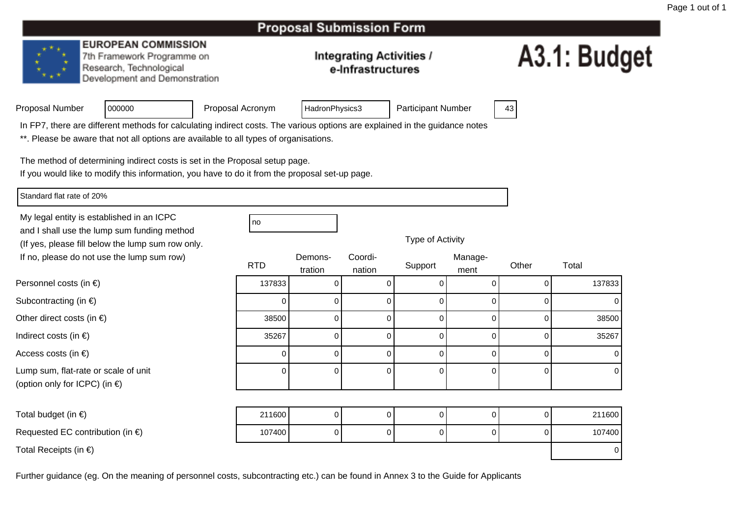#### **EUROPEAN COMMISSION**

7th Framework Programme on Research, Technological Development and Demonstration

### **Integrating Activities /** e-Infrastructures

# A3.1: Budget

| Proposal Number |  |  |
|-----------------|--|--|
|-----------------|--|--|

Proposal Acronym

HadronPhysics3 | Participant Number | 43

In FP7, there are different methods for calculating indirect costs. The various options are explained in the guidance notes

\*\*. Please be aware that not all options are available to all types of organisations.

The method of determining indirect costs is set in the Proposal setup page.

If you would like to modify this information, you have to do it from the proposal set-up page.

Standard flat rate of 20%

Personnel costs (in €)

Subcontracting (in  $\epsilon$ )

Indirect costs (in  $\epsilon$ )

Access costs (in €)

Other direct costs (in  $\epsilon$ )

Lump sum, flat-rate or scale of unit

(option only for ICPC) (in €)

My legal entity is established in an ICPCand I shall use the lump sum funding method (If yes, please fill below the lump sum row only.If no, please do not use the lump sum row)

<sup>000000</sup>

| С   | no |
|-----|----|
| - 1 |    |

Type of Activity

| ot use the lump sum row)            |            | Demons- | Coordi- |         | Manage- |       |                |  |
|-------------------------------------|------------|---------|---------|---------|---------|-------|----------------|--|
|                                     | <b>RTD</b> | tration | nation  | Support | ment    | Other | Total          |  |
| ) €)                                | 137833     |         |         |         |         |       | 137833         |  |
| $\in)$                              |            |         |         |         |         |       | 0              |  |
| $(in \in)$                          | 38500      | 0       |         |         |         |       | 38500          |  |
|                                     | 35267      | 0       | 0       |         |         | 0     | 35267          |  |
|                                     |            | 0       |         |         |         |       | $\overline{0}$ |  |
| e or scale of unit<br>$P$ C) (in €) |            | 0       |         |         |         |       | 0              |  |
|                                     |            |         |         |         |         |       |                |  |

| Total budget (in $\epsilon$ )              | 211600 |  |  | 211600 |
|--------------------------------------------|--------|--|--|--------|
| Requested EC contribution (in $\epsilon$ ) | 107400 |  |  | 107400 |
| Total Receipts (in $\epsilon$ )            |        |  |  | 01     |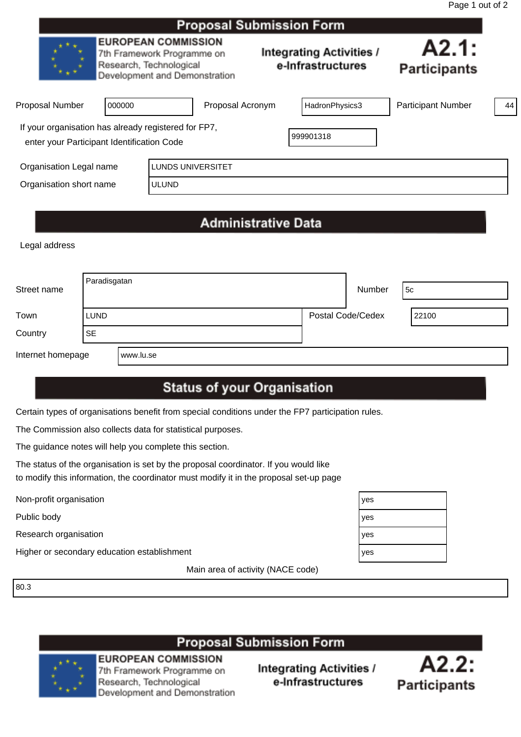| <b>Proposal Submission Form</b>                                                                    |                                         |                                                                                                                      |                  |  |                                                      |                              |    |
|----------------------------------------------------------------------------------------------------|-----------------------------------------|----------------------------------------------------------------------------------------------------------------------|------------------|--|------------------------------------------------------|------------------------------|----|
|                                                                                                    |                                         | <b>EUROPEAN COMMISSION</b><br>7th Framework Programme on<br>Research, Technological<br>Development and Demonstration |                  |  | <b>Integrating Activities /</b><br>e-Infrastructures | A2.1:<br><b>Participants</b> |    |
| <b>Proposal Number</b>                                                                             | 000000                                  |                                                                                                                      | Proposal Acronym |  | HadronPhysics3                                       | <b>Participant Number</b>    | 44 |
| If your organisation has already registered for FP7,<br>enter your Participant Identification Code |                                         |                                                                                                                      |                  |  | 999901318                                            |                              |    |
| Organisation Legal name<br><b>LUNDS UNIVERSITET</b>                                                |                                         |                                                                                                                      |                  |  |                                                      |                              |    |
|                                                                                                    | Organisation short name<br><b>ULUND</b> |                                                                                                                      |                  |  |                                                      |                              |    |
|                                                                                                    |                                         |                                                                                                                      |                  |  |                                                      |                              |    |

# **Administrative Data**

Legal address

| Street name       | Paradisgatan |           |                   | Number | 5c    |
|-------------------|--------------|-----------|-------------------|--------|-------|
| Town              | <b>LUND</b>  |           | Postal Code/Cedex |        | 22100 |
| Country           | <b>SE</b>    |           |                   |        |       |
| Internet homepage |              | www.lu.se |                   |        |       |

# **Status of your Organisation**

Certain types of organisations benefit from special conditions under the FP7 participation rules.

The Commission also collects data for statistical purposes.

The guidance notes will help you complete this section.

The status of the organisation is set by the proposal coordinator. If you would like to modify this information, the coordinator must modify it in the proposal set-up page

Non-profit organisation yes all the set of the set of the set of the set of the set of the set of the set of the set of the set of the set of the set of the set of the set of the set of the set of the set of the set of the

Public body yes

Research organisation yes

Higher or secondary education establishment yes

Main area of activity (NACE code)

80.3





**EUROPEAN COMMISSION** 7th Framework Programme on Research, Technological Development and Demonstration



| эS |  |
|----|--|
| 9S |  |
| 9S |  |
| эS |  |
|    |  |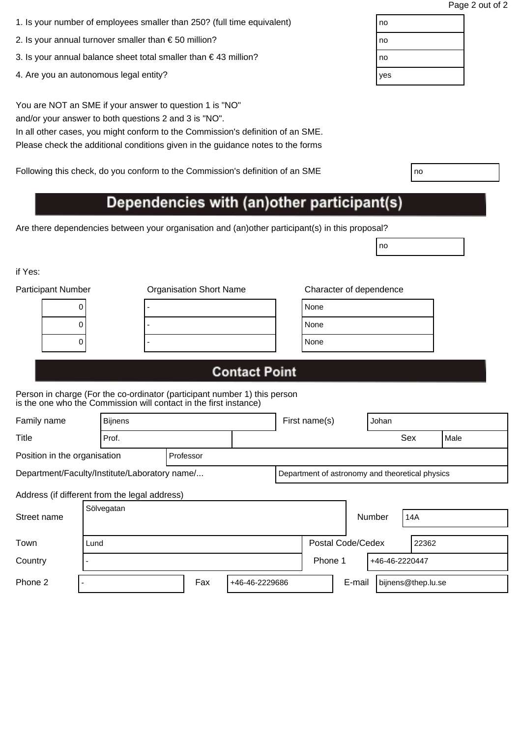| 1. Is your number of employees smaller than 250? (full time equivalent) | no |
|-------------------------------------------------------------------------|----|
|                                                                         |    |

- 2. Is your annual turnover smaller than  $\epsilon$  50 million?
- 3. Is your annual balance sheet total smaller than  $\epsilon$  43 million?
- 4. Are you an autonomous legal entity?

You are NOT an SME if your answer to question 1 is "NO" and/or your answer to both questions 2 and 3 is "NO".

In all other cases, you might conform to the Commission's definition of an SME. Please check the additional conditions given in the guidance notes to the forms

Following this check, do you conform to the Commission's definition of an SME

# Dependencies with (an)other participant(s)

Are there dependencies between your organisation and (an)other participant(s) in this proposal?

if Yes:

| <b>Participant Number</b> | <b>Organisation Short Name</b> | Character of dependence |
|---------------------------|--------------------------------|-------------------------|
| U                         |                                | None                    |
| U                         |                                | None                    |
|                           |                                | None                    |
|                           |                                |                         |

| lone |  |
|------|--|
| lone |  |
| lone |  |
|      |  |

no

## **Contact Point**

Person in charge (For the co-ordinator (participant number 1) this person is the one who the Commission will contact in the first instance)

| Family name                                   | <b>Bijnens</b> |       |                                                 | First name(s)     | Johan |                |     |                    |      |
|-----------------------------------------------|----------------|-------|-------------------------------------------------|-------------------|-------|----------------|-----|--------------------|------|
| Title                                         |                | Prof. |                                                 |                   |       |                |     | Sex                | Male |
| Position in the organisation<br>Professor     |                |       |                                                 |                   |       |                |     |                    |      |
| Department/Faculty/Institute/Laboratory name/ |                |       | Department of astronomy and theoretical physics |                   |       |                |     |                    |      |
| Address (if different from the legal address) |                |       |                                                 |                   |       |                |     |                    |      |
| Street name                                   | Sölvegatan     |       |                                                 |                   |       | <b>Number</b>  | 14A |                    |      |
| Town                                          | Lund           |       |                                                 | Postal Code/Cedex |       | 22362          |     |                    |      |
| Country                                       |                |       |                                                 | Phone 1           |       | +46-46-2220447 |     |                    |      |
| Phone 2                                       |                |       | Fax                                             | +46-46-2229686    |       | E-mail         |     | bijnens@thep.lu.se |      |

| no  |  |
|-----|--|
| no  |  |
| no  |  |
| yes |  |
|     |  |

| ×<br>×<br>۰. |  |
|--------------|--|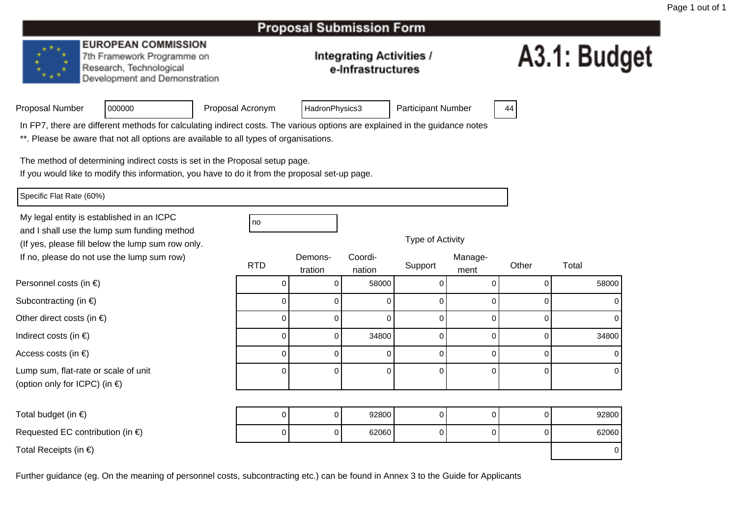#### **EUROPEAN COMMISSION**

7th Framework Programme on Research, Technological Development and Demonstration

### **Integrating Activities /** e-Infrastructures

# A3.1: Budget

|  | Proposal Number |
|--|-----------------|
|  |                 |

Proposal Acronym

HadronPhysics3 | Participant Number | 44

In FP7, there are different methods for calculating indirect costs. The various options are explained in the guidance notes

\*\*. Please be aware that not all options are available to all types of organisations.

The method of determining indirect costs is set in the Proposal setup page.

If you would like to modify this information, you have to do it from the proposal set-up page.

Specific Flat Rate (60%)

Personnel costs (in €)

Subcontracting (in  $\epsilon$ )

Indirect costs (in  $\epsilon$ )

Access costs (in €)

Other direct costs (in  $\epsilon$ )

Lump sum, flat-rate or scale of unit

(option only for ICPC) (in €)

My legal entity is established in an ICPCno all'altra di una proprietà di una proprietà di una di una di una di una di una di una di una di una di una and I shall use the lump sum funding method (If yes, please fill below the lump sum row only.If no, please do not use the lump sum row)

<sup>000000</sup>

| I no |
|------|

Type of Activity

| ot use the lump sum row)            |            | Demons- | Coordi-  |         | Manage- |       |       |
|-------------------------------------|------------|---------|----------|---------|---------|-------|-------|
|                                     | <b>RTD</b> | tration | nation   | Support | ment    | Other | Total |
| າ €)                                |            |         | 58000    |         |         |       | 58000 |
| $\in)$                              |            |         |          |         |         |       |       |
| $(in \in)$                          |            |         | 0        |         |         |       | U     |
|                                     |            |         | 34800    |         |         |       | 34800 |
|                                     |            |         | 0        |         |         |       |       |
| e or scale of unit<br>$P$ C) (in €) |            |         | $\Omega$ |         | O)      |       | 0     |

| Total budget (in $\epsilon$ )              |  | 92800 |  | 92800 |
|--------------------------------------------|--|-------|--|-------|
| Requested EC contribution (in $\epsilon$ ) |  | 62060 |  | 62060 |
| Total Receipts (in $\epsilon$ )            |  |       |  |       |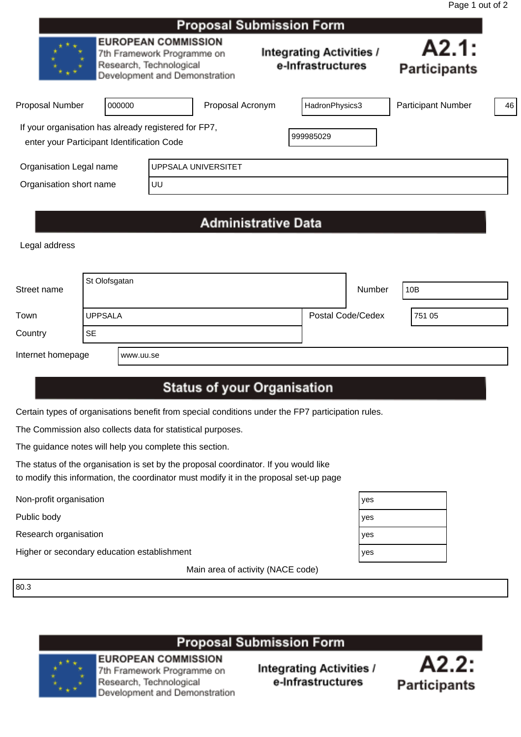|                                                                                                    |        |                                                                                                                      | Proposal Submission Form |                                                      |                              |    |
|----------------------------------------------------------------------------------------------------|--------|----------------------------------------------------------------------------------------------------------------------|--------------------------|------------------------------------------------------|------------------------------|----|
|                                                                                                    |        | <b>EUROPEAN COMMISSION</b><br>7th Framework Programme on<br>Research, Technological<br>Development and Demonstration |                          | <b>Integrating Activities /</b><br>e-Infrastructures | A2.1:<br><b>Participants</b> |    |
| <b>Proposal Number</b>                                                                             | 000000 |                                                                                                                      | Proposal Acronym         | HadronPhysics3                                       | <b>Participant Number</b>    | 46 |
| If your organisation has already registered for FP7,<br>enter your Participant Identification Code |        |                                                                                                                      |                          | 999985029                                            |                              |    |
| Organisation Legal name                                                                            |        |                                                                                                                      | UPPSALA UNIVERSITET      |                                                      |                              |    |
| Organisation short name                                                                            |        | UU                                                                                                                   |                          |                                                      |                              |    |
|                                                                                                    |        |                                                                                                                      |                          |                                                      |                              |    |

# **Administrative Data**

Legal address

| Street name       | St Olofsgatan               |           | Number            | 10B |        |
|-------------------|-----------------------------|-----------|-------------------|-----|--------|
| Town<br>Country   | <b>UPPSALA</b><br><b>SE</b> |           | Postal Code/Cedex |     | 751 05 |
| Internet homepage |                             | www.uu.se |                   |     |        |

# **Status of your Organisation**

Certain types of organisations benefit from special conditions under the FP7 participation rules.

The Commission also collects data for statistical purposes.

The guidance notes will help you complete this section.

The status of the organisation is set by the proposal coordinator. If you would like to modify this information, the coordinator must modify it in the proposal set-up page

Non-profit organisation yes

Public body yes

Research organisation yes

Higher or secondary education establishment yes

Main area of activity (NACE code)

80.3



7th Framework Programme on Research, Technological Development and Demonstration

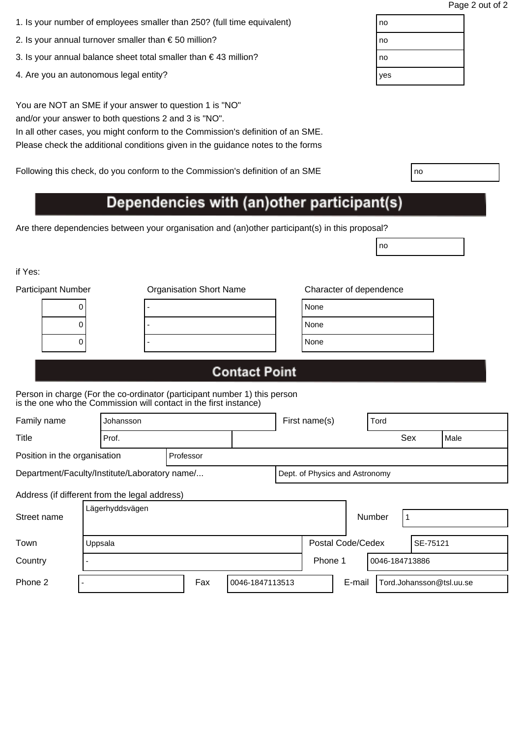| 1. Is your number of employees smaller than 250? (full time equivalent) | no |
|-------------------------------------------------------------------------|----|
|                                                                         |    |

- 2. Is your annual turnover smaller than  $\epsilon$  50 million?
- 3. Is your annual balance sheet total smaller than  $\epsilon$  43 million?
- 4. Are you an autonomous legal entity?

You are NOT an SME if your answer to question 1 is "NO" and/or your answer to both questions 2 and 3 is "NO".

In all other cases, you might conform to the Commission's definition of an SME. Please check the additional conditions given in the guidance notes to the forms

Following this check, do you conform to the Commission's definition of an SME

# Dependencies with (an)other participant(s)

Are there dependencies between your organisation and (an)other participant(s) in this proposal?

if Yes:

| <b>Participant Number</b> | <b>Organisation Short Name</b> | Character of dependence |
|---------------------------|--------------------------------|-------------------------|
| U                         |                                | None                    |
| O                         |                                | None                    |
|                           |                                | None                    |
|                           |                                |                         |

| lone |  |
|------|--|
| lone |  |
| lone |  |

no

## **Contact Point**

Person in charge (For the co-ordinator (participant number 1) this person is the one who the Commission will contact in the first instance)

| Family name                                   | First name(s)<br>Tord<br>Johansson |           |  |                 |  |         |                                |               |                          |      |  |
|-----------------------------------------------|------------------------------------|-----------|--|-----------------|--|---------|--------------------------------|---------------|--------------------------|------|--|
| Title                                         | Prof.                              |           |  |                 |  |         |                                |               | Sex                      | Male |  |
| Position in the organisation                  |                                    | Professor |  |                 |  |         |                                |               |                          |      |  |
| Department/Faculty/Institute/Laboratory name/ |                                    |           |  |                 |  |         | Dept. of Physics and Astronomy |               |                          |      |  |
| Address (if different from the legal address) |                                    |           |  |                 |  |         |                                |               |                          |      |  |
| Street name                                   | Lägerhyddsvägen                    |           |  |                 |  |         |                                | <b>Number</b> |                          |      |  |
| Town                                          | Uppsala                            |           |  |                 |  |         | Postal Code/Cedex              |               | SE-75121                 |      |  |
| Country                                       |                                    |           |  |                 |  | Phone 1 |                                |               | 0046-184713886           |      |  |
| Phone 2                                       |                                    | Fax       |  | 0046-1847113513 |  |         | E-mail                         |               | Tord.Johansson@tsl.uu.se |      |  |

| no  |  |
|-----|--|
| no  |  |
| no  |  |
| yes |  |
|     |  |

| ٧<br>٧<br>I<br>×<br>۰. |  |
|------------------------|--|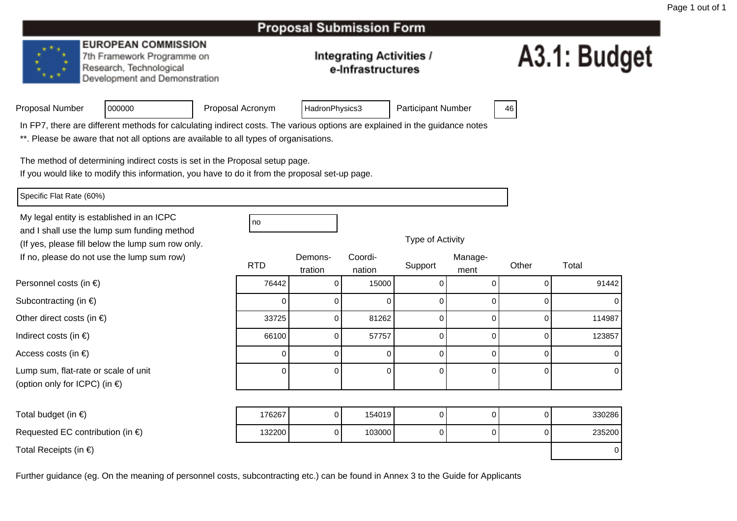#### **EUROPEAN COMMISSION**

<sup>000000</sup>

7th Framework Programme on Research, Technological Development and Demonstration

### **Integrating Activities /** e-Infrastructures

# A3.1: Budget

Proposal Acronym

HadronPhysics3 | Participant Number | 46

In FP7, there are different methods for calculating indirect costs. The various options are explained in the guidance notes

\*\*. Please be aware that not all options are available to all types of organisations.

The method of determining indirect costs is set in the Proposal setup page.

If you would like to modify this information, you have to do it from the proposal set-up page.

Specific Flat Rate (60%)

Personnel costs (in €)

Subcontracting (in  $\epsilon$ )

Indirect costs (in  $\epsilon$ )

Access costs (in €)

Other direct costs (in  $\epsilon$ )

My legal entity is established in an ICPCno all'altra di una proprietà di una proprietà di una di una di una di una di una di una di una di una di una and I shall use the lump sum funding method (If yes, please fill below the lump sum row only.If no, please do not use the lump sum row)

| ot use the lump sum row)                     | <b>RTD</b> | Demons-<br>tration | Coordi-<br>nation | Support | Manage-<br>ment | Other | Total  |
|----------------------------------------------|------------|--------------------|-------------------|---------|-----------------|-------|--------|
| າ €)                                         | 76442      |                    | 15000             |         |                 |       | 91442  |
| $\in)$                                       |            |                    |                   |         |                 |       | 0 I    |
| $(in \in)$                                   | 33725      |                    | 81262             |         |                 |       | 114987 |
|                                              | 66100      |                    | 57757             |         |                 |       | 123857 |
|                                              |            |                    |                   |         |                 |       | 0      |
| e or scale of unit<br><sup>2</sup> C) (in €) |            | 0                  |                   |         |                 |       | 0      |

Type of Activity

Total budget (in  $\epsilon$ )

(option only for ICPC) (in €)

Requested EC contribution (in  $\epsilon$ )

Lump sum, flat-rate or scale of unit

Total Receipts (in €)

 <sup>176267</sup>7 | 0 154019 | 0 0 0 0 330286 <sup>132200</sup>0 | 0 103000 | 0 0 0 0 235200 ) and the contract of the contract of  $\sim$  0.000  $\mu$  . The contract of  $\sim$  0.000  $\mu$   $\sim$  0.000  $\mu$   $\sim$  0.000  $\mu$   $\sim$  0.000  $\mu$   $\sim$  0.000  $\mu$   $\sim$  0.000  $\mu$   $\sim$  0.000  $\mu$   $\sim$  0.000  $\mu$   $\sim$  0.000  $\mu$   $\sim$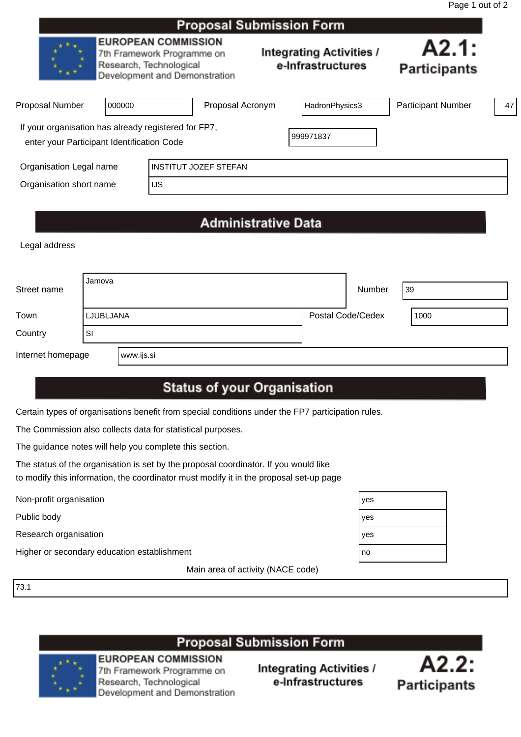|                         | <b>EUROPEAN COMMISSION</b><br>7th Framework Programme on<br>Research, Technological<br>Development and Demonstration |            |                              | Integrating Activities /<br>e-Infrastructures | A2.1:<br><b>Participants</b> |    |
|-------------------------|----------------------------------------------------------------------------------------------------------------------|------------|------------------------------|-----------------------------------------------|------------------------------|----|
| <b>Proposal Number</b>  | 000000                                                                                                               |            | Proposal Acronym             | HadronPhysics3                                | <b>Participant Number</b>    | 47 |
|                         | If your organisation has already registered for FP7,<br>enter your Participant Identification Code                   |            |                              | 999971837                                     |                              |    |
| Organisation Legal name |                                                                                                                      |            | <b>INSTITUT JOZEF STEFAN</b> |                                               |                              |    |
| Organisation short name |                                                                                                                      | <b>IJS</b> |                              |                                               |                              |    |

# **Administrative Data**

Legal address

| Street name       | Jamova    |            |                   | Number | 39   |
|-------------------|-----------|------------|-------------------|--------|------|
| Town              | LJUBLJANA |            | Postal Code/Cedex |        | 1000 |
| Country           | . SI      |            |                   |        |      |
| Internet homepage |           | www.ijs.si |                   |        |      |

## **Status of your Organisation**

Certain types of organisations benefit from special conditions under the FP7 participation rules.

The Commission also collects data for statistical purposes.

The guidance notes will help you complete this section.

The status of the organisation is set by the proposal coordinator. If you would like to modify this information, the coordinator must modify it in the proposal set-up page

Public body

Research organisation

Non-profit organisation<br>
Public body<br>
Research organisation<br>
Higher or secondary education establishment Higher or secondary education establishment

Main area of activity (NACE code)

73.1

## **Proposal Submission Form**



**EUROPEAN COMMISSION** 7th Framework Programme on Research, Technological Development and Demonstration



| es |  |
|----|--|
| es |  |
| es |  |
| 0  |  |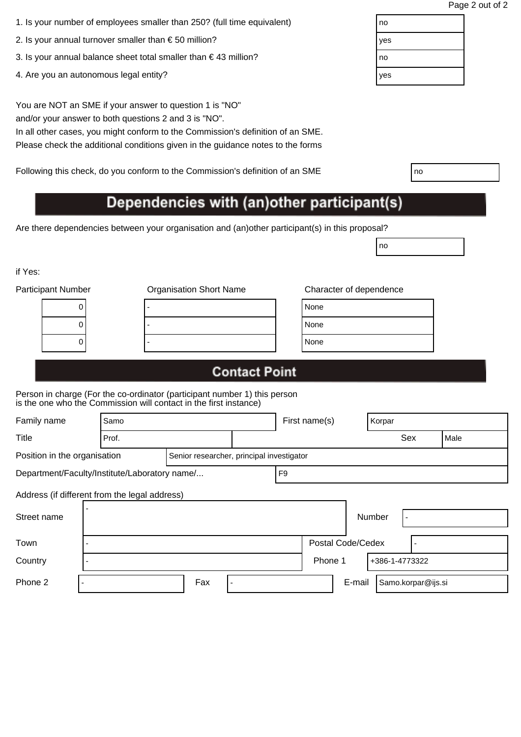| 1. Is your number of employees smaller than 250? (full time equivalent) | no |
|-------------------------------------------------------------------------|----|
|                                                                         |    |

- 2. Is your annual turnover smaller than  $\epsilon$  50 million?
- 3. Is your annual balance sheet total smaller than  $\epsilon$  43 million?
- 4. Are you an autonomous legal entity?

You are NOT an SME if your answer to question 1 is "NO" and/or your answer to both questions 2 and 3 is "NO".

In all other cases, you might conform to the Commission's definition of an SME. Please check the additional conditions given in the guidance notes to the forms

Following this check, do you conform to the Commission's definition of an SME

# Dependencies with (an)other participant(s)

Are there dependencies between your organisation and (an)other participant(s) in this proposal?

if Yes:

| <b>Participant Number</b> | <b>Organisation Short Name</b> | Character of dependence |
|---------------------------|--------------------------------|-------------------------|
| U                         |                                | None                    |
| U                         |                                | None                    |
|                           |                                | None                    |
|                           |                                |                         |

no

# **Contact Point**

Person in charge (For the co-ordinator (participant number 1) this person is the one who the Commission will contact in the first instance)

| Family name                                   | Samo                                                                      |     |  |  | First name(s)<br>Korpar |        |        |                    |      |
|-----------------------------------------------|---------------------------------------------------------------------------|-----|--|--|-------------------------|--------|--------|--------------------|------|
| <b>Title</b>                                  | Prof.                                                                     |     |  |  |                         |        |        | Sex                | Male |
|                                               | Position in the organisation<br>Senior researcher, principal investigator |     |  |  |                         |        |        |                    |      |
|                                               | Department/Faculty/Institute/Laboratory name/<br>F <sub>9</sub>           |     |  |  |                         |        |        |                    |      |
| Address (if different from the legal address) |                                                                           |     |  |  |                         |        |        |                    |      |
| Street name                                   |                                                                           |     |  |  |                         |        | Number |                    |      |
| Town                                          |                                                                           |     |  |  | Postal Code/Cedex       |        |        |                    |      |
| Country                                       |                                                                           |     |  |  | Phone 1                 |        |        | +386-1-4773322     |      |
| Phone 2                                       |                                                                           | Fax |  |  |                         | E-mail |        | Samo.korpar@ijs.si |      |

| no  |  |
|-----|--|
| yes |  |
| no  |  |
| yes |  |
|     |  |

| I<br>×<br>۰. |  |
|--------------|--|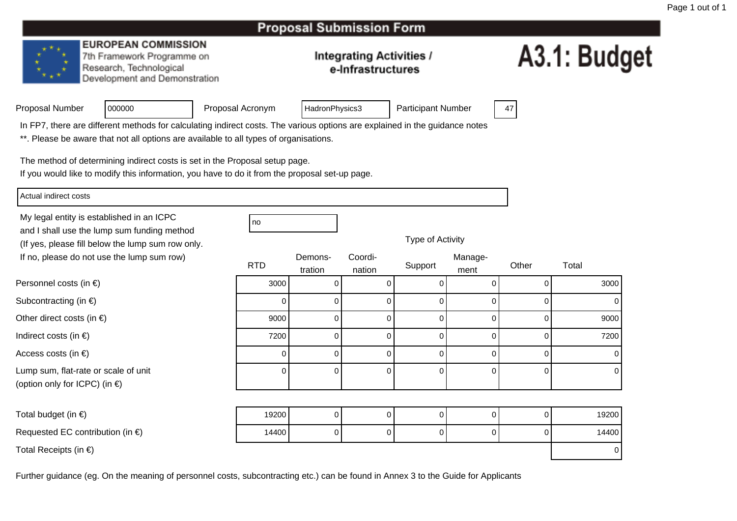#### **EUROPEAN COMMISSION**

7th Framework Programme on Research, Technological Development and Demonstration

### **Integrating Activities /** e-Infrastructures

# A3.1: Budget

| Proposal Number |  |
|-----------------|--|
|                 |  |

Proposal Acronym

HadronPhysics3 | Participant Number | 47

In FP7, there are different methods for calculating indirect costs. The various options are explained in the guidance notes

\*\*. Please be aware that not all options are available to all types of organisations.

The method of determining indirect costs is set in the Proposal setup page.

If you would like to modify this information, you have to do it from the proposal set-up page.

Actual indirect costs

Personnel costs (in €)

Subcontracting (in  $\epsilon$ )

Indirect costs (in  $\epsilon$ )

Access costs (in €)

Other direct costs (in  $\epsilon$ )

Lump sum, flat-rate or scale of unit

(option only for ICPC) (in €)

My legal entity is established in an ICPCand I shall use the lump sum funding method (If yes, please fill below the lump sum row only.If no, please do not use the lump sum row)

<sup>000000</sup>

| С | no |
|---|----|

Type of Activity

| ot use the lump sum row)            |            | Demons-  | Coordi-  |         | Manage- |          |       |  |
|-------------------------------------|------------|----------|----------|---------|---------|----------|-------|--|
|                                     | <b>RTD</b> | tration  | nation   | Support | ment    | Other    | Total |  |
| ) €)                                | 3000       | 0        | U        |         |         | O        | 3000  |  |
| $\in)$                              |            |          |          |         |         |          | 0     |  |
| $(in \in)$                          | 9000       | 0        |          |         |         |          | 9000  |  |
|                                     | 7200       | $\Omega$ | 0        |         |         | 0        | 7200  |  |
|                                     |            | $\Omega$ | 0        |         |         | 0        | 0     |  |
| e or scale of unit<br>$P$ C) (in €) | 0          | 0        | 0        | O       |         | 0        | 0     |  |
|                                     |            |          |          |         |         |          |       |  |
|                                     | 10000      | $\sim$   | $\sim$ 1 | $\sim$  | $\sim$  | $\sim$ 1 | 10000 |  |

| Total budget (in $\epsilon$ )              | 19200 | 0 | υ |  | 19200 |
|--------------------------------------------|-------|---|---|--|-------|
| Requested EC contribution (in $\epsilon$ ) | 14400 | 0 |   |  | 14400 |
| Total Receipts (in $\epsilon$ )            |       |   |   |  |       |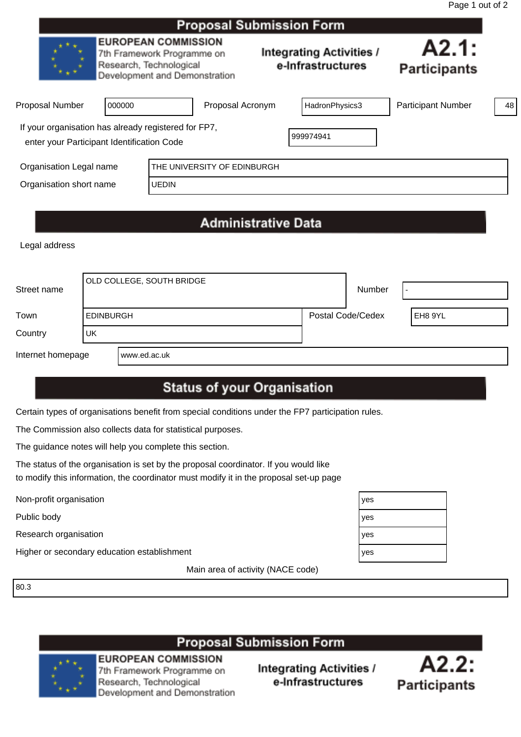|                                                                                                    |        |                                                                                                                      | Proposal Jubilission Form |  |                                                      |                              |    |
|----------------------------------------------------------------------------------------------------|--------|----------------------------------------------------------------------------------------------------------------------|---------------------------|--|------------------------------------------------------|------------------------------|----|
|                                                                                                    |        | <b>EUROPEAN COMMISSION</b><br>7th Framework Programme on<br>Research, Technological<br>Development and Demonstration |                           |  | <b>Integrating Activities /</b><br>e-Infrastructures | A2.1:<br><b>Participants</b> |    |
| <b>Proposal Number</b>                                                                             | 000000 |                                                                                                                      | Proposal Acronym          |  | HadronPhysics3                                       | <b>Participant Number</b>    | 48 |
| If your organisation has already registered for FP7,<br>enter your Participant Identification Code |        |                                                                                                                      |                           |  | 999974941                                            |                              |    |
| Organisation Legal name<br>THE UNIVERSITY OF EDINBURGH                                             |        |                                                                                                                      |                           |  |                                                      |                              |    |
| Organisation short name                                                                            |        | <b>UEDIN</b>                                                                                                         |                           |  |                                                      |                              |    |
|                                                                                                    |        |                                                                                                                      |                           |  |                                                      |                              |    |

# **Administrative Data**

Legal address

| Street name       |                  | OLD COLLEGE, SOUTH BRIDGE |                   | Number |         |
|-------------------|------------------|---------------------------|-------------------|--------|---------|
| Town              | <b>EDINBURGH</b> |                           | Postal Code/Cedex |        | EH8 9YL |
| Country           | UK               |                           |                   |        |         |
| Internet homepage |                  | www.ed.ac.uk              |                   |        |         |

# **Status of your Organisation**

Certain types of organisations benefit from special conditions under the FP7 participation rules.

The Commission also collects data for statistical purposes.

The guidance notes will help you complete this section.

The status of the organisation is set by the proposal coordinator. If you would like to modify this information, the coordinator must modify it in the proposal set-up page

Public body

Research organisation

Non-profit organisation<br>
Public body<br>
Research organisation<br>
Higher or secondary education establishment<br>
yester or secondary education establishment Higher or secondary education establishment

Main area of activity (NACE code)

80.3

# **Proposal Submission Form**



**EUROPEAN COMMISSION** 7th Framework Programme on Research, Technological Development and Demonstration



| es |  |
|----|--|
| es |  |
| es |  |
| es |  |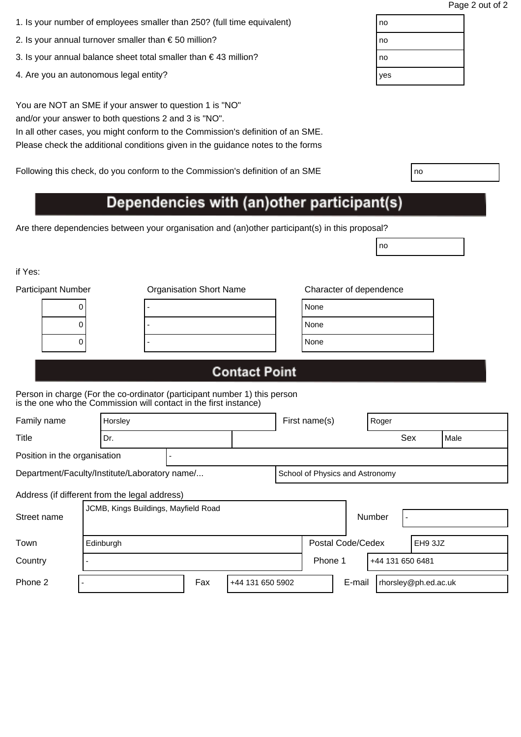| 1. Is your number of employees smaller than 250? (full time equivalent) | no |
|-------------------------------------------------------------------------|----|
|                                                                         |    |

- 2. Is your annual turnover smaller than € 50 million?  $\Box$  no
- 3. Is your annual balance sheet total smaller than € 43 million?  $\vert$  no
- 4. Are you an autonomous legal entity? yes will be a set of the set of the set of the set of the set of the set of the set of the set of the set of the set of the set of the set of the set of the set of the set of the set

You are NOT an SME if your answer to question 1 is "NO" and/or your answer to both questions 2 and 3 is "NO".

In all other cases, you might conform to the Commission's definition of an SME. Please check the additional conditions given in the guidance notes to the forms

Following this check, do you conform to the Commission's definition of an SME

# Dependencies with (an)other participant(s)

Are there dependencies between your organisation and (an)other participant(s) in this proposal?

if Yes:

| <b>Participant Number</b> | <b>Organisation Short Name</b> | Character of dependence |
|---------------------------|--------------------------------|-------------------------|
| U                         |                                | None                    |
| U                         |                                | None                    |
|                           |                                | None                    |
|                           |                                |                         |

| lone |  |
|------|--|
| lone |  |
| lone |  |

no

## **Contact Point**

Person in charge (For the co-ordinator (participant number 1) this person is the one who the Commission will contact in the first instance)

| Family name                  | Horsley                                       |  |  |  | First name(s)                   |  | Roger  |                  |      |  |
|------------------------------|-----------------------------------------------|--|--|--|---------------------------------|--|--------|------------------|------|--|
| Title                        | Dr.                                           |  |  |  |                                 |  |        | Sex              | Male |  |
| Position in the organisation |                                               |  |  |  |                                 |  |        |                  |      |  |
|                              | Department/Faculty/Institute/Laboratory name/ |  |  |  | School of Physics and Astronomy |  |        |                  |      |  |
|                              | Address (if different from the legal address) |  |  |  |                                 |  |        |                  |      |  |
| Street name                  | JCMB, Kings Buildings, Mayfield Road          |  |  |  |                                 |  | Number |                  |      |  |
| Town                         | Edinburgh                                     |  |  |  | Postal Code/Cedex               |  |        | EH9 3JZ          |      |  |
| Country                      |                                               |  |  |  | Phone 1                         |  |        | +44 131 650 6481 |      |  |

Phone 2 | Fax | +44 131 650 5902 | E-mail | rhorsley@ph.ed.ac.uk

| ٧<br>٧<br>I<br>$\sim$ |
|-----------------------|
|-----------------------|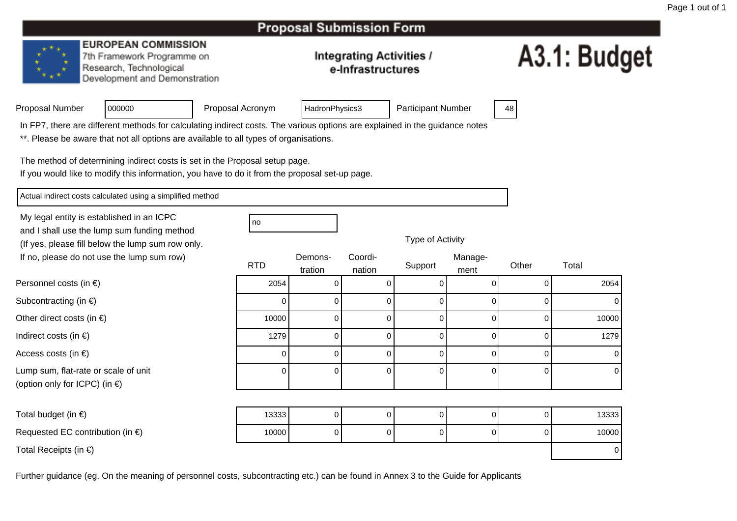#### **EUROPEAN COMMISSION**

7th Framework Programme on Research, Technological Development and Demonstration

### **Integrating Activities /** e-Infrastructures

# A3.1: Budget

| Proposal Number |  |
|-----------------|--|
|                 |  |

Personnel costs (in €)

Subcontracting (in  $\epsilon$ )

Indirect costs (in  $\epsilon$ )

Access costs (in €)

Other direct costs (in  $\epsilon$ )

Lump sum, flat-rate or scale of unit

(option only for ICPC) (in €)

Proposal Acronym

HadronPhysics3 | Participant Number | 48

In FP7, there are different methods for calculating indirect costs. The various options are explained in the guidance notes

\*\*. Please be aware that not all options are available to all types of organisations.

The method of determining indirect costs is set in the Proposal setup page.

If you would like to modify this information, you have to do it from the proposal set-up page.

Actual indirect costs calculated using a simplified method

<sup>000000</sup>

My legal entity is established in an ICPCno all'altra di una proprietà di una proprietà di una di una di una di una di una di una di una di una di una and I shall use the lump sum funding method (If yes, please fill below the lump sum row only.If no, please do not use the lump sum row)

| no |
|----|
|    |

| ot use the lump sum row)            | <b>RTD</b> | Demons-<br>tration | Coordi-<br>nation | Support | Manage-<br>ment | Other | Total |
|-------------------------------------|------------|--------------------|-------------------|---------|-----------------|-------|-------|
| າ €)                                | 2054       |                    |                   |         |                 |       | 2054  |
| $\in)$                              |            |                    |                   |         | o               |       |       |
| $(in \in)$                          | 10000      |                    |                   |         |                 |       | 10000 |
|                                     | 1279       |                    |                   |         |                 |       | 1279  |
|                                     |            | 0                  |                   |         |                 |       |       |
| e or scale of unit<br>$P$ C) (in €) |            | $\Omega$           | 0                 | 0       | 0               |       |       |

Type of Activity

| Total budget (in $\epsilon$ )              | 13333 |  |  |  |  |  | 13333 |
|--------------------------------------------|-------|--|--|--|--|--|-------|
| Requested EC contribution (in $\epsilon$ ) | 10000 |  |  |  |  |  | 10000 |
| Total Receipts (in $\epsilon$ )            |       |  |  |  |  |  |       |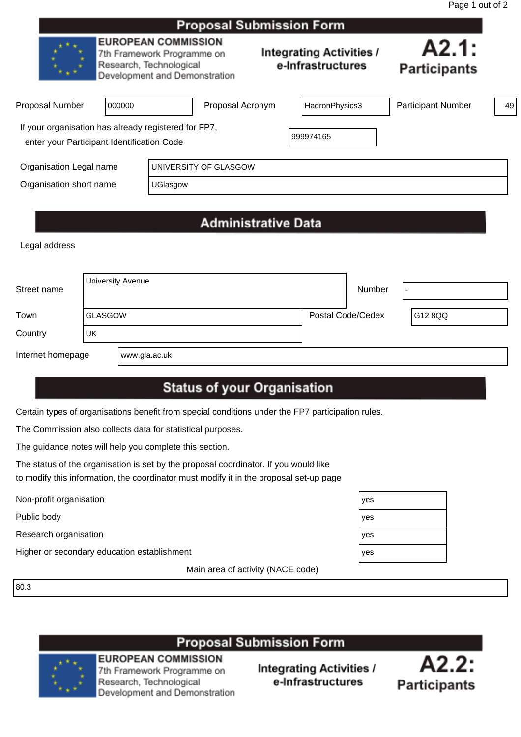|                                                                                                    |                                                                                                                      |          | Proposal Jubilission Form |  |                                                      |                              |    |
|----------------------------------------------------------------------------------------------------|----------------------------------------------------------------------------------------------------------------------|----------|---------------------------|--|------------------------------------------------------|------------------------------|----|
|                                                                                                    | <b>EUROPEAN COMMISSION</b><br>7th Framework Programme on<br>Research, Technological<br>Development and Demonstration |          |                           |  | <b>Integrating Activities /</b><br>e-Infrastructures | A2.1:<br><b>Participants</b> |    |
| <b>Proposal Number</b>                                                                             | 000000                                                                                                               |          | Proposal Acronym          |  | HadronPhysics3                                       | <b>Participant Number</b>    | 49 |
| If your organisation has already registered for FP7,<br>enter your Participant Identification Code |                                                                                                                      |          |                           |  | 999974165                                            |                              |    |
| Organisation Legal name                                                                            |                                                                                                                      |          | UNIVERSITY OF GLASGOW     |  |                                                      |                              |    |
| Organisation short name                                                                            |                                                                                                                      | UGlasgow |                           |  |                                                      |                              |    |
|                                                                                                    |                                                                                                                      |          |                           |  |                                                      |                              |    |

# **Administrative Data**

Legal address

| Street name       | University Avenue |                |  | Number            | $\overline{\phantom{a}}$ |
|-------------------|-------------------|----------------|--|-------------------|--------------------------|
| Town              |                   | <b>GLASGOW</b> |  | Postal Code/Cedex | G12 8QQ                  |
| Country           | 'UK               |                |  |                   |                          |
| Internet homepage |                   | www.gla.ac.uk  |  |                   |                          |

# **Status of your Organisation**

Certain types of organisations benefit from special conditions under the FP7 participation rules.

The Commission also collects data for statistical purposes.

The guidance notes will help you complete this section.

The status of the organisation is set by the proposal coordinator. If you would like to modify this information, the coordinator must modify it in the proposal set-up page

Non-profit organisation yes

Public body  $\sqrt{y}$ 

Research organisation yes

Higher or secondary education establishment yestimate when yesterday and yesterday of the second yesterday

Main area of activity (NACE code)

80.3

## **Proposal Submission Form**



**EUROPEAN COMMISSION** 7th Framework Programme on Research, Technological Development and Demonstration



| ЭS |  |
|----|--|
| ЭS |  |
| ЭS |  |
| ЭS |  |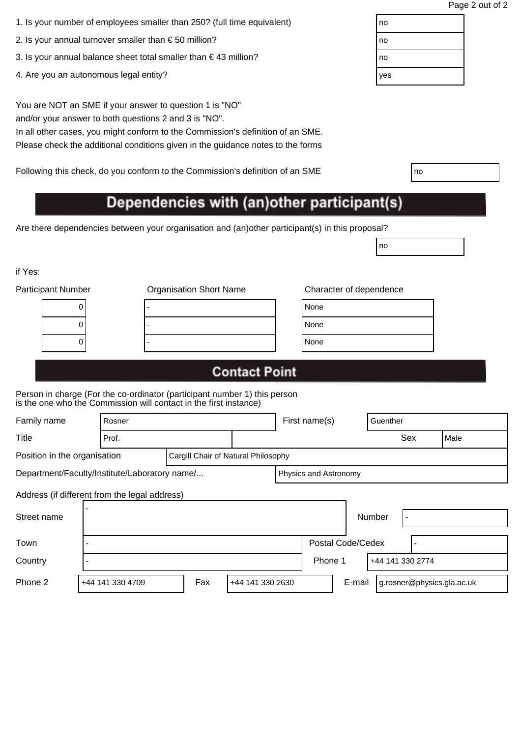| 1. Is your number of employees smaller than 250? (full time equivalent) | no |
|-------------------------------------------------------------------------|----|
|                                                                         |    |

- 2. Is your annual turnover smaller than € 50 million?  $\Box$  no
- 3. Is your annual balance sheet total smaller than € 43 million?  $\vert$  no
- 4. Are you an autonomous legal entity? yes will be a set of the set of the set of the set of the set of the set of the set of the set of the set of the set of the set of the set of the set of the set of the set of the set

You are NOT an SME if your answer to question 1 is "NO" and/or your answer to both questions 2 and 3 is "NO".

In all other cases, you might conform to the Commission's definition of an SME. Please check the additional conditions given in the guidance notes to the forms

Following this check, do you conform to the Commission's definition of an SME

# Dependencies with (an)other participant(s)

Are there dependencies between your organisation and (an)other participant(s) in this proposal?

if Yes:

| Participant Number | <b>Organisation Short Name</b> |      | Character of dependence |
|--------------------|--------------------------------|------|-------------------------|
|                    |                                | None |                         |
|                    |                                | None |                         |
|                    |                                | None |                         |
|                    |                                |      |                         |

| lone |  |  |
|------|--|--|
| lone |  |  |
| lone |  |  |

no

# **Contact Point**

Person in charge (For the co-ordinator (participant number 1) this person is the one who the Commission will contact in the first instance)

| Family name                                   | Rosner |                                     |  |                       | First name(s) |                          |                  | Guenther |     |  |      |  |
|-----------------------------------------------|--------|-------------------------------------|--|-----------------------|---------------|--------------------------|------------------|----------|-----|--|------|--|
| Title                                         |        | Prof.                               |  |                       |               |                          |                  |          | Sex |  | Male |  |
| Position in the organisation                  |        | Cargill Chair of Natural Philosophy |  |                       |               |                          |                  |          |     |  |      |  |
| Department/Faculty/Institute/Laboratory name/ |        |                                     |  | Physics and Astronomy |               |                          |                  |          |     |  |      |  |
| Address (if different from the legal address) |        |                                     |  |                       |               |                          |                  |          |     |  |      |  |
| Street name                                   |        |                                     |  |                       |               |                          |                  | Number   |     |  |      |  |
| Town                                          |        |                                     |  |                       |               | <b>Postal Code/Cedex</b> |                  |          |     |  |      |  |
| Country                                       |        |                                     |  |                       | Phone 1       |                          | +44 141 330 2774 |          |     |  |      |  |

Phone 2 +44 141 330 4709 Fax +44 141 330 2630 E-mail g.rosner@physics.gla.ac.uk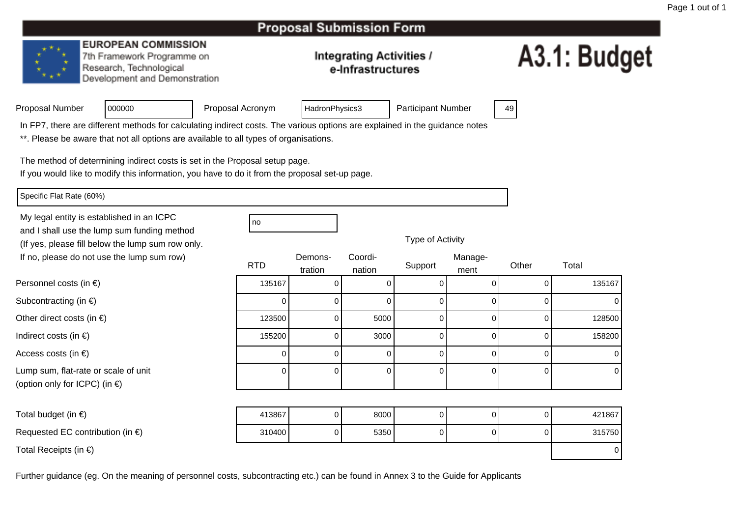#### **EUROPEAN COMMISSION**

7th Framework Programme on Research, Technological Development and Demonstration

### **Integrating Activities /** e-Infrastructures

# A3.1: Budget

|  | Proposal Number |  |
|--|-----------------|--|
|  |                 |  |

Proposal Acronym

HadronPhysics3 | Participant Number | 49

In FP7, there are different methods for calculating indirect costs. The various options are explained in the guidance notes

\*\*. Please be aware that not all options are available to all types of organisations.

The method of determining indirect costs is set in the Proposal setup page.

If you would like to modify this information, you have to do it from the proposal set-up page.

Specific Flat Rate (60%)

Personnel costs (in €)

Subcontracting (in  $\epsilon$ )

Indirect costs (in  $\epsilon$ )

Access costs (in €)

Other direct costs (in  $\epsilon$ )

Lump sum, flat-rate or scale of unit

(option only for ICPC) (in €)

My legal entity is established in an ICPCno all'altra di una proprietà di una proprietà di una di una di una di una di una di una di una di una di una and I shall use the lump sum funding method (If yes, please fill below the lump sum row only.If no, please do not use the lump sum row)

<sup>000000</sup>

|  | Type of Activity |  |
|--|------------------|--|
|--|------------------|--|

| ot use the lump sum row)            |            | Demons- | Coordi-  |         | Manage- |       |           |
|-------------------------------------|------------|---------|----------|---------|---------|-------|-----------|
|                                     | <b>RTD</b> | tration | nation   | Support | ment    | Other | Total     |
| າ €)                                | 135167     |         |          |         |         |       | 135167    |
| $\in)$                              |            |         |          |         |         |       | 0         |
| $(in \in)$                          | 123500     |         | 5000     |         |         |       | 128500    |
|                                     | 155200     |         | 3000     |         |         |       | 158200    |
|                                     |            |         | 0        |         |         |       | 0         |
| e or scale of unit<br>$P$ C) (in €) |            |         | $\Omega$ |         |         | 0     | $\pmb{0}$ |

| Total budget (in $\epsilon$ )              | 413867 |  | 8000 |  |  |  | 421867 |  |  |
|--------------------------------------------|--------|--|------|--|--|--|--------|--|--|
| Requested EC contribution (in $\epsilon$ ) | 310400 |  | 5350 |  |  |  | 315750 |  |  |
| Total Receipts (in $\epsilon$ )            |        |  |      |  |  |  |        |  |  |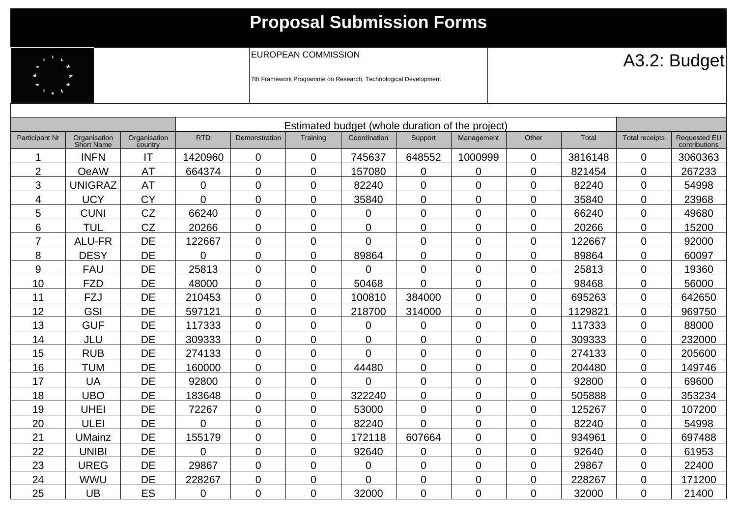| <b>Proposal Submission Forms</b> |  |
|----------------------------------|--|
|----------------------------------|--|

|                |                            |                         | Estimated budget (whole duration of the project) |               |                |                |                |                |                |         |                       |                               |
|----------------|----------------------------|-------------------------|--------------------------------------------------|---------------|----------------|----------------|----------------|----------------|----------------|---------|-----------------------|-------------------------------|
| Participant Nr | Organisation<br>Short Name | Organisation<br>country | <b>RTD</b>                                       | Demonstration | Training       | Coordination   | Support        | Management     | Other          | Total   | <b>Total receipts</b> | Requested EU<br>contributions |
|                | <b>INFN</b>                | IT                      | 1420960                                          | 0             | $\Omega$       | 745637         | 648552         | 1000999        | $\overline{0}$ | 3816148 | $\overline{0}$        | 3060363                       |
| $\overline{2}$ | <b>OeAW</b>                | <b>AT</b>               | 664374                                           | 0             | $\mathbf 0$    | 157080         | $\mathbf 0$    | 0              | $\overline{0}$ | 821454  | $\overline{0}$        | 267233                        |
| 3              | <b>UNIGRAZ</b>             | <b>AT</b>               | $\overline{0}$                                   | 0             | $\overline{0}$ | 82240          | $\overline{0}$ | $\overline{0}$ | $\Omega$       | 82240   | $\mathbf 0$           | 54998                         |
| 4              | <b>UCY</b>                 | <b>CY</b>               | $\Omega$                                         | 0             | $\Omega$       | 35840          | $\overline{0}$ | $\Omega$       | $\Omega$       | 35840   | $\mathbf 0$           | 23968                         |
| 5              | <b>CUNI</b>                | CZ                      | 66240                                            | 0             | $\overline{0}$ | 0              | $\mathbf 0$    | 0              | $\overline{0}$ | 66240   | $\overline{0}$        | 49680                         |
| 6              | <b>TUL</b>                 | CZ                      | 20266                                            | 0             | $\Omega$       | $\overline{0}$ | 0              | $\overline{0}$ | $\Omega$       | 20266   | $\mathbf 0$           | 15200                         |
| $\overline{7}$ | <b>ALU-FR</b>              | DE                      | 122667                                           | 0             | $\overline{0}$ | $\Omega$       | 0              | $\overline{0}$ | $\Omega$       | 122667  | $\mathbf 0$           | 92000                         |
| 8              | <b>DESY</b>                | DE                      | $\mathbf 0$                                      | 0             | $\overline{0}$ | 89864          | $\overline{0}$ | 0              | $\overline{0}$ | 89864   | $\overline{0}$        | 60097                         |
| 9              | <b>FAU</b>                 | DE                      | 25813                                            | 0             | $\overline{0}$ | 0              | $\overline{0}$ | 0              | $\overline{0}$ | 25813   | $\overline{0}$        | 19360                         |
| 10             | <b>FZD</b>                 | <b>DE</b>               | 48000                                            | 0             | $\overline{0}$ | 50468          | $\overline{0}$ | 0              | $\overline{0}$ | 98468   | 0                     | 56000                         |
| 11             | <b>FZJ</b>                 | <b>DE</b>               | 210453                                           | 0             | $\mathbf 0$    | 100810         | 384000         | $\overline{0}$ | $\overline{0}$ | 695263  | $\overline{0}$        | 642650                        |
| 12             | <b>GSI</b>                 | DE                      | 597121                                           | 0             | $\overline{0}$ | 218700         | 314000         | $\overline{0}$ | $\overline{0}$ | 1129821 | $\overline{0}$        | 969750                        |
| 13             | <b>GUF</b>                 | <b>DE</b>               | 117333                                           | 0             | $\overline{0}$ | 0              | 0              | $\overline{0}$ | $\mathbf 0$    | 117333  | $\mathbf 0$           | 88000                         |
| 14             | JLU                        | <b>DE</b>               | 309333                                           | 0             | $\overline{0}$ | 0              | 0              | 0              | $\Omega$       | 309333  | $\mathbf 0$           | 232000                        |
| 15             | <b>RUB</b>                 | DE                      | 274133                                           | 0             | $\mathbf 0$    | $\Omega$       | 0              | $\overline{0}$ | $\overline{0}$ | 274133  | $\overline{0}$        | 205600                        |
| 16             | <b>TUM</b>                 | DE                      | 160000                                           | 0             | $\overline{0}$ | 44480          | $\overline{0}$ | 0              | $\overline{0}$ | 204480  | $\mathbf 0$           | 149746                        |
| 17             | <b>UA</b>                  | DE                      | 92800                                            | 0             | $\overline{0}$ | 0              | $\mathbf 0$    | 0              | $\overline{0}$ | 92800   | $\mathbf 0$           | 69600                         |
| 18             | <b>UBO</b>                 | <b>DE</b>               | 183648                                           | 0             | $\overline{0}$ | 322240         | $\overline{0}$ | 0              | $\Omega$       | 505888  | $\overline{0}$        | 353234                        |
| 19             | <b>UHEI</b>                | DE                      | 72267                                            | 0             | $\Omega$       | 53000          | $\overline{0}$ | 0              | $\overline{0}$ | 125267  | $\overline{0}$        | 107200                        |
| 20             | <b>ULEI</b>                | DE                      | 0                                                | 0             | $\overline{0}$ | 82240          | 0              | 0              | $\overline{0}$ | 82240   | $\overline{0}$        | 54998                         |
| 21             | <b>UMainz</b>              | <b>DE</b>               | 155179                                           | 0             | $\overline{0}$ | 172118         | 607664         | $\overline{0}$ | $\overline{0}$ | 934961  | $\mathbf 0$           | 697488                        |
| 22             | <b>UNIBI</b>               | <b>DE</b>               | $\Omega$                                         | 0             | $\overline{0}$ | 92640          | $\overline{0}$ | $\overline{0}$ | $\overline{0}$ | 92640   | $\overline{0}$        | 61953                         |
| 23             | <b>UREG</b>                | <b>DE</b>               | 29867                                            | 0             | $\overline{0}$ | 0              | $\mathbf 0$    | 0              | $\overline{0}$ | 29867   | $\mathbf 0$           | 22400                         |
| 24             | <b>WWU</b>                 | DE                      | 228267                                           | 0             | $\mathbf 0$    | $\overline{0}$ | 0              | 0              | $\overline{0}$ | 228267  | $\mathbf 0$           | 171200                        |
| 25             | <b>UB</b>                  | ES                      | 0                                                | 0             | $\overline{0}$ | 32000          | 0              | $\overline{0}$ | $\Omega$       | 32000   | $\Omega$              | 21400                         |